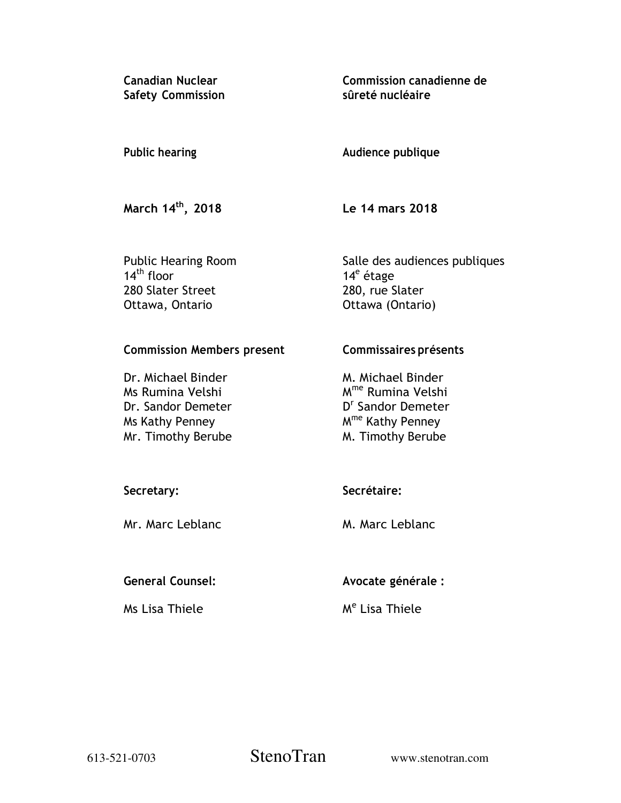**Canadian Nuclear Safety Commission**  **Commission canadienne de sûreté nucléaire** 

#### **Audience publique Public hearing**

**March 14th, 2018** 

 **Le 14 mars 2018** 

Public Hearing Room  $14<sup>th</sup>$  floor 280 Slater Street Ottawa, Ontario

Salle des audiences publiques 14<sup>e</sup> étage 280, rue Slater Ottawa (Ontario)

**Commission Members present** 

Dr. Michael Binder Ms Rumina Velshi Dr. Sandor Demeter Ms Kathy Penney Mr. Timothy Berube **Commissaires présents** 

M. Michael Binder M<sup>me</sup> Rumina Velshi D<sup>r</sup> Sandor Demeter M<sup>me</sup> Kathy Penney M. Timothy Berube

# **Secretary:**

Mr. Marc Leblanc

**Secrétaire:** 

M. Marc Leblanc

**General Counsel:** 

Ms Lisa Thiele

 **Avocate générale :** 

M<sup>e</sup> Lisa Thiele

613-521-0703 StenoTran www.stenotran.com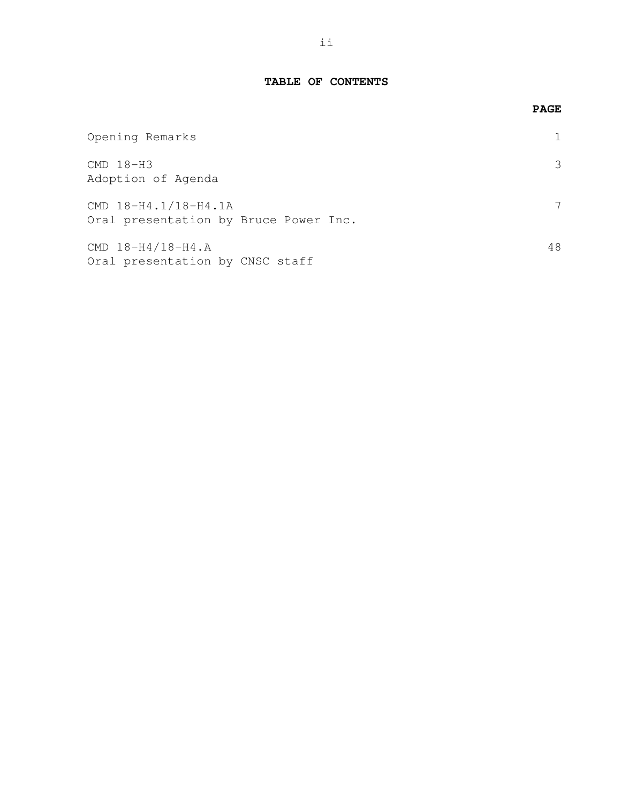#### **TABLE OF CONTENTS**

|                                                               | <b>PAGE</b> |
|---------------------------------------------------------------|-------------|
| Opening Remarks                                               |             |
| $CMD 18-H3$<br>Adoption of Agenda                             |             |
| CMD 18-H4.1/18-H4.1A<br>Oral presentation by Bruce Power Inc. |             |
| CMD 18-H4/18-H4.A<br>Oral presentation by CNSC staff          | 48          |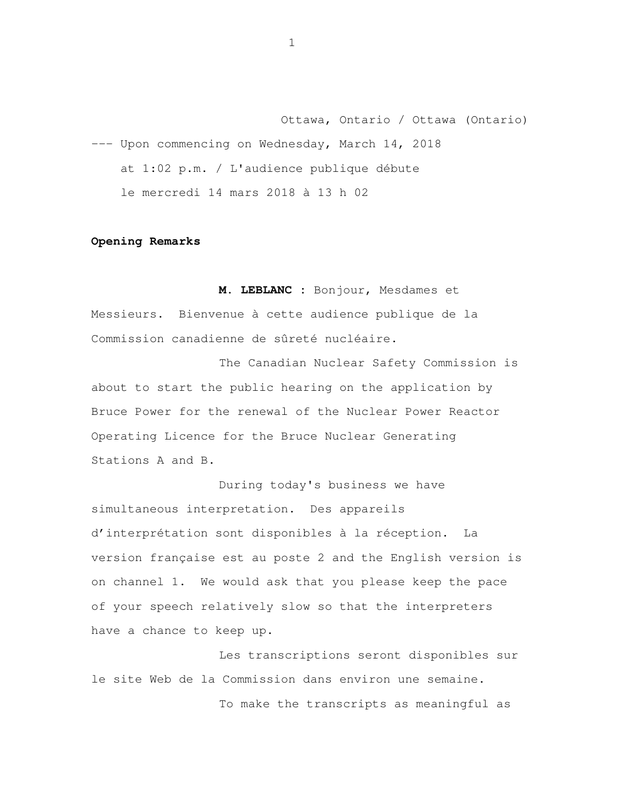Ottawa, Ontario / Ottawa (Ontario) --- Upon commencing on Wednesday, March 14, 2018 at 1:02 p.m. / L'audience publique débute le mercredi 14 mars 2018 à 13 h 02

#### **Opening Remarks**

 **M. LEBLANC :** Bonjour, Mesdames et Messieurs. Bienvenue à cette audience publique de la Commission canadienne de sûreté nucléaire.

 The Canadian Nuclear Safety Commission is about to start the public hearing on the application by Bruce Power for the renewal of the Nuclear Power Reactor Operating Licence for the Bruce Nuclear Generating Stations A and B.

 During today's business we have simultaneous interpretation. Des appareils d'interprétation sont disponibles à la réception. La version française est au poste 2 and the English version is on channel 1. We would ask that you please keep the pace of your speech relatively slow so that the interpreters have a chance to keep up.

 Les transcriptions seront disponibles sur le site Web de la Commission dans environ une semaine. To make the transcripts as meaningful as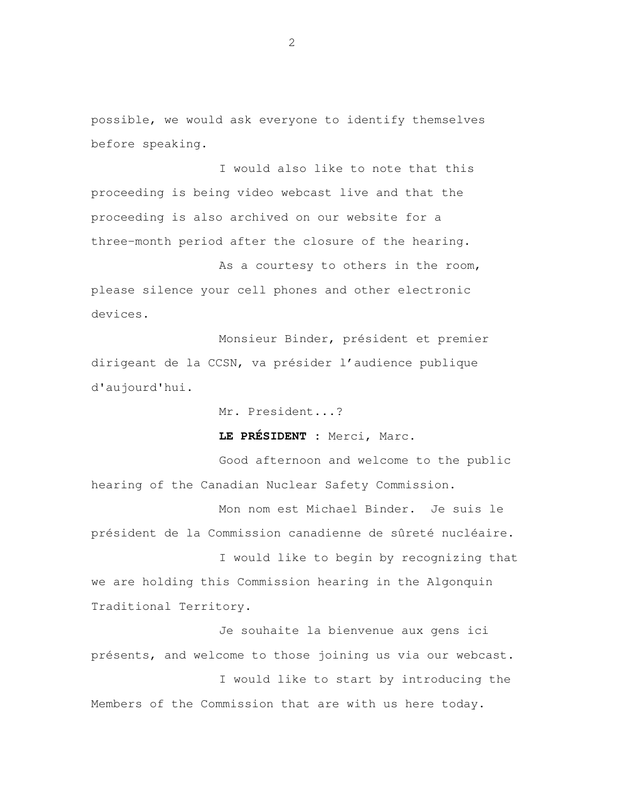possible, we would ask everyone to identify themselves before speaking.

 I would also like to note that this proceeding is being video webcast live and that the three-month period after the closure of the hearing. proceeding is also archived on our website for a

As a courtesy to others in the room, please silence your cell phones and other electronic devices.

 Monsieur Binder, président et premier dirigeant de la CCSN, va présider l'audience publique d'aujourd'hui.

Mr. President...?

**LE PRÉSIDENT :** Merci, Marc.

 Good afternoon and welcome to the public hearing of the Canadian Nuclear Safety Commission.

 Mon nom est Michael Binder. Je suis le président de la Commission canadienne de sûreté nucléaire.

 I would like to begin by recognizing that we are holding this Commission hearing in the Algonquin Traditional Territory.

 Je souhaite la bienvenue aux gens ici présents, and welcome to those joining us via our webcast.

 I would like to start by introducing the Members of the Commission that are with us here today.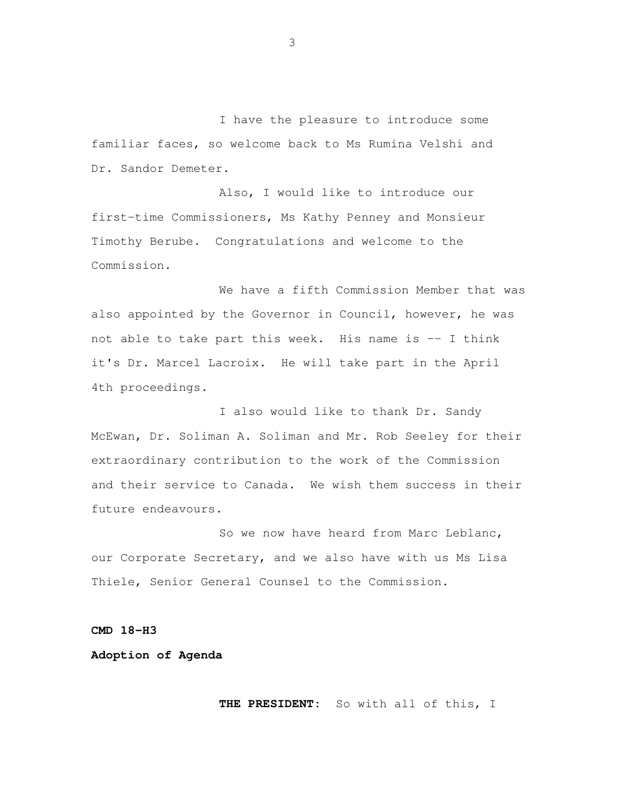I have the pleasure to introduce some familiar faces, so welcome back to Ms Rumina Velshi and Dr. Sandor Demeter.

 Also, I would like to introduce our first-time Commissioners, Ms Kathy Penney and Monsieur Timothy Berube. Congratulations and welcome to the Commission.

 We have a fifth Commission Member that was also appointed by the Governor in Council, however, he was not able to take part this week. His name is -- I think it's Dr. Marcel Lacroix. He will take part in the April 4th proceedings.

 I also would like to thank Dr. Sandy McEwan, Dr. Soliman A. Soliman and Mr. Rob Seeley for their extraordinary contribution to the work of the Commission and their service to Canada. We wish them success in their future endeavours.

 So we now have heard from Marc Leblanc, our Corporate Secretary, and we also have with us Ms Lisa Thiele, Senior General Counsel to the Commission.

#### **CMD 18-H3**

# **Adoption of Agenda**

**THE PRESIDENT:** So with all of this, I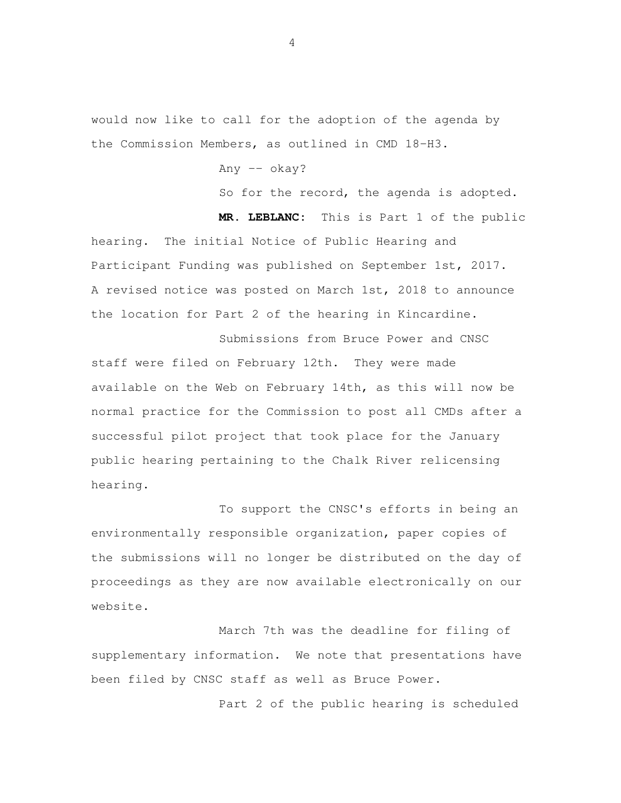would now like to call for the adoption of the agenda by the Commission Members, as outlined in CMD 18-H3.

Any -- okay?

So for the record, the agenda is adopted.

 **MR. LEBLANC:** This is Part 1 of the public hearing. The initial Notice of Public Hearing and Participant Funding was published on September 1st, 2017. A revised notice was posted on March 1st, 2018 to announce the location for Part 2 of the hearing in Kincardine.

 Submissions from Bruce Power and CNSC staff were filed on February 12th. They were made available on the Web on February 14th, as this will now be normal practice for the Commission to post all CMDs after a successful pilot project that took place for the January public hearing pertaining to the Chalk River relicensing hearing.

 To support the CNSC's efforts in being an environmentally responsible organization, paper copies of the submissions will no longer be distributed on the day of proceedings as they are now available electronically on our website.

 supplementary information. We note that presentations have been filed by CNSC staff as well as Bruce Power. March 7th was the deadline for filing of

Part 2 of the public hearing is scheduled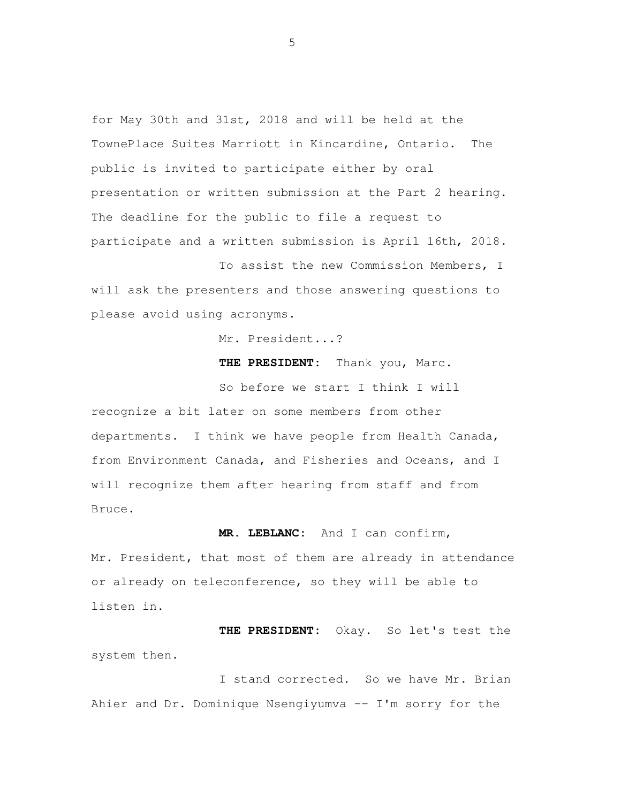for May 30th and 31st, 2018 and will be held at the TownePlace Suites Marriott in Kincardine, Ontario. The public is invited to participate either by oral presentation or written submission at the Part 2 hearing. The deadline for the public to file a request to participate and a written submission is April 16th, 2018.

 To assist the new Commission Members, I will ask the presenters and those answering questions to please avoid using acronyms.

Mr. President...?

**THE PRESIDENT:** Thank you, Marc.

 So before we start I think I will recognize a bit later on some members from other departments. I think we have people from Health Canada, from Environment Canada, and Fisheries and Oceans, and I will recognize them after hearing from staff and from Bruce.

**MR. LEBLANC:** And I can confirm,

Mr. President, that most of them are already in attendance or already on teleconference, so they will be able to listen in.

 **THE PRESIDENT:** Okay. So let's test the system then.

I stand corrected. So we have Mr. Brian Ahier and Dr. Dominique Nsengiyumva -- I'm sorry for the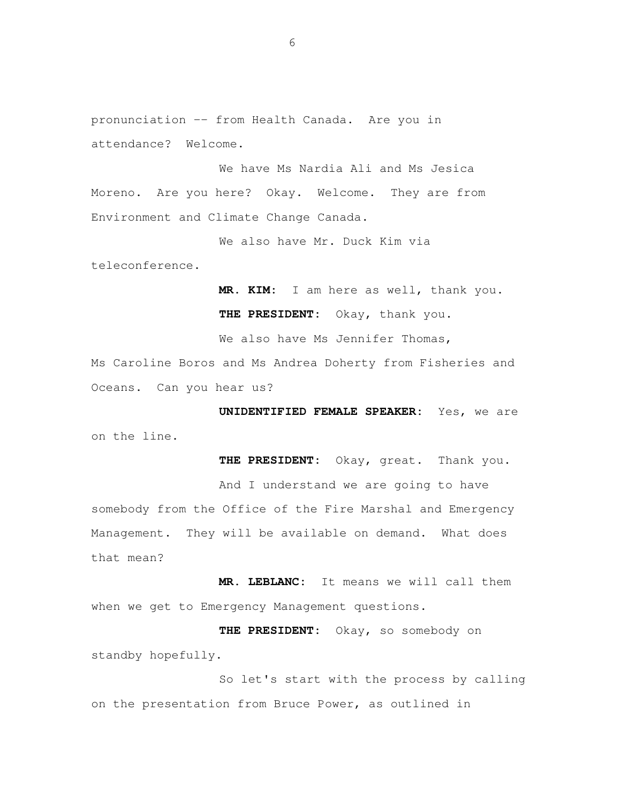pronunciation -- from Health Canada. Are you in attendance? Welcome.

 We have Ms Nardia Ali and Ms Jesica Moreno. Are you here? Okay. Welcome. They are from Environment and Climate Change Canada.

We also have Mr. Duck Kim via

teleconference.

 **MR. KIM:** I am here as well, thank you. **THE PRESIDENT:** Okay, thank you.

We also have Ms Jennifer Thomas,

 Ms Caroline Boros and Ms Andrea Doherty from Fisheries and Oceans. Can you hear us?

 **UNIDENTIFIED FEMALE SPEAKER:** Yes, we are on the line.

**THE PRESIDENT:** Okay, great. Thank you.

 And I understand we are going to have somebody from the Office of the Fire Marshal and Emergency Management. They will be available on demand. What does that mean?

 **MR. LEBLANC:** It means we will call them when we get to Emergency Management questions.

 **THE PRESIDENT:** Okay, so somebody on standby hopefully.

 So let's start with the process by calling on the presentation from Bruce Power, as outlined in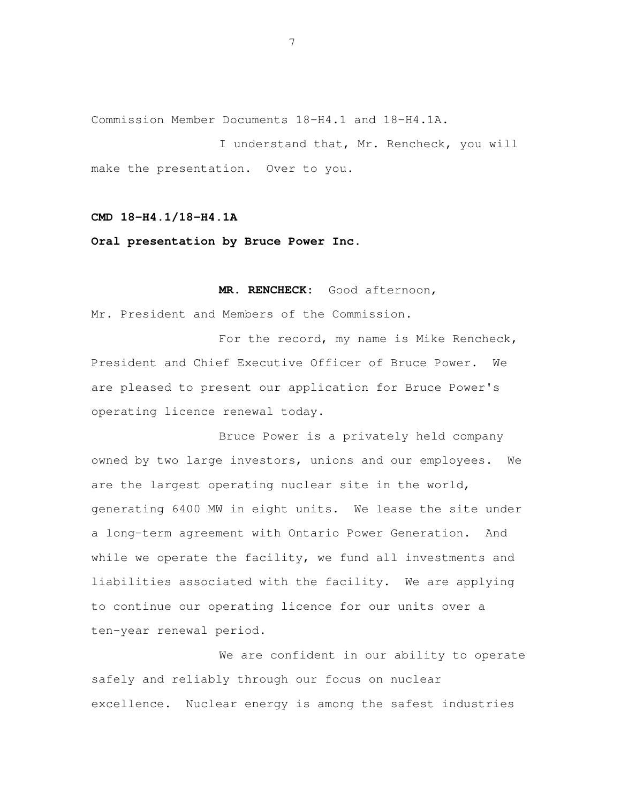Commission Member Documents 18-H4.1 and 18-H4.1A.

 I understand that, Mr. Rencheck, you will make the presentation. Over to you.

### **CMD 18-H4.1/18-H4.1A**

#### **Oral presentation by Bruce Power Inc.**

**MR. RENCHECK:** Good afternoon,

Mr. President and Members of the Commission.

For the record, my name is Mike Rencheck, President and Chief Executive Officer of Bruce Power. We are pleased to present our application for Bruce Power's operating licence renewal today.

 Bruce Power is a privately held company owned by two large investors, unions and our employees. We are the largest operating nuclear site in the world, generating 6400 MW in eight units. We lease the site under a long-term agreement with Ontario Power Generation. And while we operate the facility, we fund all investments and liabilities associated with the facility. We are applying to continue our operating licence for our units over a ten-year renewal period.

 We are confident in our ability to operate safely and reliably through our focus on nuclear excellence. Nuclear energy is among the safest industries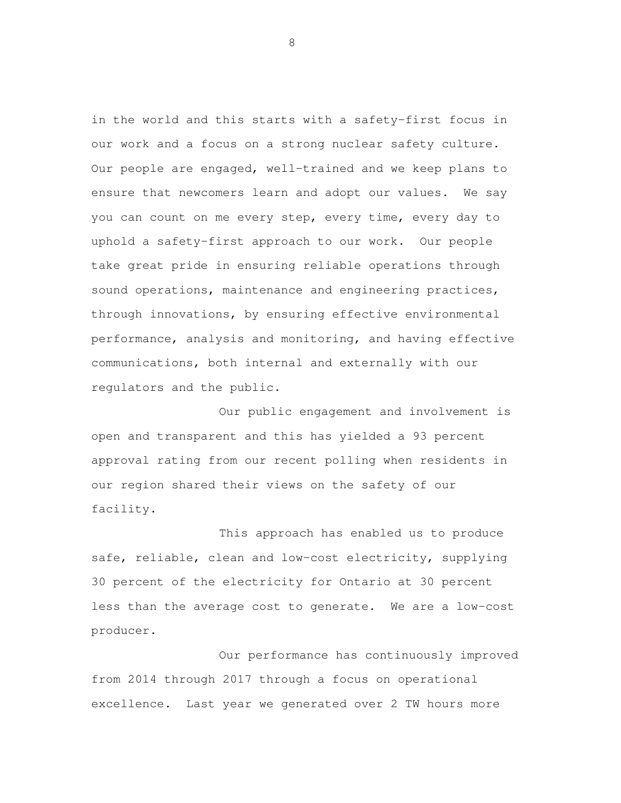in the world and this starts with a safety-first focus in our work and a focus on a strong nuclear safety culture. Our people are engaged, well-trained and we keep plans to ensure that newcomers learn and adopt our values. We say you can count on me every step, every time, every day to uphold a safety-first approach to our work. Our people take great pride in ensuring reliable operations through sound operations, maintenance and engineering practices, through innovations, by ensuring effective environmental performance, analysis and monitoring, and having effective communications, both internal and externally with our regulators and the public.

 Our public engagement and involvement is open and transparent and this has yielded a 93 percent approval rating from our recent polling when residents in our region shared their views on the safety of our facility.

 This approach has enabled us to produce safe, reliable, clean and low-cost electricity, supplying 30 percent of the electricity for Ontario at 30 percent less than the average cost to generate. We are a low-cost producer.<br>Our performance has continuously improved

 from 2014 through 2017 through a focus on operational excellence. Last year we generated over 2 TW hours more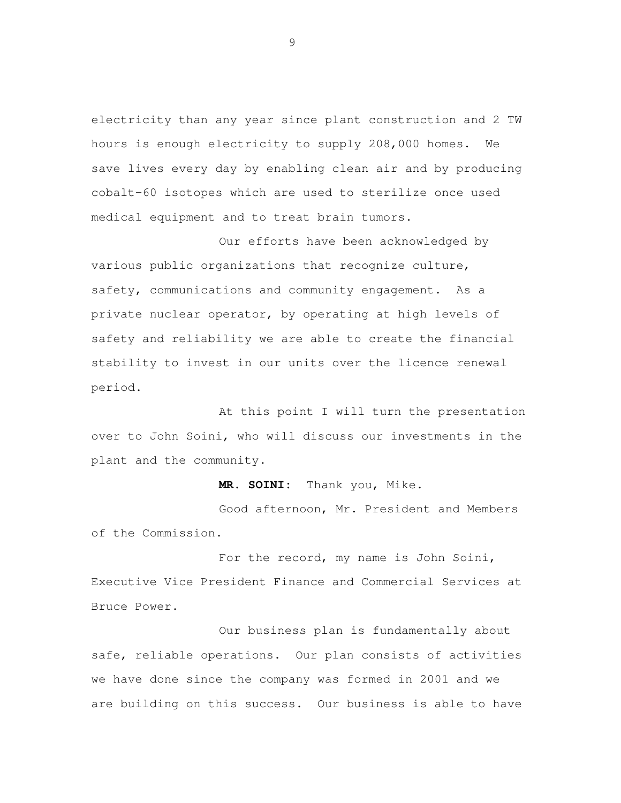electricity than any year since plant construction and 2 TW hours is enough electricity to supply 208,000 homes. We save lives every day by enabling clean air and by producing cobalt-60 isotopes which are used to sterilize once used medical equipment and to treat brain tumors.

 Our efforts have been acknowledged by various public organizations that recognize culture, safety, communications and community engagement. As a private nuclear operator, by operating at high levels of safety and reliability we are able to create the financial stability to invest in our units over the licence renewal period.<br>At this point I will turn the presentation

 over to John Soini, who will discuss our investments in the plant and the community.

**MR. SOINI:** Thank you, Mike.

 Good afternoon, Mr. President and Members of the Commission.

 For the record, my name is John Soini, Executive Vice President Finance and Commercial Services at Bruce Power.

 Our business plan is fundamentally about safe, reliable operations. Our plan consists of activities we have done since the company was formed in 2001 and we are building on this success. Our business is able to have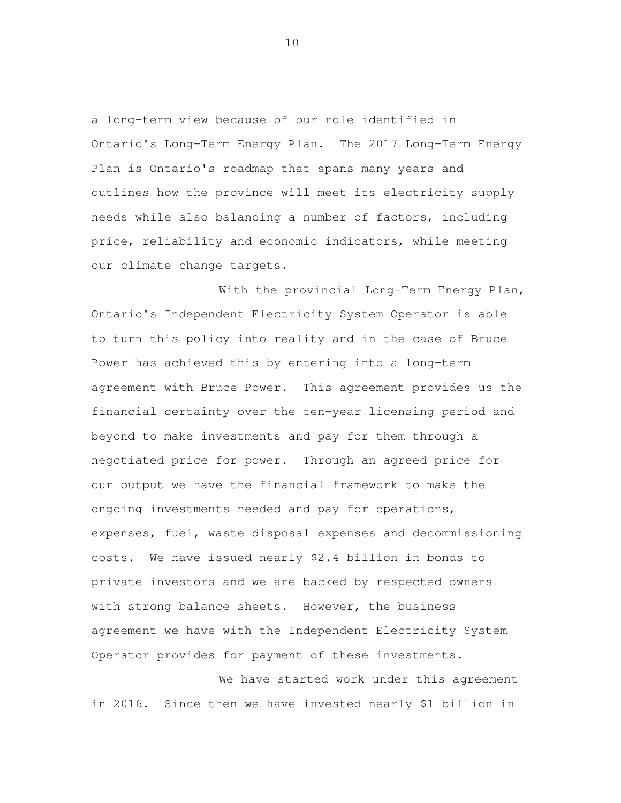a long-term view because of our role identified in Ontario's Long-Term Energy Plan. The 2017 Long-Term Energy Plan is Ontario's roadmap that spans many years and outlines how the province will meet its electricity supply needs while also balancing a number of factors, including price, reliability and economic indicators, while meeting our climate change targets.

 With the provincial Long-Term Energy Plan, Ontario's Independent Electricity System Operator is able to turn this policy into reality and in the case of Bruce Power has achieved this by entering into a long-term agreement with Bruce Power. This agreement provides us the financial certainty over the ten-year licensing period and beyond to make investments and pay for them through a negotiated price for power. Through an agreed price for our output we have the financial framework to make the ongoing investments needed and pay for operations, expenses, fuel, waste disposal expenses and decommissioning costs. We have issued nearly \$2.4 billion in bonds to private investors and we are backed by respected owners with strong balance sheets. However, the business agreement we have with the Independent Electricity System Operator provides for payment of these investments.

 We have started work under this agreement in 2016. Since then we have invested nearly \$1 billion in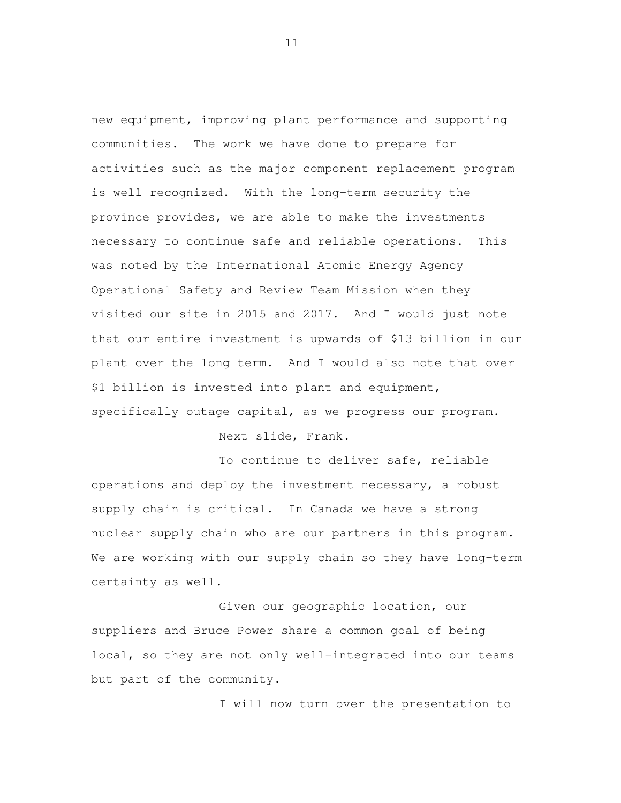new equipment, improving plant performance and supporting communities. The work we have done to prepare for activities such as the major component replacement program is well recognized. With the long-term security the province provides, we are able to make the investments necessary to continue safe and reliable operations. This was noted by the International Atomic Energy Agency Operational Safety and Review Team Mission when they visited our site in 2015 and 2017. And I would just note that our entire investment is upwards of \$13 billion in our plant over the long term. And I would also note that over \$1 billion is invested into plant and equipment, specifically outage capital, as we progress our program.

Next slide, Frank.

 To continue to deliver safe, reliable operations and deploy the investment necessary, a robust supply chain is critical. In Canada we have a strong nuclear supply chain who are our partners in this program. We are working with our supply chain so they have long-term certainty as well.

 Given our geographic location, our suppliers and Bruce Power share a common goal of being local, so they are not only well-integrated into our teams but part of the community.

I will now turn over the presentation to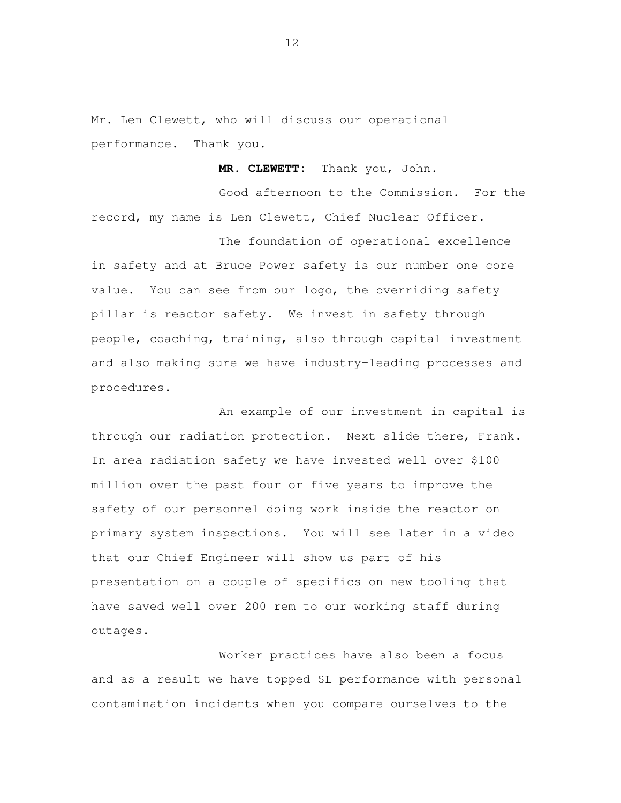Mr. Len Clewett, who will discuss our operational performance. Thank you.

**MR. CLEWETT:** Thank you, John.

 Good afternoon to the Commission. For the record, my name is Len Clewett, Chief Nuclear Officer.

 The foundation of operational excellence in safety and at Bruce Power safety is our number one core value. You can see from our logo, the overriding safety pillar is reactor safety. We invest in safety through people, coaching, training, also through capital investment and also making sure we have industry-leading processes and procedures.<br>An example of our investment in capital is

 through our radiation protection. Next slide there, Frank. In area radiation safety we have invested well over \$100 million over the past four or five years to improve the safety of our personnel doing work inside the reactor on primary system inspections. You will see later in a video that our Chief Engineer will show us part of his presentation on a couple of specifics on new tooling that have saved well over 200 rem to our working staff during outages.

 Worker practices have also been a focus and as a result we have topped SL performance with personal contamination incidents when you compare ourselves to the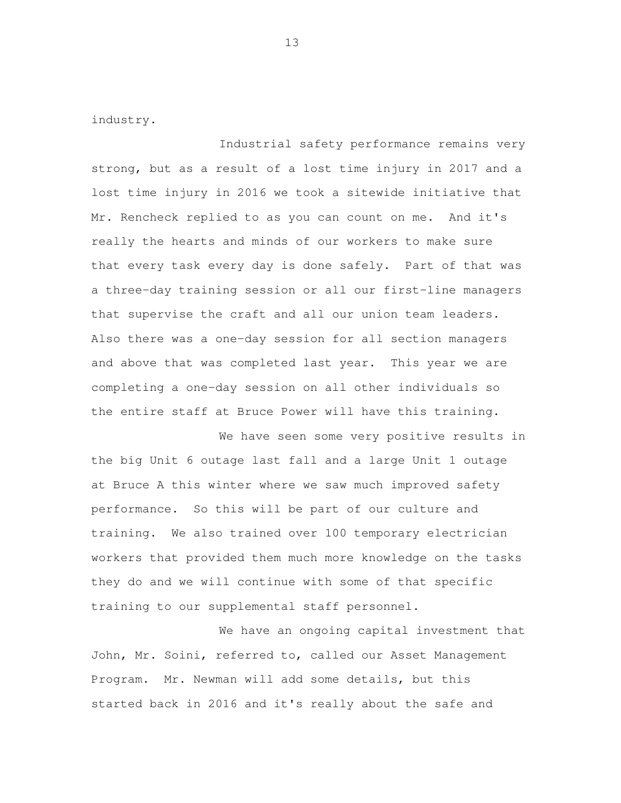industry.

 Industrial safety performance remains very strong, but as a result of a lost time injury in 2017 and a lost time injury in 2016 we took a sitewide initiative that Mr. Rencheck replied to as you can count on me. And it's really the hearts and minds of our workers to make sure that every task every day is done safely. Part of that was a three-day training session or all our first-line managers that supervise the craft and all our union team leaders. Also there was a one-day session for all section managers and above that was completed last year. This year we are completing a one-day session on all other individuals so the entire staff at Bruce Power will have this training.

 We have seen some very positive results in the big Unit 6 outage last fall and a large Unit 1 outage at Bruce A this winter where we saw much improved safety performance. So this will be part of our culture and training. We also trained over 100 temporary electrician workers that provided them much more knowledge on the tasks they do and we will continue with some of that specific training to our supplemental staff personnel.

 We have an ongoing capital investment that John, Mr. Soini, referred to, called our Asset Management Program. Mr. Newman will add some details, but this started back in 2016 and it's really about the safe and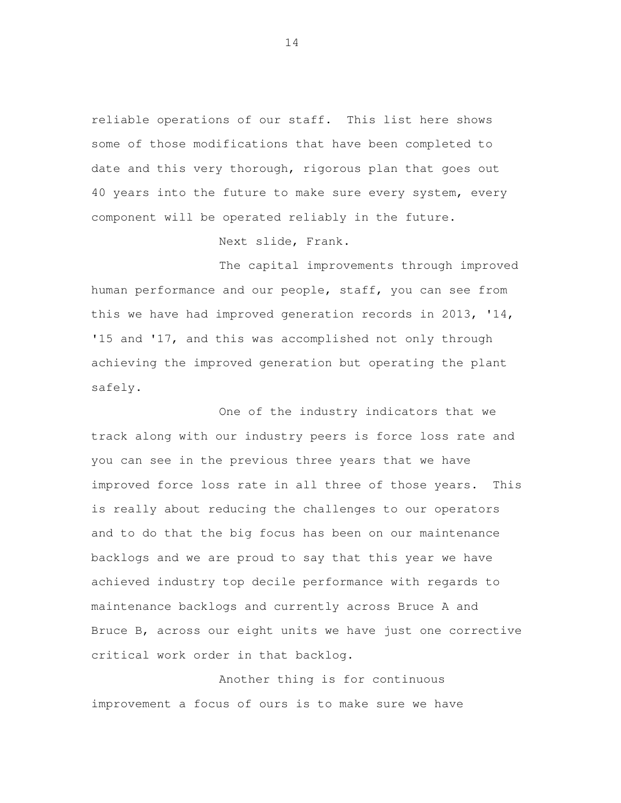reliable operations of our staff. This list here shows some of those modifications that have been completed to date and this very thorough, rigorous plan that goes out 40 years into the future to make sure every system, every component will be operated reliably in the future.

Next slide, Frank.

 The capital improvements through improved human performance and our people, staff, you can see from this we have had improved generation records in 2013, '14, '15 and '17, and this was accomplished not only through achieving the improved generation but operating the plant safely.<br>One of the industry indicators that we

 track along with our industry peers is force loss rate and you can see in the previous three years that we have improved force loss rate in all three of those years. This is really about reducing the challenges to our operators and to do that the big focus has been on our maintenance backlogs and we are proud to say that this year we have achieved industry top decile performance with regards to maintenance backlogs and currently across Bruce A and Bruce B, across our eight units we have just one corrective critical work order in that backlog.

 Another thing is for continuous improvement a focus of ours is to make sure we have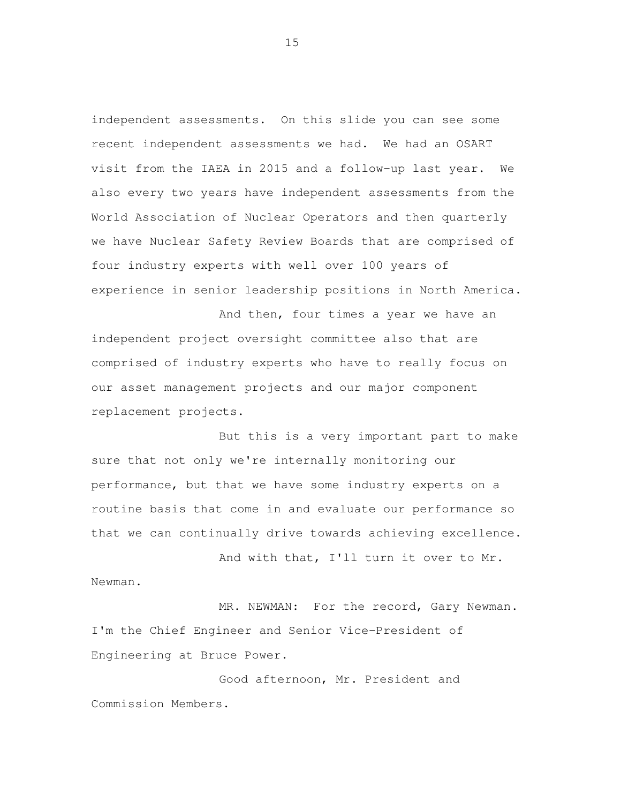independent assessments. On this slide you can see some recent independent assessments we had. We had an OSART visit from the IAEA in 2015 and a follow-up last year. We also every two years have independent assessments from the World Association of Nuclear Operators and then quarterly we have Nuclear Safety Review Boards that are comprised of four industry experts with well over 100 years of experience in senior leadership positions in North America.

 And then, four times a year we have an independent project oversight committee also that are comprised of industry experts who have to really focus on our asset management projects and our major component replacement projects.

 But this is a very important part to make sure that not only we're internally monitoring our performance, but that we have some industry experts on a routine basis that come in and evaluate our performance so that we can continually drive towards achieving excellence.

 And with that, I'll turn it over to Mr. Newman.

 MR. NEWMAN: For the record, Gary Newman. I'm the Chief Engineer and Senior Vice-President of Engineering at Bruce Power.

 Good afternoon, Mr. President and Commission Members.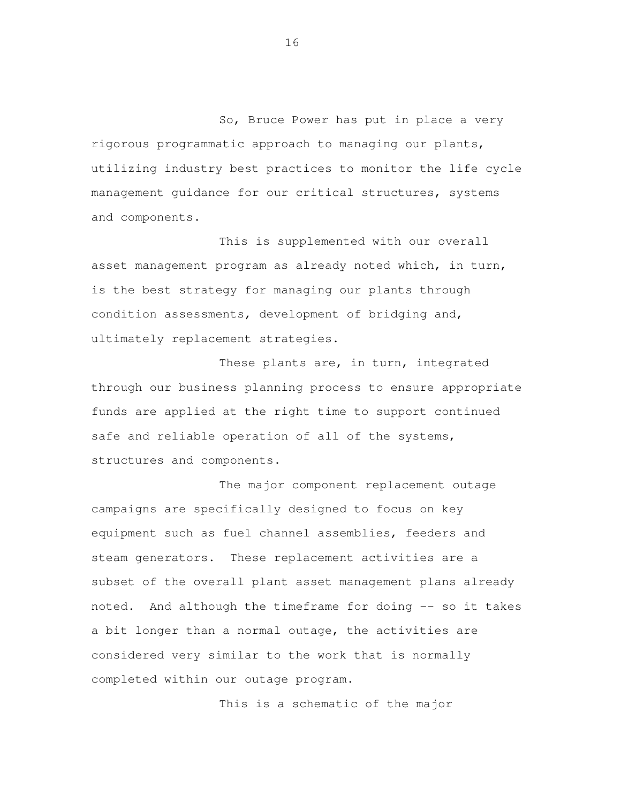So, Bruce Power has put in place a very rigorous programmatic approach to managing our plants, utilizing industry best practices to monitor the life cycle management guidance for our critical structures, systems and components.

 This is supplemented with our overall asset management program as already noted which, in turn, is the best strategy for managing our plants through condition assessments, development of bridging and, ultimately replacement strategies.

 These plants are, in turn, integrated through our business planning process to ensure appropriate funds are applied at the right time to support continued safe and reliable operation of all of the systems, structures and components.

 The major component replacement outage campaigns are specifically designed to focus on key equipment such as fuel channel assemblies, feeders and steam generators. These replacement activities are a subset of the overall plant asset management plans already noted. And although the timeframe for doing -- so it takes a bit longer than a normal outage, the activities are considered very similar to the work that is normally completed within our outage program.

This is a schematic of the major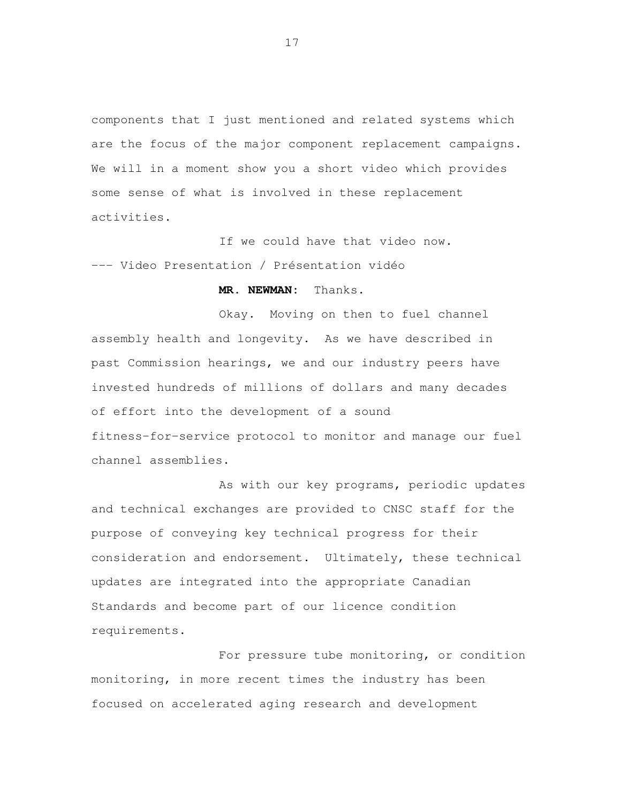components that I just mentioned and related systems which are the focus of the major component replacement campaigns. We will in a moment show you a short video which provides some sense of what is involved in these replacement activities.

 If we could have that video now. --- Video Presentation / Présentation vidéo

## **MR. NEWMAN:** Thanks.

 Okay. Moving on then to fuel channel assembly health and longevity. As we have described in past Commission hearings, we and our industry peers have invested hundreds of millions of dollars and many decades of effort into the development of a sound fitness-for-service protocol to monitor and manage our fuel channel assemblies.

 As with our key programs, periodic updates and technical exchanges are provided to CNSC staff for the purpose of conveying key technical progress for their consideration and endorsement. Ultimately, these technical updates are integrated into the appropriate Canadian Standards and become part of our licence condition requirements.

 For pressure tube monitoring, or condition monitoring, in more recent times the industry has been focused on accelerated aging research and development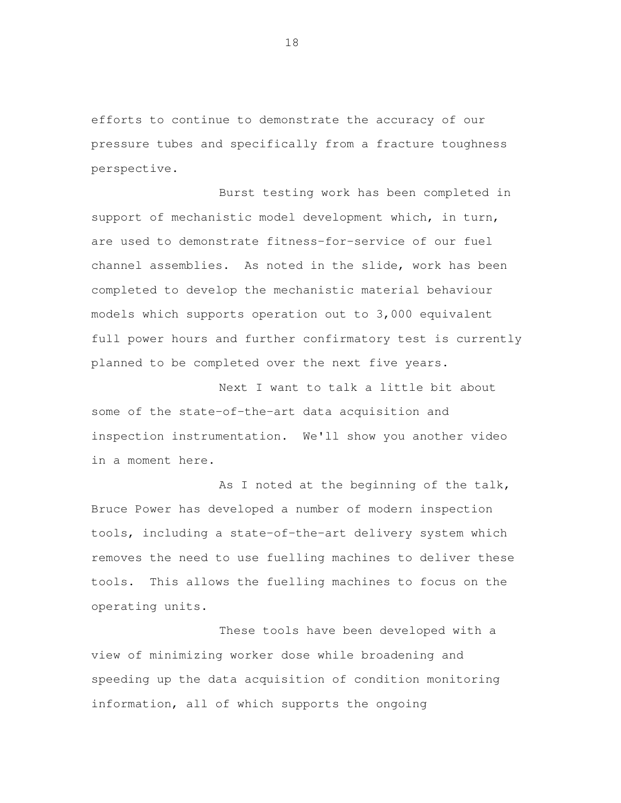efforts to continue to demonstrate the accuracy of our pressure tubes and specifically from a fracture toughness perspective.

 Burst testing work has been completed in support of mechanistic model development which, in turn, are used to demonstrate fitness-for-service of our fuel channel assemblies. As noted in the slide, work has been completed to develop the mechanistic material behaviour models which supports operation out to 3,000 equivalent full power hours and further confirmatory test is currently planned to be completed over the next five years.

 Next I want to talk a little bit about some of the state-of-the-art data acquisition and inspection instrumentation. We'll show you another video in a moment here.

As I noted at the beginning of the talk, Bruce Power has developed a number of modern inspection tools, including a state-of-the-art delivery system which removes the need to use fuelling machines to deliver these tools. This allows the fuelling machines to focus on the operating units.

 These tools have been developed with a view of minimizing worker dose while broadening and speeding up the data acquisition of condition monitoring information, all of which supports the ongoing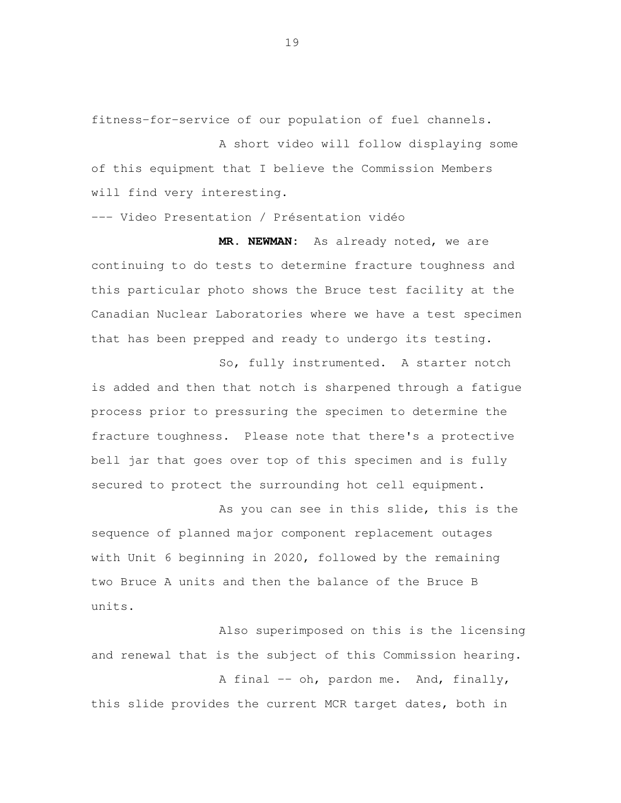fitness-for-service of our population of fuel channels.

 A short video will follow displaying some of this equipment that I believe the Commission Members will find very interesting.

--- Video Presentation / Présentation vidéo

 **MR. NEWMAN:** As already noted, we are continuing to do tests to determine fracture toughness and this particular photo shows the Bruce test facility at the Canadian Nuclear Laboratories where we have a test specimen that has been prepped and ready to undergo its testing.

 So, fully instrumented. A starter notch is added and then that notch is sharpened through a fatigue process prior to pressuring the specimen to determine the fracture toughness. Please note that there's a protective bell jar that goes over top of this specimen and is fully secured to protect the surrounding hot cell equipment.

 As you can see in this slide, this is the sequence of planned major component replacement outages with Unit 6 beginning in 2020, followed by the remaining two Bruce A units and then the balance of the Bruce B units.

 Also superimposed on this is the licensing and renewal that is the subject of this Commission hearing.

A final -- oh, pardon me. And, finally, this slide provides the current MCR target dates, both in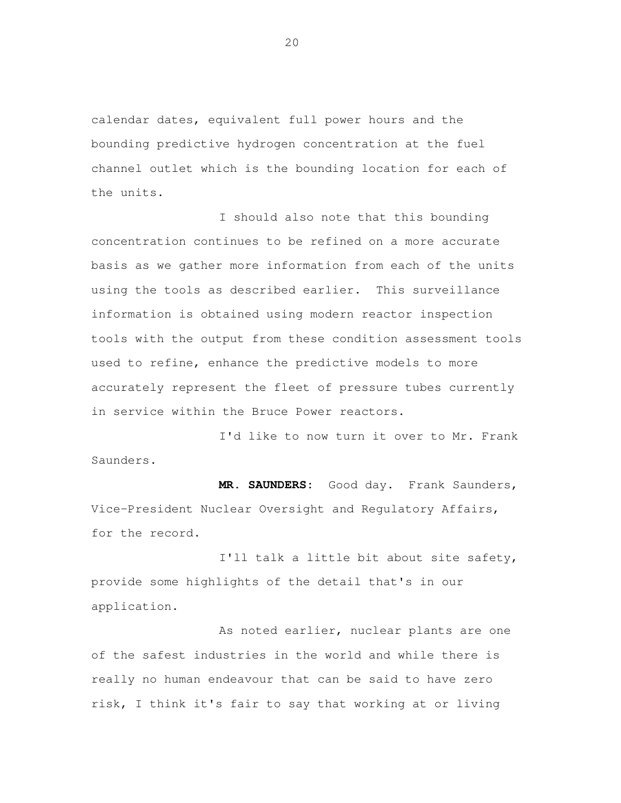calendar dates, equivalent full power hours and the bounding predictive hydrogen concentration at the fuel channel outlet which is the bounding location for each of the units.

 I should also note that this bounding concentration continues to be refined on a more accurate basis as we gather more information from each of the units using the tools as described earlier. This surveillance information is obtained using modern reactor inspection tools with the output from these condition assessment tools used to refine, enhance the predictive models to more accurately represent the fleet of pressure tubes currently in service within the Bruce Power reactors.

 I'd like to now turn it over to Mr. Frank Saunders.

 **MR. SAUNDERS:** Good day. Frank Saunders, Vice-President Nuclear Oversight and Regulatory Affairs, for the record.

 I'll talk a little bit about site safety, provide some highlights of the detail that's in our application.

 As noted earlier, nuclear plants are one of the safest industries in the world and while there is really no human endeavour that can be said to have zero risk, I think it's fair to say that working at or living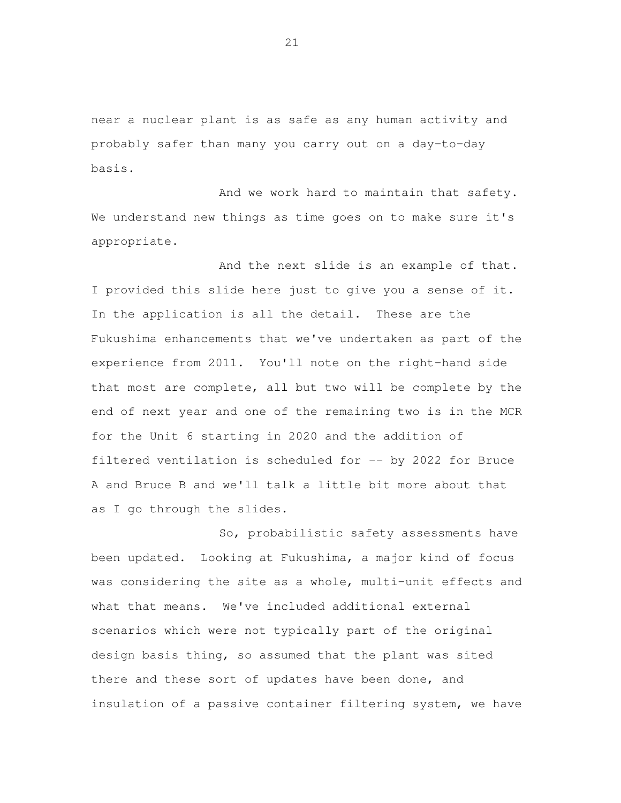near a nuclear plant is as safe as any human activity and probably safer than many you carry out on a day-to-day basis.

 And we work hard to maintain that safety. We understand new things as time goes on to make sure it's appropriate.

 And the next slide is an example of that. I provided this slide here just to give you a sense of it. In the application is all the detail. These are the Fukushima enhancements that we've undertaken as part of the experience from 2011. You'll note on the right-hand side that most are complete, all but two will be complete by the end of next year and one of the remaining two is in the MCR for the Unit 6 starting in 2020 and the addition of filtered ventilation is scheduled for -- by 2022 for Bruce A and Bruce B and we'll talk a little bit more about that as I go through the slides.

 So, probabilistic safety assessments have been updated. Looking at Fukushima, a major kind of focus was considering the site as a whole, multi-unit effects and what that means. We've included additional external scenarios which were not typically part of the original design basis thing, so assumed that the plant was sited there and these sort of updates have been done, and insulation of a passive container filtering system, we have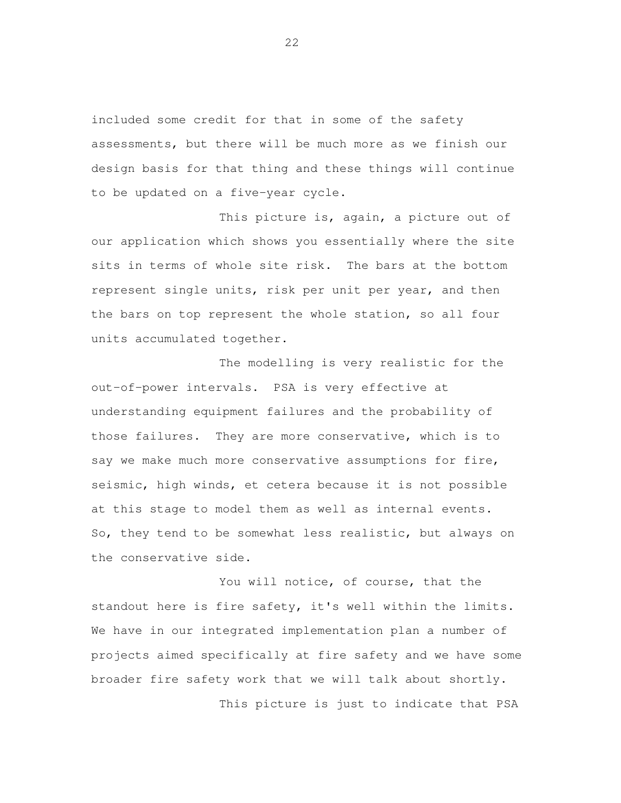included some credit for that in some of the safety assessments, but there will be much more as we finish our design basis for that thing and these things will continue to be updated on a five-year cycle.

 This picture is, again, a picture out of our application which shows you essentially where the site sits in terms of whole site risk. The bars at the bottom represent single units, risk per unit per year, and then the bars on top represent the whole station, so all four units accumulated together.

 The modelling is very realistic for the out-of-power intervals. PSA is very effective at understanding equipment failures and the probability of those failures. They are more conservative, which is to say we make much more conservative assumptions for fire, seismic, high winds, et cetera because it is not possible at this stage to model them as well as internal events. So, they tend to be somewhat less realistic, but always on the conservative side.

 You will notice, of course, that the standout here is fire safety, it's well within the limits. We have in our integrated implementation plan a number of projects aimed specifically at fire safety and we have some broader fire safety work that we will talk about shortly. This picture is just to indicate that PSA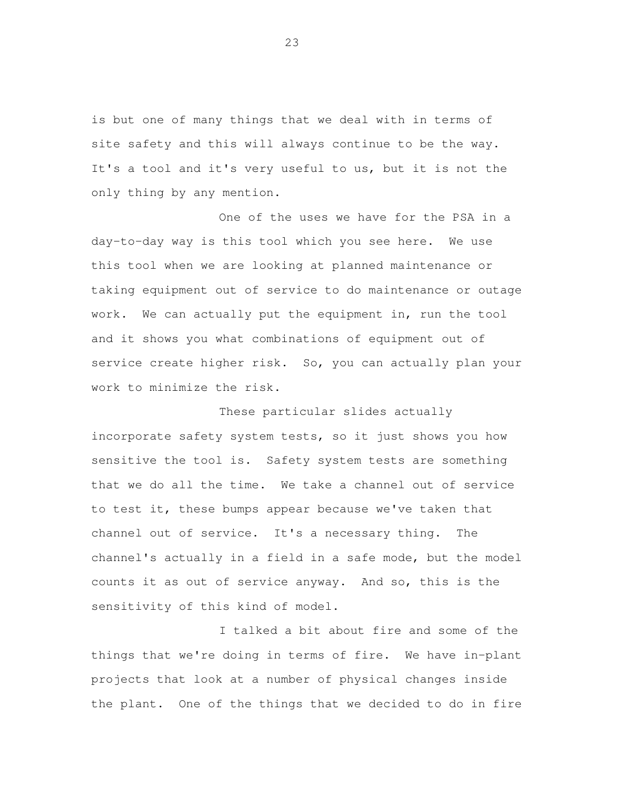is but one of many things that we deal with in terms of site safety and this will always continue to be the way. It's a tool and it's very useful to us, but it is not the only thing by any mention.

 One of the uses we have for the PSA in a day-to-day way is this tool which you see here. We use this tool when we are looking at planned maintenance or taking equipment out of service to do maintenance or outage work. We can actually put the equipment in, run the tool and it shows you what combinations of equipment out of service create higher risk. So, you can actually plan your work to minimize the risk.

 These particular slides actually incorporate safety system tests, so it just shows you how sensitive the tool is. Safety system tests are something that we do all the time. We take a channel out of service to test it, these bumps appear because we've taken that channel out of service. It's a necessary thing. The channel's actually in a field in a safe mode, but the model counts it as out of service anyway. And so, this is the sensitivity of this kind of model.

 I talked a bit about fire and some of the things that we're doing in terms of fire. We have in-plant projects that look at a number of physical changes inside the plant. One of the things that we decided to do in fire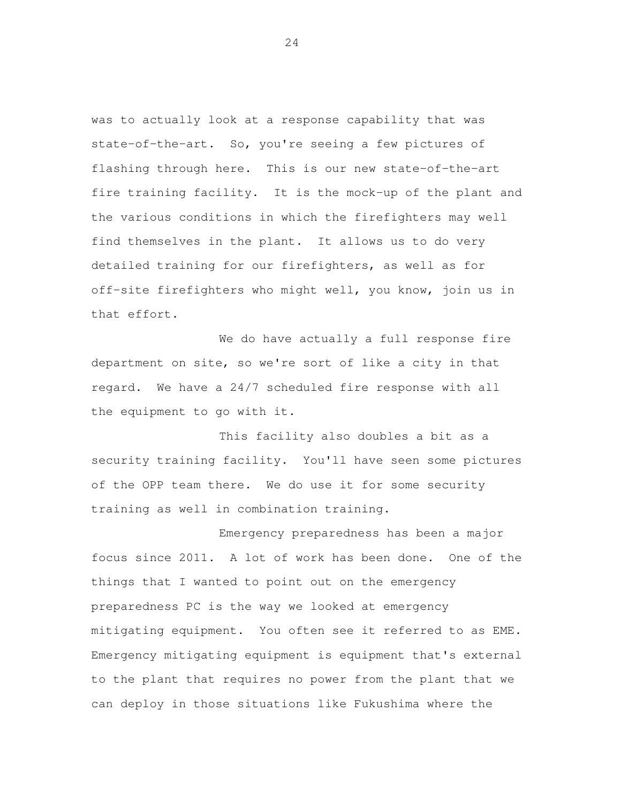was to actually look at a response capability that was state-of-the-art. So, you're seeing a few pictures of flashing through here. This is our new state-of-the-art fire training facility. It is the mock-up of the plant and the various conditions in which the firefighters may well find themselves in the plant. It allows us to do very detailed training for our firefighters, as well as for off-site firefighters who might well, you know, join us in that effort.

 We do have actually a full response fire department on site, so we're sort of like a city in that regard. We have a 24/7 scheduled fire response with all the equipment to go with it.

 This facility also doubles a bit as a security training facility. You'll have seen some pictures of the OPP team there. We do use it for some security training as well in combination training.

 Emergency preparedness has been a major focus since 2011. A lot of work has been done. One of the things that I wanted to point out on the emergency preparedness PC is the way we looked at emergency mitigating equipment. You often see it referred to as EME. Emergency mitigating equipment is equipment that's external to the plant that requires no power from the plant that we can deploy in those situations like Fukushima where the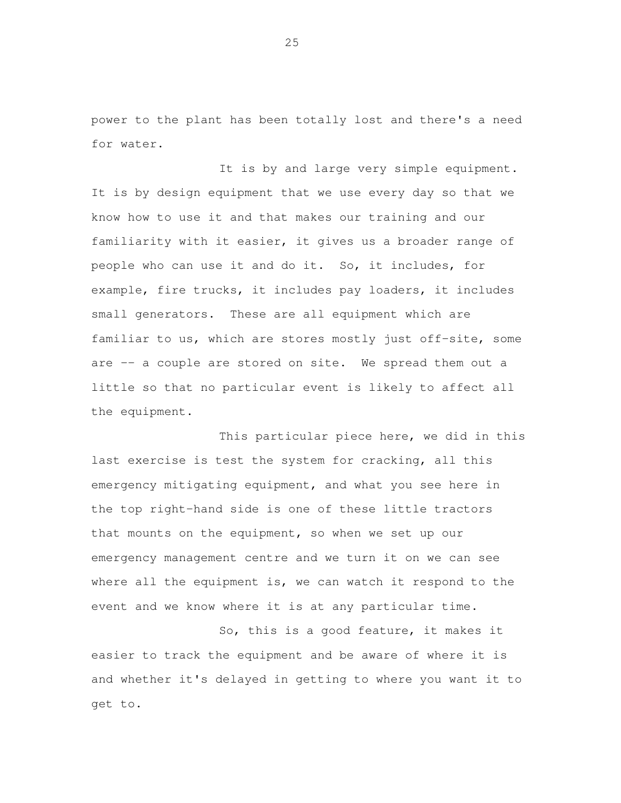power to the plant has been totally lost and there's a need for water.

It is by and large very simple equipment. It is by design equipment that we use every day so that we know how to use it and that makes our training and our familiarity with it easier, it gives us a broader range of people who can use it and do it. So, it includes, for example, fire trucks, it includes pay loaders, it includes small generators. These are all equipment which are familiar to us, which are stores mostly just off-site, some are -- a couple are stored on site. We spread them out a little so that no particular event is likely to affect all the equipment.

 This particular piece here, we did in this last exercise is test the system for cracking, all this emergency mitigating equipment, and what you see here in the top right-hand side is one of these little tractors that mounts on the equipment, so when we set up our emergency management centre and we turn it on we can see where all the equipment is, we can watch it respond to the event and we know where it is at any particular time.

 So, this is a good feature, it makes it easier to track the equipment and be aware of where it is and whether it's delayed in getting to where you want it to get to.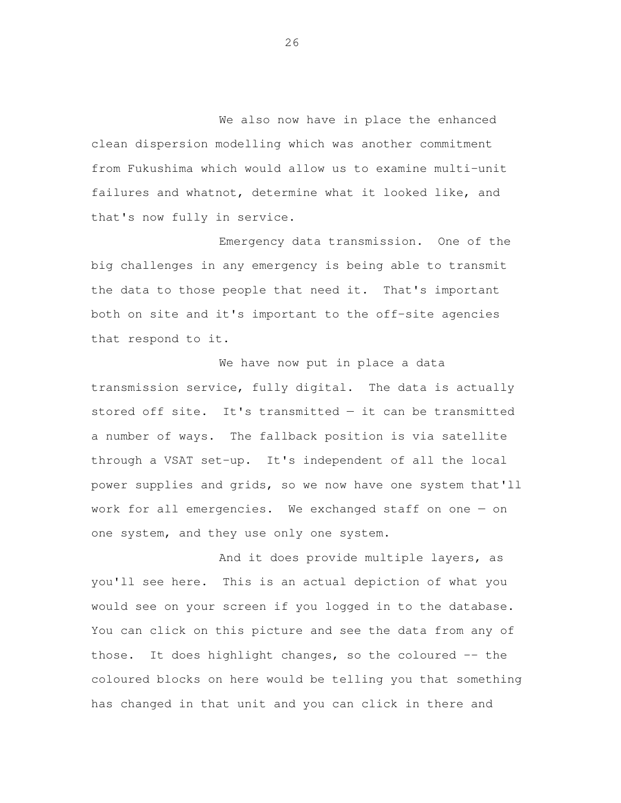We also now have in place the enhanced clean dispersion modelling which was another commitment from Fukushima which would allow us to examine multi-unit failures and whatnot, determine what it looked like, and that's now fully in service.

 Emergency data transmission. One of the big challenges in any emergency is being able to transmit the data to those people that need it. That's important both on site and it's important to the off-site agencies that respond to it.

 We have now put in place a data transmission service, fully digital. The data is actually stored off site. It's transmitted — it can be transmitted a number of ways. The fallback position is via satellite through a VSAT set-up. It's independent of all the local power supplies and grids, so we now have one system that'll work for all emergencies. We exchanged staff on one — on one system, and they use only one system.

 And it does provide multiple layers, as you'll see here. This is an actual depiction of what you would see on your screen if you logged in to the database. You can click on this picture and see the data from any of those. It does highlight changes, so the coloured -- the coloured blocks on here would be telling you that something has changed in that unit and you can click in there and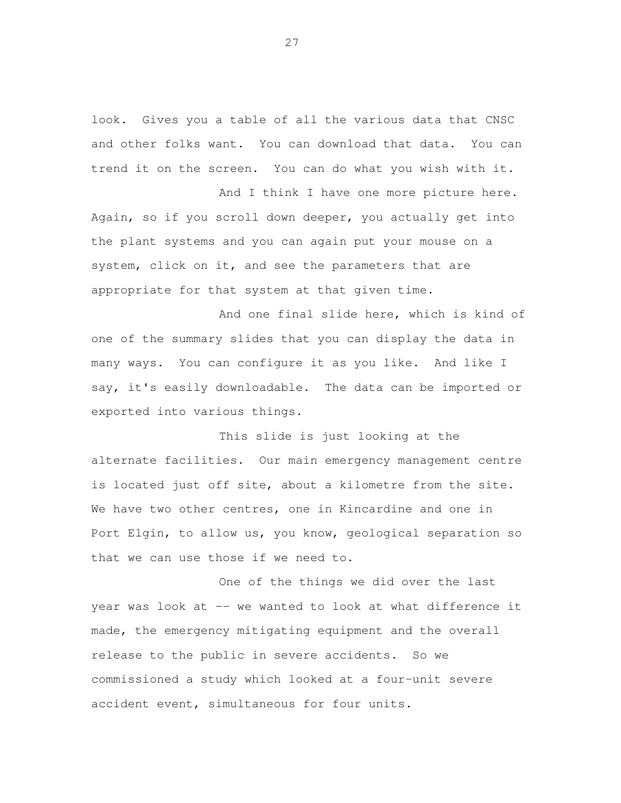look. Gives you a table of all the various data that CNSC and other folks want. You can download that data. You can trend it on the screen. You can do what you wish with it.

 And I think I have one more picture here. Again, so if you scroll down deeper, you actually get into the plant systems and you can again put your mouse on a system, click on it, and see the parameters that are appropriate for that system at that given time.

 And one final slide here, which is kind of one of the summary slides that you can display the data in many ways. You can configure it as you like. And like I say, it's easily downloadable. The data can be imported or exported into various things.

 This slide is just looking at the alternate facilities. Our main emergency management centre is located just off site, about a kilometre from the site. We have two other centres, one in Kincardine and one in Port Elgin, to allow us, you know, geological separation so that we can use those if we need to.

 One of the things we did over the last year was look at -- we wanted to look at what difference it made, the emergency mitigating equipment and the overall release to the public in severe accidents. So we commissioned a study which looked at a four-unit severe accident event, simultaneous for four units.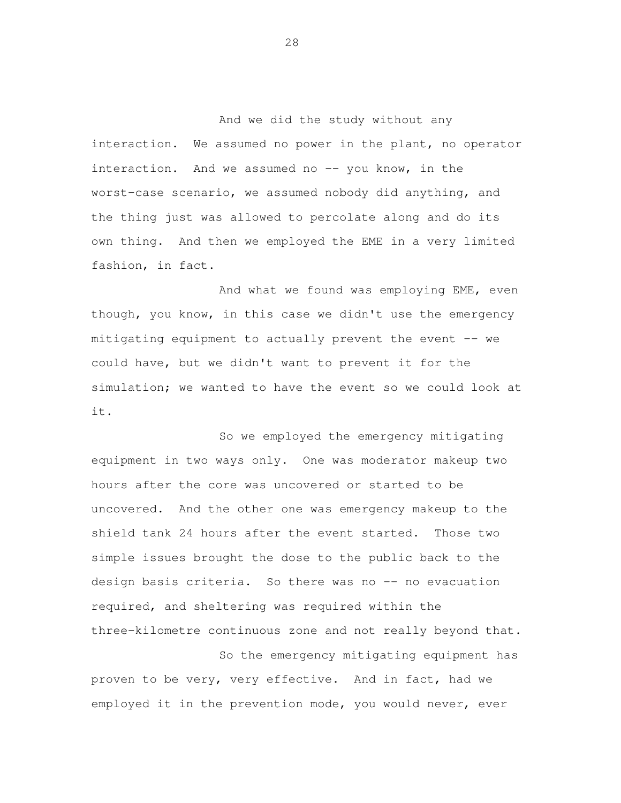And we did the study without any interaction. We assumed no power in the plant, no operator worst-case scenario, we assumed nobody did anything, and the thing just was allowed to percolate along and do its own thing. And then we employed the EME in a very limited fashion, in fact. interaction. And we assumed no -- you know, in the

 And what we found was employing EME, even though, you know, in this case we didn't use the emergency mitigating equipment to actually prevent the event -- we could have, but we didn't want to prevent it for the simulation; we wanted to have the event so we could look at it.<br>So we employed the emergency mitigating

 equipment in two ways only. One was moderator makeup two hours after the core was uncovered or started to be uncovered. And the other one was emergency makeup to the shield tank 24 hours after the event started. Those two design basis criteria. So there was no -- no evacuation required, and sheltering was required within the three-kilometre continuous zone and not really beyond that. simple issues brought the dose to the public back to the

 So the emergency mitigating equipment has proven to be very, very effective. And in fact, had we employed it in the prevention mode, you would never, ever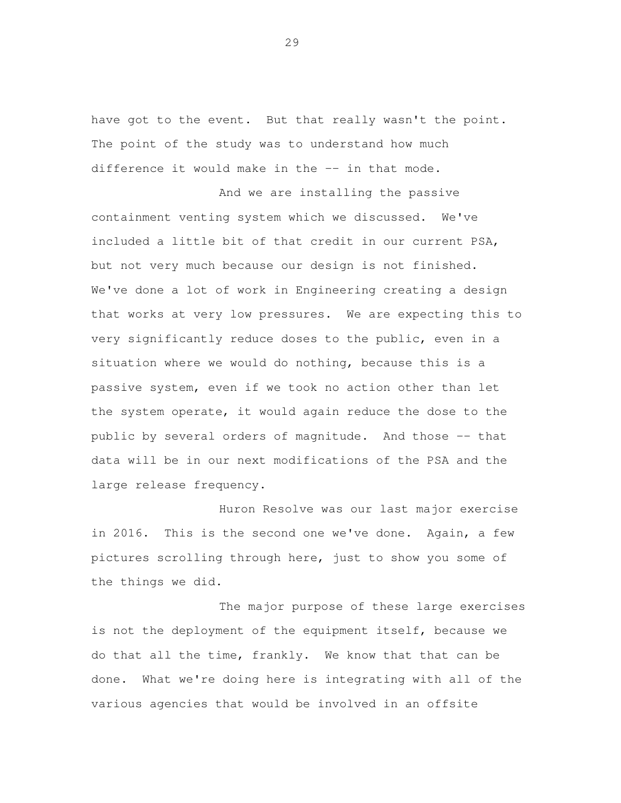have got to the event. But that really wasn't the point. The point of the study was to understand how much difference it would make in the -- in that mode.

 And we are installing the passive containment venting system which we discussed. We've included a little bit of that credit in our current PSA, but not very much because our design is not finished. We've done a lot of work in Engineering creating a design that works at very low pressures. We are expecting this to very significantly reduce doses to the public, even in a situation where we would do nothing, because this is a passive system, even if we took no action other than let the system operate, it would again reduce the dose to the public by several orders of magnitude. And those -- that data will be in our next modifications of the PSA and the large release frequency.

 Huron Resolve was our last major exercise in 2016. This is the second one we've done. Again, a few pictures scrolling through here, just to show you some of the things we did.

 The major purpose of these large exercises is not the deployment of the equipment itself, because we do that all the time, frankly. We know that that can be done. What we're doing here is integrating with all of the various agencies that would be involved in an offsite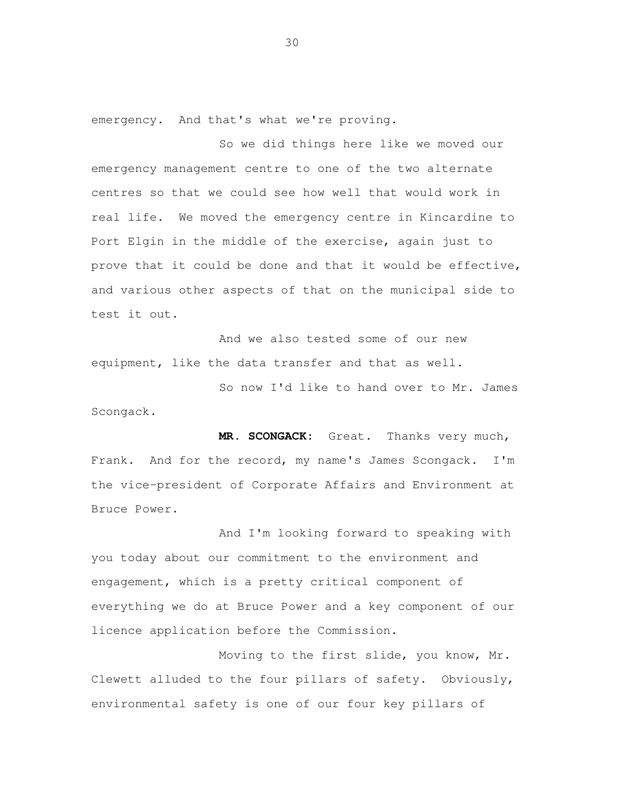emergency. And that's what we're proving.

 So we did things here like we moved our emergency management centre to one of the two alternate centres so that we could see how well that would work in real life. We moved the emergency centre in Kincardine to Port Elgin in the middle of the exercise, again just to prove that it could be done and that it would be effective, and various other aspects of that on the municipal side to test it out.

 And we also tested some of our new equipment, like the data transfer and that as well.

 So now I'd like to hand over to Mr. James Scongack.

 **MR. SCONGACK:** Great. Thanks very much, Frank. And for the record, my name's James Scongack. I'm the vice-president of Corporate Affairs and Environment at Bruce Power.

 And I'm looking forward to speaking with you today about our commitment to the environment and engagement, which is a pretty critical component of everything we do at Bruce Power and a key component of our licence application before the Commission.

 Moving to the first slide, you know, Mr. Clewett alluded to the four pillars of safety. Obviously, environmental safety is one of our four key pillars of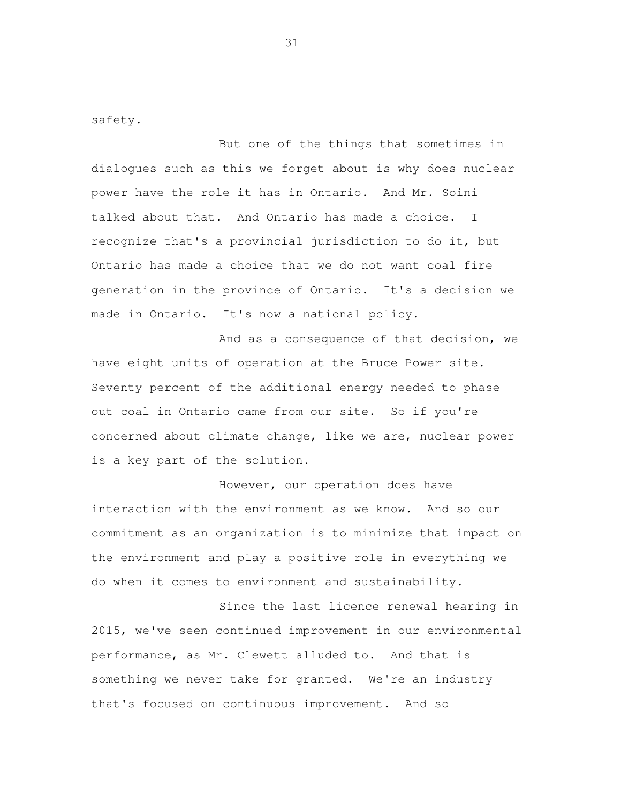safety.

 But one of the things that sometimes in dialogues such as this we forget about is why does nuclear power have the role it has in Ontario. And Mr. Soini talked about that. And Ontario has made a choice. I recognize that's a provincial jurisdiction to do it, but Ontario has made a choice that we do not want coal fire generation in the province of Ontario. It's a decision we made in Ontario. It's now a national policy.

 And as a consequence of that decision, we have eight units of operation at the Bruce Power site. Seventy percent of the additional energy needed to phase out coal in Ontario came from our site. So if you're concerned about climate change, like we are, nuclear power is a key part of the solution.

 However, our operation does have interaction with the environment as we know. And so our commitment as an organization is to minimize that impact on the environment and play a positive role in everything we do when it comes to environment and sustainability.

 Since the last licence renewal hearing in 2015, we've seen continued improvement in our environmental performance, as Mr. Clewett alluded to. And that is something we never take for granted. We're an industry that's focused on continuous improvement. And so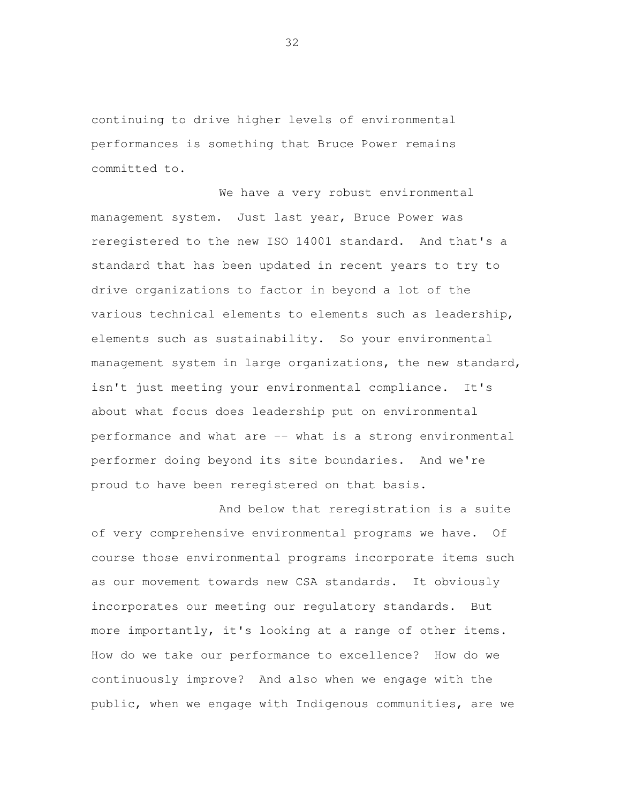continuing to drive higher levels of environmental performances is something that Bruce Power remains committed to.

 We have a very robust environmental management system. Just last year, Bruce Power was reregistered to the new ISO 14001 standard. And that's a standard that has been updated in recent years to try to drive organizations to factor in beyond a lot of the various technical elements to elements such as leadership, elements such as sustainability. So your environmental management system in large organizations, the new standard, isn't just meeting your environmental compliance. It's about what focus does leadership put on environmental performance and what are -- what is a strong environmental performer doing beyond its site boundaries. And we're proud to have been reregistered on that basis.

 And below that reregistration is a suite of very comprehensive environmental programs we have. Of course those environmental programs incorporate items such as our movement towards new CSA standards. It obviously incorporates our meeting our regulatory standards. But more importantly, it's looking at a range of other items. How do we take our performance to excellence? How do we continuously improve? And also when we engage with the public, when we engage with Indigenous communities, are we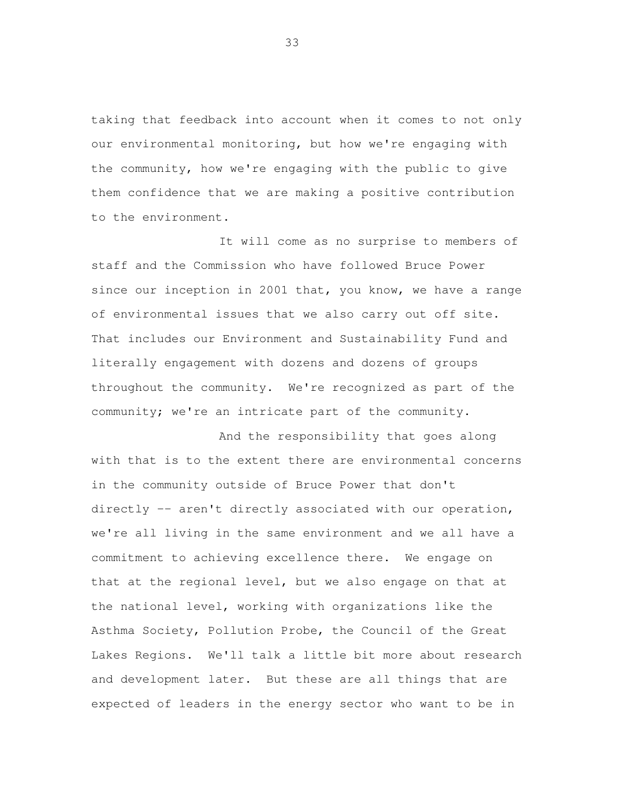taking that feedback into account when it comes to not only our environmental monitoring, but how we're engaging with the community, how we're engaging with the public to give them confidence that we are making a positive contribution to the environment.

 It will come as no surprise to members of staff and the Commission who have followed Bruce Power since our inception in 2001 that, you know, we have a range of environmental issues that we also carry out off site. That includes our Environment and Sustainability Fund and literally engagement with dozens and dozens of groups throughout the community. We're recognized as part of the community; we're an intricate part of the community.

 And the responsibility that goes along with that is to the extent there are environmental concerns in the community outside of Bruce Power that don't directly -- aren't directly associated with our operation, we're all living in the same environment and we all have a commitment to achieving excellence there. We engage on that at the regional level, but we also engage on that at the national level, working with organizations like the Asthma Society, Pollution Probe, the Council of the Great Lakes Regions. We'll talk a little bit more about research and development later. But these are all things that are expected of leaders in the energy sector who want to be in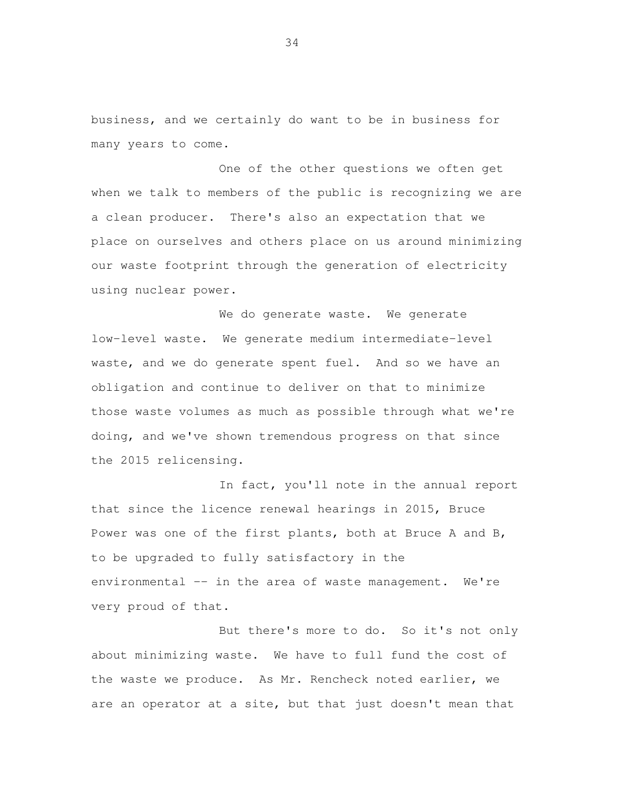business, and we certainly do want to be in business for many years to come.

 One of the other questions we often get when we talk to members of the public is recognizing we are a clean producer. There's also an expectation that we place on ourselves and others place on us around minimizing our waste footprint through the generation of electricity using nuclear power.

 We do generate waste. We generate low-level waste. We generate medium intermediate-level waste, and we do generate spent fuel. And so we have an obligation and continue to deliver on that to minimize those waste volumes as much as possible through what we're doing, and we've shown tremendous progress on that since the 2015 relicensing.

 In fact, you'll note in the annual report that since the licence renewal hearings in 2015, Bruce Power was one of the first plants, both at Bruce A and B, to be upgraded to fully satisfactory in the environmental -- in the area of waste management. We're very proud of that.

 But there's more to do. So it's not only about minimizing waste. We have to full fund the cost of the waste we produce. As Mr. Rencheck noted earlier, we are an operator at a site, but that just doesn't mean that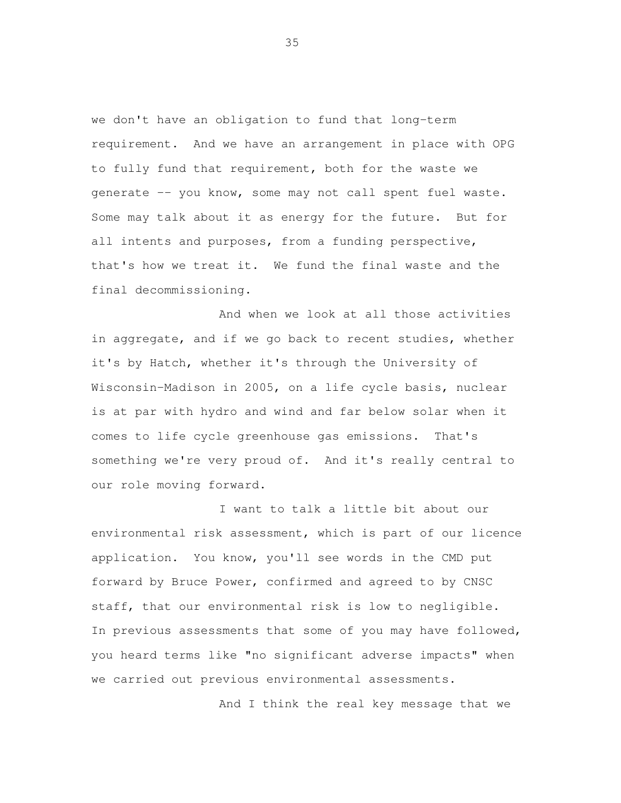we don't have an obligation to fund that long-term requirement. And we have an arrangement in place with OPG to fully fund that requirement, both for the waste we generate -- you know, some may not call spent fuel waste. Some may talk about it as energy for the future. But for all intents and purposes, from a funding perspective, that's how we treat it. We fund the final waste and the final decommissioning.

 And when we look at all those activities in aggregate, and if we go back to recent studies, whether it's by Hatch, whether it's through the University of Wisconsin-Madison in 2005, on a life cycle basis, nuclear is at par with hydro and wind and far below solar when it comes to life cycle greenhouse gas emissions. That's something we're very proud of. And it's really central to our role moving forward.

 I want to talk a little bit about our environmental risk assessment, which is part of our licence application. You know, you'll see words in the CMD put forward by Bruce Power, confirmed and agreed to by CNSC staff, that our environmental risk is low to negligible. In previous assessments that some of you may have followed, you heard terms like "no significant adverse impacts" when we carried out previous environmental assessments.

And I think the real key message that we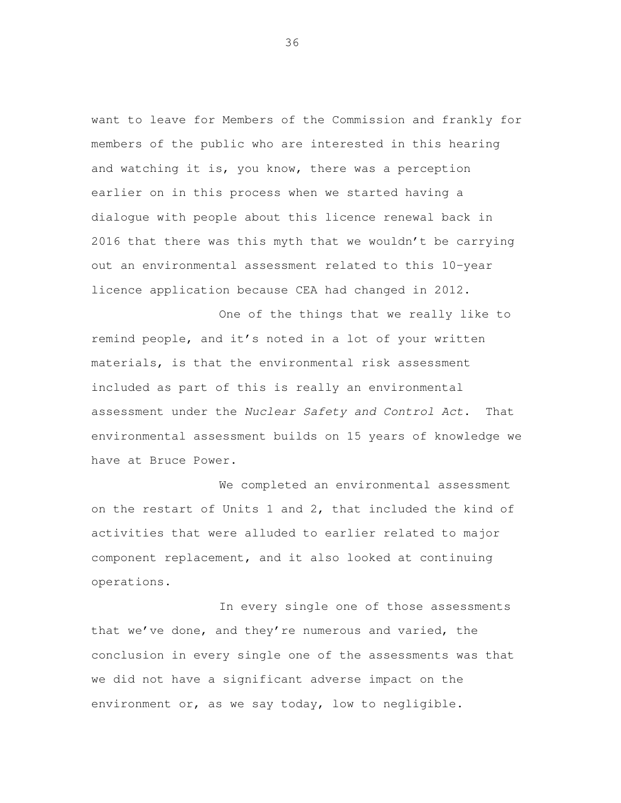want to leave for Members of the Commission and frankly for members of the public who are interested in this hearing and watching it is, you know, there was a perception earlier on in this process when we started having a dialogue with people about this licence renewal back in 2016 that there was this myth that we wouldn't be carrying out an environmental assessment related to this 10-year licence application because CEA had changed in 2012.

 One of the things that we really like to remind people, and it's noted in a lot of your written materials, is that the environmental risk assessment included as part of this is really an environmental assessment under the Nuclear Safety and Control Act. That environmental assessment builds on 15 years of knowledge we have at Bruce Power.

 We completed an environmental assessment on the restart of Units 1 and 2, that included the kind of activities that were alluded to earlier related to major component replacement, and it also looked at continuing operations. In every single one of those assessments

 that we've done, and they're numerous and varied, the conclusion in every single one of the assessments was that we did not have a significant adverse impact on the environment or, as we say today, low to negligible.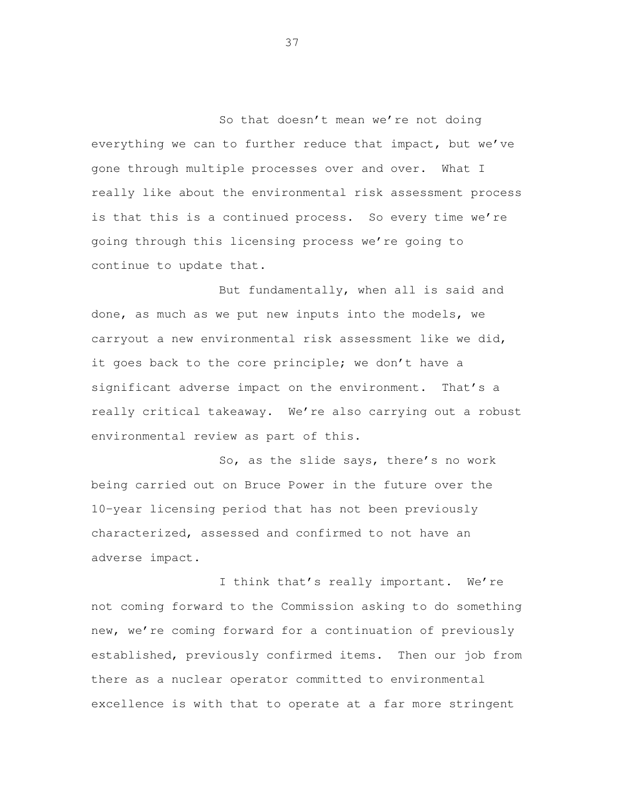So that doesn't mean we're not doing everything we can to further reduce that impact, but we've gone through multiple processes over and over. What I really like about the environmental risk assessment process is that this is a continued process. So every time we're going through this licensing process we're going to continue to update that.

 But fundamentally, when all is said and done, as much as we put new inputs into the models, we carryout a new environmental risk assessment like we did, it goes back to the core principle; we don't have a significant adverse impact on the environment. That's a really critical takeaway. We're also carrying out a robust environmental review as part of this.

 So, as the slide says, there's no work being carried out on Bruce Power in the future over the 10-year licensing period that has not been previously characterized, assessed and confirmed to not have an adverse impact.

 I think that's really important. We're not coming forward to the Commission asking to do something new, we're coming forward for a continuation of previously established, previously confirmed items. Then our job from there as a nuclear operator committed to environmental excellence is with that to operate at a far more stringent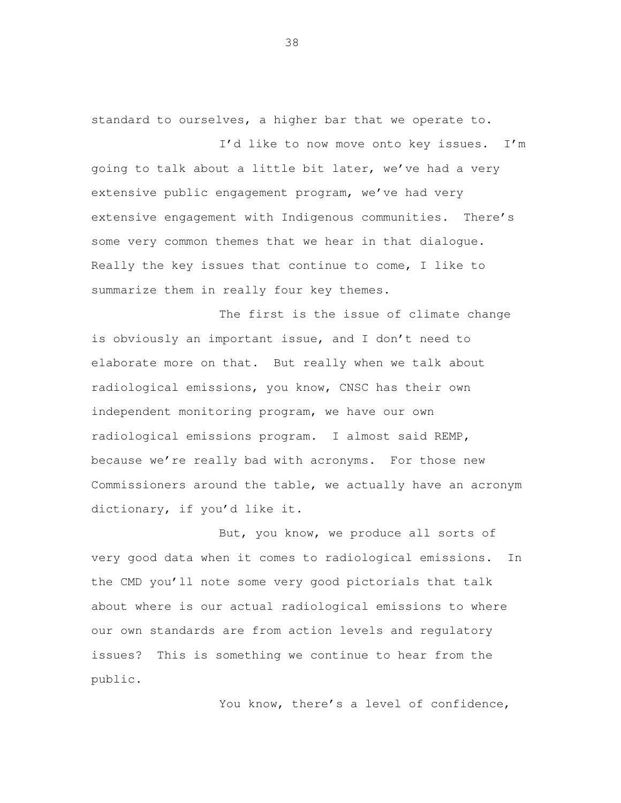standard to ourselves, a higher bar that we operate to.

 I'd like to now move onto key issues. I'm going to talk about a little bit later, we've had a very extensive public engagement program, we've had very extensive engagement with Indigenous communities. There's some very common themes that we hear in that dialogue. Really the key issues that continue to come, I like to summarize them in really four key themes.

 The first is the issue of climate change is obviously an important issue, and I don't need to elaborate more on that. But really when we talk about radiological emissions, you know, CNSC has their own independent monitoring program, we have our own radiological emissions program. I almost said REMP, because we're really bad with acronyms. For those new Commissioners around the table, we actually have an acronym dictionary, if you'd like it.

 But, you know, we produce all sorts of very good data when it comes to radiological emissions. In the CMD you'll note some very good pictorials that talk about where is our actual radiological emissions to where our own standards are from action levels and regulatory issues? public.<br>You know, there's a level of confidence, This is something we continue to hear from the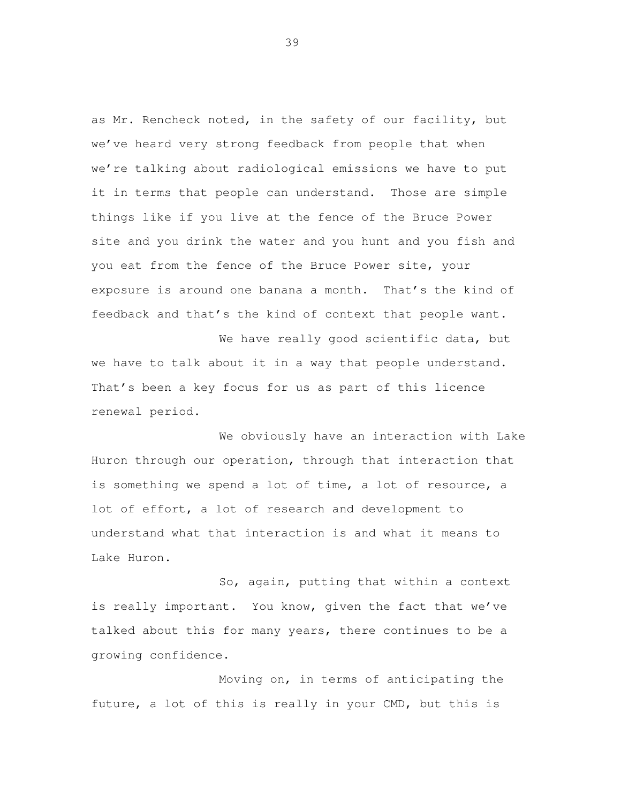as Mr. Rencheck noted, in the safety of our facility, but we've heard very strong feedback from people that when we're talking about radiological emissions we have to put it in terms that people can understand. Those are simple things like if you live at the fence of the Bruce Power site and you drink the water and you hunt and you fish and you eat from the fence of the Bruce Power site, your exposure is around one banana a month. That's the kind of feedback and that's the kind of context that people want.

We have really good scientific data, but we have to talk about it in a way that people understand. That's been a key focus for us as part of this licence renewal period.

 We obviously have an interaction with Lake Huron through our operation, through that interaction that is something we spend a lot of time, a lot of resource, a lot of effort, a lot of research and development to understand what that interaction is and what it means to Lake Huron.

 So, again, putting that within a context is really important. You know, given the fact that we've talked about this for many years, there continues to be a growing confidence.

 Moving on, in terms of anticipating the future, a lot of this is really in your CMD, but this is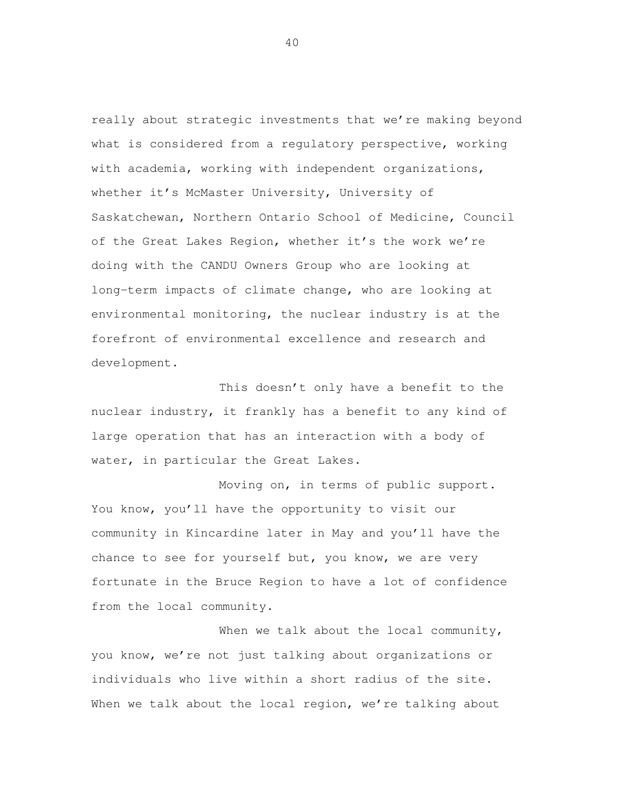really about strategic investments that we're making beyond what is considered from a regulatory perspective, working with academia, working with independent organizations, whether it's McMaster University, University of Saskatchewan, Northern Ontario School of Medicine, Council of the Great Lakes Region, whether it's the work we're doing with the CANDU Owners Group who are looking at long-term impacts of climate change, who are looking at environmental monitoring, the nuclear industry is at the forefront of environmental excellence and research and development.<br>This doesn't only have a benefit to the

 nuclear industry, it frankly has a benefit to any kind of large operation that has an interaction with a body of water, in particular the Great Lakes.

 Moving on, in terms of public support. You know, you'll have the opportunity to visit our community in Kincardine later in May and you'll have the chance to see for yourself but, you know, we are very fortunate in the Bruce Region to have a lot of confidence from the local community.

When we talk about the local community, you know, we're not just talking about organizations or individuals who live within a short radius of the site. When we talk about the local region, we're talking about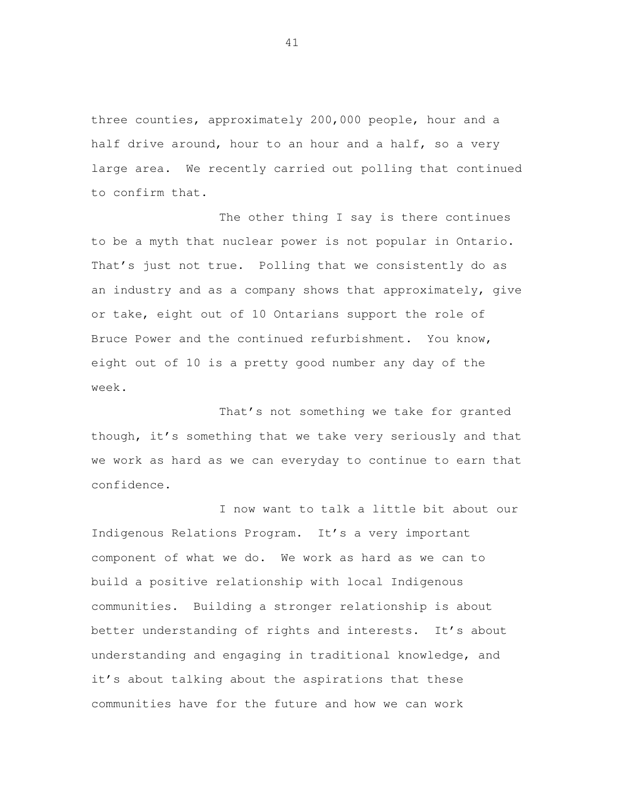three counties, approximately 200,000 people, hour and a half drive around, hour to an hour and a half, so a very large area. We recently carried out polling that continued to confirm that.

 The other thing I say is there continues to be a myth that nuclear power is not popular in Ontario. That's just not true. Polling that we consistently do as an industry and as a company shows that approximately, give or take, eight out of 10 Ontarians support the role of Bruce Power and the continued refurbishment. You know, eight out of 10 is a pretty good number any day of the week.

 That's not something we take for granted though, it's something that we take very seriously and that we work as hard as we can everyday to continue to earn that confidence.

 I now want to talk a little bit about our Indigenous Relations Program. It's a very important component of what we do. We work as hard as we can to build a positive relationship with local Indigenous communities. Building a stronger relationship is about better understanding of rights and interests. It's about understanding and engaging in traditional knowledge, and it's about talking about the aspirations that these communities have for the future and how we can work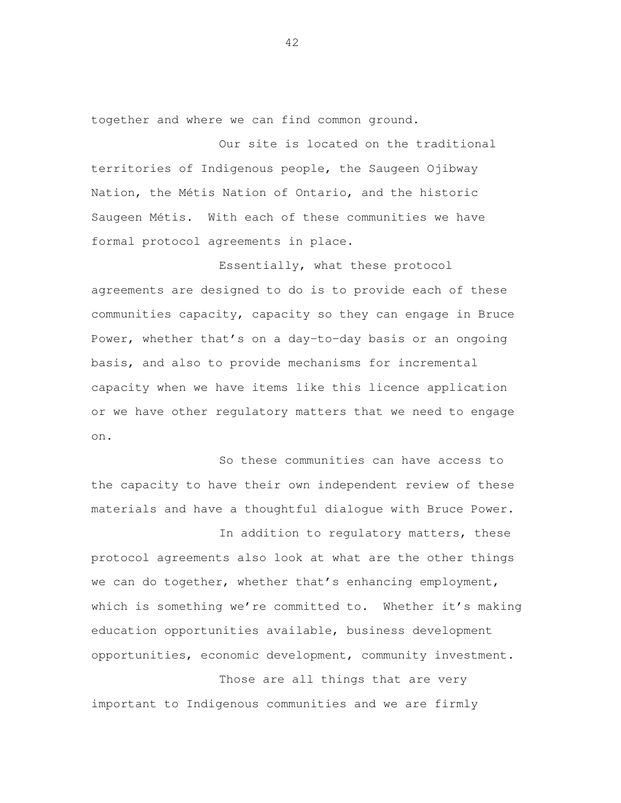together and where we can find common ground.

 Our site is located on the traditional territories of Indigenous people, the Saugeen Ojibway Nation, the Métis Nation of Ontario, and the historic Saugeen Métis. With each of these communities we have formal protocol agreements in place.

 Essentially, what these protocol agreements are designed to do is to provide each of these communities capacity, capacity so they can engage in Bruce Power, whether that's on a day-to-day basis or an ongoing basis, and also to provide mechanisms for incremental capacity when we have items like this licence application or we have other regulatory matters that we need to engage on.

 So these communities can have access to the capacity to have their own independent review of these materials and have a thoughtful dialogue with Bruce Power.

 In addition to regulatory matters, these protocol agreements also look at what are the other things we can do together, whether that's enhancing employment, which is something we're committed to. Whether it's making education opportunities available, business development opportunities, economic development, community investment.

 Those are all things that are very important to Indigenous communities and we are firmly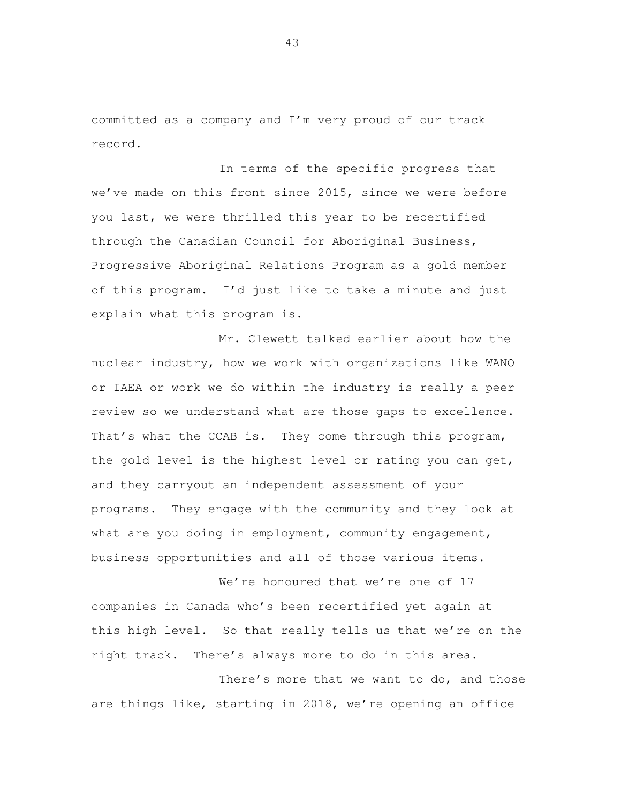committed as a company and I'm very proud of our track record.

 In terms of the specific progress that we've made on this front since 2015, since we were before you last, we were thrilled this year to be recertified through the Canadian Council for Aboriginal Business, Progressive Aboriginal Relations Program as a gold member of this program. I'd just like to take a minute and just explain what this program is.

 Mr. Clewett talked earlier about how the nuclear industry, how we work with organizations like WANO or IAEA or work we do within the industry is really a peer review so we understand what are those gaps to excellence. That's what the CCAB is. They come through this program, the gold level is the highest level or rating you can get, and they carryout an independent assessment of your programs. They engage with the community and they look at what are you doing in employment, community engagement, business opportunities and all of those various items.

We're honoured that we're one of 17 companies in Canada who's been recertified yet again at this high level. So that really tells us that we're on the right track. There's always more to do in this area.

 There's more that we want to do, and those are things like, starting in 2018, we're opening an office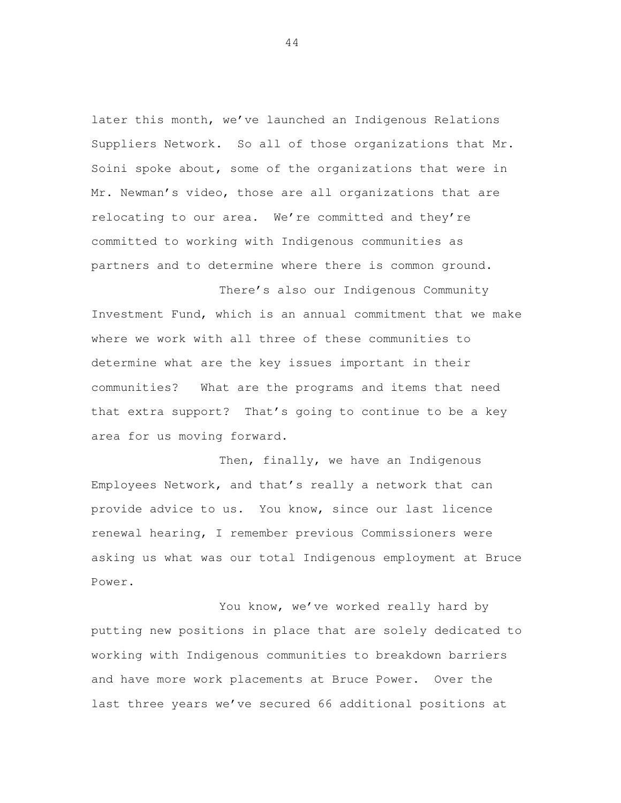later this month, we've launched an Indigenous Relations Suppliers Network. So all of those organizations that Mr. Soini spoke about, some of the organizations that were in Mr. Newman's video, those are all organizations that are relocating to our area. We're committed and they're committed to working with Indigenous communities as partners and to determine where there is common ground.

 There's also our Indigenous Community Investment Fund, which is an annual commitment that we make where we work with all three of these communities to determine what are the key issues important in their communities? What are the programs and items that need that extra support? That's going to continue to be a key area for us moving forward.

 Then, finally, we have an Indigenous Employees Network, and that's really a network that can provide advice to us. You know, since our last licence renewal hearing, I remember previous Commissioners were asking us what was our total Indigenous employment at Bruce

Power.<br>You know, we've worked really hard by putting new positions in place that are solely dedicated to working with Indigenous communities to breakdown barriers and have more work placements at Bruce Power. Over the last three years we've secured 66 additional positions at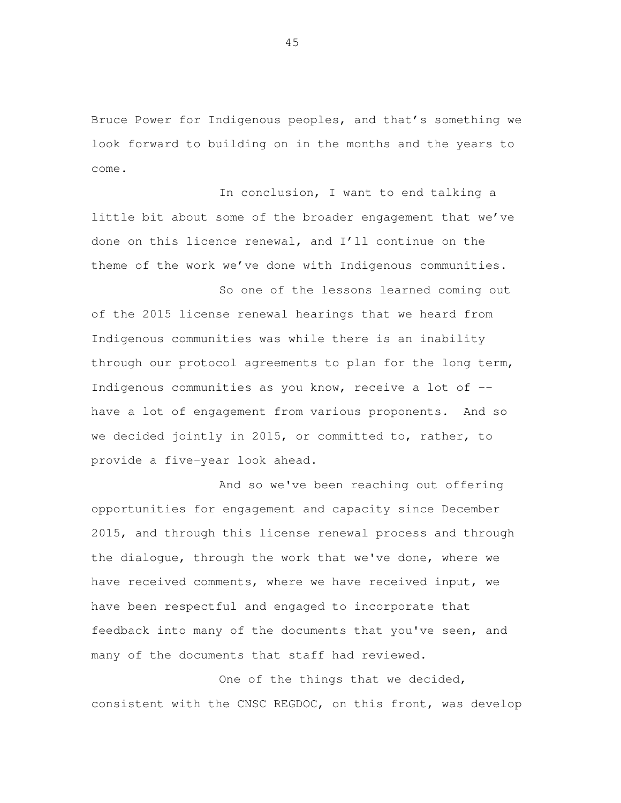Bruce Power for Indigenous peoples, and that's something we look forward to building on in the months and the years to come.

 In conclusion, I want to end talking a little bit about some of the broader engagement that we've done on this licence renewal, and I'll continue on the theme of the work we've done with Indigenous communities.

 So one of the lessons learned coming out of the 2015 license renewal hearings that we heard from Indigenous communities was while there is an inability through our protocol agreements to plan for the long term, Indigenous communities as you know, receive a lot of -- have a lot of engagement from various proponents. And so we decided jointly in 2015, or committed to, rather, to provide a five-year look ahead.

 And so we've been reaching out offering opportunities for engagement and capacity since December 2015, and through this license renewal process and through the dialogue, through the work that we've done, where we have received comments, where we have received input, we have been respectful and engaged to incorporate that feedback into many of the documents that you've seen, and many of the documents that staff had reviewed.

One of the things that we decided, consistent with the CNSC REGDOC, on this front, was develop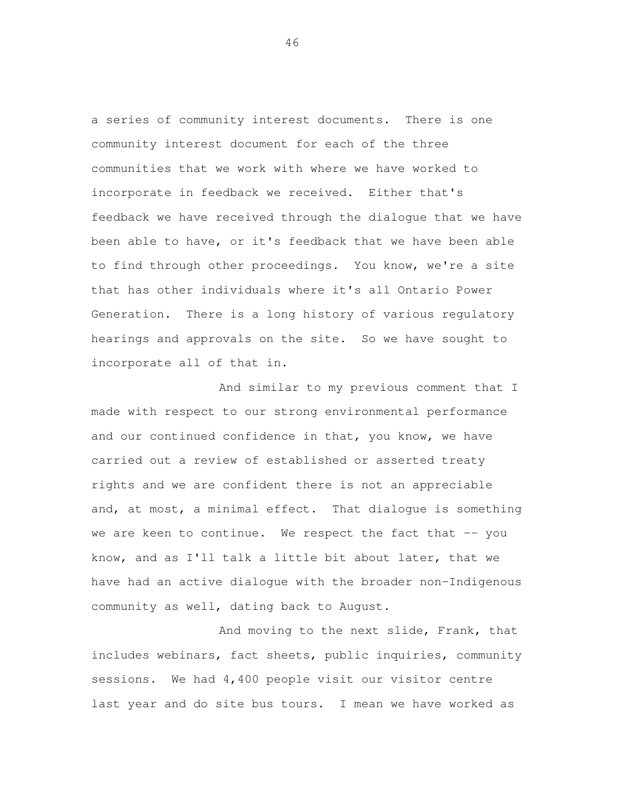a series of community interest documents. There is one community interest document for each of the three communities that we work with where we have worked to incorporate in feedback we received. Either that's feedback we have received through the dialogue that we have been able to have, or it's feedback that we have been able to find through other proceedings. You know, we're a site that has other individuals where it's all Ontario Power Generation. There is a long history of various regulatory hearings and approvals on the site. So we have sought to incorporate all of that in.

 And similar to my previous comment that I made with respect to our strong environmental performance and our continued confidence in that, you know, we have carried out a review of established or asserted treaty rights and we are confident there is not an appreciable and, at most, a minimal effect. That dialogue is something we are keen to continue. We respect the fact that -- you know, and as I'll talk a little bit about later, that we have had an active dialogue with the broader non-Indigenous community as well, dating back to August.

 And moving to the next slide, Frank, that includes webinars, fact sheets, public inquiries, community sessions. We had 4,400 people visit our visitor centre last year and do site bus tours. I mean we have worked as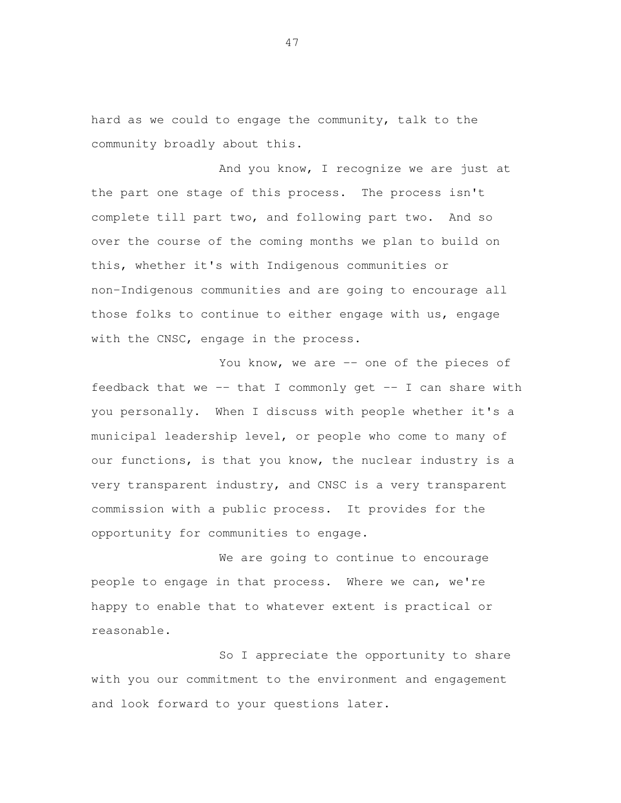hard as we could to engage the community, talk to the community broadly about this.

 And you know, I recognize we are just at the part one stage of this process. The process isn't complete till part two, and following part two. And so over the course of the coming months we plan to build on this, whether it's with Indigenous communities or non-Indigenous communities and are going to encourage all those folks to continue to either engage with us, engage with the CNSC, engage in the process.

You know, we are -- one of the pieces of feedback that we -- that I commonly get -- I can share with you personally. When I discuss with people whether it's a municipal leadership level, or people who come to many of our functions, is that you know, the nuclear industry is a very transparent industry, and CNSC is a very transparent commission with a public process. It provides for the opportunity for communities to engage.

 We are going to continue to encourage people to engage in that process. Where we can, we're happy to enable that to whatever extent is practical or reasonable.

 So I appreciate the opportunity to share with you our commitment to the environment and engagement and look forward to your questions later.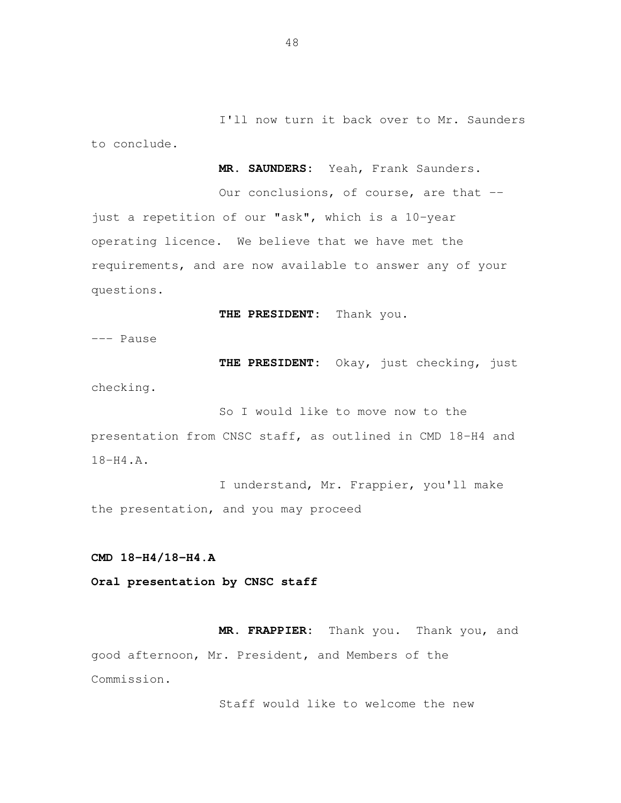I'll now turn it back over to Mr. Saunders to conclude.

 **MR. SAUNDERS:** Yeah, Frank Saunders.

Our conclusions, of course, are that -- just a repetition of our "ask", which is a 10-year operating licence. We believe that we have met the requirements, and are now available to answer any of your questions.

 **THE PRESIDENT:** Thank you**.** 

--- Pause

 **THE PRESIDENT:** Okay, just checking, just

checking.

 So I would like to move now to the presentation from CNSC staff, as outlined in CMD 18-H4 and 18-H4.A.<br>I understand, Mr. Frappier, you'll make

the presentation, and you may proceed

**CMD 18-H4/18-H4.A** 

 **Oral presentation by CNSC staff** 

 **MR. FRAPPIER:** Thank you. Thank you, and good afternoon, Mr. President, and Members of the Commission.

Staff would like to welcome the new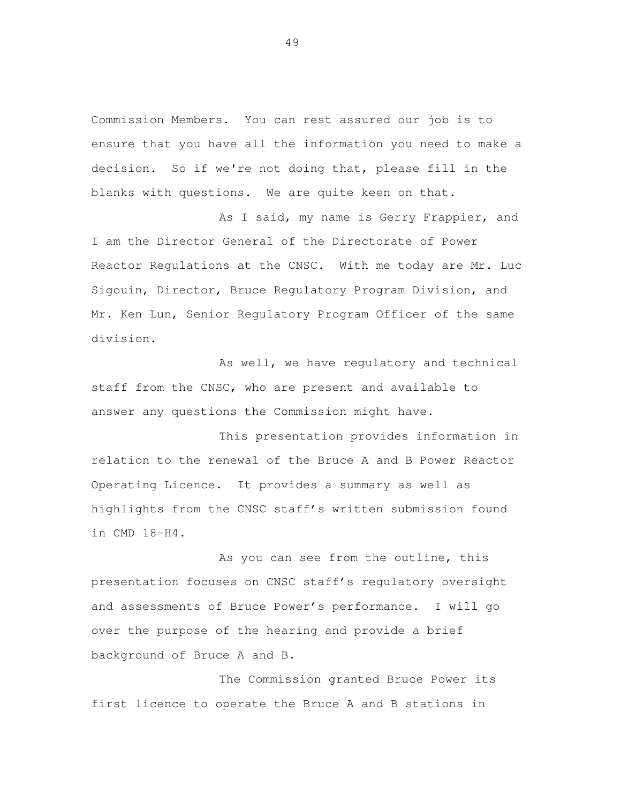Commission Members. You can rest assured our job is to ensure that you have all the information you need to make a decision. So if we're not doing that, please fill in the blanks with questions. We are quite keen on that.

 As I said, my name is Gerry Frappier, and I am the Director General of the Directorate of Power Reactor Regulations at the CNSC. With me today are Mr. Luc Sigouin, Director, Bruce Regulatory Program Division, and Mr. Ken Lun, Senior Regulatory Program Officer of the same division.

As well, we have regulatory and technical staff from the CNSC, who are present and available to answer any questions the Commission might have.

 This presentation provides information in relation to the renewal of the Bruce A and B Power Reactor Operating Licence. It provides a summary as well as highlights from the CNSC staff's written submission found in CMD 18-H4.

As you can see from the outline, this presentation focuses on CNSC staff's regulatory oversight and assessments of Bruce Power's performance. I will go over the purpose of the hearing and provide a brief background of Bruce A and B.

 The Commission granted Bruce Power its first licence to operate the Bruce A and B stations in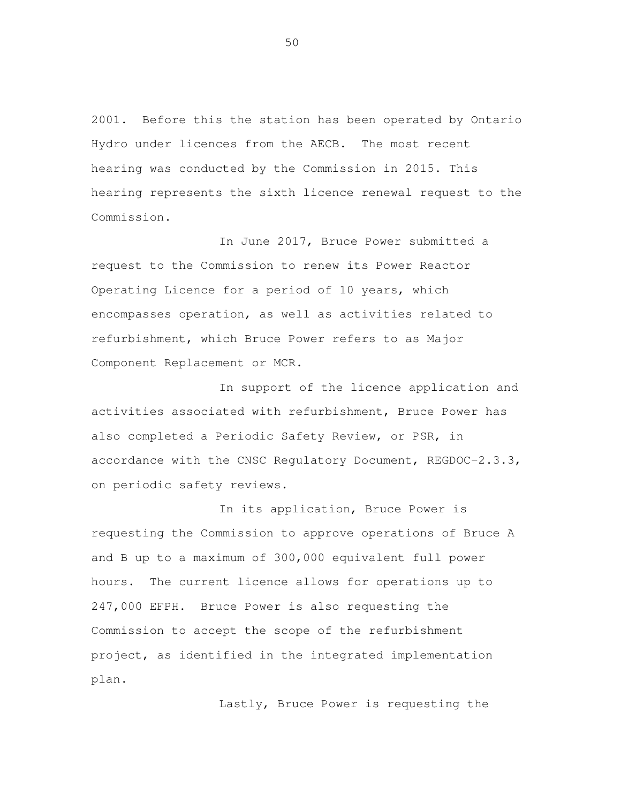2001. Before this the station has been operated by Ontario Hydro under licences from the AECB. The most recent hearing was conducted by the Commission in 2015. This hearing represents the sixth licence renewal request to the Commission.

 In June 2017, Bruce Power submitted a request to the Commission to renew its Power Reactor Operating Licence for a period of 10 years, which encompasses operation, as well as activities related to refurbishment, which Bruce Power refers to as Major Component Replacement or MCR.

 In support of the licence application and activities associated with refurbishment, Bruce Power has also completed a Periodic Safety Review, or PSR, in accordance with the CNSC Regulatory Document, REGDOC-2.3.3, on periodic safety reviews.

 In its application, Bruce Power is requesting the Commission to approve operations of Bruce A and B up to a maximum of 300,000 equivalent full power hours. The current licence allows for operations up to 247,000 EFPH. Bruce Power is also requesting the Commission to accept the scope of the refurbishment project, as identified in the integrated implementation plan.

Lastly, Bruce Power is requesting the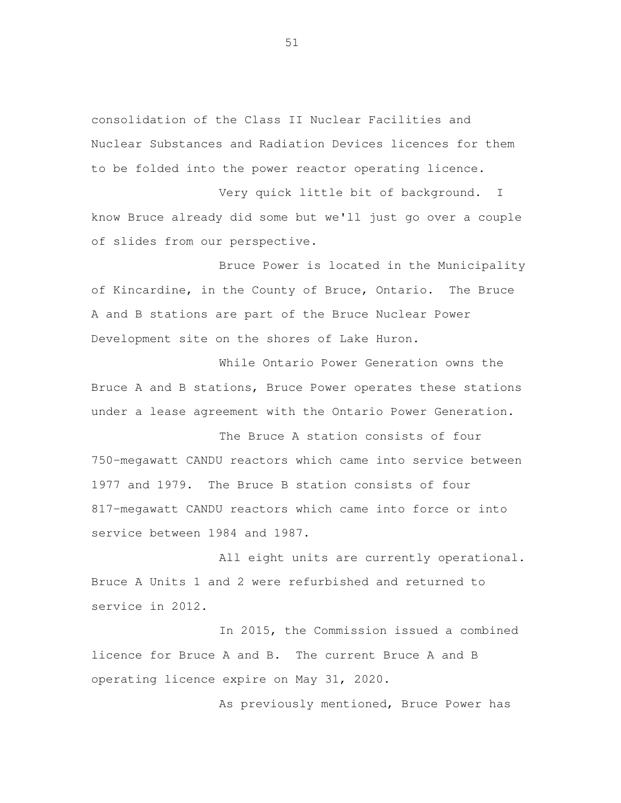consolidation of the Class II Nuclear Facilities and Nuclear Substances and Radiation Devices licences for them to be folded into the power reactor operating licence.

 Very quick little bit of background. I know Bruce already did some but we'll just go over a couple of slides from our perspective.

 Bruce Power is located in the Municipality of Kincardine, in the County of Bruce, Ontario. The Bruce A and B stations are part of the Bruce Nuclear Power Development site on the shores of Lake Huron.

 While Ontario Power Generation owns the Bruce A and B stations, Bruce Power operates these stations under a lease agreement with the Ontario Power Generation.

 The Bruce A station consists of four 750-megawatt CANDU reactors which came into service between 1977 and 1979. The Bruce B station consists of four 817-megawatt CANDU reactors which came into force or into service between 1984 and 1987.

All eight units are currently operational. Bruce A Units 1 and 2 were refurbished and returned to service in 2012.

 In 2015, the Commission issued a combined licence for Bruce A and B. The current Bruce A and B operating licence expire on May 31, 2020.

As previously mentioned, Bruce Power has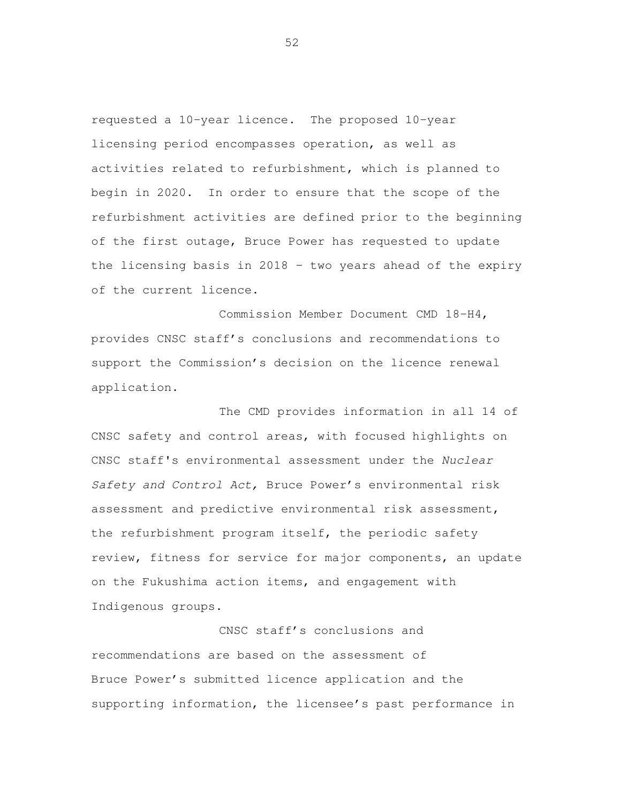requested a 10-year licence. The proposed 10-year licensing period encompasses operation, as well as activities related to refurbishment, which is planned to begin in 2020. In order to ensure that the scope of the refurbishment activities are defined prior to the beginning of the first outage, Bruce Power has requested to update the licensing basis in 2018 – two years ahead of the expiry of the current licence.

 Commission Member Document CMD 18-H4, provides CNSC staff's conclusions and recommendations to support the Commission's decision on the licence renewal application.

 The CMD provides information in all 14 of CNSC safety and control areas, with focused highlights on CNSC staff's environmental assessment under the Nuclear Safety and Control Act, Bruce Power's environmental risk assessment and predictive environmental risk assessment, the refurbishment program itself, the periodic safety review, fitness for service for major components, an update on the Fukushima action items, and engagement with Indigenous groups.

 CNSC staff's conclusions and recommendations are based on the assessment of Bruce Power's submitted licence application and the supporting information, the licensee's past performance in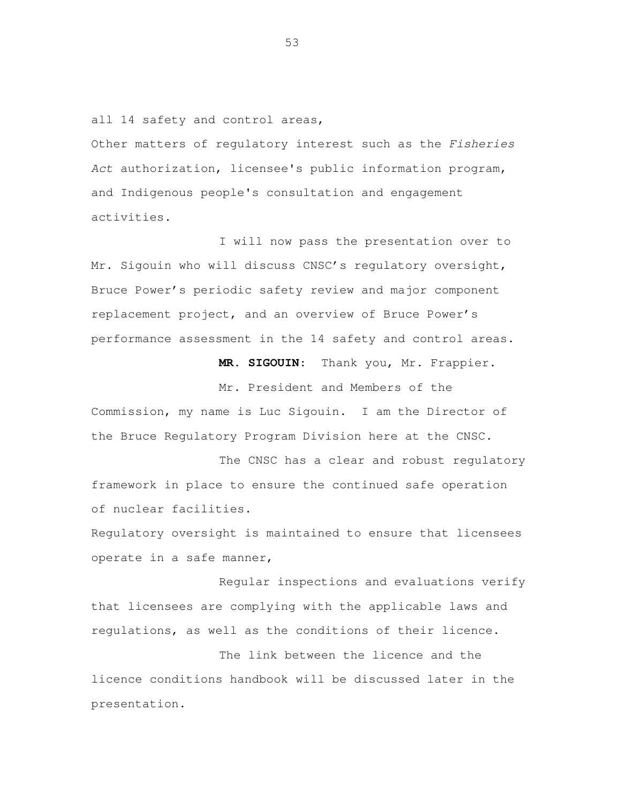all 14 safety and control areas,

Other matters of regulatory interest such as the Fisheries Act authorization, licensee's public information program, and Indigenous people's consultation and engagement activities.

 I will now pass the presentation over to Mr. Sigouin who will discuss CNSC's regulatory oversight, Bruce Power's periodic safety review and major component replacement project, and an overview of Bruce Power's performance assessment in the 14 safety and control areas.

**MR. SIGOUIN**: Thank you, Mr. Frappier.

 Mr. President and Members of the Commission, my name is Luc Sigouin. I am the Director of the Bruce Regulatory Program Division here at the CNSC.

 The CNSC has a clear and robust regulatory framework in place to ensure the continued safe operation of nuclear facilities.

 Regulatory oversight is maintained to ensure that licensees operate in a safe manner,

 Regular inspections and evaluations verify that licensees are complying with the applicable laws and regulations, as well as the conditions of their licence.

 The link between the licence and the licence conditions handbook will be discussed later in the presentation.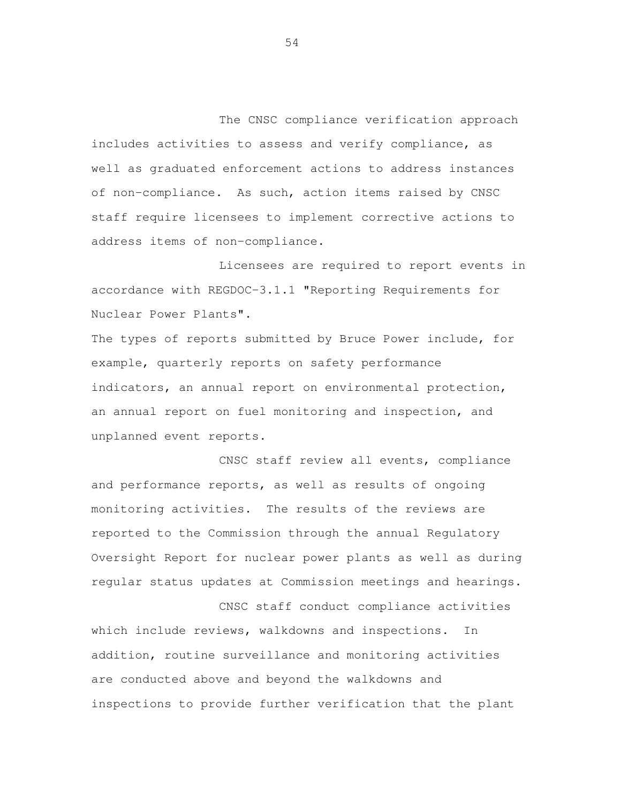The CNSC compliance verification approach includes activities to assess and verify compliance, as well as graduated enforcement actions to address instances of non-compliance. As such, action items raised by CNSC staff require licensees to implement corrective actions to address items of non-compliance.

 Licensees are required to report events in accordance with REGDOC-3.1.1 "Reporting Requirements for Nuclear Power Plants".

 The types of reports submitted by Bruce Power include, for example, quarterly reports on safety performance indicators, an annual report on environmental protection, an annual report on fuel monitoring and inspection, and unplanned event reports.

 CNSC staff review all events, compliance and performance reports, as well as results of ongoing monitoring activities. The results of the reviews are reported to the Commission through the annual Regulatory Oversight Report for nuclear power plants as well as during regular status updates at Commission meetings and hearings.

 which include reviews, walkdowns and inspections. In addition, routine surveillance and monitoring activities are conducted above and beyond the walkdowns and inspections to provide further verification that the plant

CNSC staff conduct compliance activities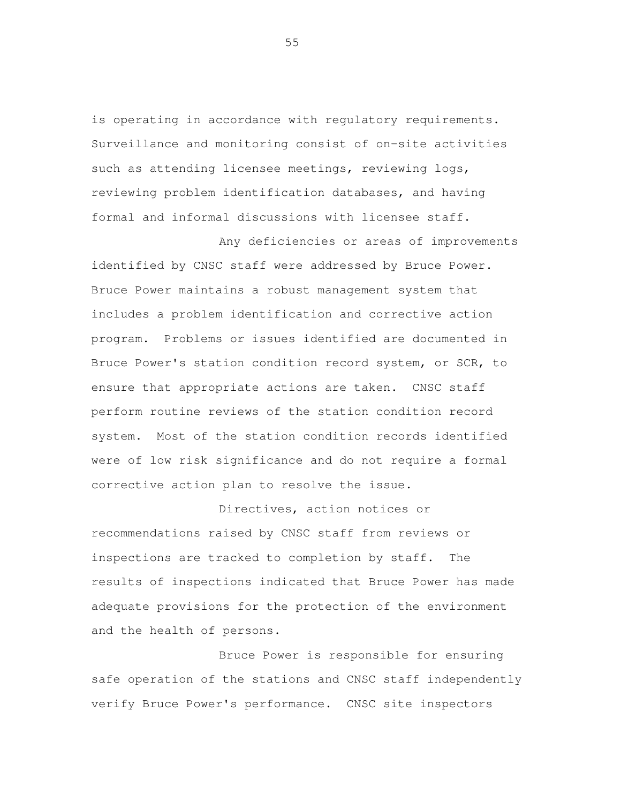is operating in accordance with regulatory requirements. Surveillance and monitoring consist of on-site activities such as attending licensee meetings, reviewing logs, reviewing problem identification databases, and having formal and informal discussions with licensee staff.

 Any deficiencies or areas of improvements identified by CNSC staff were addressed by Bruce Power. Bruce Power maintains a robust management system that includes a problem identification and corrective action program. Problems or issues identified are documented in Bruce Power's station condition record system, or SCR, to ensure that appropriate actions are taken. CNSC staff perform routine reviews of the station condition record system. Most of the station condition records identified were of low risk significance and do not require a formal corrective action plan to resolve the issue.

 Directives, action notices or recommendations raised by CNSC staff from reviews or inspections are tracked to completion by staff. The results of inspections indicated that Bruce Power has made adequate provisions for the protection of the environment and the health of persons.

 Bruce Power is responsible for ensuring safe operation of the stations and CNSC staff independently verify Bruce Power's performance. CNSC site inspectors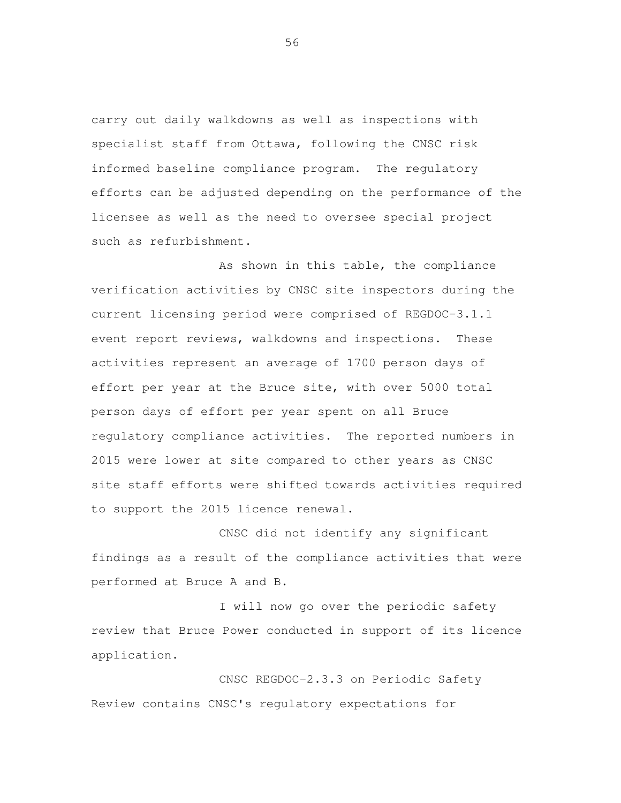carry out daily walkdowns as well as inspections with specialist staff from Ottawa, following the CNSC risk informed baseline compliance program. The regulatory efforts can be adjusted depending on the performance of the licensee as well as the need to oversee special project such as refurbishment.

 As shown in this table, the compliance verification activities by CNSC site inspectors during the current licensing period were comprised of REGDOC-3.1.1 event report reviews, walkdowns and inspections. These activities represent an average of 1700 person days of effort per year at the Bruce site, with over 5000 total person days of effort per year spent on all Bruce regulatory compliance activities. The reported numbers in 2015 were lower at site compared to other years as CNSC site staff efforts were shifted towards activities required to support the 2015 licence renewal.

 CNSC did not identify any significant findings as a result of the compliance activities that were performed at Bruce A and B.

 I will now go over the periodic safety review that Bruce Power conducted in support of its licence application.<br>CNSC REGDOC-2.3.3 on Periodic Safety

Review contains CNSC's regulatory expectations for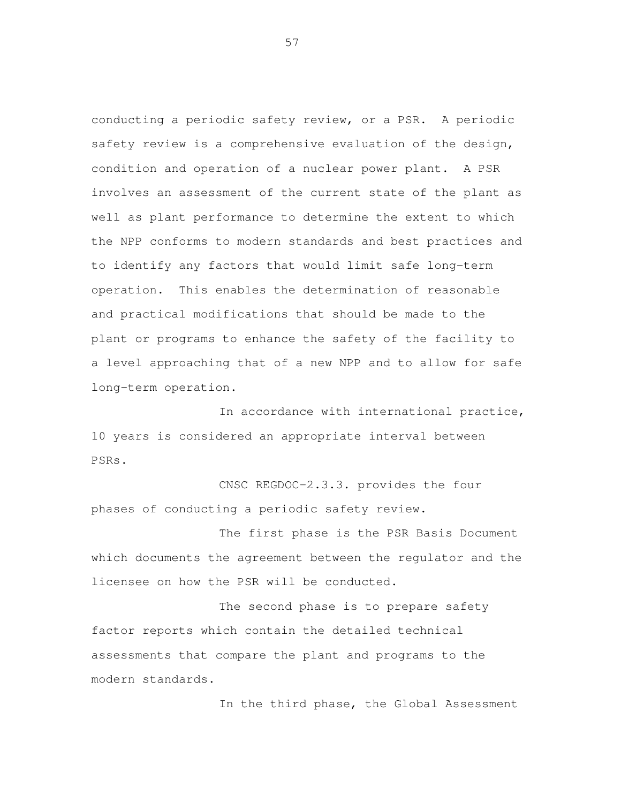conducting a periodic safety review, or a PSR. A periodic safety review is a comprehensive evaluation of the design, condition and operation of a nuclear power plant. A PSR involves an assessment of the current state of the plant as well as plant performance to determine the extent to which the NPP conforms to modern standards and best practices and to identify any factors that would limit safe long-term operation. This enables the determination of reasonable and practical modifications that should be made to the plant or programs to enhance the safety of the facility to a level approaching that of a new NPP and to allow for safe long-term operation.<br>In accordance with international practice,

 10 years is considered an appropriate interval between PSRs. CNSC REGDOC-2.3.3. provides the four

phases of conducting a periodic safety review.

 The first phase is the PSR Basis Document which documents the agreement between the regulator and the licensee on how the PSR will be conducted.

 The second phase is to prepare safety factor reports which contain the detailed technical assessments that compare the plant and programs to the modern standards.<br>In the third phase, the Global Assessment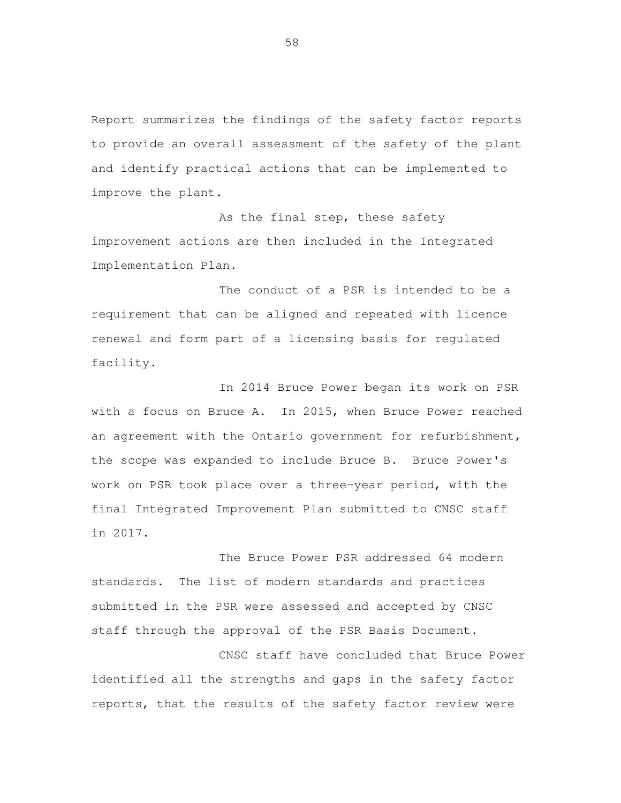Report summarizes the findings of the safety factor reports to provide an overall assessment of the safety of the plant and identify practical actions that can be implemented to improve the plant.

As the final step, these safety improvement actions are then included in the Integrated Implementation Plan.

 The conduct of a PSR is intended to be a requirement that can be aligned and repeated with licence renewal and form part of a licensing basis for regulated facility. facility. In 2014 Bruce Power began its work on PSR

 with a focus on Bruce A. In 2015, when Bruce Power reached an agreement with the Ontario government for refurbishment, the scope was expanded to include Bruce B. Bruce Power's work on PSR took place over a three-year period, with the final Integrated Improvement Plan submitted to CNSC staff in 2017.

 The Bruce Power PSR addressed 64 modern standards. The list of modern standards and practices submitted in the PSR were assessed and accepted by CNSC staff through the approval of the PSR Basis Document.

 CNSC staff have concluded that Bruce Power identified all the strengths and gaps in the safety factor reports, that the results of the safety factor review were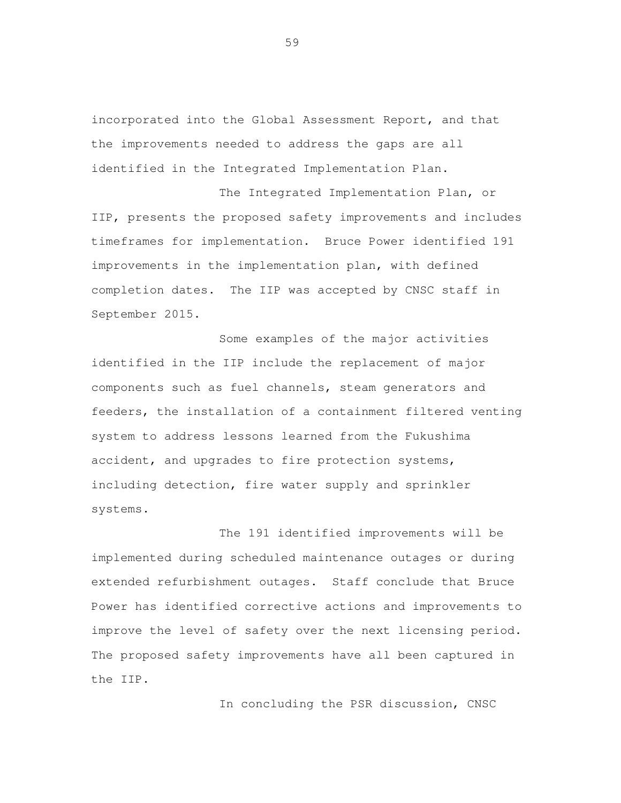incorporated into the Global Assessment Report, and that the improvements needed to address the gaps are all identified in the Integrated Implementation Plan.

 The Integrated Implementation Plan, or IIP, presents the proposed safety improvements and includes timeframes for implementation. Bruce Power identified 191 improvements in the implementation plan, with defined completion dates. The IIP was accepted by CNSC staff in September 2015.

 Some examples of the major activities identified in the IIP include the replacement of major components such as fuel channels, steam generators and feeders, the installation of a containment filtered venting system to address lessons learned from the Fukushima accident, and upgrades to fire protection systems, including detection, fire water supply and sprinkler systems.

 The 191 identified improvements will be implemented during scheduled maintenance outages or during extended refurbishment outages. Staff conclude that Bruce Power has identified corrective actions and improvements to improve the level of safety over the next licensing period. The proposed safety improvements have all been captured in the IIP.

In concluding the PSR discussion, CNSC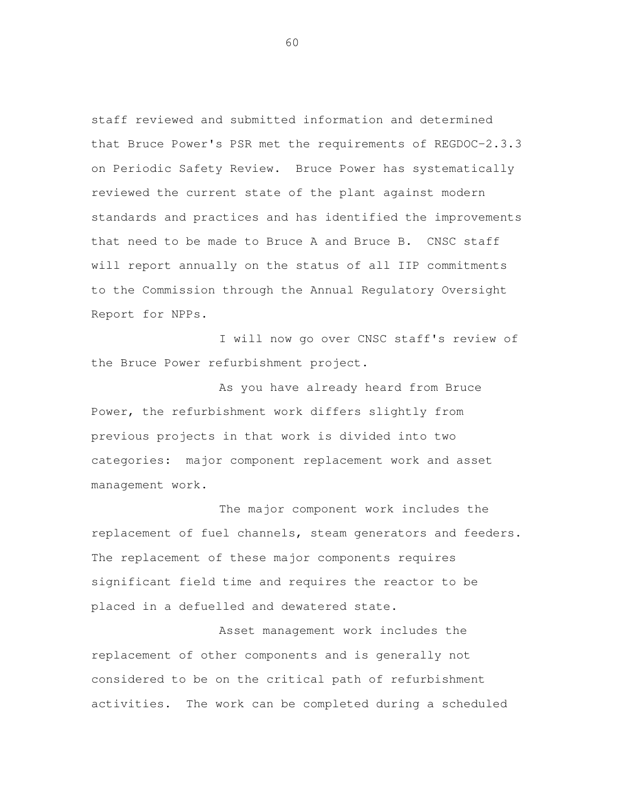staff reviewed and submitted information and determined that Bruce Power's PSR met the requirements of REGDOC-2.3.3 on Periodic Safety Review. Bruce Power has systematically reviewed the current state of the plant against modern standards and practices and has identified the improvements that need to be made to Bruce A and Bruce B. CNSC staff will report annually on the status of all IIP commitments to the Commission through the Annual Regulatory Oversight Report for NPPs.

 I will now go over CNSC staff's review of the Bruce Power refurbishment project.

 As you have already heard from Bruce Power, the refurbishment work differs slightly from previous projects in that work is divided into two categories: major component replacement work and asset management work.

 The major component work includes the replacement of fuel channels, steam generators and feeders. The replacement of these major components requires significant field time and requires the reactor to be placed in a defuelled and dewatered state.

 Asset management work includes the replacement of other components and is generally not considered to be on the critical path of refurbishment activities. The work can be completed during a scheduled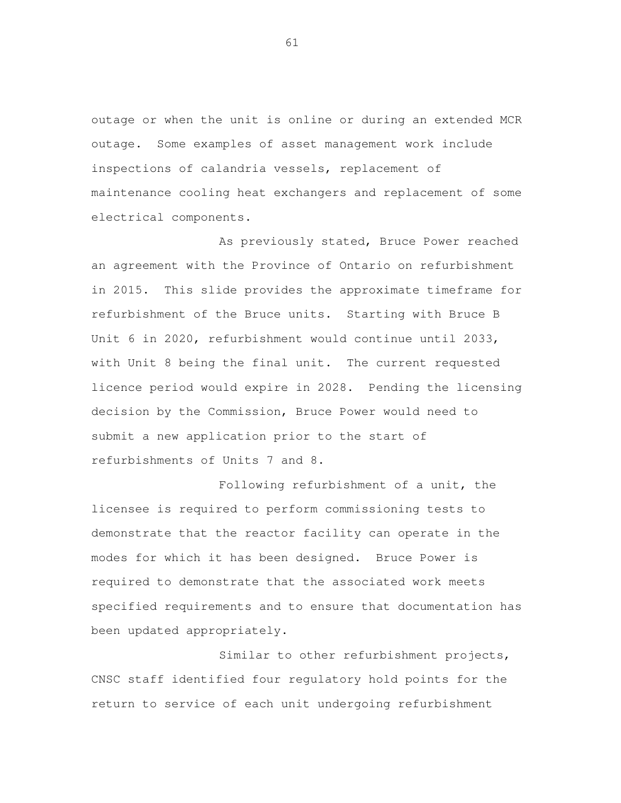outage or when the unit is online or during an extended MCR outage. Some examples of asset management work include inspections of calandria vessels, replacement of maintenance cooling heat exchangers and replacement of some electrical components.

 As previously stated, Bruce Power reached an agreement with the Province of Ontario on refurbishment in 2015. This slide provides the approximate timeframe for refurbishment of the Bruce units. Starting with Bruce B Unit 6 in 2020, refurbishment would continue until 2033, with Unit 8 being the final unit. The current requested licence period would expire in 2028. Pending the licensing decision by the Commission, Bruce Power would need to submit a new application prior to the start of refurbishments of Units 7 and 8.

 Following refurbishment of a unit, the licensee is required to perform commissioning tests to demonstrate that the reactor facility can operate in the modes for which it has been designed. Bruce Power is required to demonstrate that the associated work meets specified requirements and to ensure that documentation has been updated appropriately.

 Similar to other refurbishment projects, CNSC staff identified four regulatory hold points for the return to service of each unit undergoing refurbishment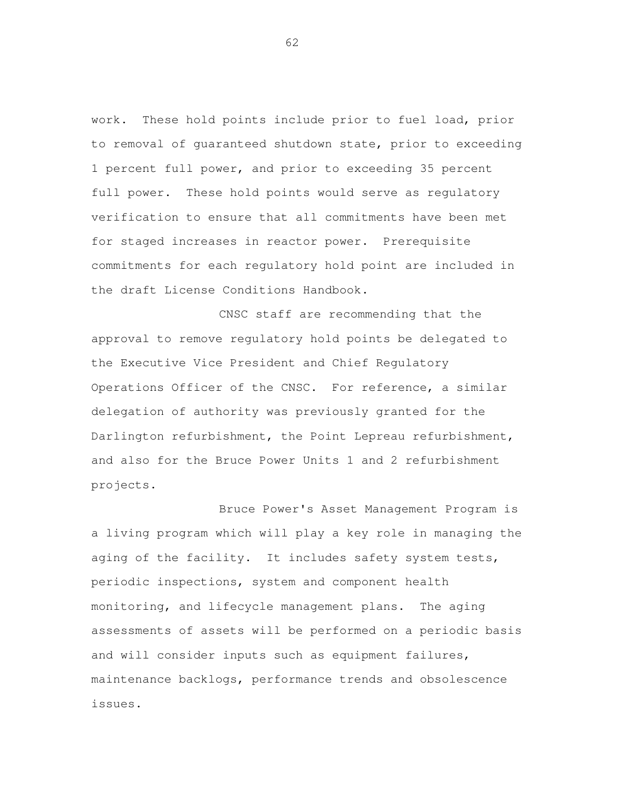work. These hold points include prior to fuel load, prior to removal of guaranteed shutdown state, prior to exceeding 1 percent full power, and prior to exceeding 35 percent full power. These hold points would serve as regulatory verification to ensure that all commitments have been met for staged increases in reactor power. Prerequisite commitments for each regulatory hold point are included in the draft License Conditions Handbook.

 CNSC staff are recommending that the approval to remove regulatory hold points be delegated to the Executive Vice President and Chief Regulatory Operations Officer of the CNSC. For reference, a similar delegation of authority was previously granted for the Darlington refurbishment, the Point Lepreau refurbishment, and also for the Bruce Power Units 1 and 2 refurbishment projects.

 Bruce Power's Asset Management Program is a living program which will play a key role in managing the aging of the facility. It includes safety system tests, periodic inspections, system and component health monitoring, and lifecycle management plans. The aging assessments of assets will be performed on a periodic basis and will consider inputs such as equipment failures, maintenance backlogs, performance trends and obsolescence issues.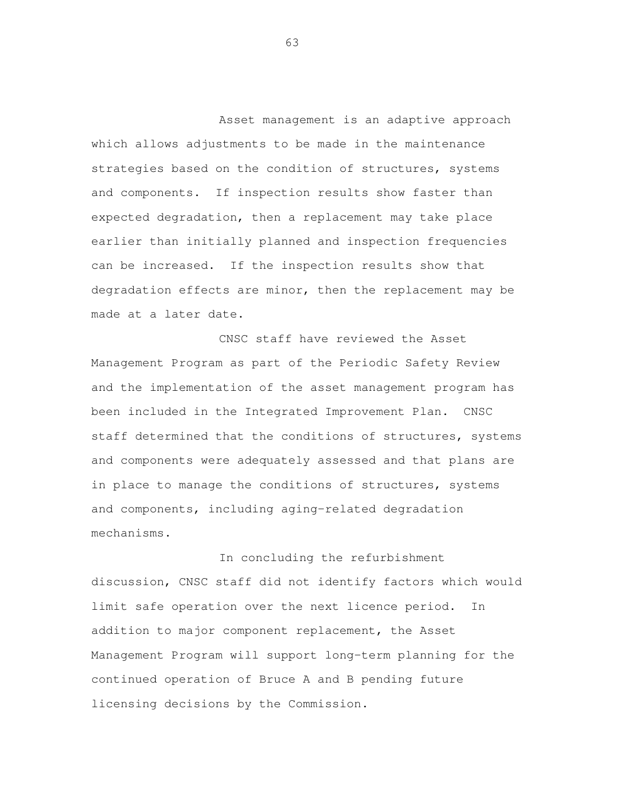Asset management is an adaptive approach which allows adjustments to be made in the maintenance strategies based on the condition of structures, systems and components. If inspection results show faster than expected degradation, then a replacement may take place earlier than initially planned and inspection frequencies can be increased. If the inspection results show that degradation effects are minor, then the replacement may be made at a later date.

 CNSC staff have reviewed the Asset Management Program as part of the Periodic Safety Review and the implementation of the asset management program has been included in the Integrated Improvement Plan. CNSC staff determined that the conditions of structures, systems and components were adequately assessed and that plans are in place to manage the conditions of structures, systems mechanisms.<br>In concluding the refurbishment and components, including aging-related degradation

 discussion, CNSC staff did not identify factors which would limit safe operation over the next licence period. In addition to major component replacement, the Asset Management Program will support long-term planning for the continued operation of Bruce A and B pending future licensing decisions by the Commission.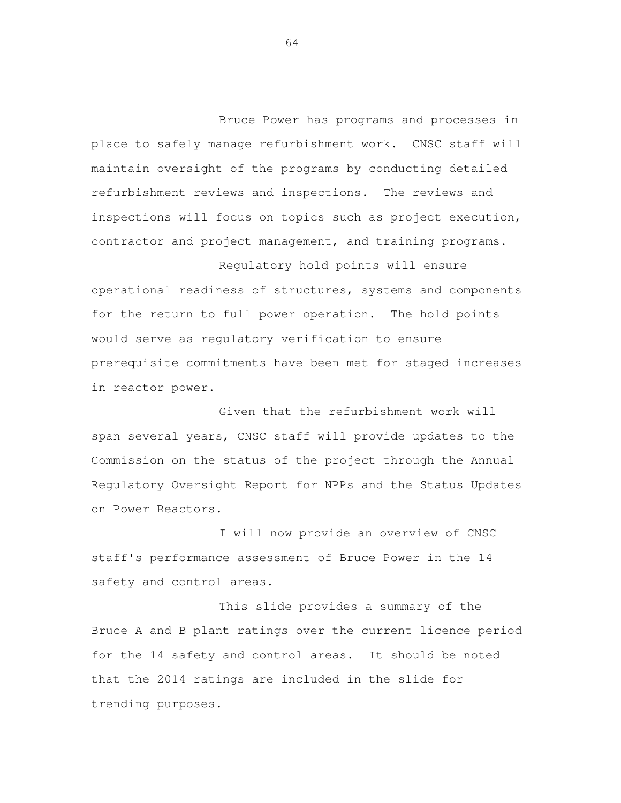Bruce Power has programs and processes in place to safely manage refurbishment work. CNSC staff will maintain oversight of the programs by conducting detailed refurbishment reviews and inspections. The reviews and inspections will focus on topics such as project execution, contractor and project management, and training programs.

 Regulatory hold points will ensure operational readiness of structures, systems and components for the return to full power operation. The hold points would serve as regulatory verification to ensure prerequisite commitments have been met for staged increases in reactor power.

 Given that the refurbishment work will span several years, CNSC staff will provide updates to the Commission on the status of the project through the Annual Regulatory Oversight Report for NPPs and the Status Updates on Power Reactors.

 I will now provide an overview of CNSC staff's performance assessment of Bruce Power in the 14 safety and control areas.

 This slide provides a summary of the Bruce A and B plant ratings over the current licence period for the 14 safety and control areas. It should be noted that the 2014 ratings are included in the slide for trending purposes.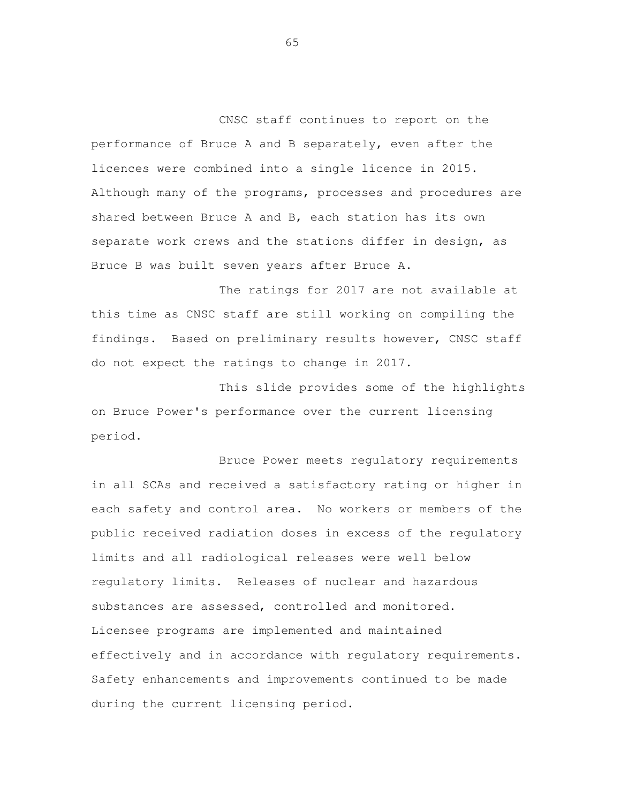CNSC staff continues to report on the performance of Bruce A and B separately, even after the licences were combined into a single licence in 2015. Although many of the programs, processes and procedures are shared between Bruce A and B, each station has its own separate work crews and the stations differ in design, as Bruce B was built seven years after Bruce A.

 The ratings for 2017 are not available at this time as CNSC staff are still working on compiling the findings. Based on preliminary results however, CNSC staff do not expect the ratings to change in 2017.

 This slide provides some of the highlights on Bruce Power's performance over the current licensing period.<br>Bruce Power meets regulatory requirements

 in all SCAs and received a satisfactory rating or higher in each safety and control area. No workers or members of the public received radiation doses in excess of the regulatory limits and all radiological releases were well below regulatory limits. Releases of nuclear and hazardous substances are assessed, controlled and monitored. Licensee programs are implemented and maintained effectively and in accordance with regulatory requirements. Safety enhancements and improvements continued to be made during the current licensing period.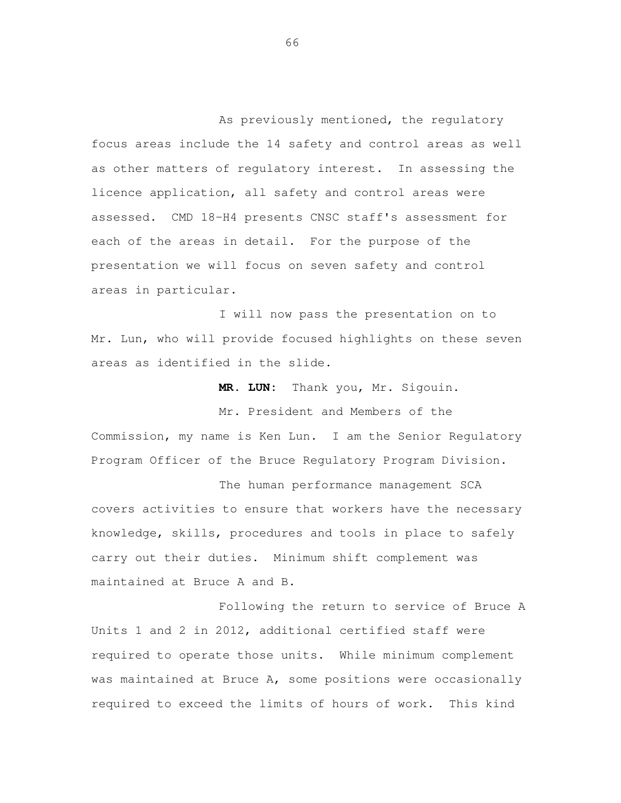As previously mentioned, the regulatory focus areas include the 14 safety and control areas as well as other matters of regulatory interest. In assessing the licence application, all safety and control areas were assessed. CMD 18-H4 presents CNSC staff's assessment for each of the areas in detail. For the purpose of the presentation we will focus on seven safety and control areas in particular.

 I will now pass the presentation on to Mr. Lun, who will provide focused highlights on these seven areas as identified in the slide.

 **MR. LUN:** Thank you, Mr. Sigouin.

 Mr. President and Members of the Commission, my name is Ken Lun. I am the Senior Regulatory Program Officer of the Bruce Regulatory Program Division.

 The human performance management SCA covers activities to ensure that workers have the necessary knowledge, skills, procedures and tools in place to safely carry out their duties. Minimum shift complement was maintained at Bruce A and B.

 Following the return to service of Bruce A Units 1 and 2 in 2012, additional certified staff were required to operate those units. While minimum complement was maintained at Bruce A, some positions were occasionally required to exceed the limits of hours of work. This kind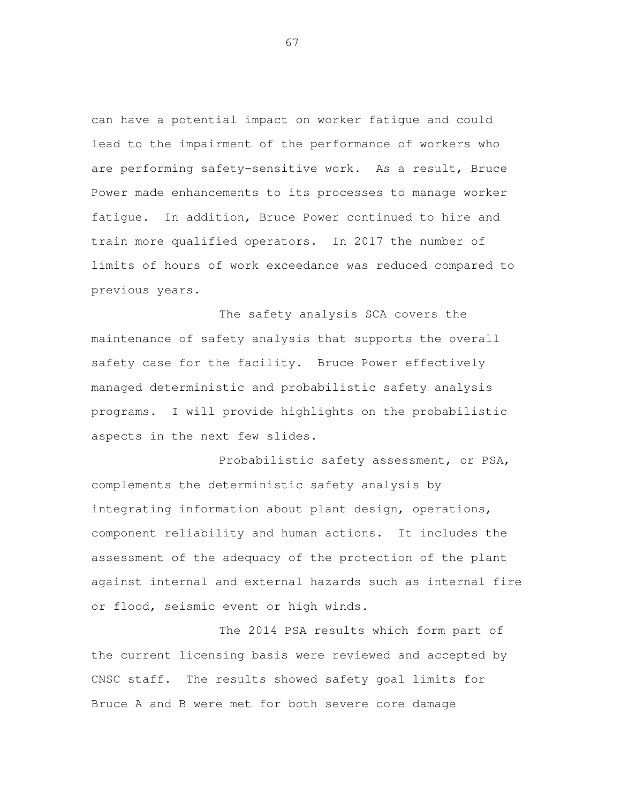can have a potential impact on worker fatigue and could lead to the impairment of the performance of workers who are performing safety-sensitive work. As a result, Bruce Power made enhancements to its processes to manage worker fatigue. In addition, Bruce Power continued to hire and train more qualified operators. In 2017 the number of limits of hours of work exceedance was reduced compared to previous years.

 The safety analysis SCA covers the maintenance of safety analysis that supports the overall safety case for the facility. Bruce Power effectively managed deterministic and probabilistic safety analysis programs. I will provide highlights on the probabilistic aspects in the next few slides.

 Probabilistic safety assessment, or PSA, complements the deterministic safety analysis by integrating information about plant design, operations, component reliability and human actions. It includes the assessment of the adequacy of the protection of the plant against internal and external hazards such as internal fire or flood, seismic event or high winds.

 The 2014 PSA results which form part of the current licensing basis were reviewed and accepted by CNSC staff. The results showed safety goal limits for Bruce A and B were met for both severe core damage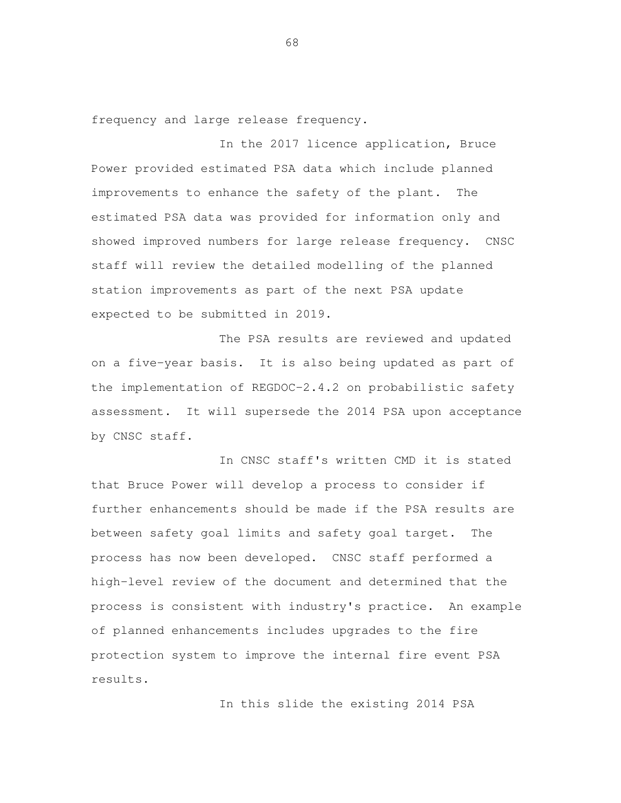frequency and large release frequency.

 In the 2017 licence application, Bruce Power provided estimated PSA data which include planned improvements to enhance the safety of the plant. The estimated PSA data was provided for information only and showed improved numbers for large release frequency. CNSC staff will review the detailed modelling of the planned station improvements as part of the next PSA update expected to be submitted in 2019.

 The PSA results are reviewed and updated on a five-year basis. It is also being updated as part of the implementation of REGDOC-2.4.2 on probabilistic safety assessment. It will supersede the 2014 PSA upon acceptance by CNSC staff.

 In CNSC staff's written CMD it is stated that Bruce Power will develop a process to consider if further enhancements should be made if the PSA results are between safety goal limits and safety goal target. The process has now been developed. CNSC staff performed a high-level review of the document and determined that the process is consistent with industry's practice. An example of planned enhancements includes upgrades to the fire protection system to improve the internal fire event PSA results.

In this slide the existing 2014 PSA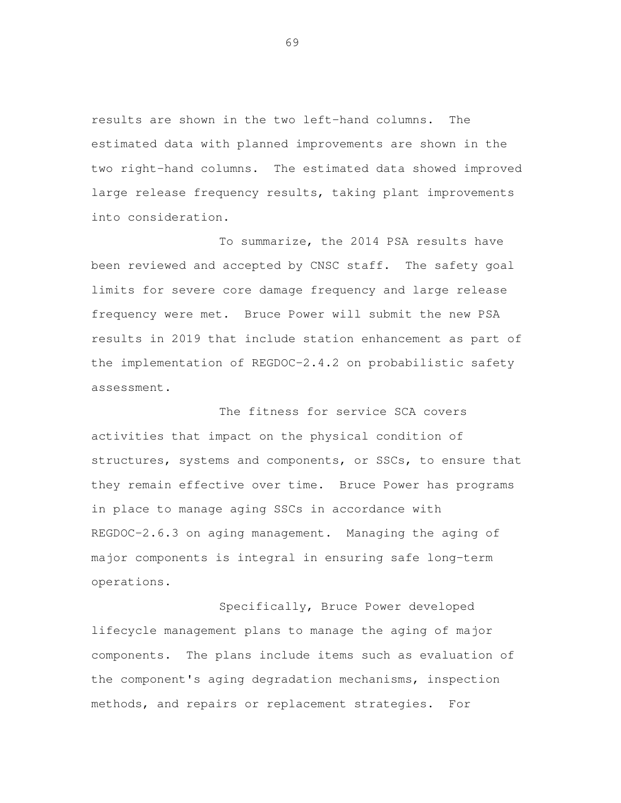results are shown in the two left-hand columns. The estimated data with planned improvements are shown in the two right-hand columns. The estimated data showed improved large release frequency results, taking plant improvements into consideration.<br>To summarize, the 2014 PSA results have

 been reviewed and accepted by CNSC staff. The safety goal limits for severe core damage frequency and large release frequency were met. Bruce Power will submit the new PSA results in 2019 that include station enhancement as part of the implementation of REGDOC-2.4.2 on probabilistic safety assessment.

 The fitness for service SCA covers activities that impact on the physical condition of structures, systems and components, or SSCs, to ensure that they remain effective over time. Bruce Power has programs in place to manage aging SSCs in accordance with REGDOC-2.6.3 on aging management. Managing the aging of major components is integral in ensuring safe long-term operations.<br>Specifically, Bruce Power developed

 lifecycle management plans to manage the aging of major components. The plans include items such as evaluation of the component's aging degradation mechanisms, inspection methods, and repairs or replacement strategies. For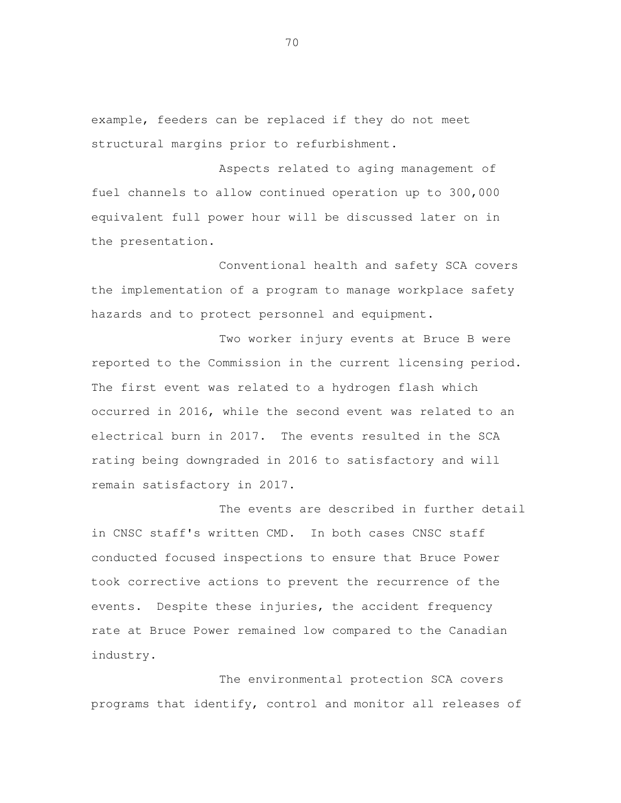example, feeders can be replaced if they do not meet structural margins prior to refurbishment.

 Aspects related to aging management of fuel channels to allow continued operation up to 300,000 equivalent full power hour will be discussed later on in the presentation.

 Conventional health and safety SCA covers the implementation of a program to manage workplace safety hazards and to protect personnel and equipment.

 Two worker injury events at Bruce B were reported to the Commission in the current licensing period. The first event was related to a hydrogen flash which occurred in 2016, while the second event was related to an electrical burn in 2017. The events resulted in the SCA rating being downgraded in 2016 to satisfactory and will remain satisfactory in 2017.

 The events are described in further detail in CNSC staff's written CMD. In both cases CNSC staff conducted focused inspections to ensure that Bruce Power took corrective actions to prevent the recurrence of the events. Despite these injuries, the accident frequency rate at Bruce Power remained low compared to the Canadian industry.

 The environmental protection SCA covers programs that identify, control and monitor all releases of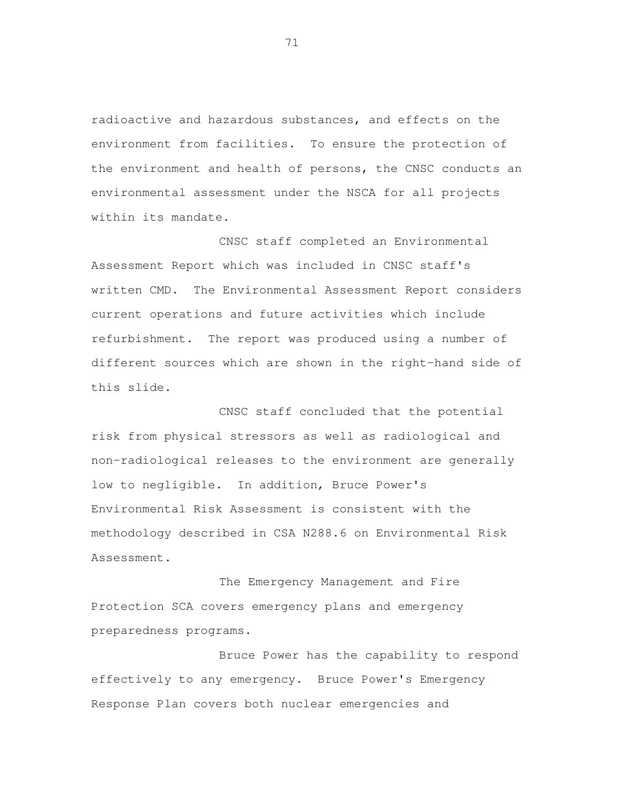radioactive and hazardous substances, and effects on the environment from facilities. To ensure the protection of the environment and health of persons, the CNSC conducts an environmental assessment under the NSCA for all projects within its mandate.

 CNSC staff completed an Environmental Assessment Report which was included in CNSC staff's written CMD. The Environmental Assessment Report considers current operations and future activities which include refurbishment. The report was produced using a number of different sources which are shown in the right-hand side of this slide.

 CNSC staff concluded that the potential risk from physical stressors as well as radiological and non-radiological releases to the environment are generally low to negligible. In addition, Bruce Power's Environmental Risk Assessment is consistent with the methodology described in CSA N288.6 on Environmental Risk Assessment.

 The Emergency Management and Fire Protection SCA covers emergency plans and emergency preparedness programs. Bruce Power has the capability to respond

 effectively to any emergency. Bruce Power's Emergency Response Plan covers both nuclear emergencies and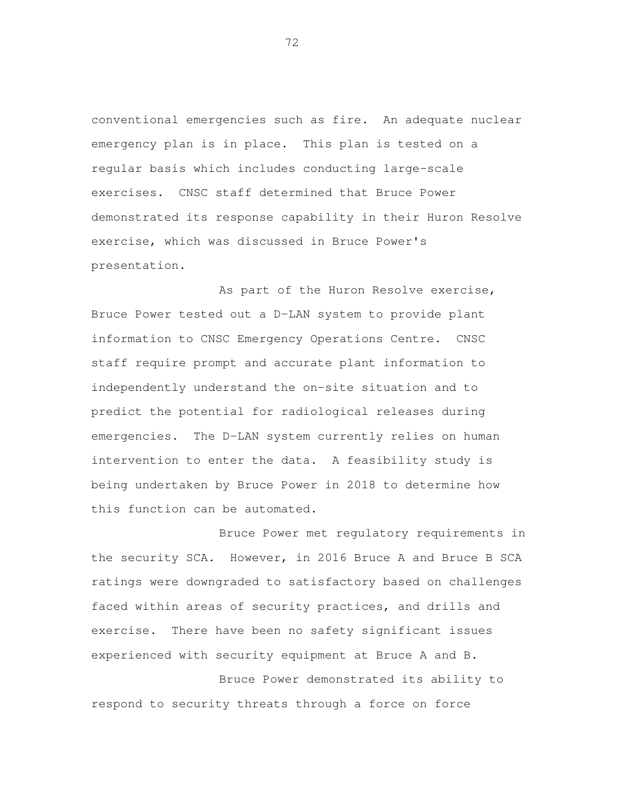conventional emergencies such as fire. An adequate nuclear emergency plan is in place. This plan is tested on a regular basis which includes conducting large-scale exercises. CNSC staff determined that Bruce Power demonstrated its response capability in their Huron Resolve exercise, which was discussed in Bruce Power's presentation.

 As part of the Huron Resolve exercise, Bruce Power tested out a D-LAN system to provide plant information to CNSC Emergency Operations Centre. CNSC staff require prompt and accurate plant information to independently understand the on-site situation and to predict the potential for radiological releases during emergencies. The D-LAN system currently relies on human intervention to enter the data. A feasibility study is being undertaken by Bruce Power in 2018 to determine how this function can be automated.

 Bruce Power met regulatory requirements in the security SCA. However, in 2016 Bruce A and Bruce B SCA ratings were downgraded to satisfactory based on challenges faced within areas of security practices, and drills and exercise. experienced with security equipment at Bruce A and B. There have been no safety significant issues

 Bruce Power demonstrated its ability to respond to security threats through a force on force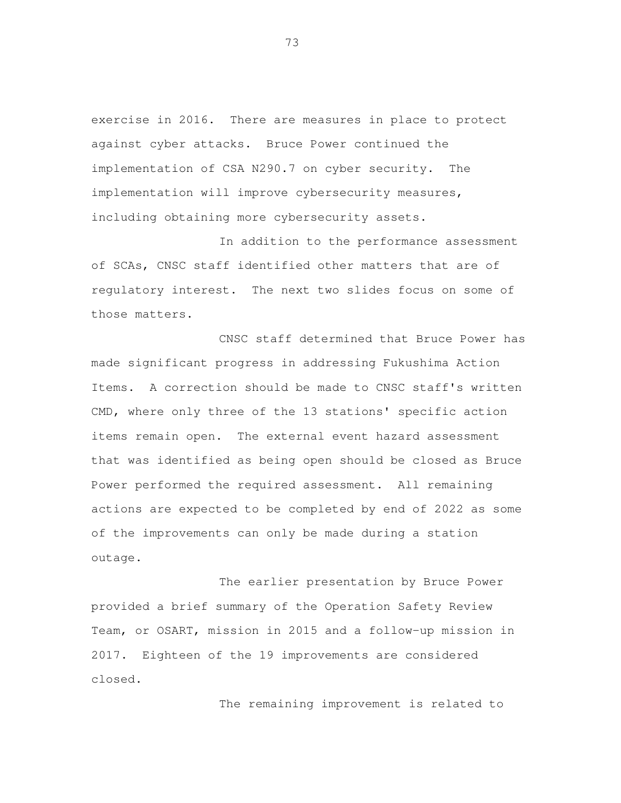exercise in 2016. There are measures in place to protect against cyber attacks. Bruce Power continued the implementation of CSA N290.7 on cyber security. The implementation will improve cybersecurity measures, including obtaining more cybersecurity assets.

 In addition to the performance assessment of SCAs, CNSC staff identified other matters that are of regulatory interest. The next two slides focus on some of those matters.

 CNSC staff determined that Bruce Power has made significant progress in addressing Fukushima Action Items. A correction should be made to CNSC staff's written CMD, where only three of the 13 stations' specific action items remain open. The external event hazard assessment that was identified as being open should be closed as Bruce Power performed the required assessment. All remaining actions are expected to be completed by end of 2022 as some of the improvements can only be made during a station outage.

 The earlier presentation by Bruce Power provided a brief summary of the Operation Safety Review Team, or OSART, mission in 2015 and a follow-up mission in 2017. Eighteen of the 19 improvements are considered closed. The remaining improvement is related to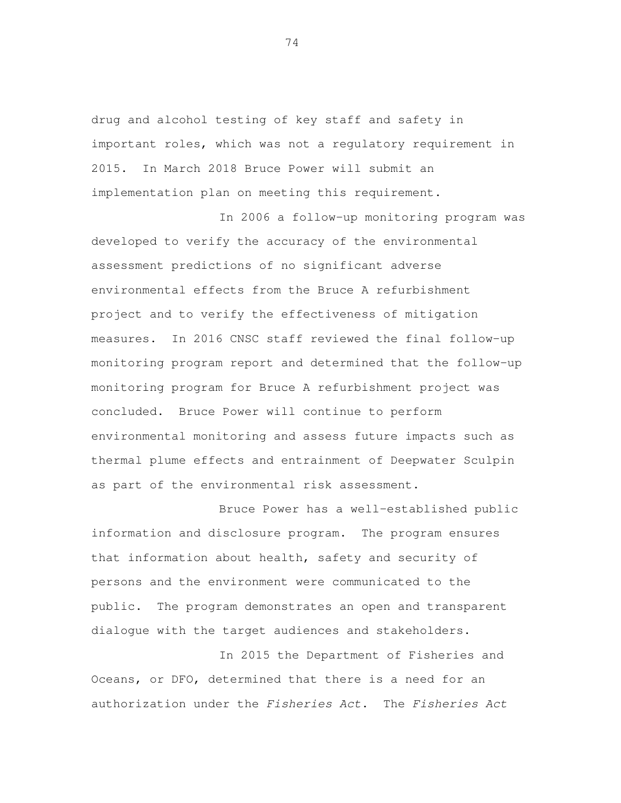drug and alcohol testing of key staff and safety in important roles, which was not a regulatory requirement in 2015. In March 2018 Bruce Power will submit an implementation plan on meeting this requirement.

 In 2006 a follow-up monitoring program was developed to verify the accuracy of the environmental assessment predictions of no significant adverse environmental effects from the Bruce A refurbishment project and to verify the effectiveness of mitigation measures. In 2016 CNSC staff reviewed the final follow-up monitoring program report and determined that the follow-up monitoring program for Bruce A refurbishment project was concluded. Bruce Power will continue to perform environmental monitoring and assess future impacts such as thermal plume effects and entrainment of Deepwater Sculpin as part of the environmental risk assessment.

 Bruce Power has a well-established public information and disclosure program. The program ensures that information about health, safety and security of persons and the environment were communicated to the public. The program demonstrates an open and transparent dialogue with the target audiences and stakeholders.

 In 2015 the Department of Fisheries and Oceans, or DFO, determined that there is a need for an authorization under the Fisheries Act. The Fisheries Act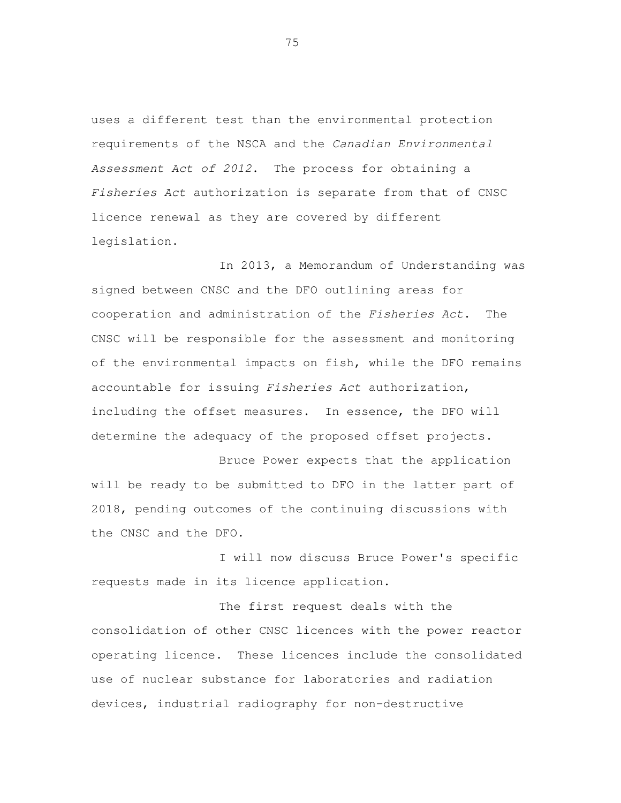uses a different test than the environmental protection requirements of the NSCA and the Canadian Environmental Assessment Act of 2012. The process for obtaining a Fisheries Act authorization is separate from that of CNSC licence renewal as they are covered by different legislation.<br>In 2013, a Memorandum of Understanding was

 signed between CNSC and the DFO outlining areas for cooperation and administration of the Fisheries Act. The CNSC will be responsible for the assessment and monitoring of the environmental impacts on fish, while the DFO remains accountable for issuing Fisheries Act authorization, including the offset measures. In essence, the DFO will determine the adequacy of the proposed offset projects.

 Bruce Power expects that the application will be ready to be submitted to DFO in the latter part of 2018, pending outcomes of the continuing discussions with the CNSC and the DFO.

 I will now discuss Bruce Power's specific requests made in its licence application.

 The first request deals with the consolidation of other CNSC licences with the power reactor operating licence. use of nuclear substance for laboratories and radiation devices, industrial radiography for non-destructive These licences include the consolidated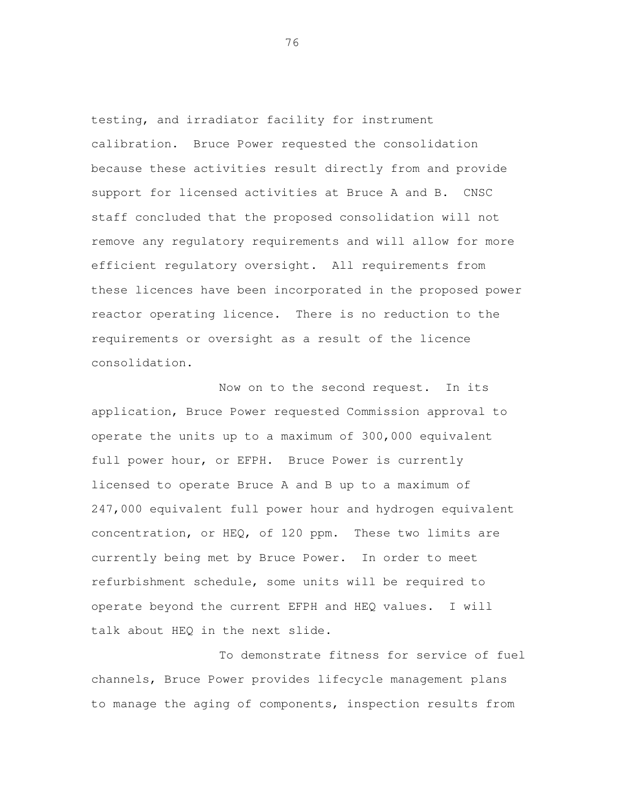testing, and irradiator facility for instrument calibration. Bruce Power requested the consolidation because these activities result directly from and provide support for licensed activities at Bruce A and B. CNSC staff concluded that the proposed consolidation will not remove any regulatory requirements and will allow for more efficient regulatory oversight. All requirements from these licences have been incorporated in the proposed power reactor operating licence. There is no reduction to the requirements or oversight as a result of the licence consolidation.

 Now on to the second request. In its application, Bruce Power requested Commission approval to operate the units up to a maximum of 300,000 equivalent full power hour, or EFPH. Bruce Power is currently licensed to operate Bruce A and B up to a maximum of 247,000 equivalent full power hour and hydrogen equivalent concentration, or HEQ, of 120 ppm. These two limits are currently being met by Bruce Power. In order to meet refurbishment schedule, some units will be required to operate beyond the current EFPH and HEQ values. I will talk about HEQ in the next slide.

 To demonstrate fitness for service of fuel channels, Bruce Power provides lifecycle management plans to manage the aging of components, inspection results from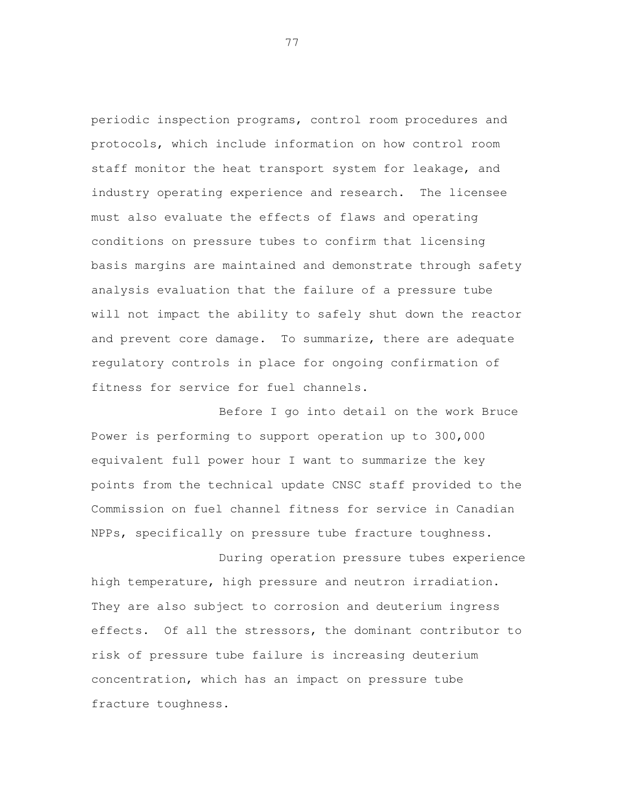periodic inspection programs, control room procedures and protocols, which include information on how control room staff monitor the heat transport system for leakage, and industry operating experience and research. The licensee must also evaluate the effects of flaws and operating conditions on pressure tubes to confirm that licensing basis margins are maintained and demonstrate through safety analysis evaluation that the failure of a pressure tube will not impact the ability to safely shut down the reactor and prevent core damage. To summarize, there are adequate regulatory controls in place for ongoing confirmation of fitness for service for fuel channels.

 Before I go into detail on the work Bruce Power is performing to support operation up to 300,000 equivalent full power hour I want to summarize the key points from the technical update CNSC staff provided to the Commission on fuel channel fitness for service in Canadian NPPs, specifically on pressure tube fracture toughness.

 During operation pressure tubes experience high temperature, high pressure and neutron irradiation. They are also subject to corrosion and deuterium ingress effects. Of all the stressors, the dominant contributor to risk of pressure tube failure is increasing deuterium concentration, which has an impact on pressure tube fracture toughness.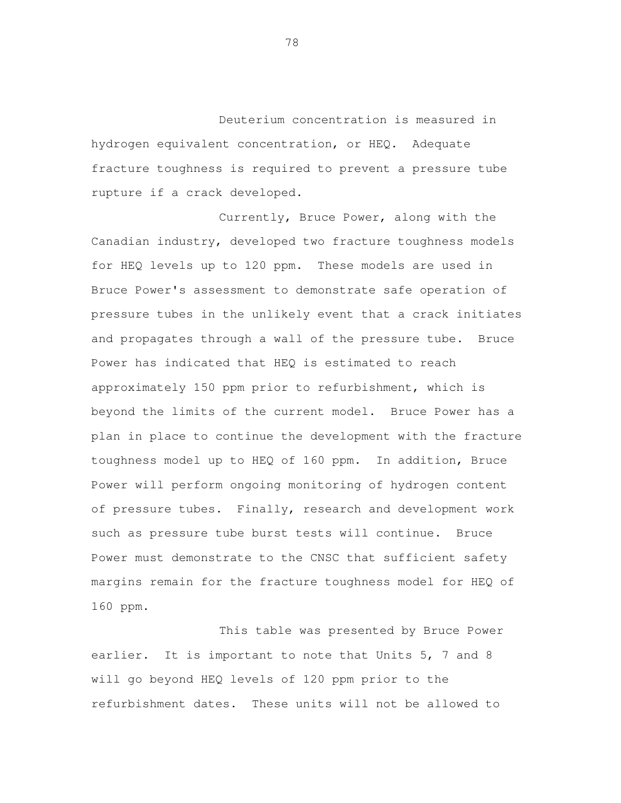Deuterium concentration is measured in hydrogen equivalent concentration, or HEQ. Adequate fracture toughness is required to prevent a pressure tube rupture if a crack developed.

 Currently, Bruce Power, along with the Canadian industry, developed two fracture toughness models for HEQ levels up to 120 ppm. These models are used in Bruce Power's assessment to demonstrate safe operation of pressure tubes in the unlikely event that a crack initiates and propagates through a wall of the pressure tube. Bruce Power has indicated that HEQ is estimated to reach approximately 150 ppm prior to refurbishment, which is beyond the limits of the current model. Bruce Power has a plan in place to continue the development with the fracture toughness model up to HEQ of 160 ppm. In addition, Bruce Power will perform ongoing monitoring of hydrogen content of pressure tubes. Finally, research and development work such as pressure tube burst tests will continue. Bruce Power must demonstrate to the CNSC that sufficient safety margins remain for the fracture toughness model for HEQ of 160 ppm.

 This table was presented by Bruce Power earlier. It is important to note that Units 5, 7 and 8 will go beyond HEQ levels of 120 ppm prior to the refurbishment dates. These units will not be allowed to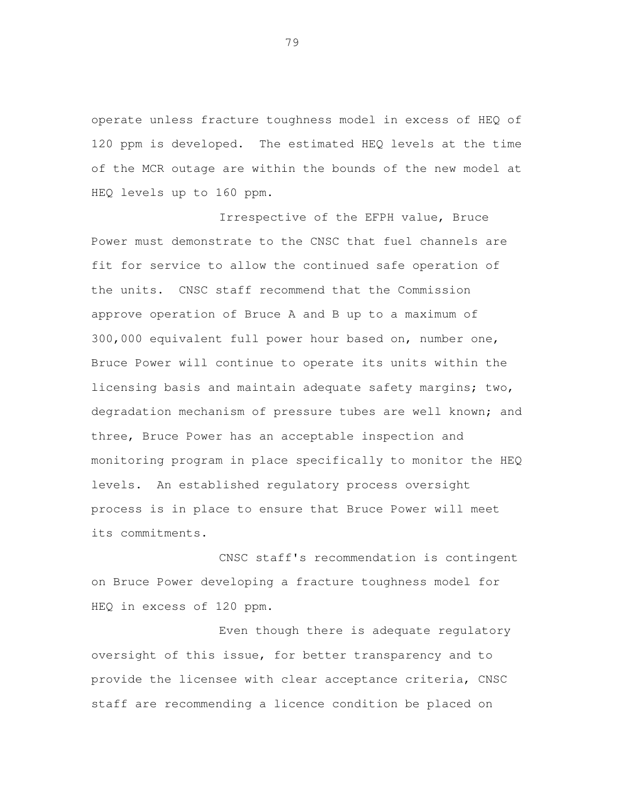operate unless fracture toughness model in excess of HEQ of 120 ppm is developed. The estimated HEQ levels at the time of the MCR outage are within the bounds of the new model at HEQ levels up to 160 ppm.

 Irrespective of the EFPH value, Bruce Power must demonstrate to the CNSC that fuel channels are fit for service to allow the continued safe operation of the units. CNSC staff recommend that the Commission approve operation of Bruce A and B up to a maximum of 300,000 equivalent full power hour based on, number one, Bruce Power will continue to operate its units within the licensing basis and maintain adequate safety margins; two, degradation mechanism of pressure tubes are well known; and three, Bruce Power has an acceptable inspection and monitoring program in place specifically to monitor the HEQ levels. An established regulatory process oversight process is in place to ensure that Bruce Power will meet its commitments. CNSC staff's recommendation is contingent

 on Bruce Power developing a fracture toughness model for HEQ in excess of 120 ppm.

 Even though there is adequate regulatory oversight of this issue, for better transparency and to provide the licensee with clear acceptance criteria, CNSC staff are recommending a licence condition be placed on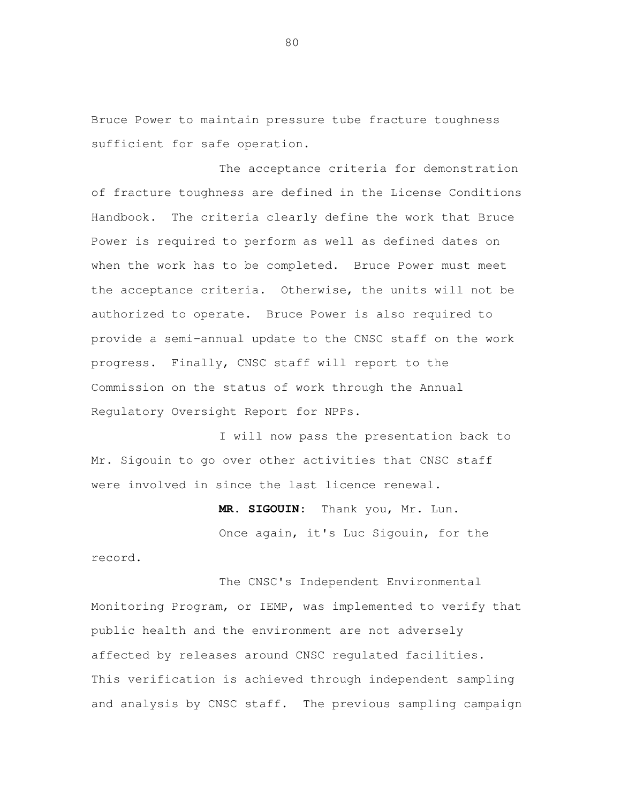Bruce Power to maintain pressure tube fracture toughness sufficient for safe operation.

 The acceptance criteria for demonstration of fracture toughness are defined in the License Conditions Handbook. The criteria clearly define the work that Bruce Power is required to perform as well as defined dates on when the work has to be completed. Bruce Power must meet the acceptance criteria. Otherwise, the units will not be authorized to operate. Bruce Power is also required to provide a semi-annual update to the CNSC staff on the work progress. Finally, CNSC staff will report to the Commission on the status of work through the Annual Regulatory Oversight Report for NPPs.

 I will now pass the presentation back to Mr. Sigouin to go over other activities that CNSC staff were involved in since the last licence renewal.

> **MR. SIGOUIN:** Thank you, Mr. Lun. Once again, it's Luc Sigouin, for the

record.<br>The CNSC's Independent Environmental Monitoring Program, or IEMP, was implemented to verify that public health and the environment are not adversely affected by releases around CNSC regulated facilities. This verification is achieved through independent sampling and analysis by CNSC staff. The previous sampling campaign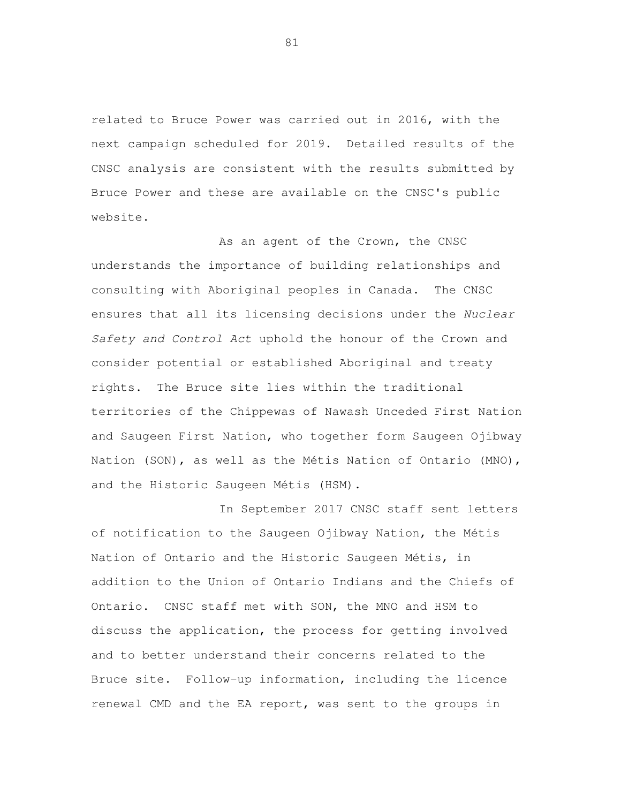related to Bruce Power was carried out in 2016, with the next campaign scheduled for 2019. Detailed results of the CNSC analysis are consistent with the results submitted by Bruce Power and these are available on the CNSC's public website.

As an agent of the Crown, the CNSC understands the importance of building relationships and consulting with Aboriginal peoples in Canada. The CNSC ensures that all its licensing decisions under the Nuclear Safety and Control Act uphold the honour of the Crown and consider potential or established Aboriginal and treaty rights. The Bruce site lies within the traditional territories of the Chippewas of Nawash Unceded First Nation and Saugeen First Nation, who together form Saugeen Ojibway Nation (SON), as well as the Métis Nation of Ontario (MNO), and the Historic Saugeen Métis (HSM).

 In September 2017 CNSC staff sent letters of notification to the Saugeen Ojibway Nation, the Métis Nation of Ontario and the Historic Saugeen Métis, in addition to the Union of Ontario Indians and the Chiefs of Ontario. CNSC staff met with SON, the MNO and HSM to discuss the application, the process for getting involved and to better understand their concerns related to the Bruce site. Follow-up information, including the licence renewal CMD and the EA report, was sent to the groups in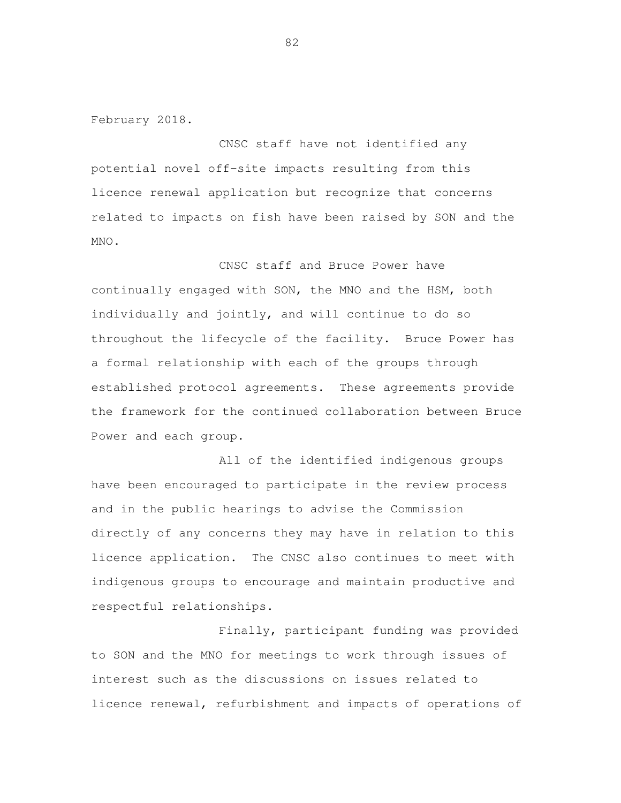February 2018.

 CNSC staff have not identified any potential novel off-site impacts resulting from this licence renewal application but recognize that concerns related to impacts on fish have been raised by SON and the

MNO.<br>CNSC staff and Bruce Power have continually engaged with SON, the MNO and the HSM, both individually and jointly, and will continue to do so throughout the lifecycle of the facility. Bruce Power has a formal relationship with each of the groups through established protocol agreements. These agreements provide the framework for the continued collaboration between Bruce Power and each group.

 All of the identified indigenous groups have been encouraged to participate in the review process and in the public hearings to advise the Commission directly of any concerns they may have in relation to this licence application. The CNSC also continues to meet with indigenous groups to encourage and maintain productive and respectful relationships.

 Finally, participant funding was provided to SON and the MNO for meetings to work through issues of interest such as the discussions on issues related to licence renewal, refurbishment and impacts of operations of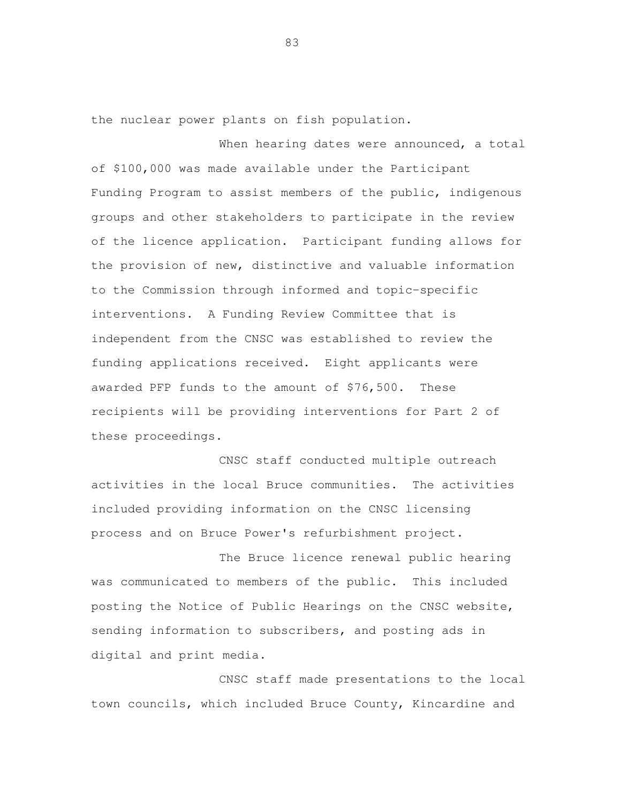the nuclear power plants on fish population.

When hearing dates were announced, a total of \$100,000 was made available under the Participant Funding Program to assist members of the public, indigenous groups and other stakeholders to participate in the review of the licence application. Participant funding allows for the provision of new, distinctive and valuable information to the Commission through informed and topic-specific interventions. A Funding Review Committee that is independent from the CNSC was established to review the funding applications received. Eight applicants were awarded PFP funds to the amount of \$76,500. These recipients will be providing interventions for Part 2 of these proceedings.

 CNSC staff conducted multiple outreach activities in the local Bruce communities. The activities included providing information on the CNSC licensing process and on Bruce Power's refurbishment project.

 The Bruce licence renewal public hearing was communicated to members of the public. This included posting the Notice of Public Hearings on the CNSC website, sending information to subscribers, and posting ads in digital and print media.

 CNSC staff made presentations to the local town councils, which included Bruce County, Kincardine and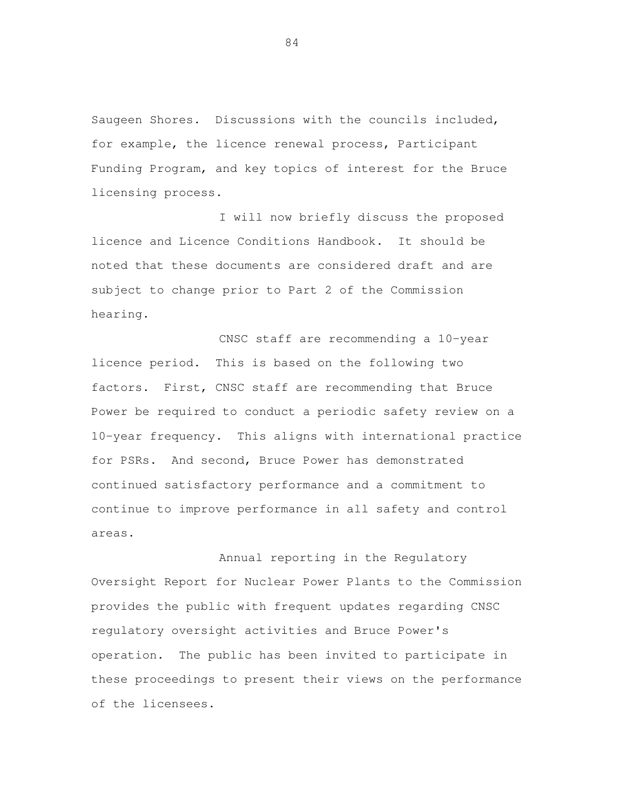Saugeen Shores. Discussions with the councils included, for example, the licence renewal process, Participant Funding Program, and key topics of interest for the Bruce licensing process.

 I will now briefly discuss the proposed licence and Licence Conditions Handbook. It should be noted that these documents are considered draft and are subject to change prior to Part 2 of the Commission hearing.<br>CNSC staff are recommending a 10-year

licence period. factors. First, CNSC staff are recommending that Bruce Power be required to conduct a periodic safety review on a 10-year frequency. This aligns with international practice for PSRs. And second, Bruce Power has demonstrated continued satisfactory performance and a commitment to continue to improve performance in all safety and control areas.<br>Annual reporting in the Regulatory This is based on the following two

 Oversight Report for Nuclear Power Plants to the Commission provides the public with frequent updates regarding CNSC regulatory oversight activities and Bruce Power's operation. The public has been invited to participate in these proceedings to present their views on the performance of the licensees.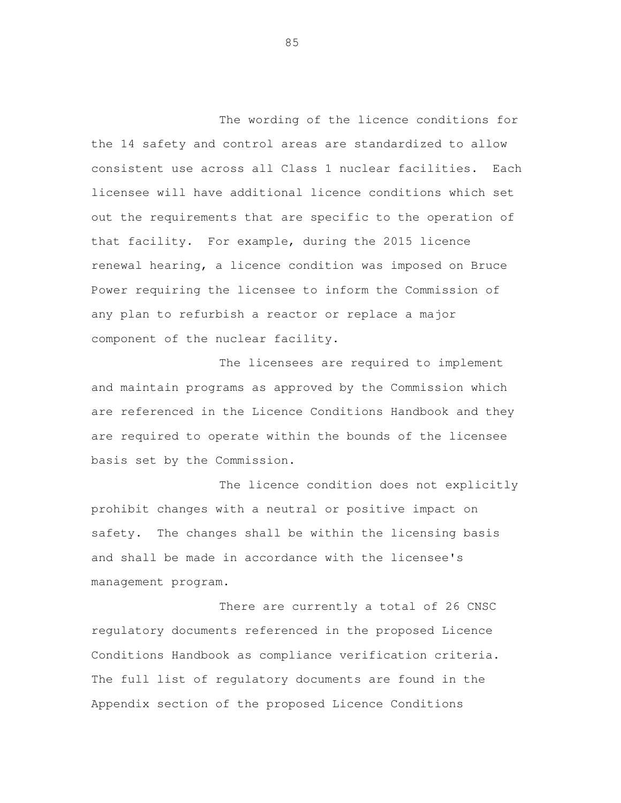The wording of the licence conditions for the 14 safety and control areas are standardized to allow consistent use across all Class 1 nuclear facilities. Each licensee will have additional licence conditions which set out the requirements that are specific to the operation of that facility. For example, during the 2015 licence renewal hearing, a licence condition was imposed on Bruce Power requiring the licensee to inform the Commission of any plan to refurbish a reactor or replace a major component of the nuclear facility.

 The licensees are required to implement and maintain programs as approved by the Commission which are referenced in the Licence Conditions Handbook and they are required to operate within the bounds of the licensee basis set by the Commission.

 The licence condition does not explicitly prohibit changes with a neutral or positive impact on safety. The changes shall be within the licensing basis and shall be made in accordance with the licensee's management program.

 There are currently a total of 26 CNSC regulatory documents referenced in the proposed Licence Conditions Handbook as compliance verification criteria. The full list of regulatory documents are found in the Appendix section of the proposed Licence Conditions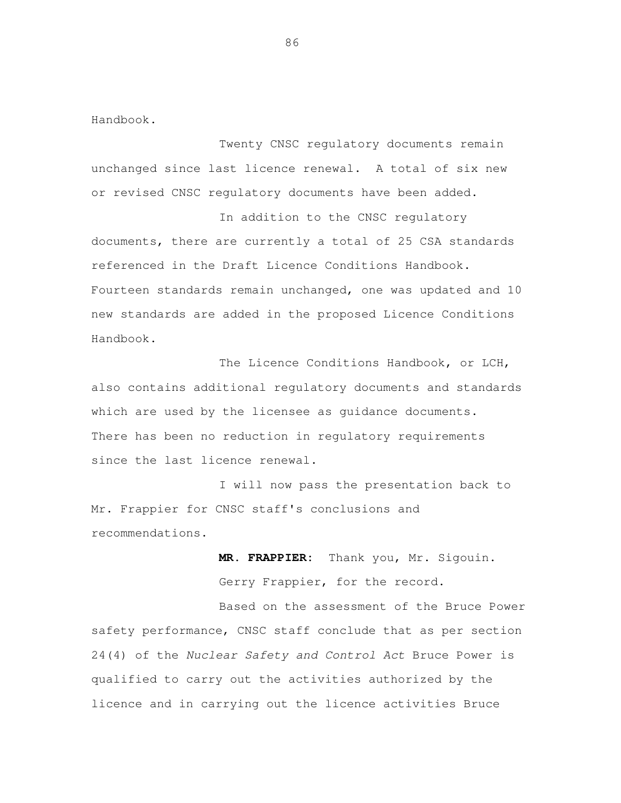Handbook.

 Twenty CNSC regulatory documents remain unchanged since last licence renewal. A total of six new or revised CNSC regulatory documents have been added.

 In addition to the CNSC regulatory documents, there are currently a total of 25 CSA standards referenced in the Draft Licence Conditions Handbook. Fourteen standards remain unchanged, one was updated and 10 new standards are added in the proposed Licence Conditions Handbook.

 The Licence Conditions Handbook, or LCH, also contains additional regulatory documents and standards which are used by the licensee as guidance documents. There has been no reduction in regulatory requirements since the last licence renewal.

 I will now pass the presentation back to Mr. Frappier for CNSC staff's conclusions and recommendations.

> MR. FRAPPIER: Gerry Frappier, for the record. Thank you, Mr. Sigouin.

 Based on the assessment of the Bruce Power safety performance, CNSC staff conclude that as per section 24(4) of the Nuclear Safety and Control Act Bruce Power is qualified to carry out the activities authorized by the licence and in carrying out the licence activities Bruce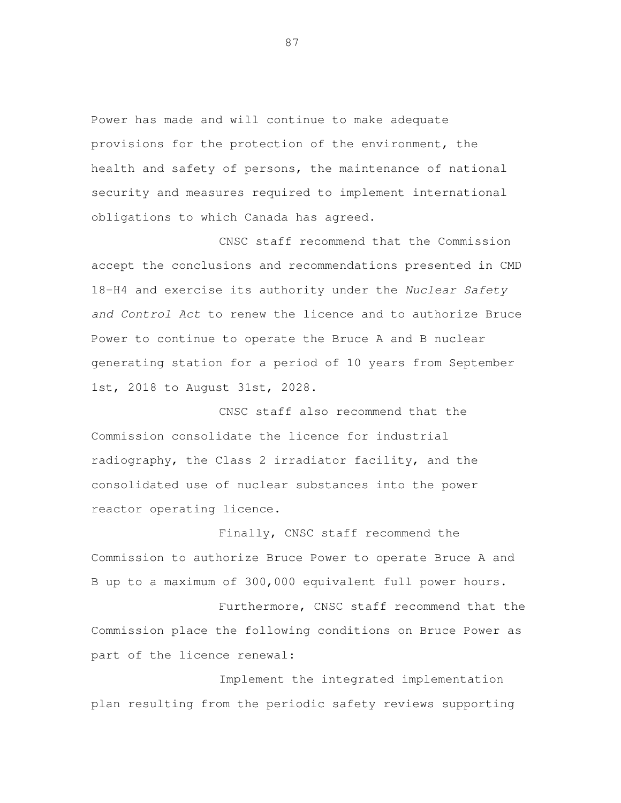Power has made and will continue to make adequate provisions for the protection of the environment, the health and safety of persons, the maintenance of national security and measures required to implement international obligations to which Canada has agreed.

 CNSC staff recommend that the Commission accept the conclusions and recommendations presented in CMD 18-H4 and exercise its authority under the Nuclear Safety and Control Act to renew the licence and to authorize Bruce Power to continue to operate the Bruce A and B nuclear generating station for a period of 10 years from September 1st, 2018 to August 31st, 2028.

 CNSC staff also recommend that the Commission consolidate the licence for industrial radiography, the Class 2 irradiator facility, and the consolidated use of nuclear substances into the power reactor operating licence.

 Finally, CNSC staff recommend the Commission to authorize Bruce Power to operate Bruce A and B up to a maximum of 300,000 equivalent full power hours.

 Furthermore, CNSC staff recommend that the Commission place the following conditions on Bruce Power as part of the licence renewal:

 Implement the integrated implementation plan resulting from the periodic safety reviews supporting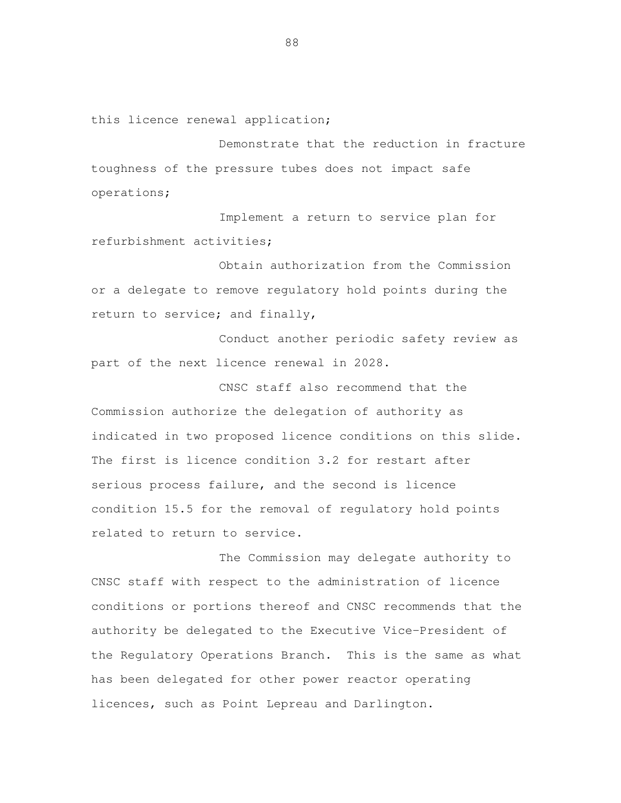this licence renewal application;

 Demonstrate that the reduction in fracture toughness of the pressure tubes does not impact safe operations;

 Implement a return to service plan for refurbishment activities;

 Obtain authorization from the Commission or a delegate to remove regulatory hold points during the return to service; and finally,

 Conduct another periodic safety review as part of the next licence renewal in 2028.

 CNSC staff also recommend that the Commission authorize the delegation of authority as indicated in two proposed licence conditions on this slide. The first is licence condition 3.2 for restart after serious process failure, and the second is licence condition 15.5 for the removal of regulatory hold points related to return to service.

 The Commission may delegate authority to CNSC staff with respect to the administration of licence conditions or portions thereof and CNSC recommends that the authority be delegated to the Executive Vice-President of the Regulatory Operations Branch. This is the same as what has been delegated for other power reactor operating licences, such as Point Lepreau and Darlington.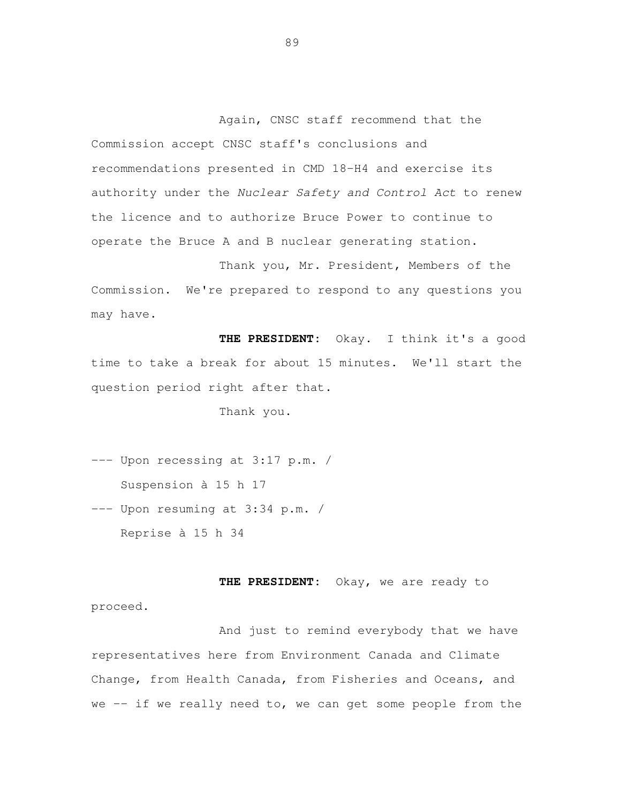Again, CNSC staff recommend that the Commission accept CNSC staff's conclusions and recommendations presented in CMD 18-H4 and exercise its authority under the Nuclear Safety and Control Act to renew the licence and to authorize Bruce Power to continue to operate the Bruce A and B nuclear generating station.

 Thank you, Mr. President, Members of the Commission. may have. We're prepared to respond to any questions you

 **THE PRESIDENT:** Okay. I think it's a good time to take a break for about 15 minutes. We'll start the question period right after that.

Thank you.

 --- Upon recessing at 3:17 p.m. / --- Upon resuming at 3:34 p.m. / Suspension à 15 h 17

Reprise à 15 h 34

 **THE PRESIDENT:** Okay, we are ready to proceed.

 And just to remind everybody that we have representatives here from Environment Canada and Climate Change, from Health Canada, from Fisheries and Oceans, and we -- if we really need to, we can get some people from the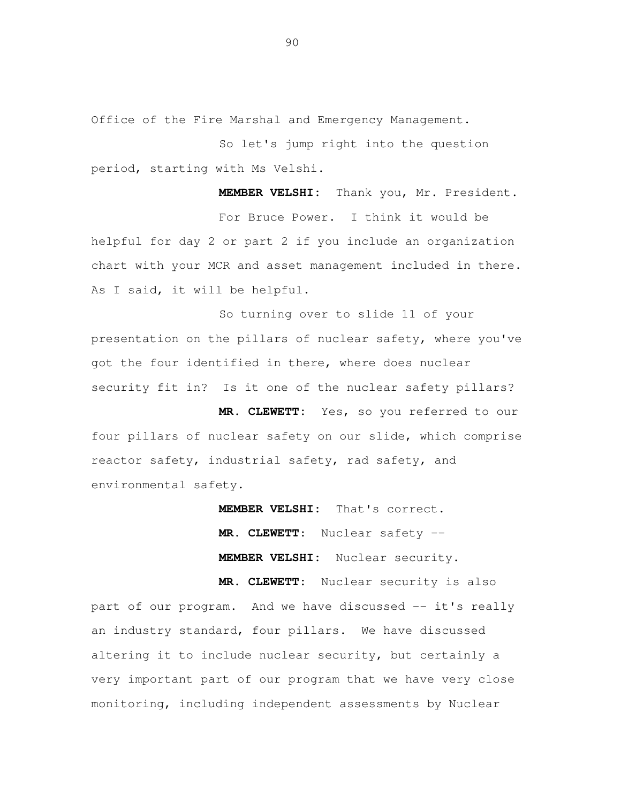Office of the Fire Marshal and Emergency Management.

 So let's jump right into the question period, starting with Ms Velshi.

 **MEMBER VELSHI:** Thank you, Mr. President. For Bruce Power. I think it would be helpful for day 2 or part 2 if you include an organization chart with your MCR and asset management included in there. As I said, it will be helpful.

 So turning over to slide 11 of your presentation on the pillars of nuclear safety, where you've got the four identified in there, where does nuclear security fit in? Is it one of the nuclear safety pillars?

 **MR. CLEWETT:** Yes, so you referred to our four pillars of nuclear safety on our slide, which comprise reactor safety, industrial safety, rad safety, and environmental safety.

> **MEMBER VELSHI:** That's correct. **MR. CLEWETT**: Nuclear safety -- **MEMBER VELSHI:** Nuclear security.

 **MR. CLEWETT:** Nuclear security is also part of our program. And we have discussed -- it's really an industry standard, four pillars. We have discussed altering it to include nuclear security, but certainly a very important part of our program that we have very close monitoring, including independent assessments by Nuclear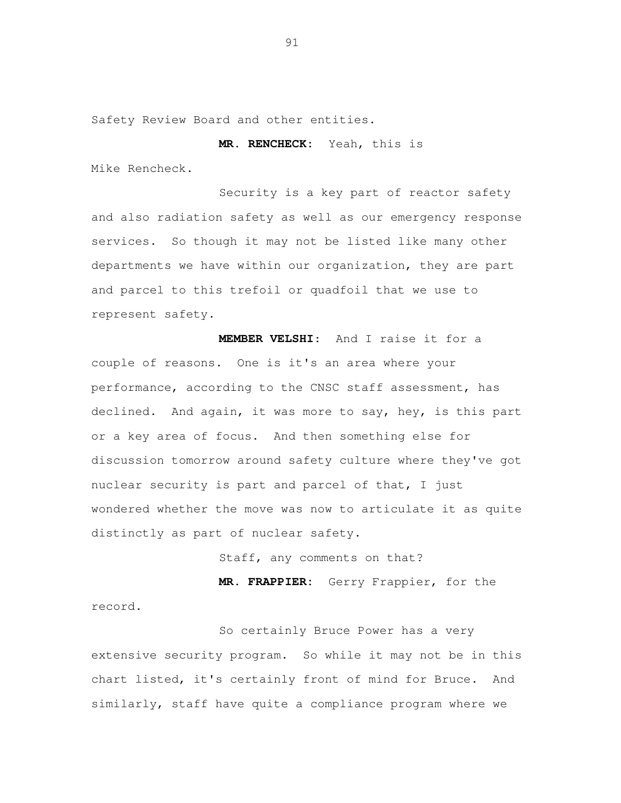Safety Review Board and other entities.

**MR. RENCHECK:** Yeah, this is

Mike Rencheck.

 Security is a key part of reactor safety and also radiation safety as well as our emergency response services. So though it may not be listed like many other departments we have within our organization, they are part and parcel to this trefoil or quadfoil that we use to represent safety.

 **MEMBER VELSHI**: And I raise it for a couple of reasons. One is it's an area where your performance, according to the CNSC staff assessment, has declined. And again, it was more to say, hey, is this part or a key area of focus. And then something else for discussion tomorrow around safety culture where they've got nuclear security is part and parcel of that, I just wondered whether the move was now to articulate it as quite distinctly as part of nuclear safety.

Staff, any comments on that?

 **MR. FRAPPIER:** Gerry Frappier, for the record.

 So certainly Bruce Power has a very extensive security program. So while it may not be in this chart listed, it's certainly front of mind for Bruce. And similarly, staff have quite a compliance program where we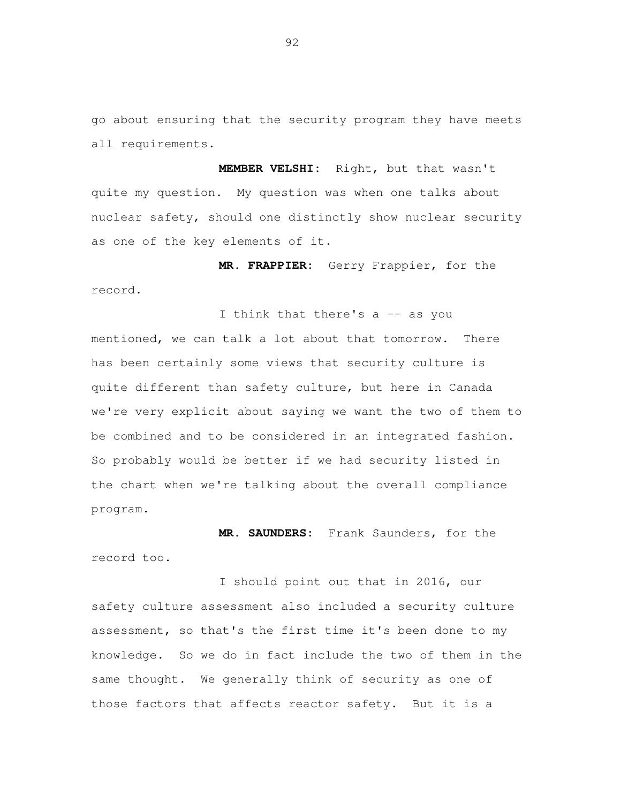go about ensuring that the security program they have meets all requirements.

 **MEMBER VELSHI:** Right, but that wasn't quite my question. My question was when one talks about nuclear safety, should one distinctly show nuclear security as one of the key elements of it.

 **MR. FRAPPIER:** Gerry Frappier, for the record.

I think that there's a -- as you mentioned, we can talk a lot about that tomorrow. There has been certainly some views that security culture is quite different than safety culture, but here in Canada we're very explicit about saying we want the two of them to be combined and to be considered in an integrated fashion. So probably would be better if we had security listed in the chart when we're talking about the overall compliance program.

 **MR. SAUNDERS:** Frank Saunders, for the record too.

 I should point out that in 2016, our safety culture assessment also included a security culture assessment, so that's the first time it's been done to my knowledge. So we do in fact include the two of them in the same thought. We generally think of security as one of those factors that affects reactor safety. But it is a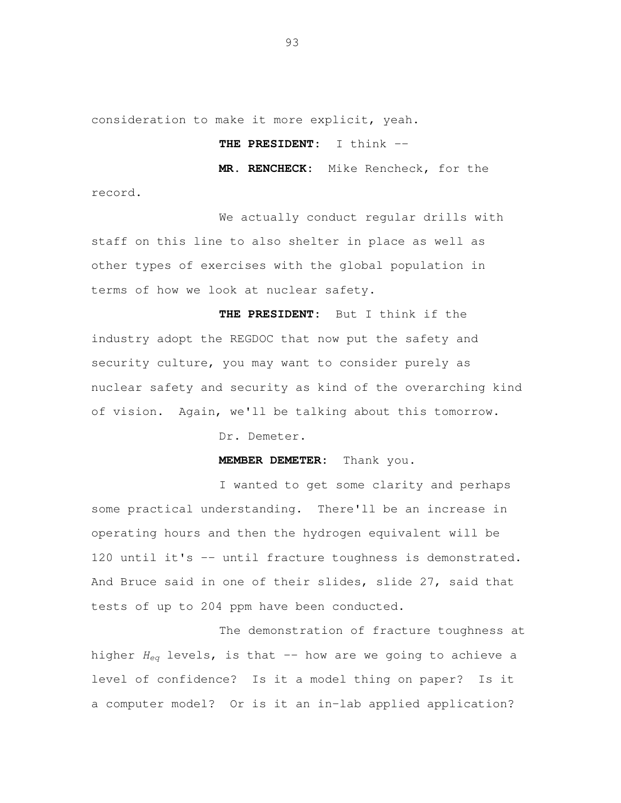consideration to make it more explicit, yeah.

record.

## **THE PRESIDENT:** I think --

**MR. RENCHECK:** Mike Rencheck, for the

 We actually conduct regular drills with staff on this line to also shelter in place as well as other types of exercises with the global population in terms of how we look at nuclear safety.

 **THE PRESIDENT:** But I think if the industry adopt the REGDOC that now put the safety and security culture, you may want to consider purely as nuclear safety and security as kind of the overarching kind of vision. Again, we'll be talking about this tomorrow.

Dr. Demeter.

**MEMBER DEMETER:** Thank you.

 I wanted to get some clarity and perhaps some practical understanding. There'll be an increase in operating hours and then the hydrogen equivalent will be 120 until it's -- until fracture toughness is demonstrated. And Bruce said in one of their slides, slide 27, said that tests of up to 204 ppm have been conducted.

 The demonstration of fracture toughness at higher  $H_{eq}$  levels, is that -- how are we going to achieve a level of confidence? Is it a model thing on paper? Is it a computer model? Or is it an in-lab applied application?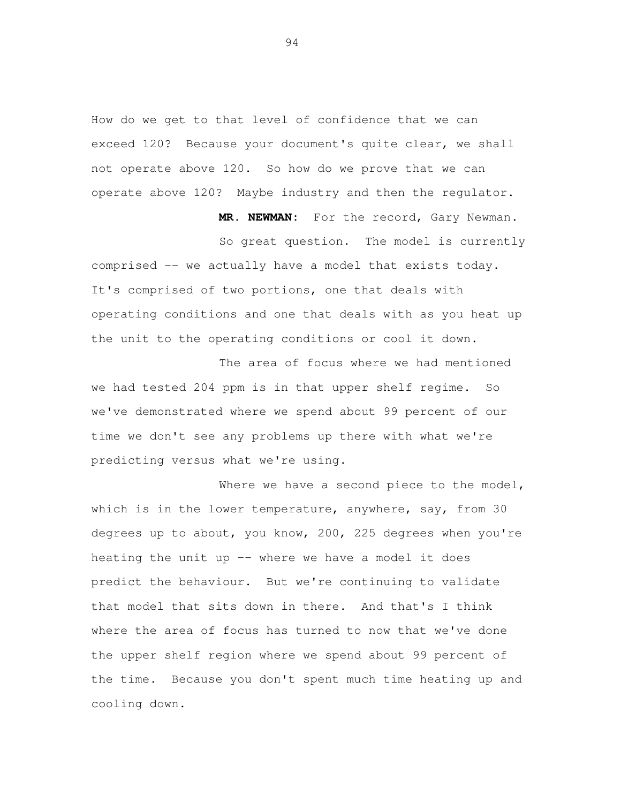How do we get to that level of confidence that we can exceed 120? Because your document's quite clear, we shall not operate above 120. So how do we prove that we can operate above 120? Maybe industry and then the regulator.

**MR. NEWMAN:** For the record, Gary Newman.

 So great question. The model is currently comprised -- we actually have a model that exists today. It's comprised of two portions, one that deals with operating conditions and one that deals with as you heat up the unit to the operating conditions or cool it down.

 The area of focus where we had mentioned we had tested 204 ppm is in that upper shelf regime. So we've demonstrated where we spend about 99 percent of our time we don't see any problems up there with what we're predicting versus what we're using.

Where we have a second piece to the model, which is in the lower temperature, anywhere, say, from 30 degrees up to about, you know, 200, 225 degrees when you're heating the unit up -- where we have a model it does predict the behaviour. But we're continuing to validate that model that sits down in there. And that's I think where the area of focus has turned to now that we've done the upper shelf region where we spend about 99 percent of the time. Because you don't spent much time heating up and cooling down.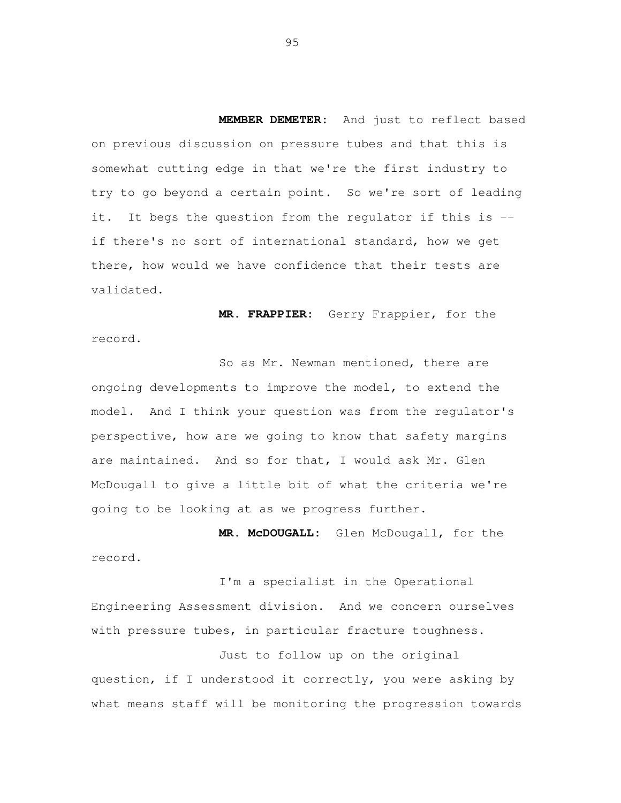**MEMBER DEMETER:** And just to reflect based on previous discussion on pressure tubes and that this is somewhat cutting edge in that we're the first industry to try to go beyond a certain point. So we're sort of leading it. It begs the question from the regulator if this is -- if there's no sort of international standard, how we get there, how would we have confidence that their tests are validated.

 **MR. FRAPPIER:** Gerry Frappier, for the record.

 So as Mr. Newman mentioned, there are ongoing developments to improve the model, to extend the model. And I think your question was from the regulator's perspective, how are we going to know that safety margins are maintained. And so for that, I would ask Mr. Glen McDougall to give a little bit of what the criteria we're going to be looking at as we progress further.

 **MR. McDOUGALL:** Glen McDougall, for the record.

 I'm a specialist in the Operational Engineering Assessment division. And we concern ourselves with pressure tubes, in particular fracture toughness.

 Just to follow up on the original question, if I understood it correctly, you were asking by what means staff will be monitoring the progression towards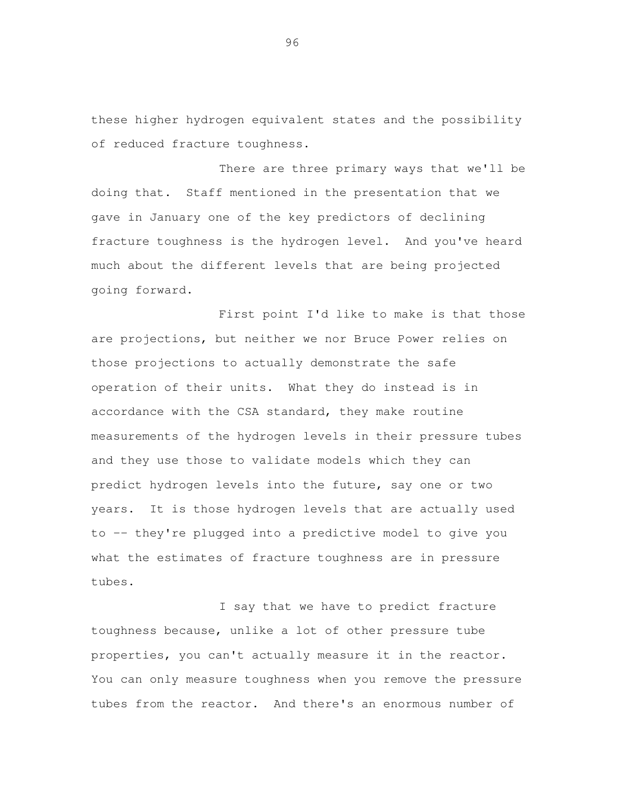these higher hydrogen equivalent states and the possibility of reduced fracture toughness.

 There are three primary ways that we'll be doing that. Staff mentioned in the presentation that we gave in January one of the key predictors of declining fracture toughness is the hydrogen level. And you've heard much about the different levels that are being projected going forward.

 First point I'd like to make is that those are projections, but neither we nor Bruce Power relies on those projections to actually demonstrate the safe operation of their units. What they do instead is in accordance with the CSA standard, they make routine measurements of the hydrogen levels in their pressure tubes and they use those to validate models which they can predict hydrogen levels into the future, say one or two years. It is those hydrogen levels that are actually used to -- they're plugged into a predictive model to give you what the estimates of fracture toughness are in pressure tubes.

 I say that we have to predict fracture toughness because, unlike a lot of other pressure tube properties, you can't actually measure it in the reactor. You can only measure toughness when you remove the pressure tubes from the reactor. And there's an enormous number of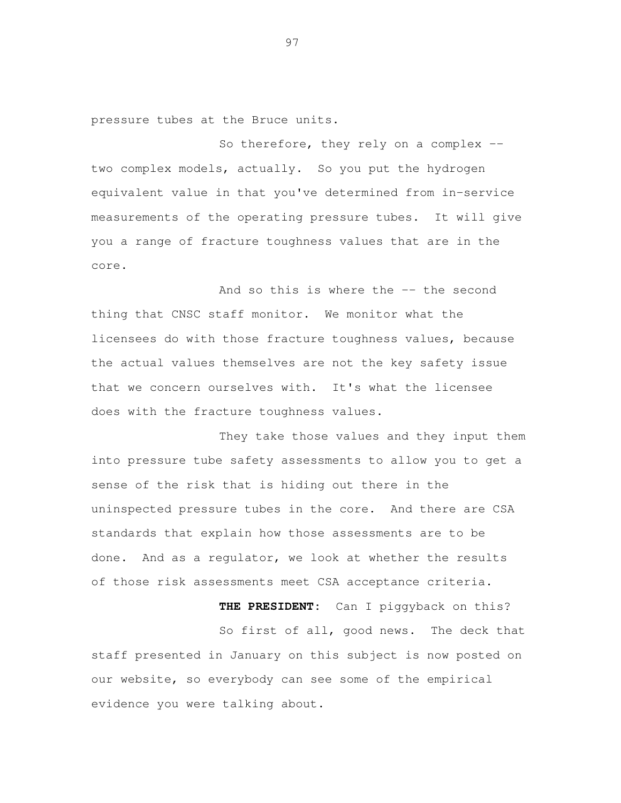pressure tubes at the Bruce units.

So therefore, they rely on a complex -- two complex models, actually. So you put the hydrogen equivalent value in that you've determined from in-service measurements of the operating pressure tubes. It will give you a range of fracture toughness values that are in the core.

And so this is where the -- the second thing that CNSC staff monitor. We monitor what the licensees do with those fracture toughness values, because the actual values themselves are not the key safety issue that we concern ourselves with. It's what the licensee does with the fracture toughness values.

 They take those values and they input them into pressure tube safety assessments to allow you to get a sense of the risk that is hiding out there in the uninspected pressure tubes in the core. And there are CSA standards that explain how those assessments are to be done. And as a regulator, we look at whether the results of those risk assessments meet CSA acceptance criteria.

 **THE PRESIDENT:** Can I piggyback on this? So first of all, good news. The deck that staff presented in January on this subject is now posted on our website, so everybody can see some of the empirical evidence you were talking about.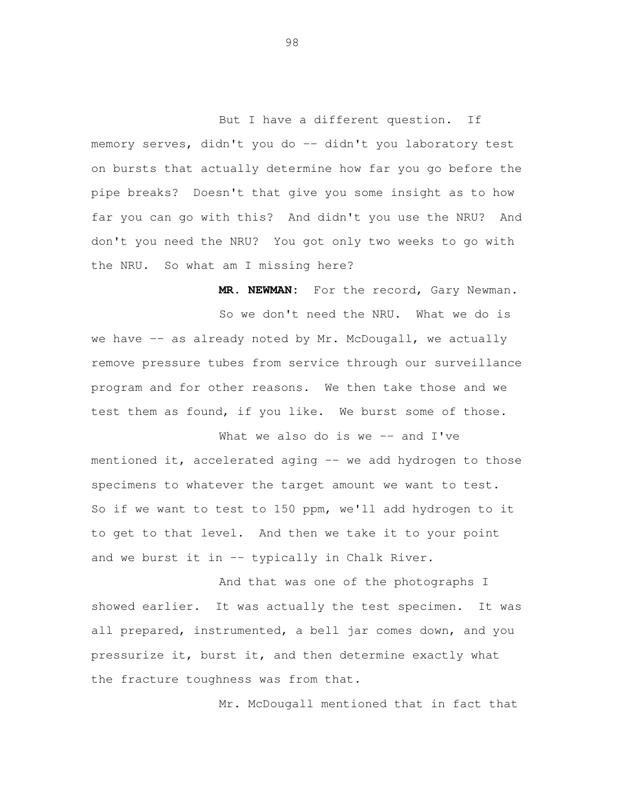But I have a different question. If memory serves, didn't you do -- didn't you laboratory test on bursts that actually determine how far you go before the pipe breaks? Doesn't that give you some insight as to how far you can go with this? And didn't you use the NRU? And don't you need the NRU? You got only two weeks to go with the NRU. So what am I missing here?

 **MR. NEWMAN:** For the record, Gary Newman. So we don't need the NRU. What we do is we have -- as already noted by Mr. McDougall, we actually remove pressure tubes from service through our surveillance program and for other reasons. We then take those and we test them as found, if you like. We burst some of those.

What we also do is we -- and I've mentioned it, accelerated aging -- we add hydrogen to those specimens to whatever the target amount we want to test. So if we want to test to 150 ppm, we'll add hydrogen to it and we burst it in -- typically in Chalk River. to get to that level. And then we take it to your point

 And that was one of the photographs I showed earlier. It was actually the test specimen. It was all prepared, instrumented, a bell jar comes down, and you pressurize it, burst it, and then determine exactly what the fracture toughness was from that.

Mr. McDougall mentioned that in fact that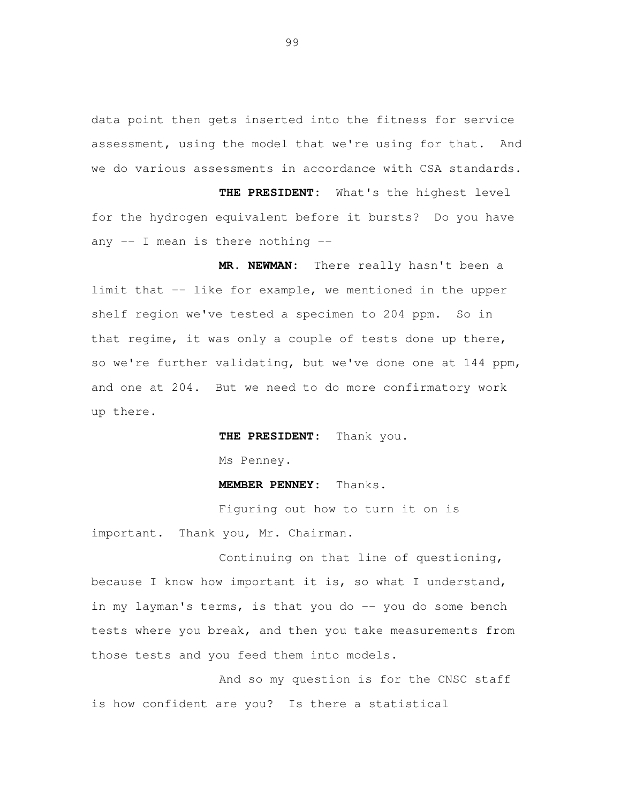data point then gets inserted into the fitness for service assessment, using the model that we're using for that. And we do various assessments in accordance with CSA standards.

 **THE PRESIDENT:** What's the highest level for the hydrogen equivalent before it bursts? Do you have any -- I mean is there nothing --

 **MR. NEWMAN:** There really hasn't been a limit that -- like for example, we mentioned in the upper shelf region we've tested a specimen to 204 ppm. So in that regime, it was only a couple of tests done up there, so we're further validating, but we've done one at 144 ppm, and one at 204. But we need to do more confirmatory work up there.

**THE PRESIDENT:** Thank you.

Ms Penney.

## **MEMBER PENNEY:** Thanks.

 Figuring out how to turn it on is important. Thank you, Mr. Chairman.

 Continuing on that line of questioning, because I know how important it is, so what I understand, in my layman's terms, is that you do -- you do some bench tests where you break, and then you take measurements from those tests and you feed them into models.

 And so my question is for the CNSC staff is how confident are you? Is there a statistical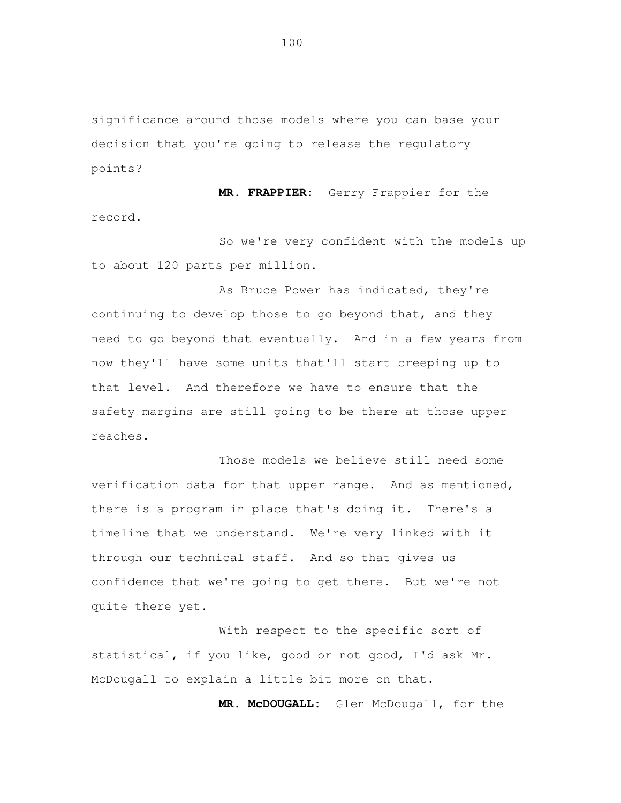significance around those models where you can base your decision that you're going to release the regulatory points?

 **MR. FRAPPIER:** Gerry Frappier for the record.

 So we're very confident with the models up to about 120 parts per million.

 As Bruce Power has indicated, they're continuing to develop those to go beyond that, and they need to go beyond that eventually. And in a few years from now they'll have some units that'll start creeping up to that level. And therefore we have to ensure that the safety margins are still going to be there at those upper reaches.

 Those models we believe still need some verification data for that upper range. And as mentioned, there is a program in place that's doing it. There's a timeline that we understand. We're very linked with it through our technical staff. And so that gives us confidence that we're going to get there. But we're not quite there yet.

 With respect to the specific sort of statistical, if you like, good or not good, I'd ask Mr. McDougall to explain a little bit more on that.

**MR. McDOUGALL:** Glen McDougall, for the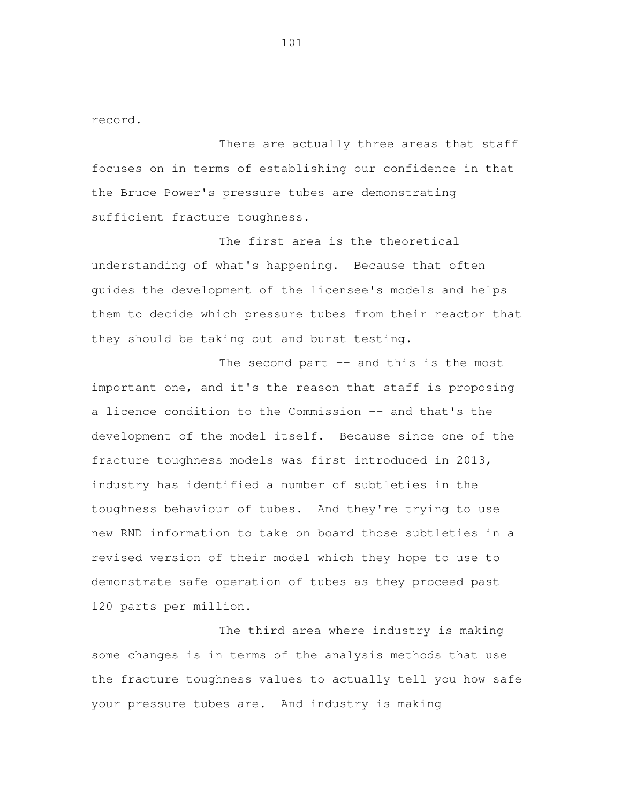record.

 There are actually three areas that staff focuses on in terms of establishing our confidence in that the Bruce Power's pressure tubes are demonstrating sufficient fracture toughness.

 The first area is the theoretical understanding of what's happening. Because that often guides the development of the licensee's models and helps them to decide which pressure tubes from their reactor that they should be taking out and burst testing.

The second part -- and this is the most important one, and it's the reason that staff is proposing a licence condition to the Commission -- and that's the development of the model itself. Because since one of the fracture toughness models was first introduced in 2013, industry has identified a number of subtleties in the toughness behaviour of tubes. And they're trying to use new RND information to take on board those subtleties in a revised version of their model which they hope to use to demonstrate safe operation of tubes as they proceed past 120 parts per million.

 The third area where industry is making some changes is in terms of the analysis methods that use the fracture toughness values to actually tell you how safe your pressure tubes are. And industry is making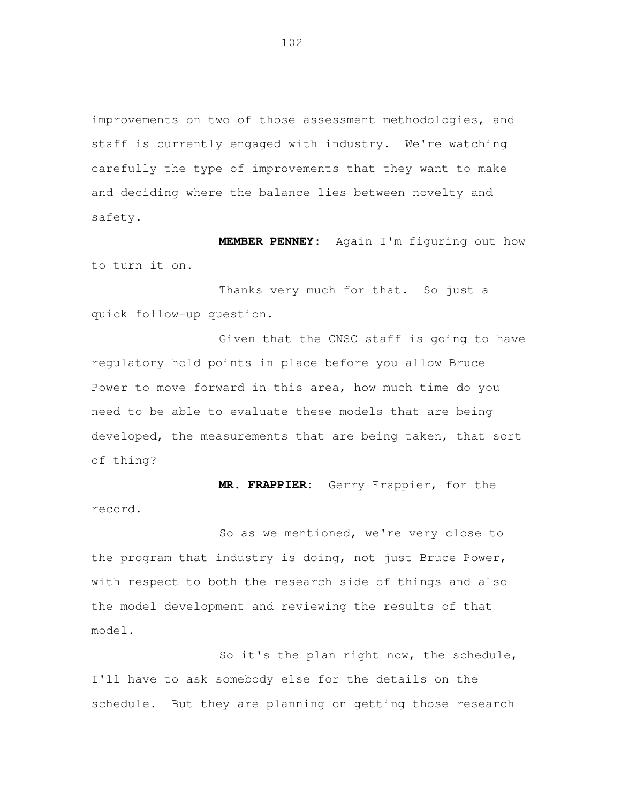improvements on two of those assessment methodologies, and staff is currently engaged with industry. We're watching carefully the type of improvements that they want to make and deciding where the balance lies between novelty and safety.

 **MEMBER PENNEY:** Again I'm figuring out how to turn it on.

 Thanks very much for that. So just a quick follow-up question.

 Given that the CNSC staff is going to have regulatory hold points in place before you allow Bruce Power to move forward in this area, how much time do you need to be able to evaluate these models that are being developed, the measurements that are being taken, that sort of thing?

 **MR. FRAPPIER:** Gerry Frappier, for the record.

 So as we mentioned, we're very close to the program that industry is doing, not just Bruce Power, with respect to both the research side of things and also the model development and reviewing the results of that model.

 So it's the plan right now, the schedule, I'll have to ask somebody else for the details on the schedule. But they are planning on getting those research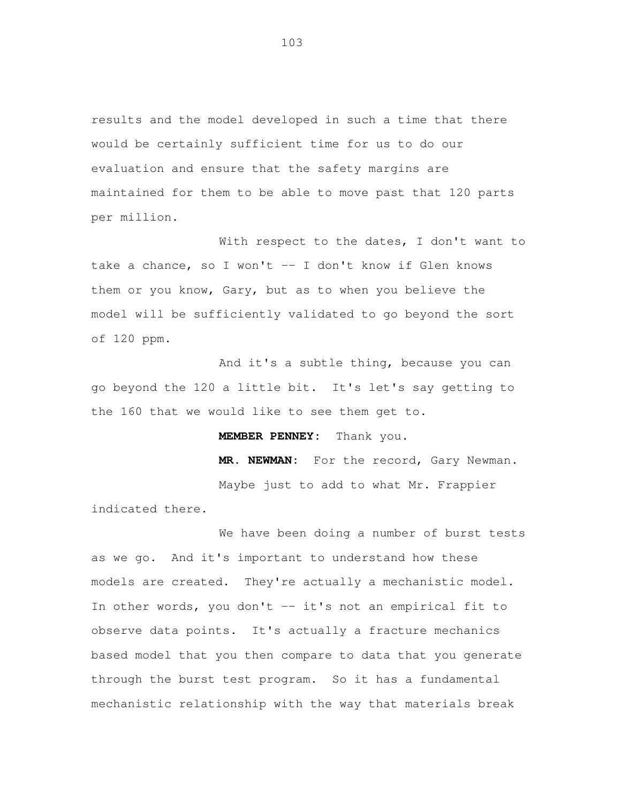results and the model developed in such a time that there would be certainly sufficient time for us to do our evaluation and ensure that the safety margins are maintained for them to be able to move past that 120 parts per million.

 With respect to the dates, I don't want to take a chance, so I won't -- I don't know if Glen knows them or you know, Gary, but as to when you believe the model will be sufficiently validated to go beyond the sort of 120 ppm.

 And it's a subtle thing, because you can go beyond the 120 a little bit. It's let's say getting to the 160 that we would like to see them get to.

**MEMBER PENNEY:** Thank you.

 **MR. NEWMAN:** For the record, Gary Newman. Maybe just to add to what Mr. Frappier

indicated there.

 We have been doing a number of burst tests as we go. And it's important to understand how these models are created. They're actually a mechanistic model. In other words, you don't -- it's not an empirical fit to observe data points. It's actually a fracture mechanics based model that you then compare to data that you generate through the burst test program. So it has a fundamental mechanistic relationship with the way that materials break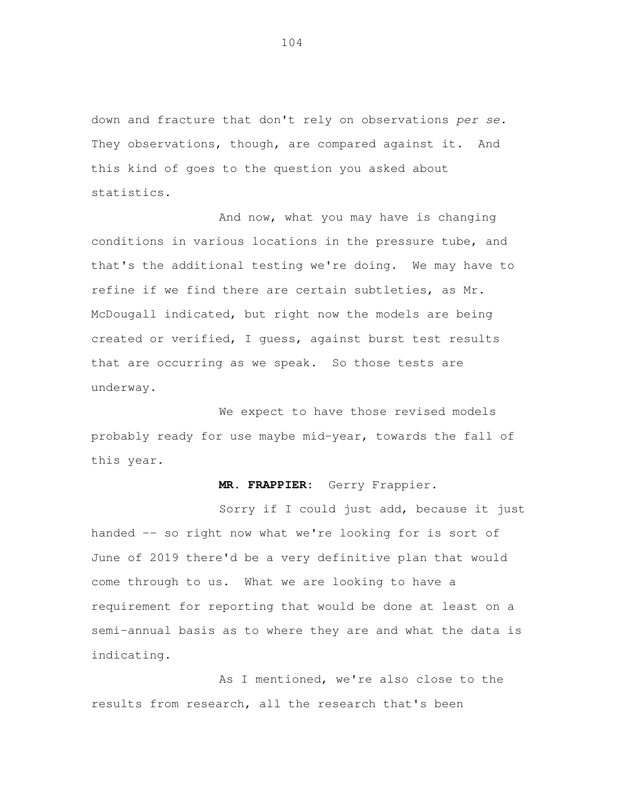down and fracture that don't rely on observations per se. They observations, though, are compared against it. And this kind of goes to the question you asked about statistics.

 And now, what you may have is changing conditions in various locations in the pressure tube, and that's the additional testing we're doing. We may have to refine if we find there are certain subtleties, as Mr. McDougall indicated, but right now the models are being created or verified, I guess, against burst test results that are occurring as we speak. So those tests are underway.

 We expect to have those revised models probably ready for use maybe mid-year, towards the fall of this year.

## **MR. FRAPPIER:** Gerry Frappier.

 Sorry if I could just add, because it just handed -- so right now what we're looking for is sort of June of 2019 there'd be a very definitive plan that would come through to us. What we are looking to have a requirement for reporting that would be done at least on a semi-annual basis as to where they are and what the data is indicating.

 As I mentioned, we're also close to the results from research, all the research that's been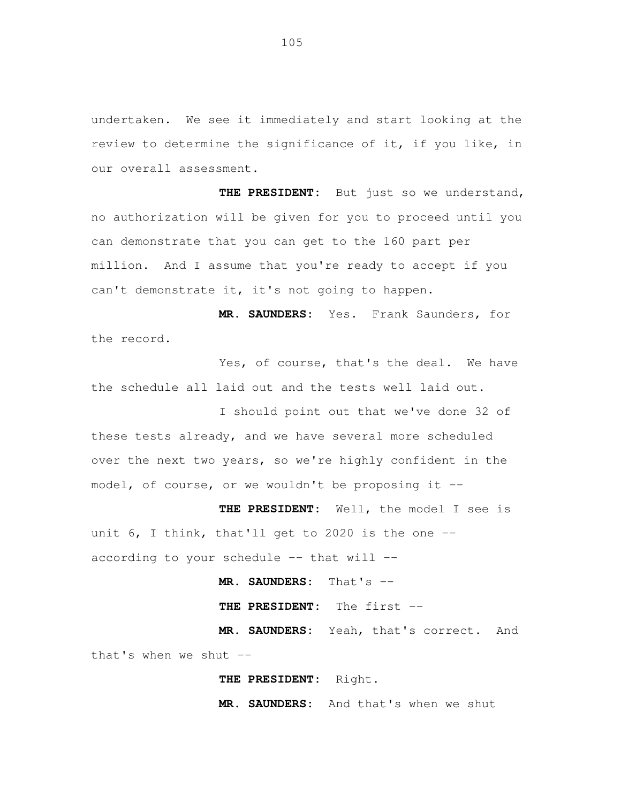undertaken. We see it immediately and start looking at the review to determine the significance of it, if you like, in our overall assessment.

 **THE PRESIDENT:** But just so we understand, no authorization will be given for you to proceed until you can demonstrate that you can get to the 160 part per million. And I assume that you're ready to accept if you can't demonstrate it, it's not going to happen.

 **MR. SAUNDERS:** Yes. Frank Saunders, for the record.

 Yes, of course, that's the deal. We have the schedule all laid out and the tests well laid out.

 I should point out that we've done 32 of these tests already, and we have several more scheduled over the next two years, so we're highly confident in the model, of course, or we wouldn't be proposing it --

 **THE PRESIDENT:** Well, the model I see is unit 6, I think, that'll get to 2020 is the one - according to your schedule -- that will --

 **MR. SAUNDERS:** That's --

 **THE PRESIDENT:** The first --

 **MR. SAUNDERS:** Yeah, that's correct. And that's when we shut --

**THE PRESIDENT:** Right.

 **MR. SAUNDERS:** And that's when we shut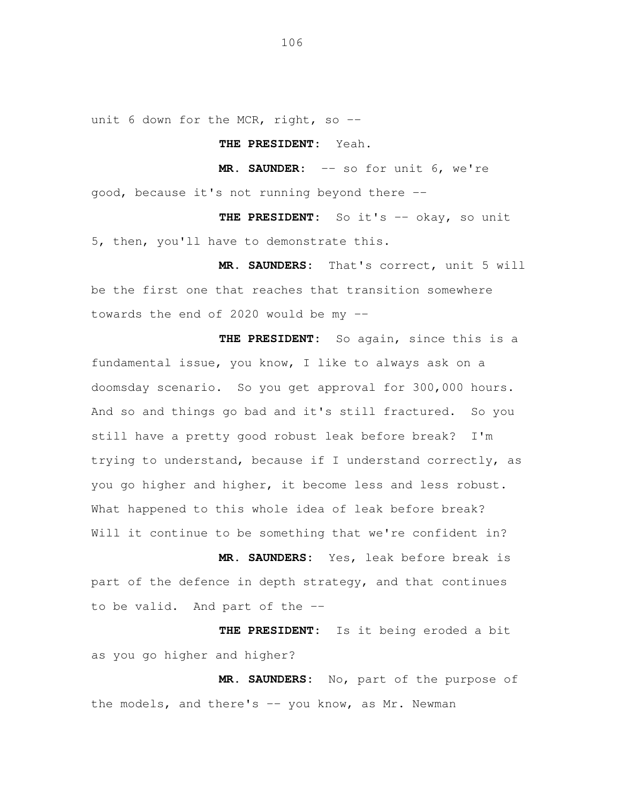unit 6 down for the MCR, right, so --

## **THE PRESIDENT:** Yeah.

 **MR. SAUNDER:** -- so for unit 6, we're good, because it's not running beyond there --

 **THE PRESIDENT:** So it's -- okay, so unit 5, then, you'll have to demonstrate this.

 **MR. SAUNDERS:** That's correct, unit 5 will be the first one that reaches that transition somewhere towards the end of 2020 would be my --

 **THE PRESIDENT:** So again, since this is a fundamental issue, you know, I like to always ask on a doomsday scenario. So you get approval for 300,000 hours. And so and things go bad and it's still fractured. So you still have a pretty good robust leak before break? I'm trying to understand, because if I understand correctly, as you go higher and higher, it become less and less robust. What happened to this whole idea of leak before break? Will it continue to be something that we're confident in?

 **MR. SAUNDERS:** Yes, leak before break is part of the defence in depth strategy, and that continues to be valid. And part of the --

 **THE PRESIDENT:** Is it being eroded a bit as you go higher and higher?

 **MR. SAUNDERS:** No, part of the purpose of the models, and there's -- you know, as Mr. Newman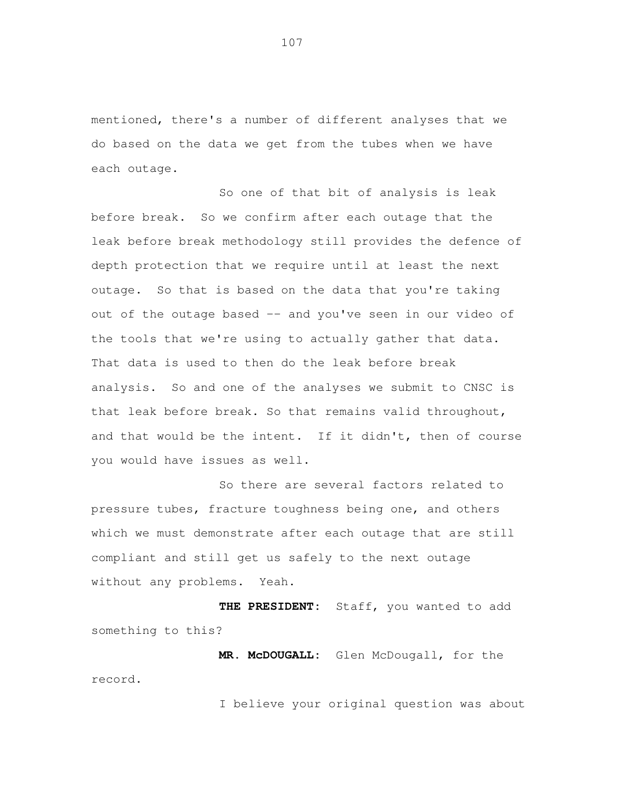mentioned, there's a number of different analyses that we do based on the data we get from the tubes when we have each outage.

 So one of that bit of analysis is leak before break. leak before break methodology still provides the defence of depth protection that we require until at least the next outage. So that is based on the data that you're taking out of the outage based -- and you've seen in our video of the tools that we're using to actually gather that data. That data is used to then do the leak before break analysis. So and one of the analyses we submit to CNSC is that leak before break. So that remains valid throughout, and that would be the intent. If it didn't, then of course you would have issues as well. So we confirm after each outage that the

 So there are several factors related to pressure tubes, fracture toughness being one, and others which we must demonstrate after each outage that are still compliant and still get us safely to the next outage without any problems. Yeah.

 **THE PRESIDENT:** Staff, you wanted to add something to this?

 **MR. McDOUGALL:** Glen McDougall, for the record.

I believe your original question was about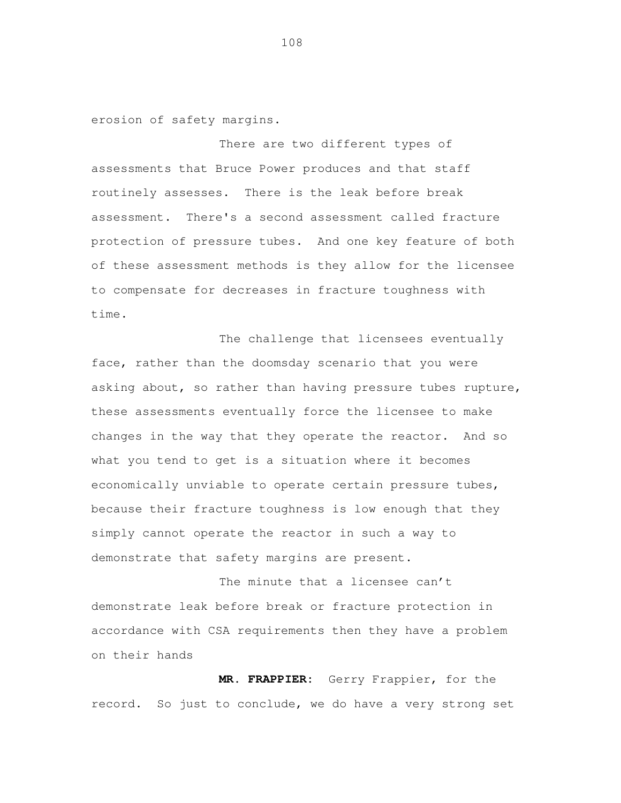erosion of safety margins.

 There are two different types of assessments that Bruce Power produces and that staff routinely assesses. There is the leak before break assessment. There's a second assessment called fracture protection of pressure tubes. And one key feature of both of these assessment methods is they allow for the licensee to compensate for decreases in fracture toughness with time.<br>The challenge that licensees eventually

 face, rather than the doomsday scenario that you were asking about, so rather than having pressure tubes rupture, these assessments eventually force the licensee to make changes in the way that they operate the reactor. And so what you tend to get is a situation where it becomes economically unviable to operate certain pressure tubes, because their fracture toughness is low enough that they simply cannot operate the reactor in such a way to demonstrate that safety margins are present.

 The minute that a licensee can't demonstrate leak before break or fracture protection in accordance with CSA requirements then they have a problem on their hands

 **MR. FRAPPIER:** Gerry Frappier, for the record. So just to conclude, we do have a very strong set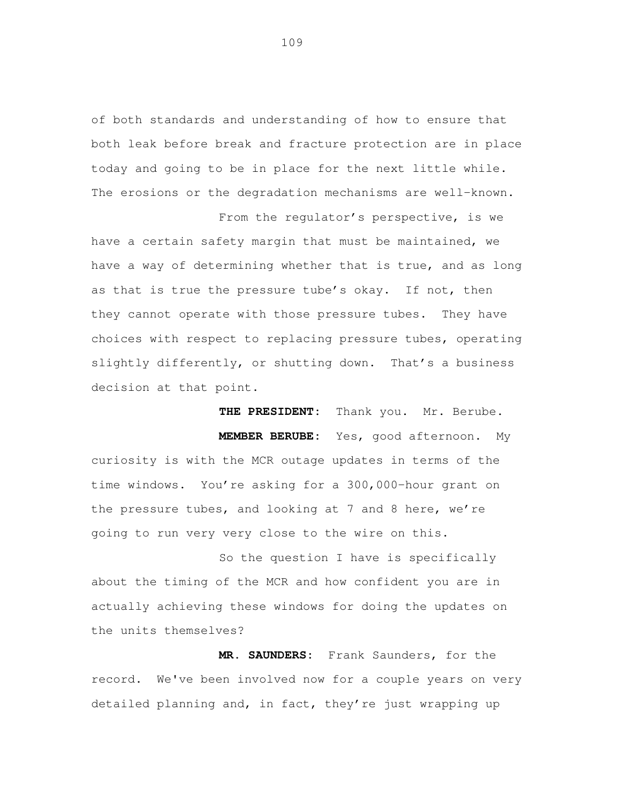of both standards and understanding of how to ensure that both leak before break and fracture protection are in place today and going to be in place for the next little while. The erosions or the degradation mechanisms are well-known.

 From the regulator's perspective, is we have a certain safety margin that must be maintained, we have a way of determining whether that is true, and as long as that is true the pressure tube's okay. If not, then they cannot operate with those pressure tubes. They have choices with respect to replacing pressure tubes, operating slightly differently, or shutting down. That's a business decision at that point.

 **THE PRESIDENT:** Thank you. Mr. Berube. **MEMBER BERUBE:** Yes, good afternoon. My curiosity is with the MCR outage updates in terms of the time windows. You're asking for a 300,000-hour grant on the pressure tubes, and looking at 7 and 8 here, we're going to run very very close to the wire on this.

 So the question I have is specifically about the timing of the MCR and how confident you are in actually achieving these windows for doing the updates on the units themselves?

 **MR. SAUNDERS:** Frank Saunders, for the record. We've been involved now for a couple years on very detailed planning and, in fact, they're just wrapping up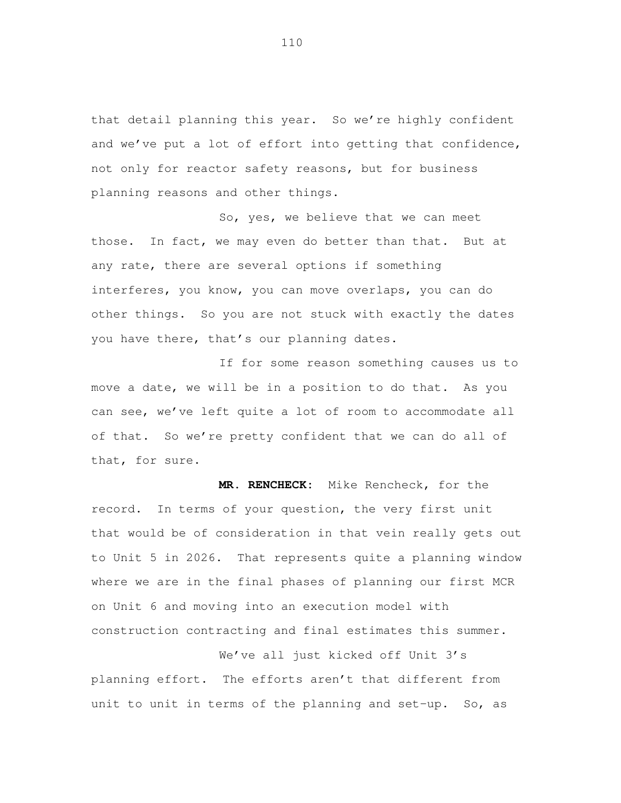that detail planning this year. So we're highly confident and we've put a lot of effort into getting that confidence, not only for reactor safety reasons, but for business planning reasons and other things.

 So, yes, we believe that we can meet those. In fact, we may even do better than that. But at any rate, there are several options if something interferes, you know, you can move overlaps, you can do other things. So you are not stuck with exactly the dates you have there, that's our planning dates.

 If for some reason something causes us to move a date, we will be in a position to do that. As you can see, we've left quite a lot of room to accommodate all of that. So we're pretty confident that we can do all of that, for sure.

 **MR. RENCHECK:** Mike Rencheck, for the record. In terms of your question, the very first unit that would be of consideration in that vein really gets out to Unit 5 in 2026. That represents quite a planning window where we are in the final phases of planning our first MCR on Unit 6 and moving into an execution model with construction contracting and final estimates this summer.

 We've all just kicked off Unit 3's planning effort. The efforts aren't that different from unit to unit in terms of the planning and set-up. So, as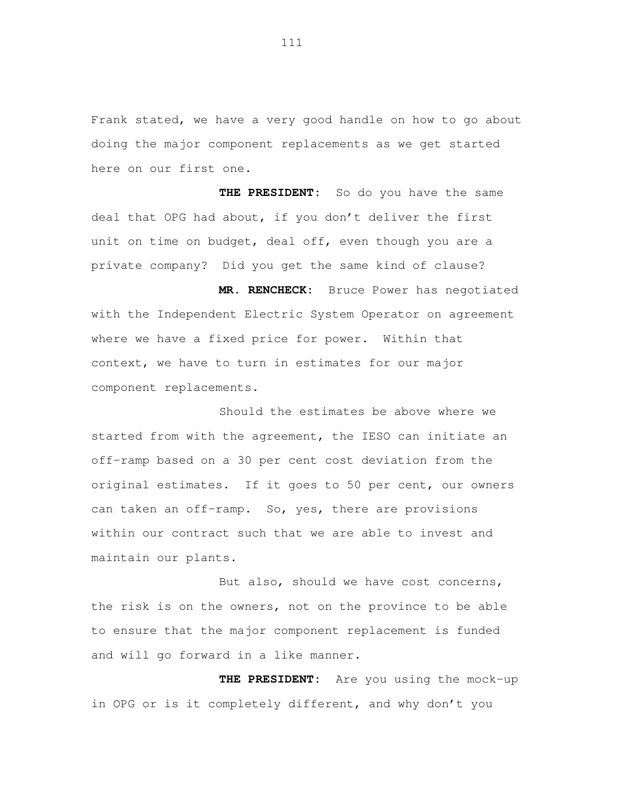Frank stated, we have a very good handle on how to go about doing the major component replacements as we get started here on our first one.

 **THE PRESIDENT:** So do you have the same deal that OPG had about, if you don't deliver the first unit on time on budget, deal off, even though you are a private company? Did you get the same kind of clause?

 **MR. RENCHECK:** Bruce Power has negotiated with the Independent Electric System Operator on agreement where we have a fixed price for power. Within that context, we have to turn in estimates for our major component replacements.<br>Should the estimates be above where we

 started from with the agreement, the IESO can initiate an off-ramp based on a 30 per cent cost deviation from the original estimates. If it goes to 50 per cent, our owners can taken an off-ramp. So, yes, there are provisions within our contract such that we are able to invest and maintain our plants.

 But also, should we have cost concerns, the risk is on the owners, not on the province to be able to ensure that the major component replacement is funded and will go forward in a like manner.

 **THE PRESIDENT:** Are you using the mock-up in OPG or is it completely different, and why don't you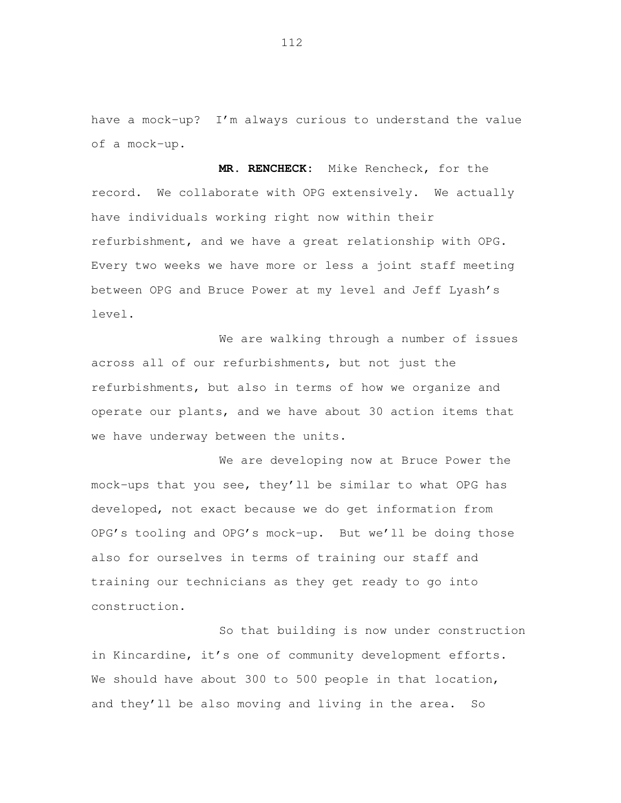have a mock-up? I'm always curious to understand the value of a mock-up.

 **MR. RENCHECK:** Mike Rencheck, for the record. We collaborate with OPG extensively. We actually have individuals working right now within their refurbishment, and we have a great relationship with OPG. Every two weeks we have more or less a joint staff meeting between OPG and Bruce Power at my level and Jeff Lyash's level.<br>We are walking through a number of issues

 across all of our refurbishments, but not just the refurbishments, but also in terms of how we organize and operate our plants, and we have about 30 action items that we have underway between the units.

 We are developing now at Bruce Power the mock-ups that you see, they'll be similar to what OPG has developed, not exact because we do get information from OPG's tooling and OPG's mock-up. But we'll be doing those also for ourselves in terms of training our staff and training our technicians as they get ready to go into construction.<br>So that building is now under construction

 in Kincardine, it's one of community development efforts. We should have about 300 to 500 people in that location, and they'll be also moving and living in the area. So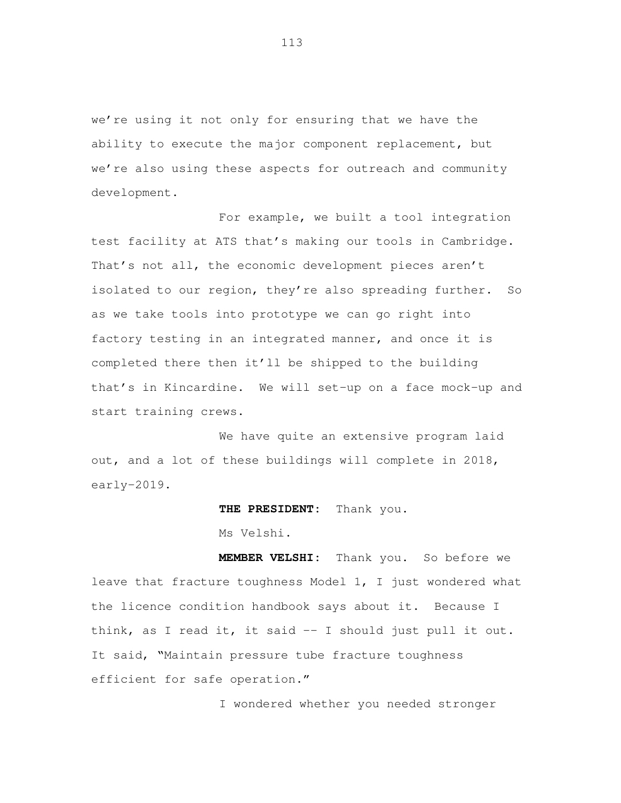we're using it not only for ensuring that we have the ability to execute the major component replacement, but we're also using these aspects for outreach and community development.

 For example, we built a tool integration test facility at ATS that's making our tools in Cambridge. That's not all, the economic development pieces aren't isolated to our region, they're also spreading further. So as we take tools into prototype we can go right into factory testing in an integrated manner, and once it is completed there then it'll be shipped to the building that's in Kincardine. We will set-up on a face mock-up and start training crews.

 We have quite an extensive program laid out, and a lot of these buildings will complete in 2018, early-2019.

## **THE PRESIDENT:** Thank you.

Ms Velshi.

 **MEMBER VELSHI:** Thank you. So before we leave that fracture toughness Model 1, I just wondered what the licence condition handbook says about it. Because I think, as I read it, it said -- I should just pull it out. It said, "Maintain pressure tube fracture toughness efficient for safe operation."

I wondered whether you needed stronger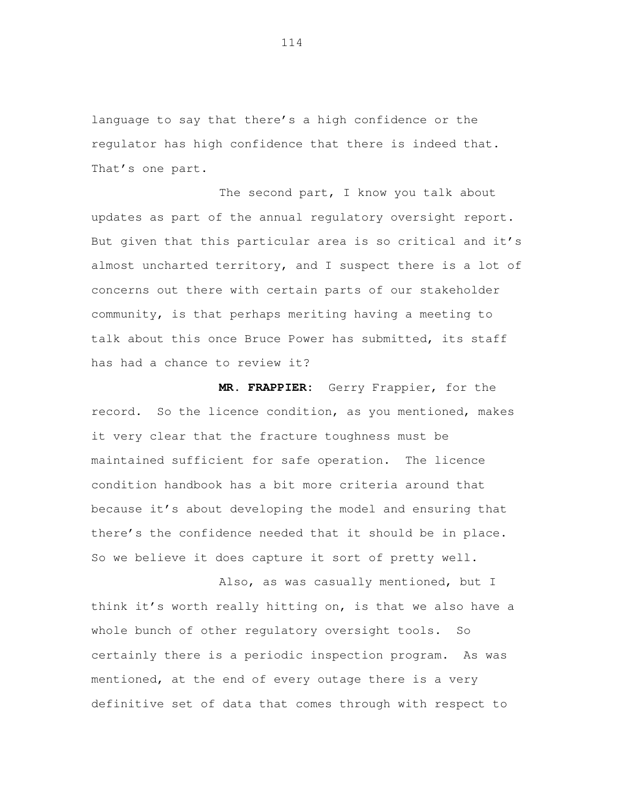language to say that there's a high confidence or the regulator has high confidence that there is indeed that. That's one part.

The second part, I know you talk about updates as part of the annual regulatory oversight report. But given that this particular area is so critical and it's almost uncharted territory, and I suspect there is a lot of concerns out there with certain parts of our stakeholder community, is that perhaps meriting having a meeting to talk about this once Bruce Power has submitted, its staff has had a chance to review it?

 **MR. FRAPPIER:** Gerry Frappier, for the record. So the licence condition, as you mentioned, makes it very clear that the fracture toughness must be maintained sufficient for safe operation. The licence condition handbook has a bit more criteria around that because it's about developing the model and ensuring that there's the confidence needed that it should be in place. So we believe it does capture it sort of pretty well.

 Also, as was casually mentioned, but I think it's worth really hitting on, is that we also have a whole bunch of other regulatory oversight tools. So certainly there is a periodic inspection program. As was mentioned, at the end of every outage there is a very definitive set of data that comes through with respect to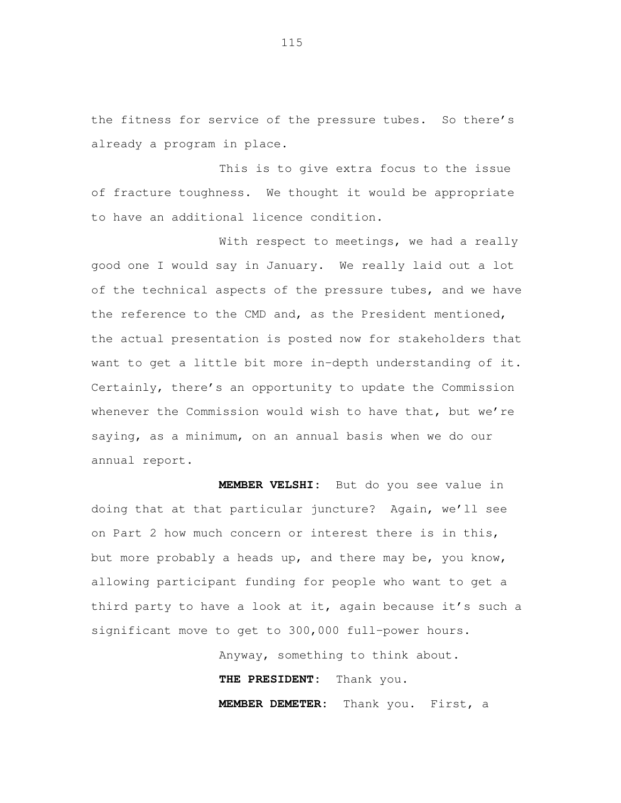the fitness for service of the pressure tubes. So there's already a program in place.

 This is to give extra focus to the issue of fracture toughness. We thought it would be appropriate to have an additional licence condition.

With respect to meetings, we had a really good one I would say in January. We really laid out a lot of the technical aspects of the pressure tubes, and we have the reference to the CMD and, as the President mentioned, the actual presentation is posted now for stakeholders that want to get a little bit more in-depth understanding of it. Certainly, there's an opportunity to update the Commission whenever the Commission would wish to have that, but we're saying, as a minimum, on an annual basis when we do our annual report.

 **MEMBER VELSHI:** But do you see value in doing that at that particular juncture? Again, we'll see on Part 2 how much concern or interest there is in this, but more probably a heads up, and there may be, you know, allowing participant funding for people who want to get a third party to have a look at it, again because it's such a significant move to get to 300,000 full-power hours.

> Anyway, something to think about. **THE PRESIDENT:** Thank you. **MEMBER DEMETER:** Thank you. First, a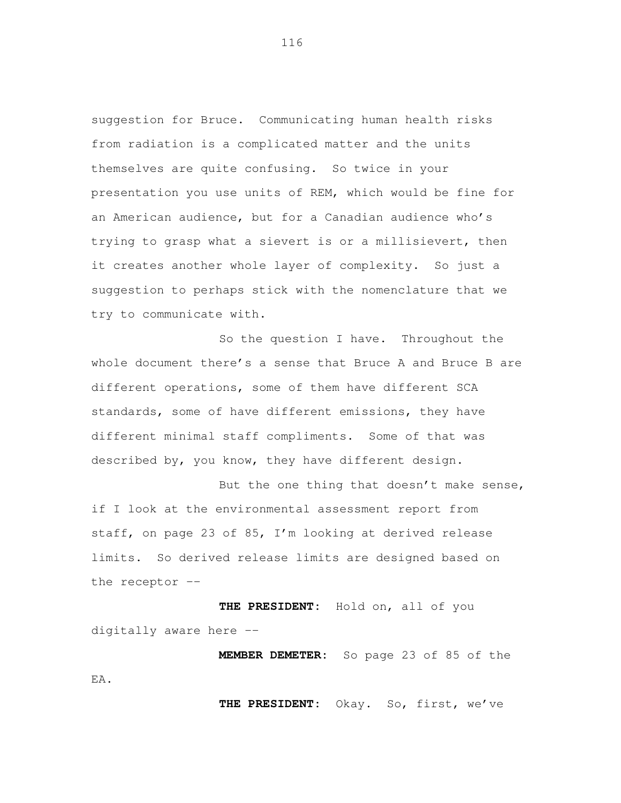suggestion for Bruce. Communicating human health risks from radiation is a complicated matter and the units themselves are quite confusing. So twice in your presentation you use units of REM, which would be fine for an American audience, but for a Canadian audience who's trying to grasp what a sievert is or a millisievert, then it creates another whole layer of complexity. So just a suggestion to perhaps stick with the nomenclature that we try to communicate with.

 So the question I have. Throughout the whole document there's a sense that Bruce A and Bruce B are different operations, some of them have different SCA standards, some of have different emissions, they have different minimal staff compliments. Some of that was described by, you know, they have different design.

But the one thing that doesn't make sense, if I look at the environmental assessment report from staff, on page 23 of 85, I'm looking at derived release limits. So derived release limits are designed based on the receptor --

 **THE PRESIDENT:** Hold on, all of you digitally aware here --

 **MEMBER DEMETER:** So page 23 of 85 of the EA.

**THE PRESIDENT:** Okay. So, first, we've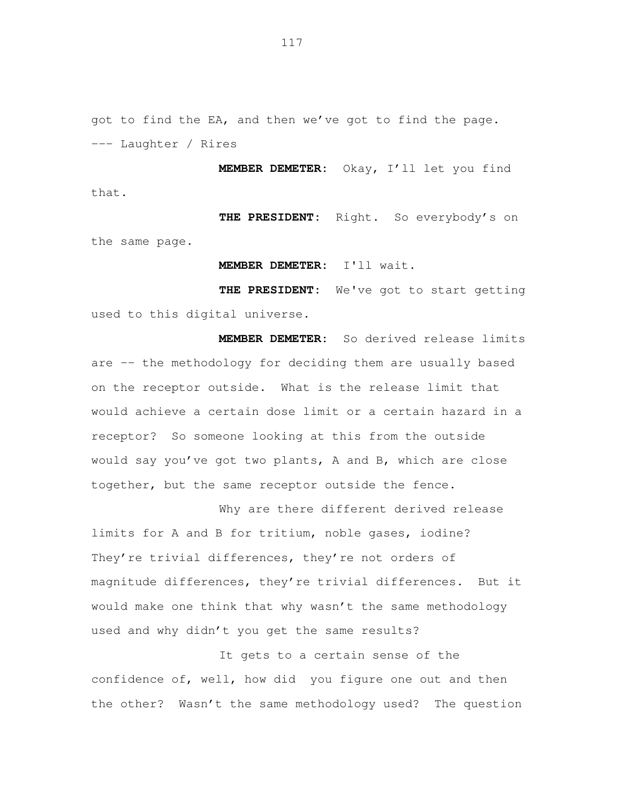got to find the EA, and then we've got to find the page. --- Laughter / Rires

 **MEMBER DEMETER:** Okay, I'll let you find that.

 **THE PRESIDENT:** Right. So everybody's on the same page.

**MEMBER DEMETER:** I'll wait.

 **THE PRESIDENT:** We've got to start getting used to this digital universe.

 **MEMBER DEMETER:** So derived release limits are -- the methodology for deciding them are usually based on the receptor outside. What is the release limit that would achieve a certain dose limit or a certain hazard in a receptor? So someone looking at this from the outside would say you've got two plants, A and B, which are close together, but the same receptor outside the fence.

 Why are there different derived release limits for A and B for tritium, noble gases, iodine? They're trivial differences, they're not orders of magnitude differences, they're trivial differences. But it would make one think that why wasn't the same methodology used and why didn't you get the same results?

 It gets to a certain sense of the confidence of, well, how did you figure one out and then the other? Wasn't the same methodology used? The question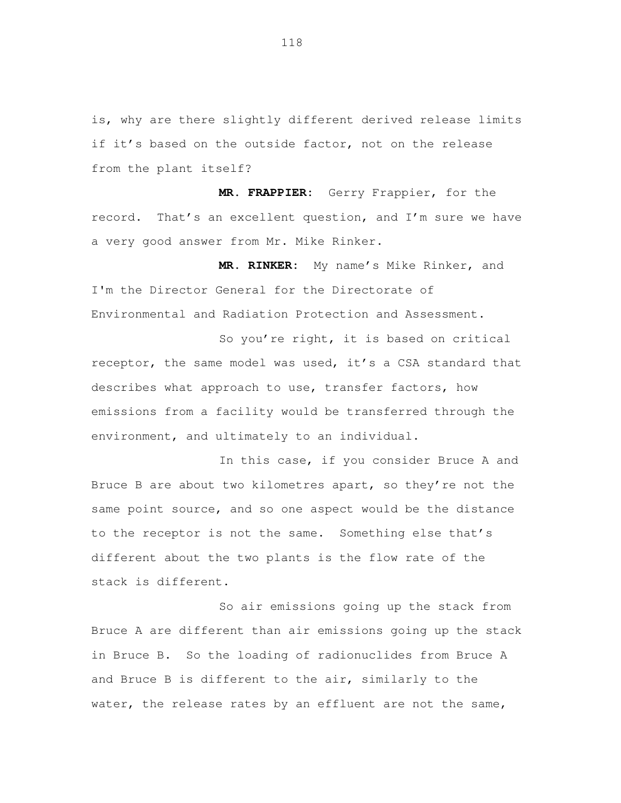is, why are there slightly different derived release limits if it's based on the outside factor, not on the release from the plant itself?

 **MR. FRAPPIER:** Gerry Frappier, for the record. That's an excellent question, and I'm sure we have a very good answer from Mr. Mike Rinker.

 **MR. RINKER:** My name's Mike Rinker, and I'm the Director General for the Directorate of Environmental and Radiation Protection and Assessment.

 So you're right, it is based on critical receptor, the same model was used, it's a CSA standard that describes what approach to use, transfer factors, how emissions from a facility would be transferred through the environment, and ultimately to an individual.

 In this case, if you consider Bruce A and Bruce B are about two kilometres apart, so they're not the same point source, and so one aspect would be the distance to the receptor is not the same. Something else that's different about the two plants is the flow rate of the stack is different.

 So air emissions going up the stack from Bruce A are different than air emissions going up the stack in Bruce B. So the loading of radionuclides from Bruce A and Bruce B is different to the air, similarly to the water, the release rates by an effluent are not the same,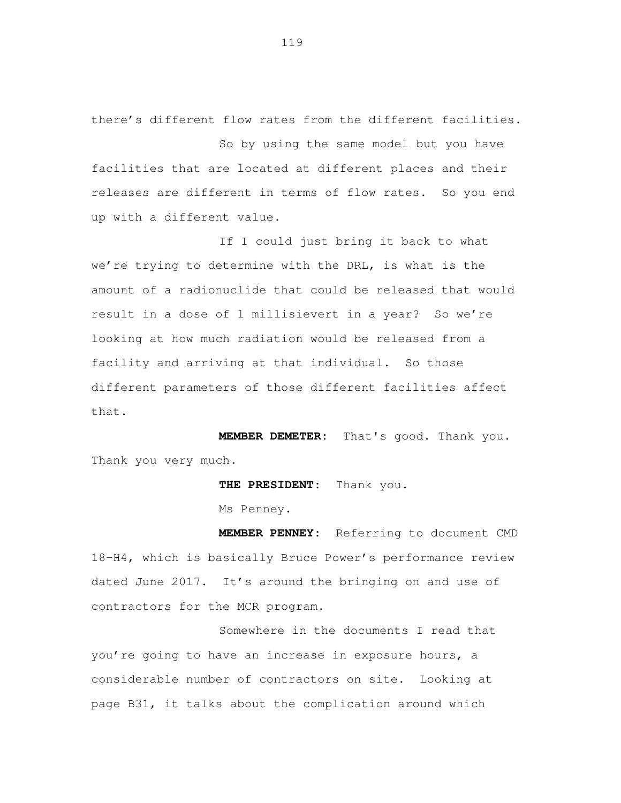there's different flow rates from the different facilities.

 So by using the same model but you have facilities that are located at different places and their releases are different in terms of flow rates. So you end up with a different value.

 If I could just bring it back to what we're trying to determine with the DRL, is what is the amount of a radionuclide that could be released that would result in a dose of 1 millisievert in a year? So we're looking at how much radiation would be released from a facility and arriving at that individual. So those different parameters of those different facilities affect that.

 **MEMBER DEMETER:** That's good. Thank you. Thank you very much.

**THE PRESIDENT:** Thank you.

Ms Penney.

 **MEMBER PENNEY:** Referring to document CMD 18-H4, which is basically Bruce Power's performance review dated June 2017. It's around the bringing on and use of contractors for the MCR program.

 Somewhere in the documents I read that you're going to have an increase in exposure hours, a considerable number of contractors on site. Looking at page B31, it talks about the complication around which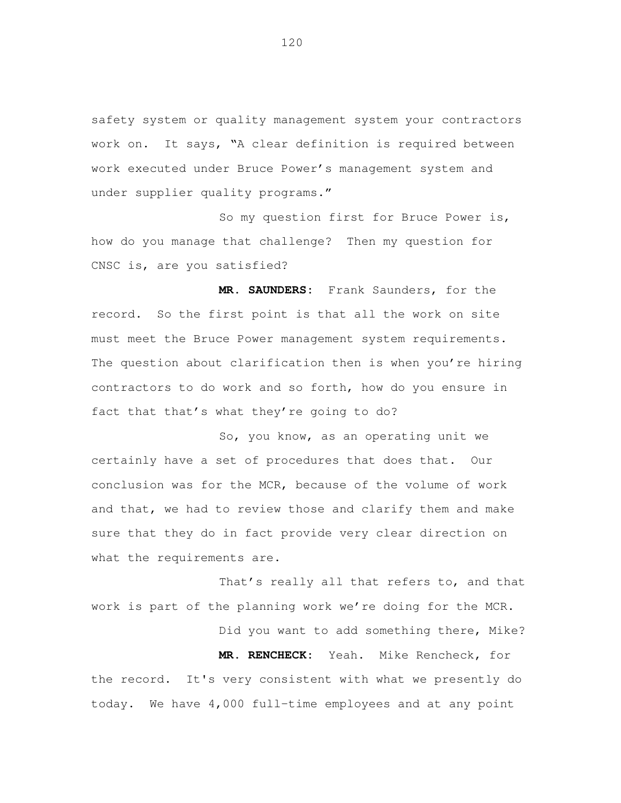safety system or quality management system your contractors work on. It says, "A clear definition is required between work executed under Bruce Power's management system and under supplier quality programs."

 So my question first for Bruce Power is, how do you manage that challenge? Then my question for CNSC is, are you satisfied?

 **MR. SAUNDERS:** Frank Saunders, for the record. So the first point is that all the work on site must meet the Bruce Power management system requirements. The question about clarification then is when you're hiring contractors to do work and so forth, how do you ensure in fact that that's what they're going to do?

 So, you know, as an operating unit we certainly have a set of procedures that does that. Our conclusion was for the MCR, because of the volume of work and that, we had to review those and clarify them and make sure that they do in fact provide very clear direction on what the requirements are.

 That's really all that refers to, and that work is part of the planning work we're doing for the MCR.

Did you want to add something there, Mike?

 **MR. RENCHECK:** Yeah. Mike Rencheck, for the record. It's very consistent with what we presently do today. We have 4,000 full-time employees and at any point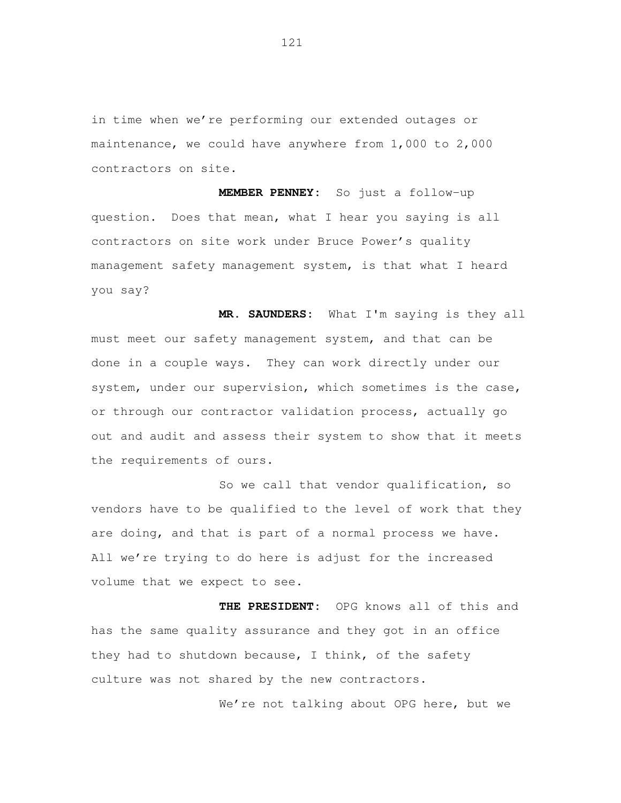in time when we're performing our extended outages or maintenance, we could have anywhere from 1,000 to 2,000 contractors on site.

 **MEMBER PENNEY:** So just a follow-up question. Does that mean, what I hear you saying is all contractors on site work under Bruce Power's quality management safety management system, is that what I heard you say?

 **MR. SAUNDERS:** What I'm saying is they all must meet our safety management system, and that can be done in a couple ways. They can work directly under our system, under our supervision, which sometimes is the case, or through our contractor validation process, actually go out and audit and assess their system to show that it meets the requirements of ours.

 So we call that vendor qualification, so vendors have to be qualified to the level of work that they are doing, and that is part of a normal process we have. All we're trying to do here is adjust for the increased volume that we expect to see.

 **THE PRESIDENT:** OPG knows all of this and has the same quality assurance and they got in an office they had to shutdown because, I think, of the safety culture was not shared by the new contractors.

We're not talking about OPG here, but we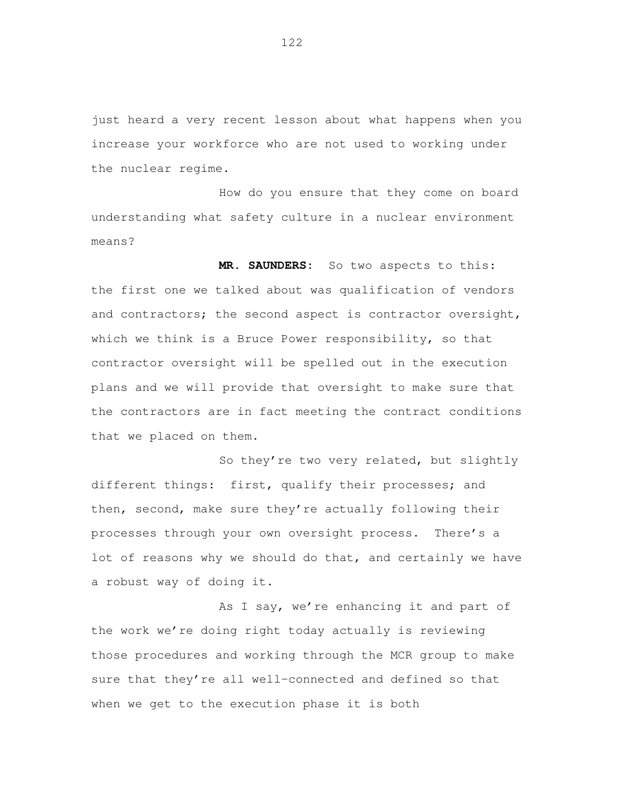just heard a very recent lesson about what happens when you increase your workforce who are not used to working under the nuclear regime.

 How do you ensure that they come on board understanding what safety culture in a nuclear environment means?

 **MR. SAUNDERS:** So two aspects to this: the first one we talked about was qualification of vendors and contractors; the second aspect is contractor oversight, which we think is a Bruce Power responsibility, so that contractor oversight will be spelled out in the execution plans and we will provide that oversight to make sure that the contractors are in fact meeting the contract conditions that we placed on them.

 So they're two very related, but slightly different things: first, qualify their processes; and then, second, make sure they're actually following their processes through your own oversight process. There's a lot of reasons why we should do that, and certainly we have a robust way of doing it.

 As I say, we're enhancing it and part of the work we're doing right today actually is reviewing those procedures and working through the MCR group to make sure that they're all well-connected and defined so that when we get to the execution phase it is both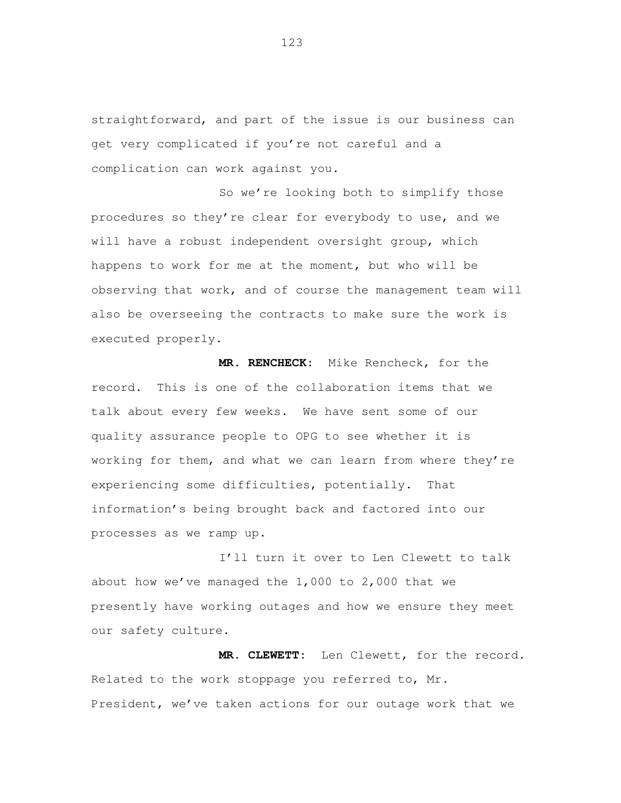straightforward, and part of the issue is our business can get very complicated if you're not careful and a complication can work against you.

 So we're looking both to simplify those procedures so they're clear for everybody to use, and we will have a robust independent oversight group, which happens to work for me at the moment, but who will be observing that work, and of course the management team will also be overseeing the contracts to make sure the work is executed properly.

 **MR. RENCHECK:** Mike Rencheck, for the record. This is one of the collaboration items that we talk about every few weeks. We have sent some of our quality assurance people to OPG to see whether it is working for them, and what we can learn from where they're experiencing some difficulties, potentially. That information's being brought back and factored into our processes as we ramp up.

 I'll turn it over to Len Clewett to talk about how we've managed the 1,000 to 2,000 that we presently have working outages and how we ensure they meet our safety culture.

 **MR. CLEWETT:** Len Clewett, for the record. Related to the work stoppage you referred to, Mr. President, we've taken actions for our outage work that we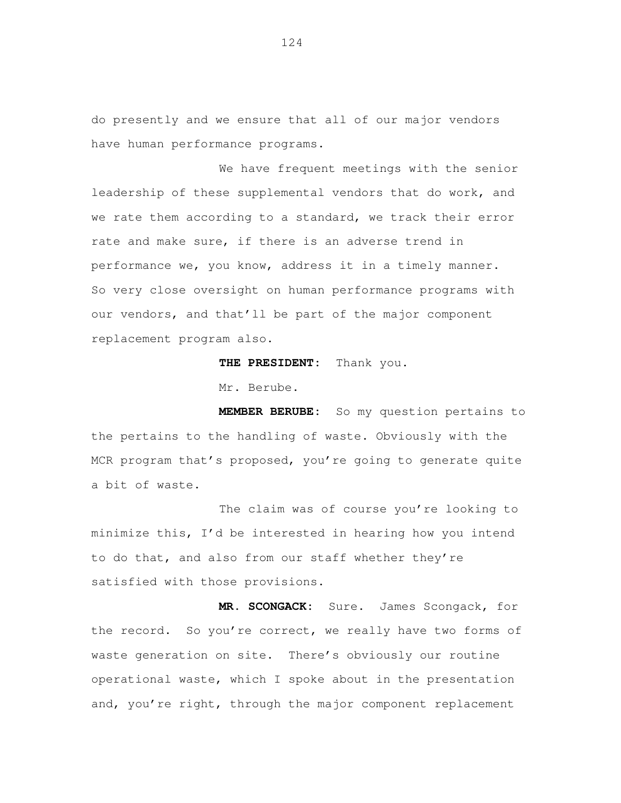do presently and we ensure that all of our major vendors have human performance programs.

 We have frequent meetings with the senior leadership of these supplemental vendors that do work, and we rate them according to a standard, we track their error rate and make sure, if there is an adverse trend in performance we, you know, address it in a timely manner. So very close oversight on human performance programs with our vendors, and that'll be part of the major component replacement program also.

**THE PRESIDENT:** Thank you.

Mr. Berube.

 **MEMBER BERUBE:** So my question pertains to the pertains to the handling of waste. Obviously with the MCR program that's proposed, you're going to generate quite a bit of waste.

 The claim was of course you're looking to minimize this, I'd be interested in hearing how you intend to do that, and also from our staff whether they're satisfied with those provisions.

 **MR. SCONGACK:** Sure. James Scongack, for the record. So you're correct, we really have two forms of waste generation on site. There's obviously our routine operational waste, which I spoke about in the presentation and, you're right, through the major component replacement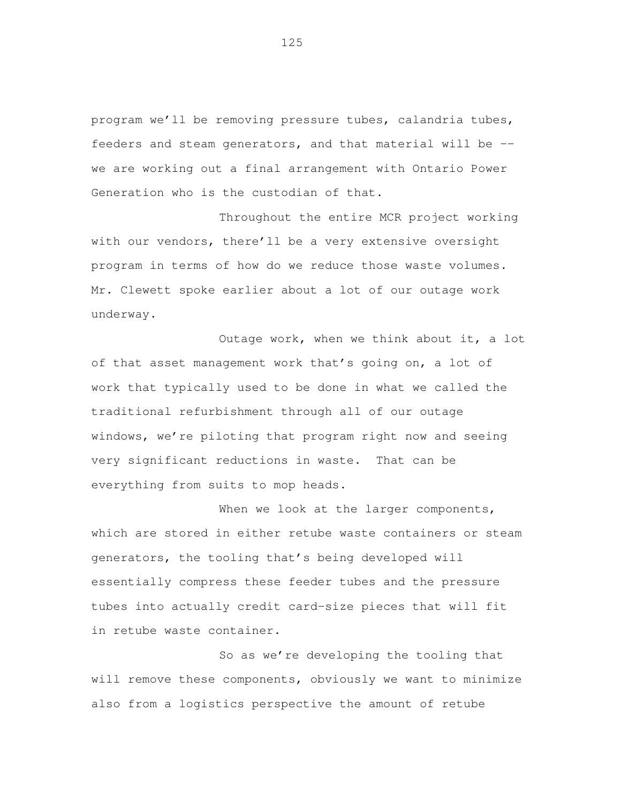program we'll be removing pressure tubes, calandria tubes, feeders and steam generators, and that material will be -- we are working out a final arrangement with Ontario Power Generation who is the custodian of that.

 Throughout the entire MCR project working with our vendors, there'll be a very extensive oversight program in terms of how do we reduce those waste volumes. Mr. Clewett spoke earlier about a lot of our outage work underway. underway.<br>Outage work, when we think about it, a lot

 of that asset management work that's going on, a lot of work that typically used to be done in what we called the traditional refurbishment through all of our outage windows, we're piloting that program right now and seeing very significant reductions in waste. That can be everything from suits to mop heads.

When we look at the larger components, which are stored in either retube waste containers or steam generators, the tooling that's being developed will essentially compress these feeder tubes and the pressure tubes into actually credit card-size pieces that will fit in retube waste container.

 So as we're developing the tooling that will remove these components, obviously we want to minimize also from a logistics perspective the amount of retube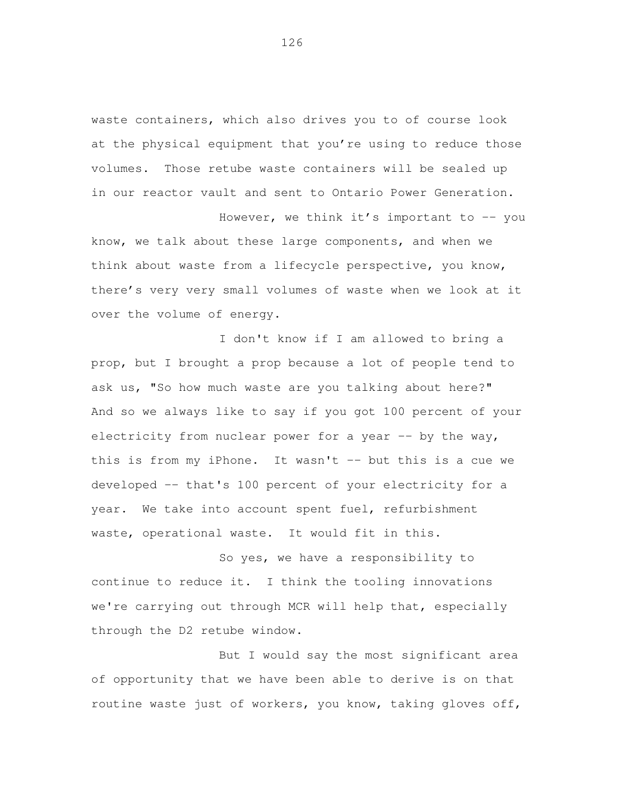waste containers, which also drives you to of course look at the physical equipment that you're using to reduce those volumes. Those retube waste containers will be sealed up in our reactor vault and sent to Ontario Power Generation.

However, we think it's important to -- you know, we talk about these large components, and when we think about waste from a lifecycle perspective, you know, there's very very small volumes of waste when we look at it over the volume of energy.

 I don't know if I am allowed to bring a prop, but I brought a prop because a lot of people tend to ask us, "So how much waste are you talking about here?" And so we always like to say if you got 100 percent of your electricity from nuclear power for a year -- by the way, this is from my iPhone. It wasn't -- but this is a cue we developed -- that's 100 percent of your electricity for a year. We take into account spent fuel, refurbishment waste, operational waste. It would fit in this.

 So yes, we have a responsibility to continue to reduce it. I think the tooling innovations we're carrying out through MCR will help that, especially through the D2 retube window.

 But I would say the most significant area of opportunity that we have been able to derive is on that routine waste just of workers, you know, taking gloves off,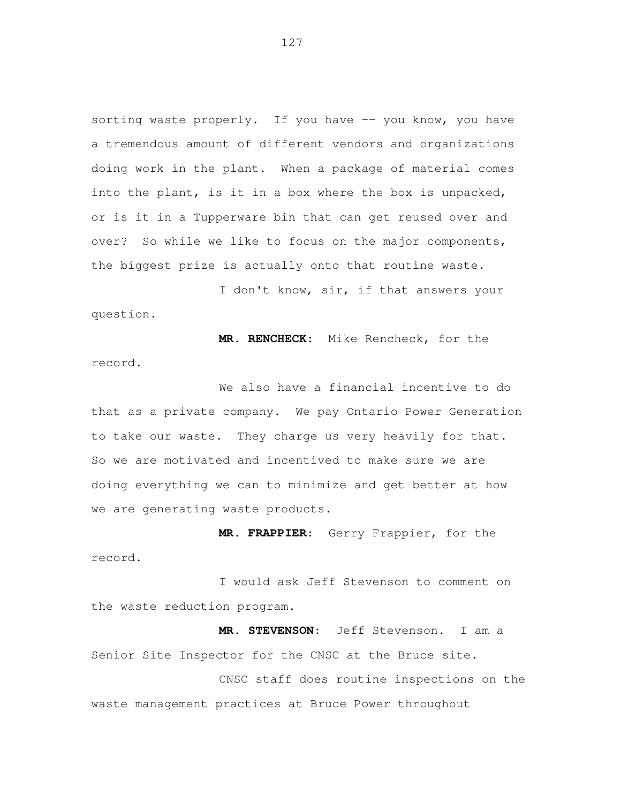sorting waste properly. If you have -- you know, you have a tremendous amount of different vendors and organizations doing work in the plant. When a package of material comes into the plant, is it in a box where the box is unpacked, or is it in a Tupperware bin that can get reused over and over? So while we like to focus on the major components, the biggest prize is actually onto that routine waste.

 I don't know, sir, if that answers your question.

 **MR. RENCHECK**: Mike Rencheck, for the record.

 We also have a financial incentive to do that as a private company. We pay Ontario Power Generation to take our waste. They charge us very heavily for that. So we are motivated and incentived to make sure we are doing everything we can to minimize and get better at how we are generating waste products.

 **MR. FRAPPIER**: Gerry Frappier, for the record.

 I would ask Jeff Stevenson to comment on the waste reduction program.

 **MR. STEVENSON**: Jeff Stevenson. I am a Senior Site Inspector for the CNSC at the Bruce site.

 CNSC staff does routine inspections on the waste management practices at Bruce Power throughout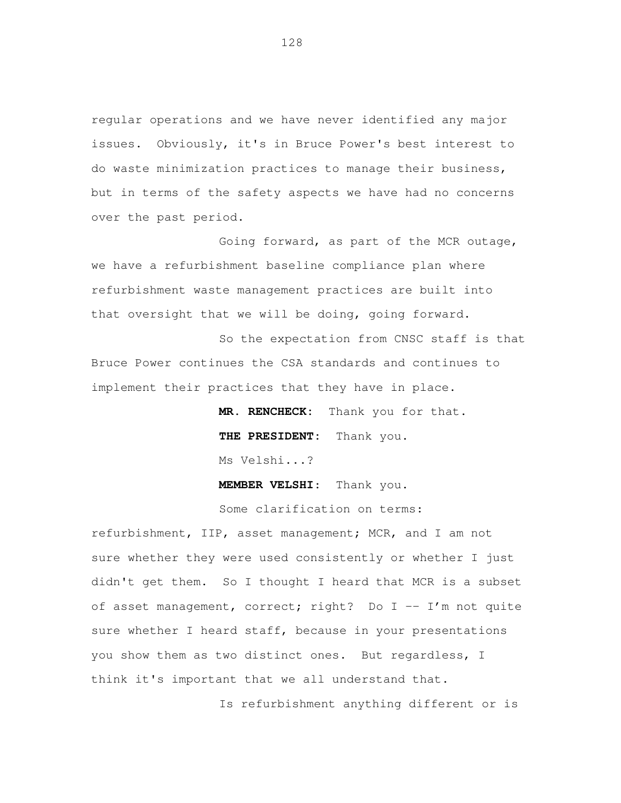regular operations and we have never identified any major issues. Obviously, it's in Bruce Power's best interest to do waste minimization practices to manage their business, but in terms of the safety aspects we have had no concerns over the past period.

 Going forward, as part of the MCR outage, we have a refurbishment baseline compliance plan where refurbishment waste management practices are built into that oversight that we will be doing, going forward.

 So the expectation from CNSC staff is that Bruce Power continues the CSA standards and continues to implement their practices that they have in place.

> **MR. RENCHECK:** Thank you for that. **THE PRESIDENT:** Thank you. Ms Velshi...?

**MEMBER VELSHI**: Thank you.

Some clarification on terms:

 refurbishment, IIP, asset management; MCR, and I am not sure whether they were used consistently or whether I just didn't get them. So I thought I heard that MCR is a subset of asset management, correct; right? Do I -- I'm not quite sure whether I heard staff, because in your presentations you show them as two distinct ones. But regardless, I think it's important that we all understand that.

Is refurbishment anything different or is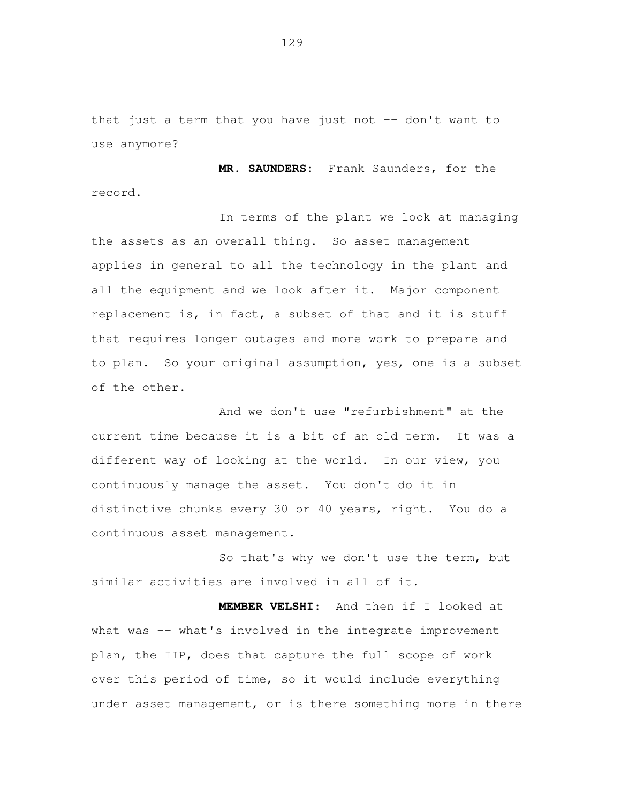that just a term that you have just not -- don't want to use anymore?

 **MR. SAUNDERS**: Frank Saunders, for the record.

 In terms of the plant we look at managing the assets as an overall thing. So asset management applies in general to all the technology in the plant and all the equipment and we look after it. Major component replacement is, in fact, a subset of that and it is stuff that requires longer outages and more work to prepare and to plan. So your original assumption, yes, one is a subset of the other.

 And we don't use "refurbishment" at the current time because it is a bit of an old term. It was a different way of looking at the world. In our view, you continuously manage the asset. You don't do it in distinctive chunks every 30 or 40 years, right. You do a continuous asset management.

 So that's why we don't use the term, but similar activities are involved in all of it.

 **MEMBER VELSHI**: And then if I looked at what was -- what's involved in the integrate improvement plan, the IIP, does that capture the full scope of work over this period of time, so it would include everything under asset management, or is there something more in there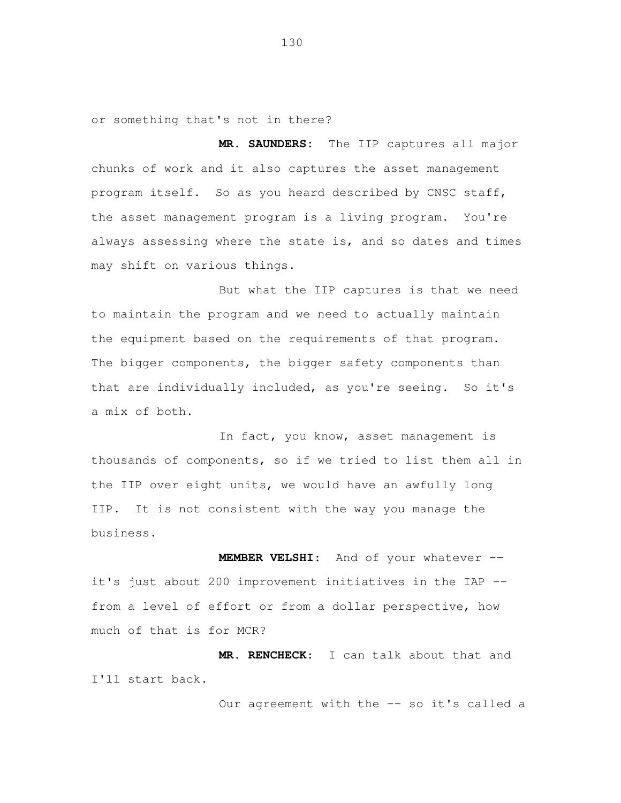or something that's not in there?

 **MR. SAUNDERS:** The IIP captures all major chunks of work and it also captures the asset management program itself. So as you heard described by CNSC staff, the asset management program is a living program. You're always assessing where the state is, and so dates and times may shift on various things.

 But what the IIP captures is that we need to maintain the program and we need to actually maintain the equipment based on the requirements of that program. The bigger components, the bigger safety components than that are individually included, as you're seeing. So it's a mix of both.

 In fact, you know, asset management is thousands of components, so if we tried to list them all in the IIP over eight units, we would have an awfully long IIP. It is not consistent with the way you manage the business.

 **MEMBER VELSHI**: And of your whatever -- it's just about 200 improvement initiatives in the IAP -- from a level of effort or from a dollar perspective, how much of that is for MCR?

 **MR. RENCHECK**: I can talk about that and I'll start back.

Our agreement with the -- so it's called a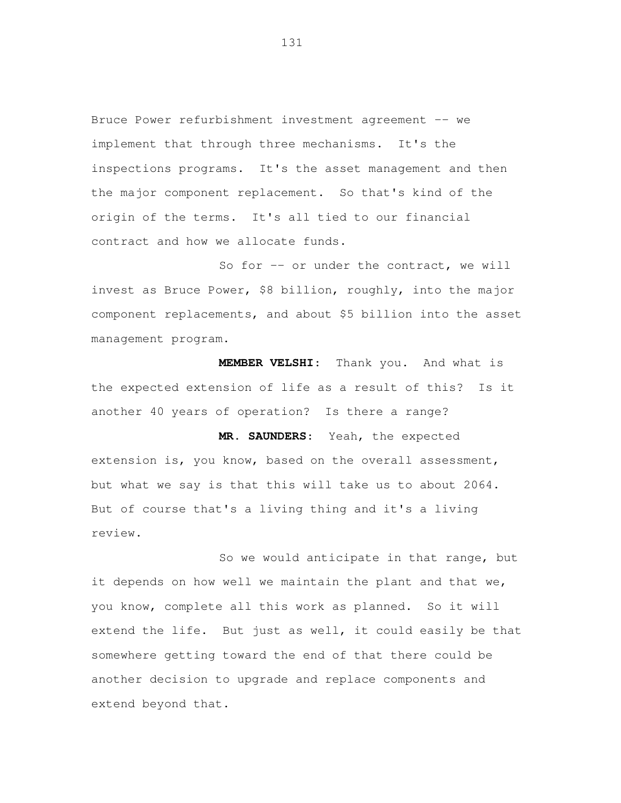Bruce Power refurbishment investment agreement -- we implement that through three mechanisms. It's the inspections programs. It's the asset management and then the major component replacement. So that's kind of the origin of the terms. It's all tied to our financial contract and how we allocate funds.

So for -- or under the contract, we will invest as Bruce Power, \$8 billion, roughly, into the major component replacements, and about \$5 billion into the asset management program.

 **MEMBER VELSHI**: Thank you. And what is the expected extension of life as a result of this? Is it another 40 years of operation? Is there a range?

 **MR. SAUNDERS**: Yeah, the expected extension is, you know, based on the overall assessment, but what we say is that this will take us to about 2064. But of course that's a living thing and it's a living review.

 So we would anticipate in that range, but it depends on how well we maintain the plant and that we, you know, complete all this work as planned. So it will extend the life. But just as well, it could easily be that somewhere getting toward the end of that there could be another decision to upgrade and replace components and extend beyond that.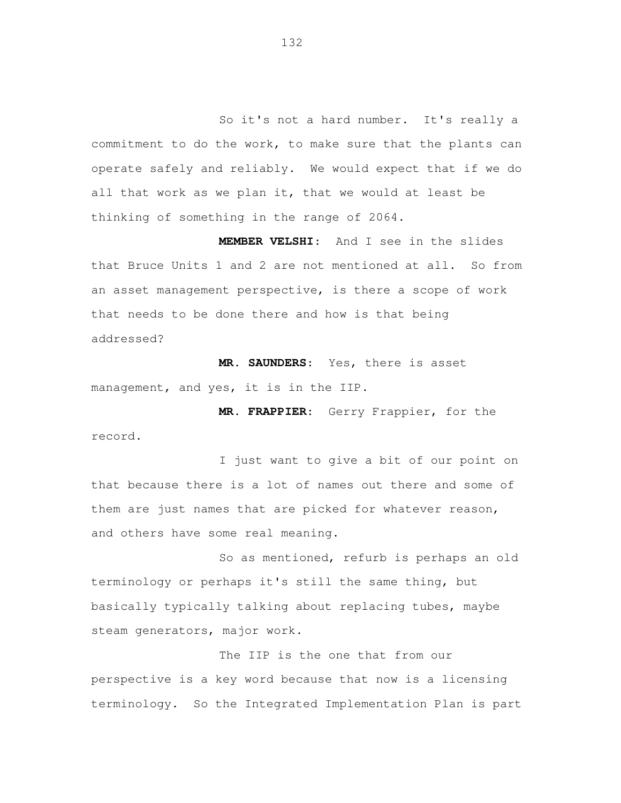So it's not a hard number. It's really a commitment to do the work, to make sure that the plants can operate safely and reliably. We would expect that if we do all that work as we plan it, that we would at least be thinking of something in the range of 2064.

 **MEMBER VELSHI**: And I see in the slides that Bruce Units 1 and 2 are not mentioned at all. So from an asset management perspective, is there a scope of work that needs to be done there and how is that being addressed?

 **MR. SAUNDERS**: Yes, there is asset management, and yes, it is in the IIP.

 **MR. FRAPPIER**: Gerry Frappier, for the record.

 I just want to give a bit of our point on that because there is a lot of names out there and some of them are just names that are picked for whatever reason, and others have some real meaning.

 So as mentioned, refurb is perhaps an old terminology or perhaps it's still the same thing, but basically typically talking about replacing tubes, maybe steam generators, major work.

 The IIP is the one that from our perspective is a key word because that now is a licensing terminology. So the Integrated Implementation Plan is part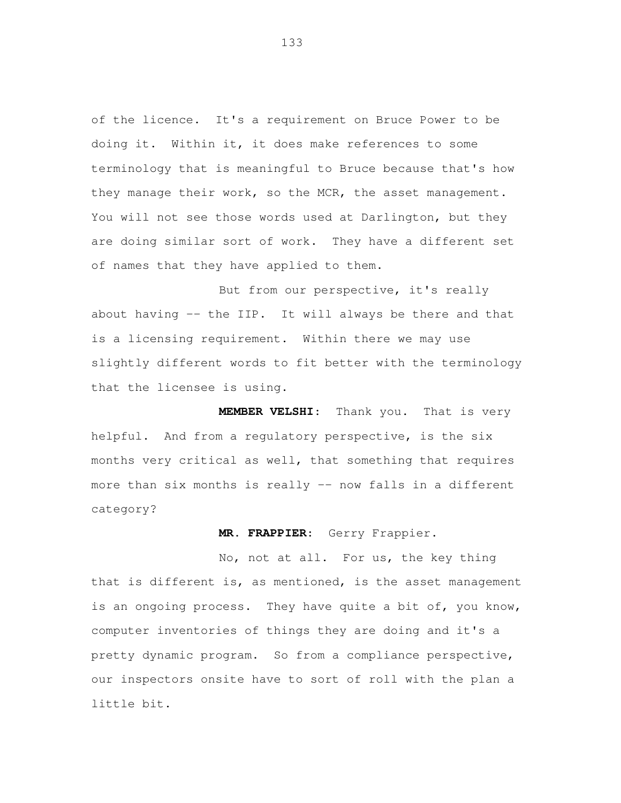of the licence. It's a requirement on Bruce Power to be doing it. Within it, it does make references to some terminology that is meaningful to Bruce because that's how they manage their work, so the MCR, the asset management. You will not see those words used at Darlington, but they are doing similar sort of work. They have a different set of names that they have applied to them.

But from our perspective, it's really about having -- the IIP. It will always be there and that is a licensing requirement. Within there we may use slightly different words to fit better with the terminology that the licensee is using.

 **MEMBER VELSHI**: Thank you. That is very helpful. And from a regulatory perspective, is the six months very critical as well, that something that requires more than six months is really -- now falls in a different category?

## **MR. FRAPPIER**: Gerry Frappier.

 No, not at all. For us, the key thing that is different is, as mentioned, is the asset management is an ongoing process. They have quite a bit of, you know, computer inventories of things they are doing and it's a pretty dynamic program. So from a compliance perspective, our inspectors onsite have to sort of roll with the plan a little bit.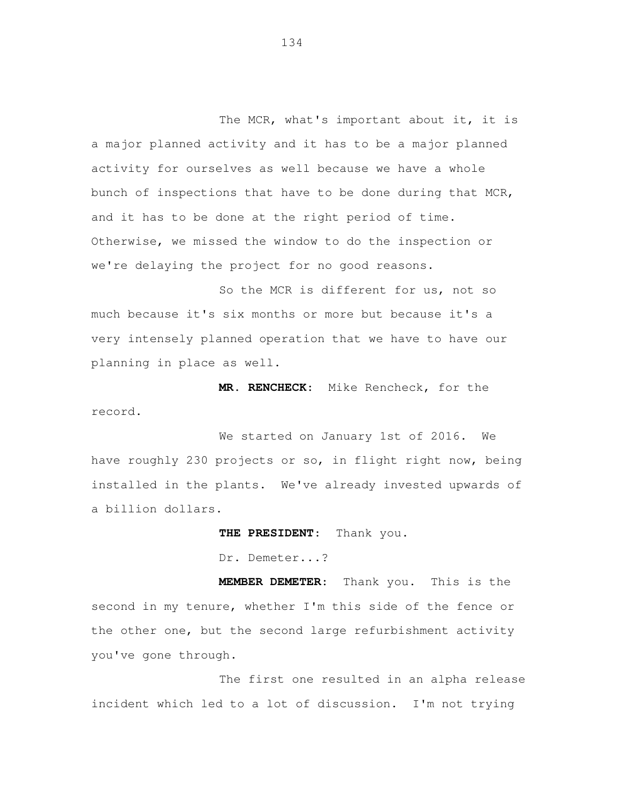The MCR, what's important about it, it is a major planned activity and it has to be a major planned activity for ourselves as well because we have a whole bunch of inspections that have to be done during that MCR, and it has to be done at the right period of time. Otherwise, we missed the window to do the inspection or we're delaying the project for no good reasons.

 So the MCR is different for us, not so much because it's six months or more but because it's a very intensely planned operation that we have to have our planning in place as well.

 **MR. RENCHECK**: Mike Rencheck, for the record.

 We started on January 1st of 2016. We have roughly 230 projects or so, in flight right now, being installed in the plants. We've already invested upwards of a billion dollars.

**THE PRESIDENT**: Thank you.

Dr. Demeter...?

 **MEMBER DEMETER**: Thank you. This is the second in my tenure, whether I'm this side of the fence or the other one, but the second large refurbishment activity you've gone through.

 The first one resulted in an alpha release incident which led to a lot of discussion. I'm not trying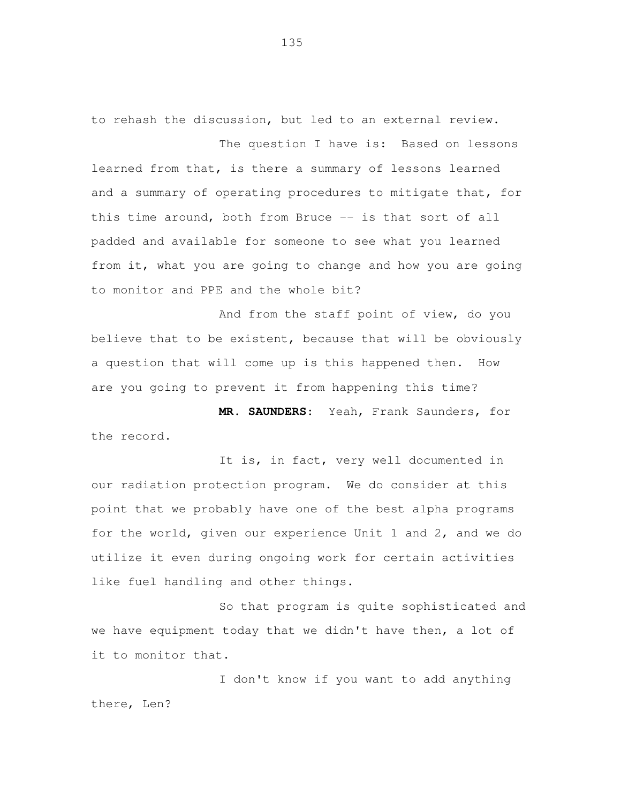to rehash the discussion, but led to an external review.

The question I have is: Based on lessons learned from that, is there a summary of lessons learned and a summary of operating procedures to mitigate that, for this time around, both from Bruce -- is that sort of all padded and available for someone to see what you learned from it, what you are going to change and how you are going to monitor and PPE and the whole bit?

 And from the staff point of view, do you believe that to be existent, because that will be obviously a question that will come up is this happened then. How are you going to prevent it from happening this time?

 **MR. SAUNDERS**: Yeah, Frank Saunders, for the record.

 It is, in fact, very well documented in our radiation protection program. We do consider at this point that we probably have one of the best alpha programs for the world, given our experience Unit 1 and 2, and we do utilize it even during ongoing work for certain activities like fuel handling and other things.

 So that program is quite sophisticated and we have equipment today that we didn't have then, a lot of it to monitor that.

 I don't know if you want to add anything there, Len?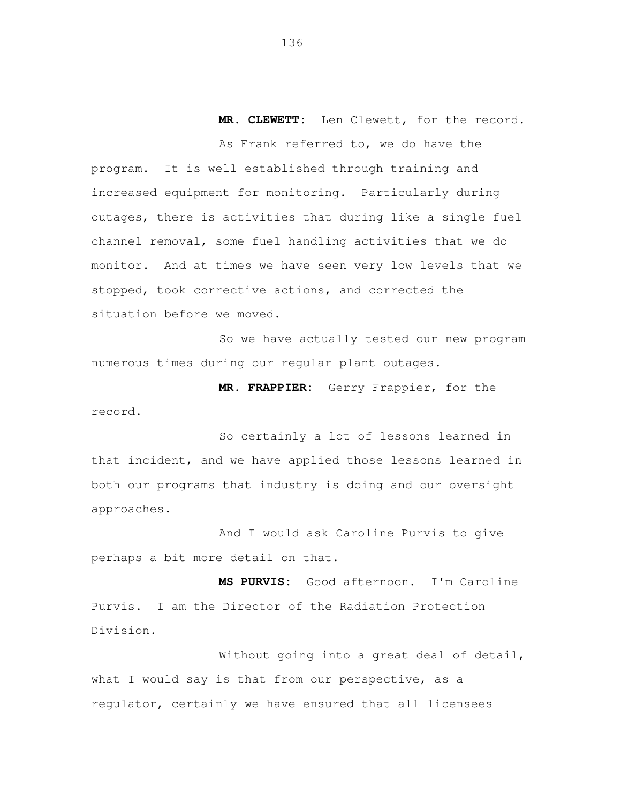**MR. CLEWETT:** Len Clewett, for the record.

 As Frank referred to, we do have the program. It is well established through training and increased equipment for monitoring. Particularly during outages, there is activities that during like a single fuel channel removal, some fuel handling activities that we do monitor. And at times we have seen very low levels that we stopped, took corrective actions, and corrected the situation before we moved.

 So we have actually tested our new program numerous times during our regular plant outages.

 **MR. FRAPPIER:** Gerry Frappier, for the record.

 So certainly a lot of lessons learned in that incident, and we have applied those lessons learned in both our programs that industry is doing and our oversight approaches.

 And I would ask Caroline Purvis to give perhaps a bit more detail on that.

 **MS PURVIS:** Good afternoon. I'm Caroline Purvis. I am the Director of the Radiation Protection Division.

 Without going into a great deal of detail, what I would say is that from our perspective, as a regulator, certainly we have ensured that all licensees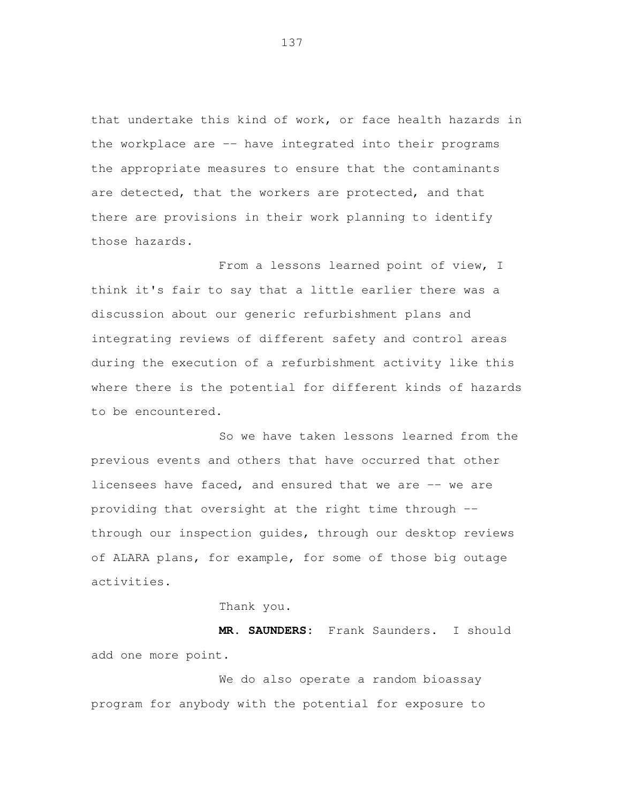that undertake this kind of work, or face health hazards in the workplace are -- have integrated into their programs the appropriate measures to ensure that the contaminants are detected, that the workers are protected, and that there are provisions in their work planning to identify those hazards.

 From a lessons learned point of view, I think it's fair to say that a little earlier there was a discussion about our generic refurbishment plans and integrating reviews of different safety and control areas during the execution of a refurbishment activity like this where there is the potential for different kinds of hazards to be encountered.

 So we have taken lessons learned from the previous events and others that have occurred that other licensees have faced, and ensured that we are -- we are providing that oversight at the right time through -- through our inspection guides, through our desktop reviews of ALARA plans, for example, for some of those big outage activities.

Thank you.

 **MR. SAUNDERS:** Frank Saunders. I should add one more point.

 We do also operate a random bioassay program for anybody with the potential for exposure to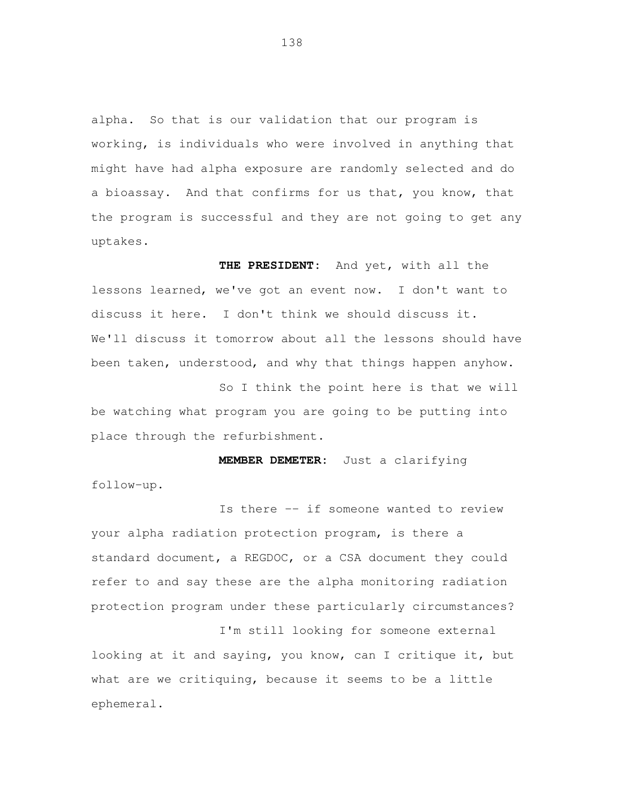alpha. So that is our validation that our program is working, is individuals who were involved in anything that might have had alpha exposure are randomly selected and do a bioassay. And that confirms for us that, you know, that the program is successful and they are not going to get any uptakes.

 **THE PRESIDENT:** And yet, with all the lessons learned, we've got an event now. I don't want to We'll discuss it tomorrow about all the lessons should have been taken, understood, and why that things happen anyhow. discuss it here. I don't think we should discuss it.

 So I think the point here is that we will be watching what program you are going to be putting into place through the refurbishment.

 **MEMBER DEMETER:** Just a clarifying follow-up.

 Is there -- if someone wanted to review your alpha radiation protection program, is there a standard document, a REGDOC, or a CSA document they could refer to and say these are the alpha monitoring radiation protection program under these particularly circumstances?

 I'm still looking for someone external looking at it and saying, you know, can I critique it, but what are we critiquing, because it seems to be a little ephemeral.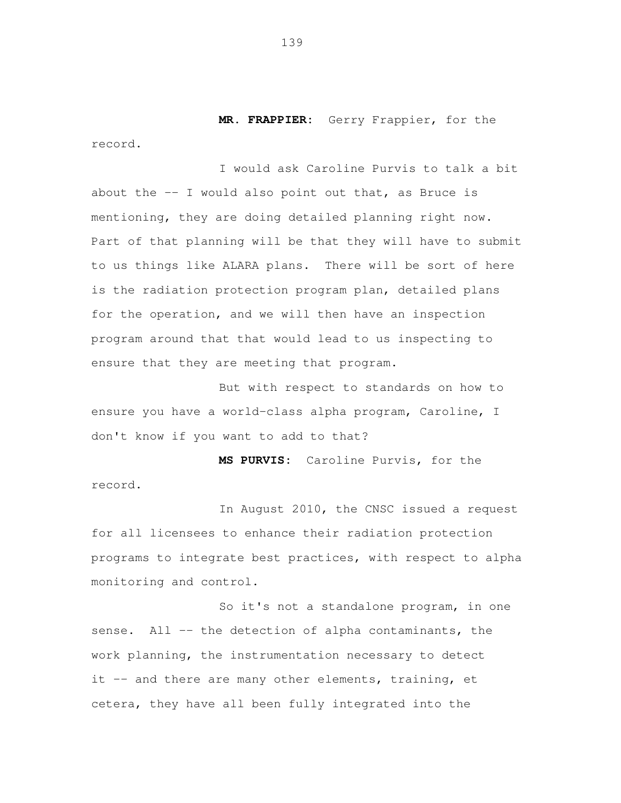**MR. FRAPPIER:** Gerry Frappier, for the record.

 I would ask Caroline Purvis to talk a bit about the -- I would also point out that, as Bruce is mentioning, they are doing detailed planning right now. Part of that planning will be that they will have to submit to us things like ALARA plans. There will be sort of here is the radiation protection program plan, detailed plans for the operation, and we will then have an inspection program around that that would lead to us inspecting to ensure that they are meeting that program.

 But with respect to standards on how to ensure you have a world-class alpha program, Caroline, I don't know if you want to add to that?

 **MS PURVIS:** Caroline Purvis, for the record.

 In August 2010, the CNSC issued a request for all licensees to enhance their radiation protection programs to integrate best practices, with respect to alpha monitoring and control.

 So it's not a standalone program, in one sense. All -- the detection of alpha contaminants, the work planning, the instrumentation necessary to detect it -- and there are many other elements, training, et cetera, they have all been fully integrated into the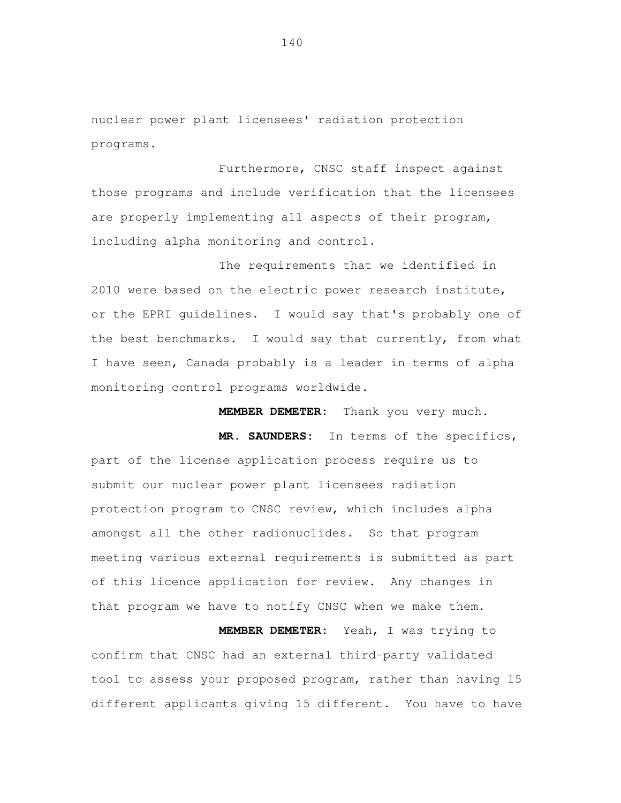nuclear power plant licensees' radiation protection programs.

 Furthermore, CNSC staff inspect against those programs and include verification that the licensees are properly implementing all aspects of their program, including alpha monitoring and control.

 The requirements that we identified in 2010 were based on the electric power research institute, or the EPRI guidelines. I would say that's probably one of the best benchmarks. I would say that currently, from what I have seen, Canada probably is a leader in terms of alpha monitoring control programs worldwide.

 **MEMBER DEMETER:** Thank you very much.

 **MR. SAUNDERS:** In terms of the specifics, part of the license application process require us to submit our nuclear power plant licensees radiation protection program to CNSC review, which includes alpha amongst all the other radionuclides. So that program meeting various external requirements is submitted as part of this licence application for review. Any changes in that program we have to notify CNSC when we make them.

 **MEMBER DEMETER:** Yeah, I was trying to confirm that CNSC had an external third-party validated tool to assess your proposed program, rather than having 15 different applicants giving 15 different. You have to have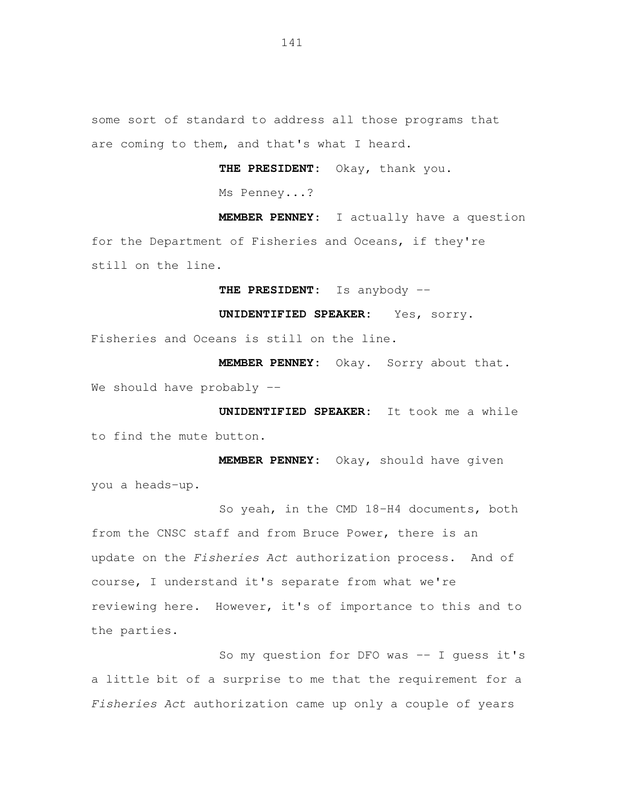some sort of standard to address all those programs that are coming to them, and that's what I heard.

 **THE PRESIDENT:** Okay, thank you.

Ms Penney...?

 **MEMBER PENNEY**: I actually have a question for the Department of Fisheries and Oceans, if they're still on the line.

 **THE PRESIDENT:** Is anybody --

 **UNIDENTIFIED SPEAKER:** Yes, sorry.

Fisheries and Oceans is still on the line.

 **MEMBER PENNEY:** Okay. Sorry about that. We should have probably --

 **UNIDENTIFIED SPEAKER:** It took me a while to find the mute button.

 **MEMBER PENNEY:** Okay, should have given you a heads-up.

 So yeah, in the CMD 18-H4 documents, both from the CNSC staff and from Bruce Power, there is an update on the Fisheries Act authorization process. And of course, I understand it's separate from what we're reviewing here. However, it's of importance to this and to the parties.

So my question for DFO was -- I guess it's a little bit of a surprise to me that the requirement for a Fisheries Act authorization came up only a couple of years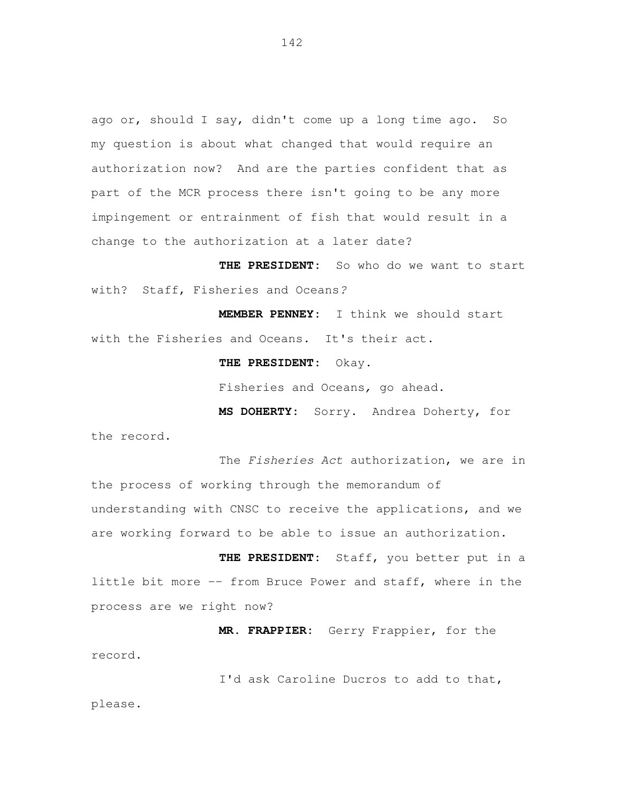ago or, should I say, didn't come up a long time ago. So my question is about what changed that would require an authorization now? And are the parties confident that as part of the MCR process there isn't going to be any more impingement or entrainment of fish that would result in a change to the authorization at a later date?

 **THE PRESIDENT:** So who do we want to start with? Staff, Fisheries and Oceans?

 **MEMBER PENNEY:** I think we should start with the Fisheries and Oceans. It's their act.

 **THE PRESIDENT:** Okay.

Fisheries and Oceans, go ahead.

 **MS DOHERTY:** Sorry. Andrea Doherty, for the record**.** 

The Fisheries Act authorization, we are in the process of working through the memorandum of understanding with CNSC to receive the applications, and we are working forward to be able to issue an authorization.

 **THE PRESIDENT:** Staff, you better put in a little bit more -- from Bruce Power and staff, where in the process are we right now?

 **MR. FRAPPIER:** Gerry Frappier, for the record.

 I'd ask Caroline Ducros to add to that, please.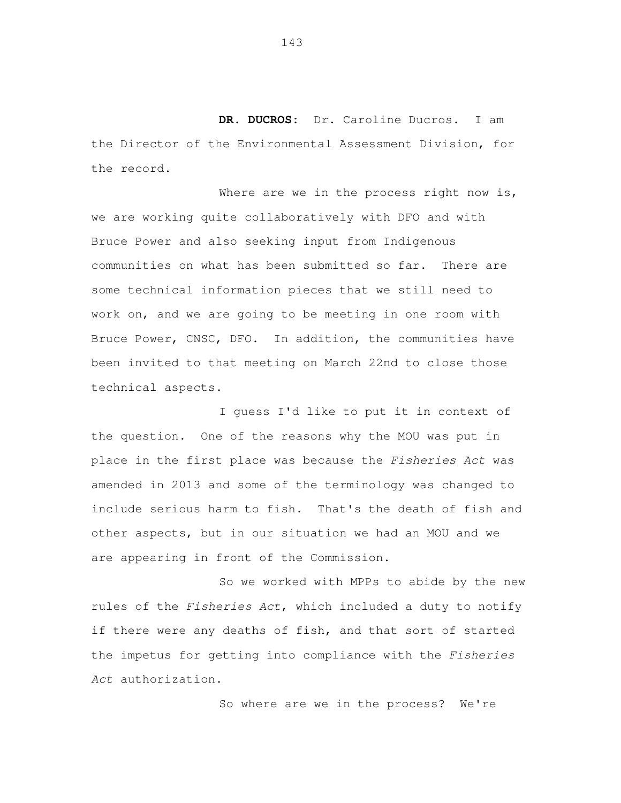**DR. DUCROS:** Dr. Caroline Ducros. I am the Director of the Environmental Assessment Division, for the record.

Where are we in the process right now is, we are working quite collaboratively with DFO and with Bruce Power and also seeking input from Indigenous communities on what has been submitted so far. There are some technical information pieces that we still need to work on, and we are going to be meeting in one room with Bruce Power, CNSC, DFO. In addition, the communities have been invited to that meeting on March 22nd to close those technical aspects.

 I guess I'd like to put it in context of the question. One of the reasons why the MOU was put in place in the first place was because the Fisheries Act was amended in 2013 and some of the terminology was changed to include serious harm to fish. That's the death of fish and other aspects, but in our situation we had an MOU and we are appearing in front of the Commission.

 So we worked with MPPs to abide by the new rules of the Fisheries Act, which included a duty to notify if there were any deaths of fish, and that sort of started the impetus for getting into compliance with the Fisheries Act authorization.

So where are we in the process? We're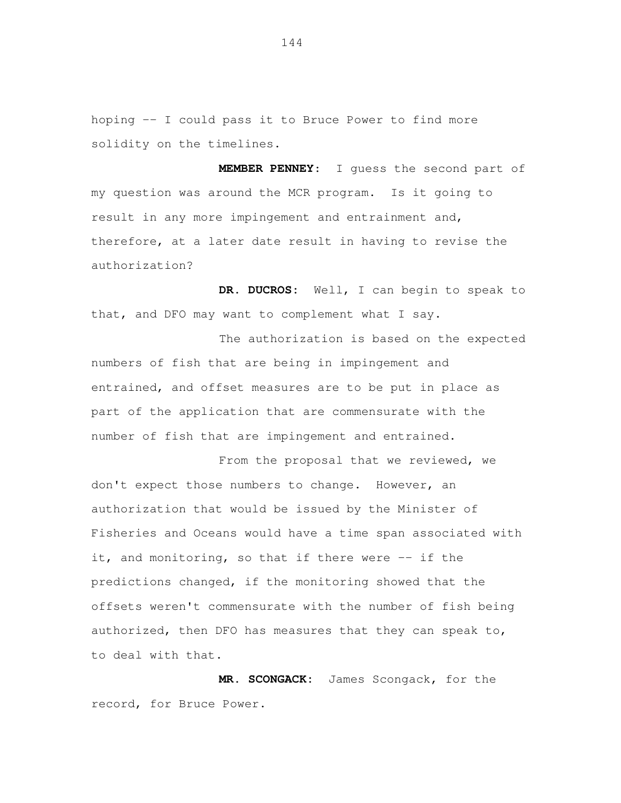hoping -- I could pass it to Bruce Power to find more solidity on the timelines.

 **MEMBER PENNEY**: I guess the second part of my question was around the MCR program. Is it going to result in any more impingement and entrainment and, therefore, at a later date result in having to revise the authorization?

 **DR. DUCROS:** Well, I can begin to speak to that, and DFO may want to complement what I say.

 The authorization is based on the expected numbers of fish that are being in impingement and entrained, and offset measures are to be put in place as part of the application that are commensurate with the number of fish that are impingement and entrained.

From the proposal that we reviewed, we don't expect those numbers to change. However, an authorization that would be issued by the Minister of Fisheries and Oceans would have a time span associated with it, and monitoring, so that if there were -- if the predictions changed, if the monitoring showed that the offsets weren't commensurate with the number of fish being authorized, then DFO has measures that they can speak to, to deal with that.

 **MR. SCONGACK:** James Scongack, for the record, for Bruce Power.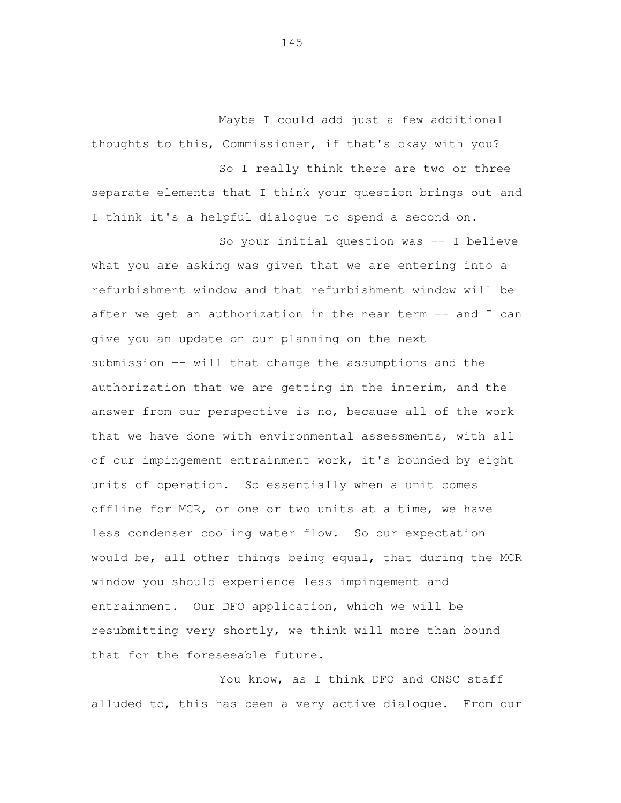Maybe I could add just a few additional thoughts to this, Commissioner, if that's okay with you?

 So I really think there are two or three separate elements that I think your question brings out and I think it's a helpful dialogue to spend a second on.

 So your initial question was -- I believe what you are asking was given that we are entering into a refurbishment window and that refurbishment window will be after we get an authorization in the near term -- and I can give you an update on our planning on the next submission -- will that change the assumptions and the authorization that we are getting in the interim, and the answer from our perspective is no, because all of the work that we have done with environmental assessments, with all of our impingement entrainment work, it's bounded by eight units of operation. So essentially when a unit comes offline for MCR, or one or two units at a time, we have less condenser cooling water flow. So our expectation would be, all other things being equal, that during the MCR window you should experience less impingement and entrainment. Our DFO application, which we will be resubmitting very shortly, we think will more than bound that for the foreseeable future.

You know, as I think DFO and CNSC staff alluded to, this has been a very active dialogue. From our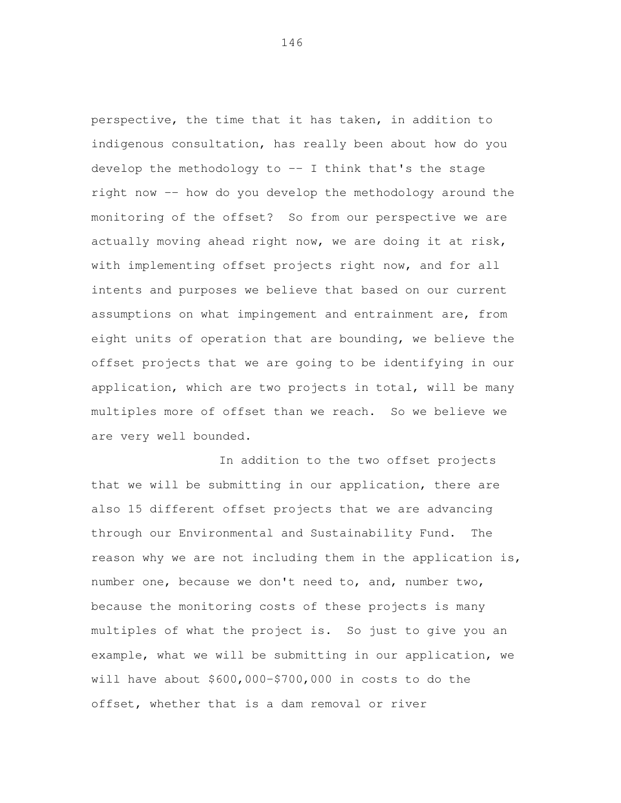perspective, the time that it has taken, in addition to indigenous consultation, has really been about how do you develop the methodology to -- I think that's the stage right now -- how do you develop the methodology around the monitoring of the offset? So from our perspective we are actually moving ahead right now, we are doing it at risk, with implementing offset projects right now, and for all intents and purposes we believe that based on our current assumptions on what impingement and entrainment are, from eight units of operation that are bounding, we believe the offset projects that we are going to be identifying in our application, which are two projects in total, will be many multiples more of offset than we reach. So we believe we are very well bounded.

 In addition to the two offset projects that we will be submitting in our application, there are also 15 different offset projects that we are advancing through our Environmental and Sustainability Fund. The reason why we are not including them in the application is, number one, because we don't need to, and, number two, because the monitoring costs of these projects is many multiples of what the project is. So just to give you an example, what we will be submitting in our application, we will have about \$600,000-\$700,000 in costs to do the offset, whether that is a dam removal or river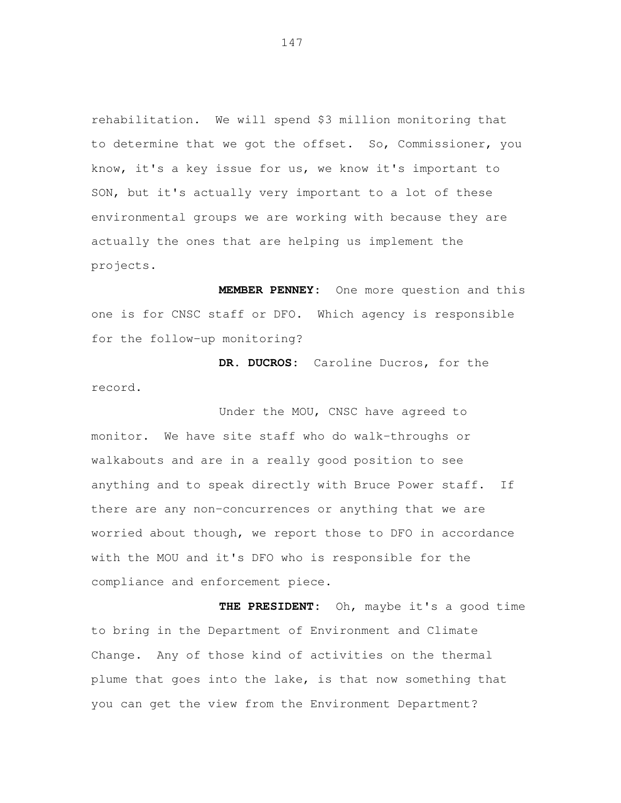rehabilitation. We will spend \$3 million monitoring that to determine that we got the offset. So, Commissioner, you know, it's a key issue for us, we know it's important to SON, but it's actually very important to a lot of these environmental groups we are working with because they are actually the ones that are helping us implement the projects.

 **MEMBER PENNEY:** One more question and this one is for CNSC staff or DFO. Which agency is responsible for the follow-up monitoring?

 **DR. DUCROS:** Caroline Ducros, for the record.<br>Under the MOU, CNSC have agreed to

 monitor. We have site staff who do walk-throughs or walkabouts and are in a really good position to see anything and to speak directly with Bruce Power staff. If there are any non-concurrences or anything that we are worried about though, we report those to DFO in accordance with the MOU and it's DFO who is responsible for the compliance and enforcement piece.

 **THE PRESIDENT:** Oh, maybe it's a good time to bring in the Department of Environment and Climate Change. Any of those kind of activities on the thermal plume that goes into the lake, is that now something that you can get the view from the Environment Department?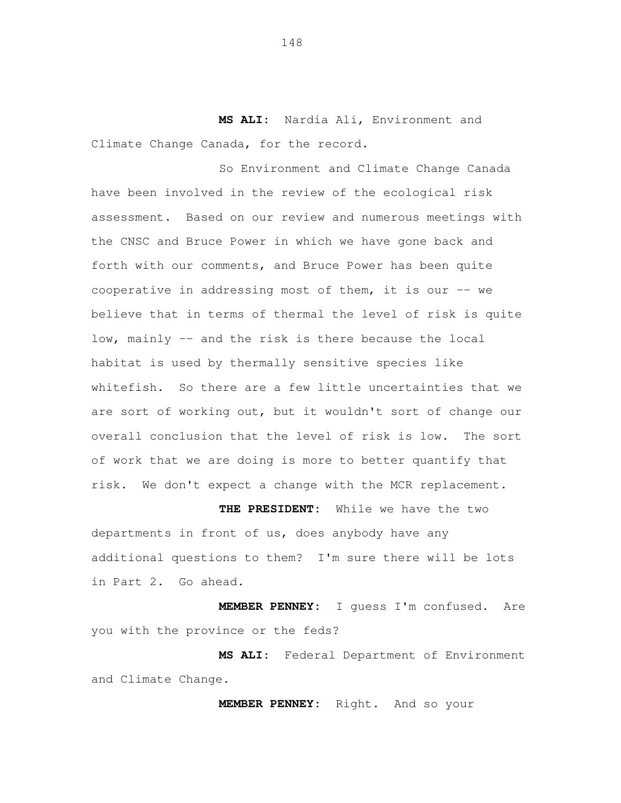**MS ALI:** Nardia Ali, Environment and Climate Change Canada, for the record.

 So Environment and Climate Change Canada have been involved in the review of the ecological risk assessment. Based on our review and numerous meetings with the CNSC and Bruce Power in which we have gone back and forth with our comments, and Bruce Power has been quite cooperative in addressing most of them, it is our -- we believe that in terms of thermal the level of risk is quite low, mainly -- and the risk is there because the local habitat is used by thermally sensitive species like whitefish. So there are a few little uncertainties that we are sort of working out, but it wouldn't sort of change our overall conclusion that the level of risk is low. The sort of work that we are doing is more to better quantify that risk. We don't expect a change with the MCR replacement.

 **THE PRESIDENT:** While we have the two departments in front of us, does anybody have any additional questions to them? I'm sure there will be lots in Part 2. Go ahead.

 **MEMBER PENNEY:** I guess I'm confused. Are you with the province or the feds?

 **MS ALI:** Federal Department of Environment and Climate Change.

**MEMBER PENNEY:** Right. And so your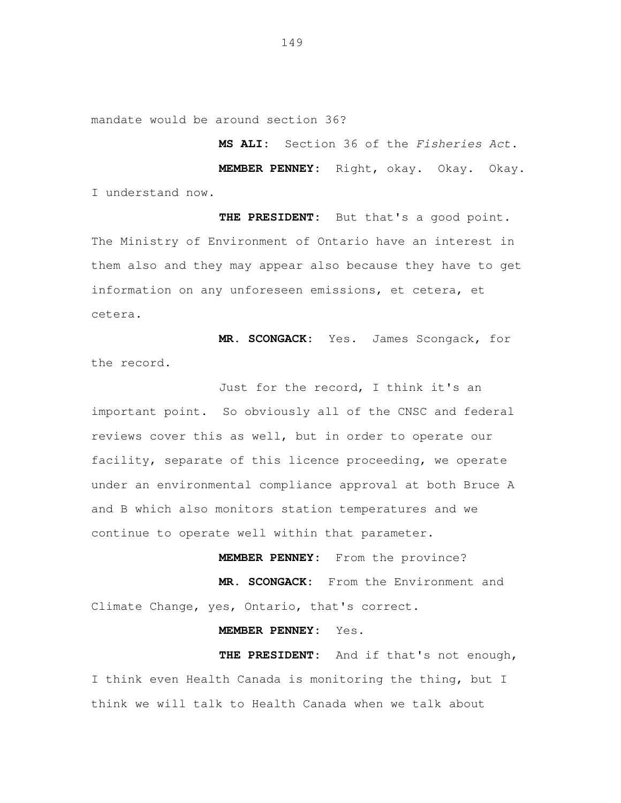mandate would be around section 36?

**MS ALI:** Section 36 of the Fisheries Act.

 **MEMBER PENNEY:** Right, okay. Okay. Okay. I understand now.

 **THE PRESIDENT:** But that's a good point. The Ministry of Environment of Ontario have an interest in them also and they may appear also because they have to get information on any unforeseen emissions, et cetera, et cetera.

 **MR. SCONGACK:** Yes. James Scongack, for the record.

 Just for the record, I think it's an important point. So obviously all of the CNSC and federal reviews cover this as well, but in order to operate our facility, separate of this licence proceeding, we operate under an environmental compliance approval at both Bruce A and B which also monitors station temperatures and we continue to operate well within that parameter.

 **MEMBER PENNEY:** From the province? **MR. SCONGACK:** From the Environment and Climate Change, yes, Ontario, that's correct.

**MEMBER PENNEY:** Yes.

 **THE PRESIDENT:** And if that's not enough, I think even Health Canada is monitoring the thing, but I think we will talk to Health Canada when we talk about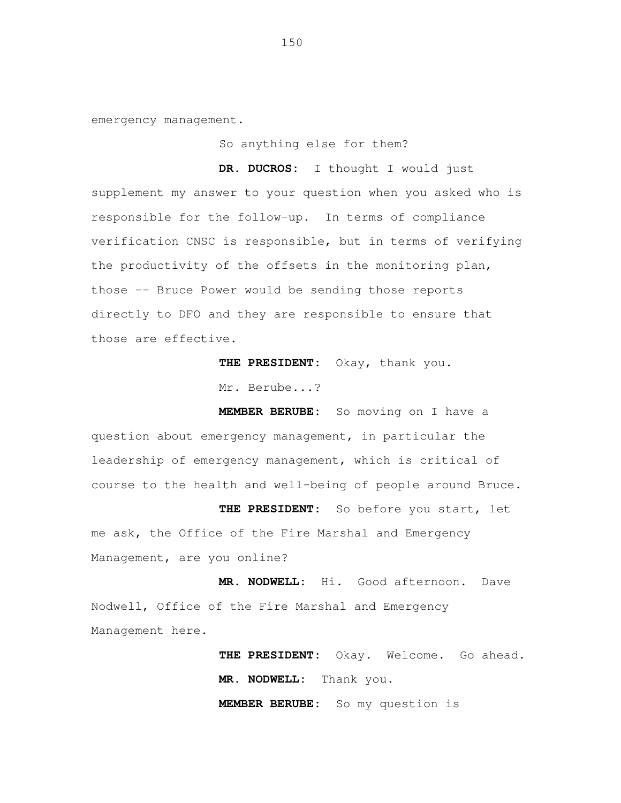emergency management.<br>So anything else for them?

 **DR. DUCROS:** I thought I would just supplement my answer to your question when you asked who is responsible for the follow-up. In terms of compliance verification CNSC is responsible, but in terms of verifying the productivity of the offsets in the monitoring plan, those -- Bruce Power would be sending those reports directly to DFO and they are responsible to ensure that those are effective.

**THE PRESIDENT:** Okay, thank you.

Mr. Berube...?

 **MEMBER BERUBE:** So moving on I have a question about emergency management, in particular the leadership of emergency management, which is critical of course to the health and well-being of people around Bruce.

 **THE PRESIDENT:** So before you start, let me ask, the Office of the Fire Marshal and Emergency Management, are you online?

 **MR. NODWELL:** Hi. Good afternoon. Dave Nodwell, Office of the Fire Marshal and Emergency Management here.

> **THE PRESIDENT:** Okay. Welcome. Go ahead. **MR. NODWELL:** Thank you. **MEMBER BERUBE:** So my question is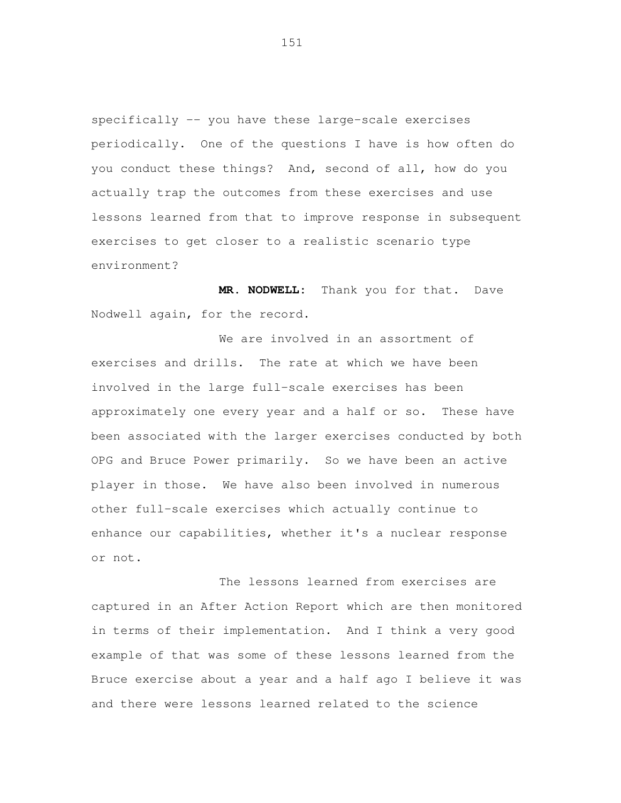specifically -- you have these large-scale exercises periodically. One of the questions I have is how often do you conduct these things? And, second of all, how do you actually trap the outcomes from these exercises and use lessons learned from that to improve response in subsequent exercises to get closer to a realistic scenario type environment?

 **MR. NODWELL:** Thank you for that. Dave Nodwell again, for the record.

 We are involved in an assortment of exercises and drills. The rate at which we have been involved in the large full-scale exercises has been approximately one every year and a half or so. These have been associated with the larger exercises conducted by both OPG and Bruce Power primarily. So we have been an active player in those. We have also been involved in numerous other full-scale exercises which actually continue to enhance our capabilities, whether it's a nuclear response or not.

 The lessons learned from exercises are captured in an After Action Report which are then monitored in terms of their implementation. And I think a very good example of that was some of these lessons learned from the Bruce exercise about a year and a half ago I believe it was and there were lessons learned related to the science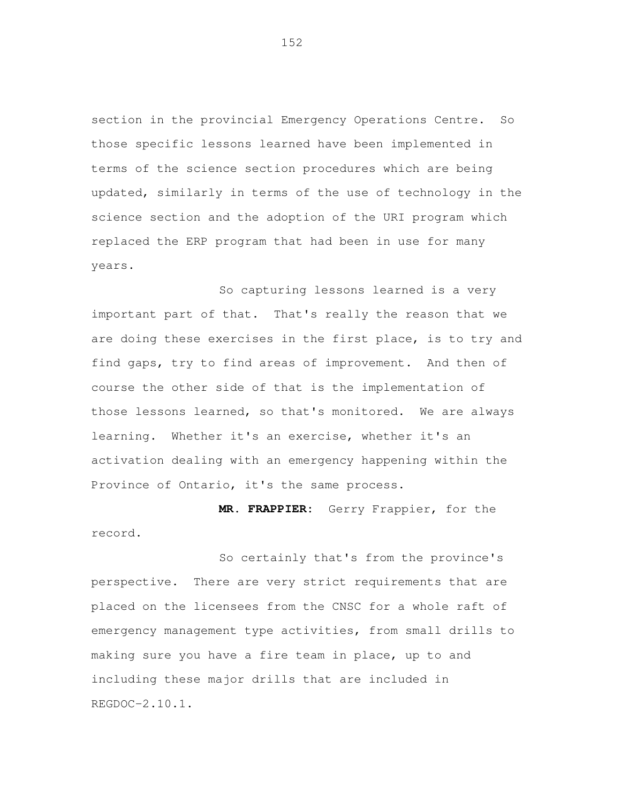section in the provincial Emergency Operations Centre. So those specific lessons learned have been implemented in terms of the science section procedures which are being updated, similarly in terms of the use of technology in the science section and the adoption of the URI program which replaced the ERP program that had been in use for many years.<br>So capturing lessons learned is a very

 important part of that. That's really the reason that we are doing these exercises in the first place, is to try and find gaps, try to find areas of improvement. And then of course the other side of that is the implementation of those lessons learned, so that's monitored. We are always learning. Whether it's an exercise, whether it's an activation dealing with an emergency happening within the Province of Ontario, it's the same process.

**MR. FRAPPIER:** Gerry Frappier, for the

record.<br>So certainly that's from the province's perspective. There are very strict requirements that are placed on the licensees from the CNSC for a whole raft of emergency management type activities, from small drills to making sure you have a fire team in place, up to and including these major drills that are included in REGDOC-2.10.1.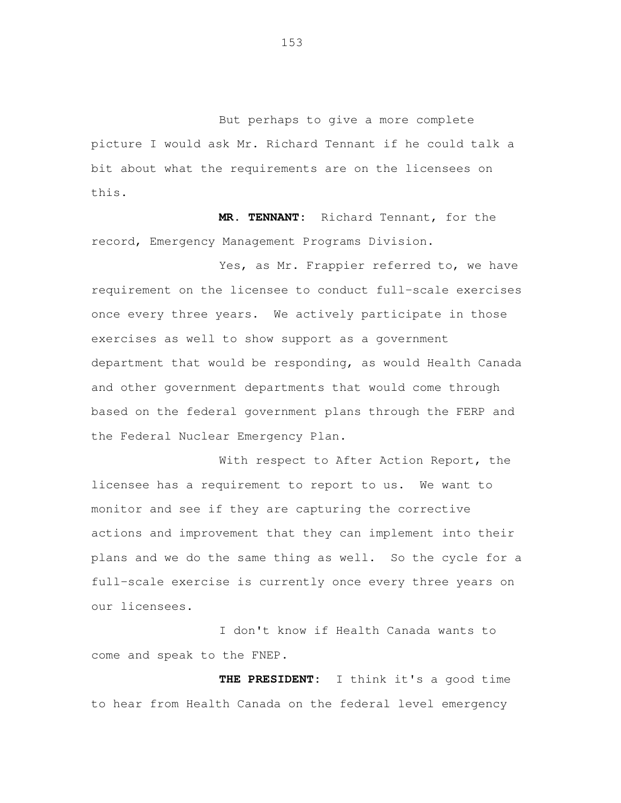But perhaps to give a more complete picture I would ask Mr. Richard Tennant if he could talk a bit about what the requirements are on the licensees on this.

 **MR. TENNANT:** Richard Tennant, for the record, Emergency Management Programs Division.

Yes, as Mr. Frappier referred to, we have requirement on the licensee to conduct full-scale exercises once every three years. We actively participate in those exercises as well to show support as a government department that would be responding, as would Health Canada and other government departments that would come through based on the federal government plans through the FERP and the Federal Nuclear Emergency Plan.

 With respect to After Action Report, the licensee has a requirement to report to us. We want to monitor and see if they are capturing the corrective actions and improvement that they can implement into their plans and we do the same thing as well. So the cycle for a full-scale exercise is currently once every three years on our licensees.

 I don't know if Health Canada wants to come and speak to the FNEP.

 **THE PRESIDENT:** I think it's a good time to hear from Health Canada on the federal level emergency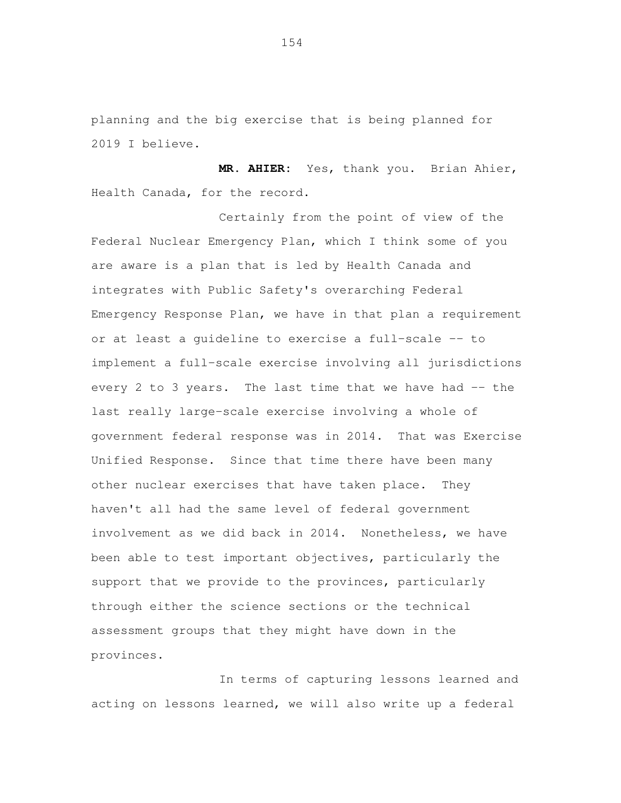planning and the big exercise that is being planned for 2019 I believe.

 **MR. AHIER:** Yes, thank you. Brian Ahier, Health Canada, for the record.

 Certainly from the point of view of the Federal Nuclear Emergency Plan, which I think some of you are aware is a plan that is led by Health Canada and integrates with Public Safety's overarching Federal Emergency Response Plan, we have in that plan a requirement or at least a guideline to exercise a full-scale -- to implement a full-scale exercise involving all jurisdictions every 2 to 3 years. The last time that we have had -- the last really large-scale exercise involving a whole of government federal response was in 2014. That was Exercise Unified Response. Since that time there have been many other nuclear exercises that have taken place. They haven't all had the same level of federal government involvement as we did back in 2014. Nonetheless, we have been able to test important objectives, particularly the support that we provide to the provinces, particularly through either the science sections or the technical assessment groups that they might have down in the provinces.

 In terms of capturing lessons learned and acting on lessons learned, we will also write up a federal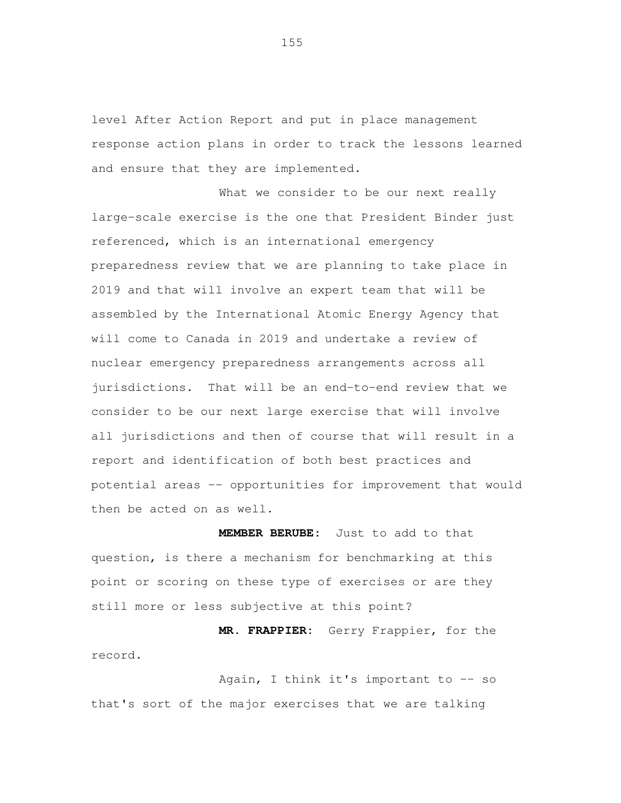level After Action Report and put in place management response action plans in order to track the lessons learned and ensure that they are implemented.

 What we consider to be our next really large-scale exercise is the one that President Binder just referenced, which is an international emergency preparedness review that we are planning to take place in 2019 and that will involve an expert team that will be assembled by the International Atomic Energy Agency that will come to Canada in 2019 and undertake a review of nuclear emergency preparedness arrangements across all jurisdictions. That will be an end-to-end review that we consider to be our next large exercise that will involve all jurisdictions and then of course that will result in a report and identification of both best practices and potential areas -- opportunities for improvement that would then be acted on as well.

 **MEMBER BERUBE:** Just to add to that question, is there a mechanism for benchmarking at this point or scoring on these type of exercises or are they still more or less subjective at this point?

 **MR. FRAPPIER:** Gerry Frappier, for the record.<br>Again, I think it's important to -- so

that's sort of the major exercises that we are talking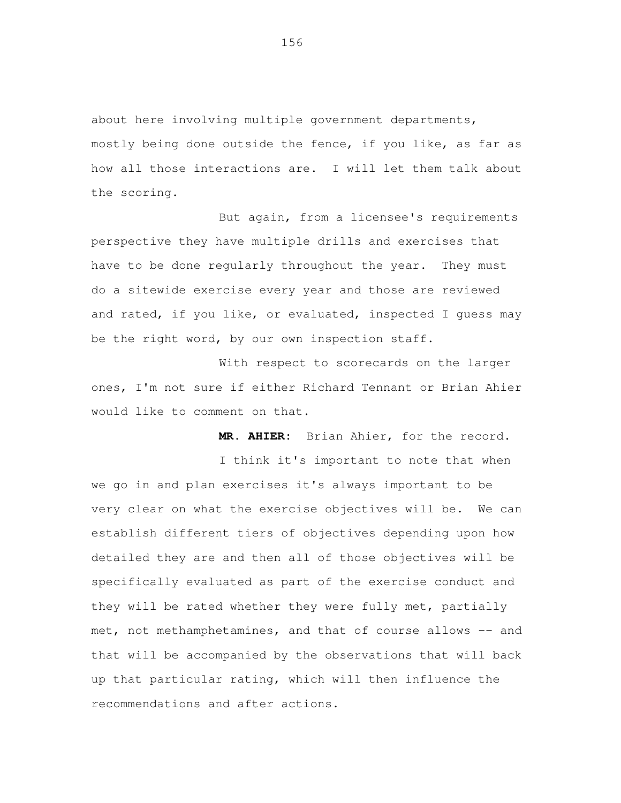about here involving multiple government departments, mostly being done outside the fence, if you like, as far as how all those interactions are. I will let them talk about the scoring.

 But again, from a licensee's requirements perspective they have multiple drills and exercises that have to be done regularly throughout the year. They must do a sitewide exercise every year and those are reviewed and rated, if you like, or evaluated, inspected I guess may be the right word, by our own inspection staff.

 With respect to scorecards on the larger ones, I'm not sure if either Richard Tennant or Brian Ahier would like to comment on that.

**MR. AHIER:** Brian Ahier, for the record.

 I think it's important to note that when we go in and plan exercises it's always important to be very clear on what the exercise objectives will be. We can establish different tiers of objectives depending upon how detailed they are and then all of those objectives will be specifically evaluated as part of the exercise conduct and they will be rated whether they were fully met, partially met, not methamphetamines, and that of course allows -- and that will be accompanied by the observations that will back up that particular rating, which will then influence the recommendations and after actions.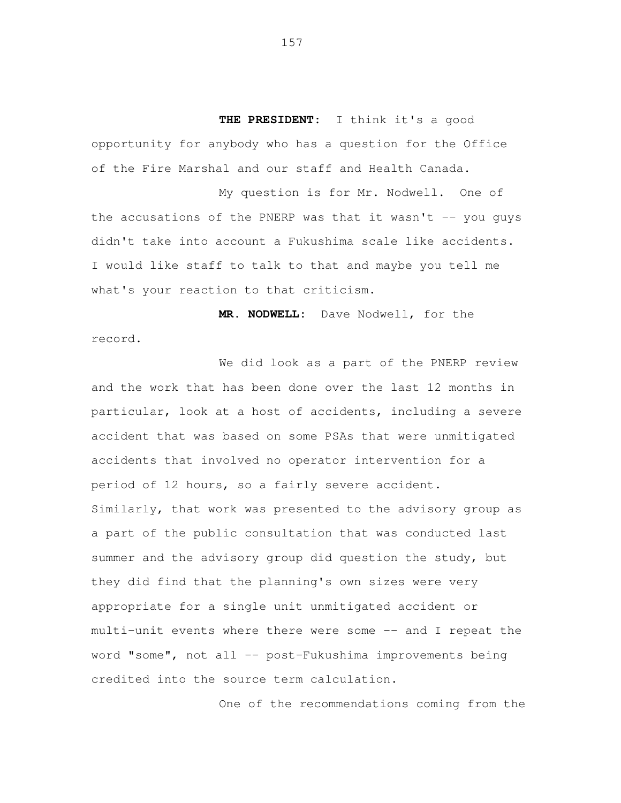**THE PRESIDENT:** I think it's a good opportunity for anybody who has a question for the Office of the Fire Marshal and our staff and Health Canada.

 My question is for Mr. Nodwell. One of the accusations of the PNERP was that it wasn't -- you guys didn't take into account a Fukushima scale like accidents. I would like staff to talk to that and maybe you tell me what's your reaction to that criticism.

 **MR. NODWELL:** Dave Nodwell, for the record.<br>We did look as a part of the PNERP review

 and the work that has been done over the last 12 months in particular, look at a host of accidents, including a severe accident that was based on some PSAs that were unmitigated accidents that involved no operator intervention for a period of 12 hours, so a fairly severe accident. Similarly, that work was presented to the advisory group as a part of the public consultation that was conducted last summer and the advisory group did question the study, but they did find that the planning's own sizes were very appropriate for a single unit unmitigated accident or multi-unit events where there were some -- and I repeat the word "some", not all -- post-Fukushima improvements being credited into the source term calculation.

One of the recommendations coming from the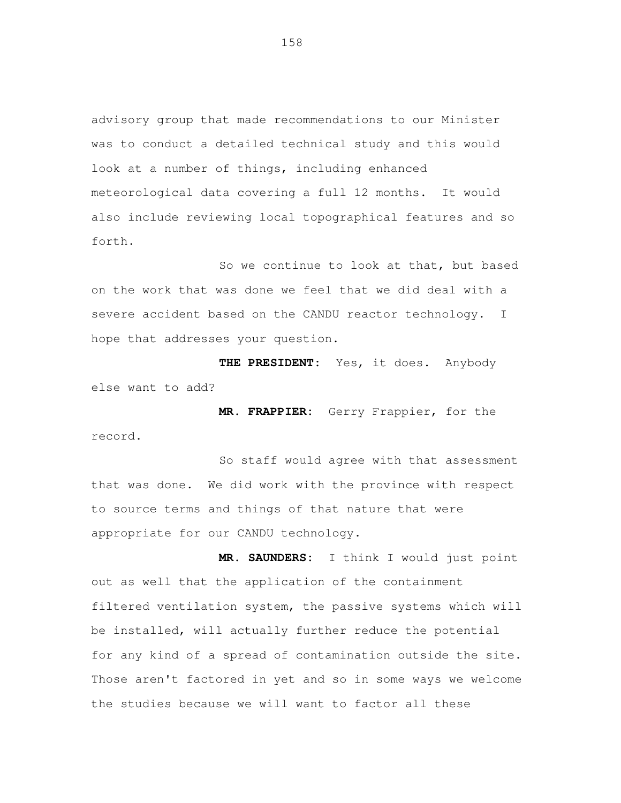advisory group that made recommendations to our Minister was to conduct a detailed technical study and this would look at a number of things, including enhanced meteorological data covering a full 12 months. It would also include reviewing local topographical features and so forth.

 So we continue to look at that, but based on the work that was done we feel that we did deal with a severe accident based on the CANDU reactor technology. I hope that addresses your question.

 **THE PRESIDENT:** Yes, it does. Anybody else want to add?

 **MR. FRAPPIER:** Gerry Frappier, for the record.<br>So staff would agree with that assessment

 that was done. We did work with the province with respect to source terms and things of that nature that were appropriate for our CANDU technology.

 **MR. SAUNDERS:** I think I would just point out as well that the application of the containment filtered ventilation system, the passive systems which will be installed, will actually further reduce the potential for any kind of a spread of contamination outside the site. Those aren't factored in yet and so in some ways we welcome the studies because we will want to factor all these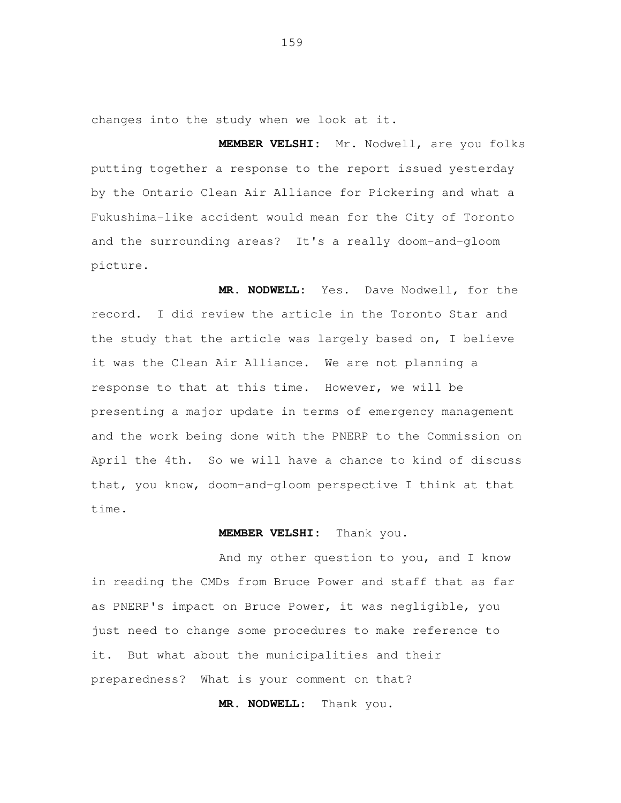changes into the study when we look at it.

 **MEMBER VELSHI:** Mr. Nodwell, are you folks putting together a response to the report issued yesterday by the Ontario Clean Air Alliance for Pickering and what a Fukushima-like accident would mean for the City of Toronto and the surrounding areas? It's a really doom-and-gloom picture.

MR. NODWELL: record. I did review the article in the Toronto Star and the study that the article was largely based on, I believe it was the Clean Air Alliance. We are not planning a response to that at this time. However, we will be presenting a major update in terms of emergency management and the work being done with the PNERP to the Commission on April the 4th. So we will have a chance to kind of discuss that, you know, doom-and-gloom perspective I think at that Yes. Dave Nodwell, for the time.

# **MEMBER VELSHI:** Thank you.

 And my other question to you, and I know in reading the CMDs from Bruce Power and staff that as far as PNERP's impact on Bruce Power, it was negligible, you just need to change some procedures to make reference to it. But what about the municipalities and their preparedness? What is your comment on that?

**MR. NODWELL:** Thank you.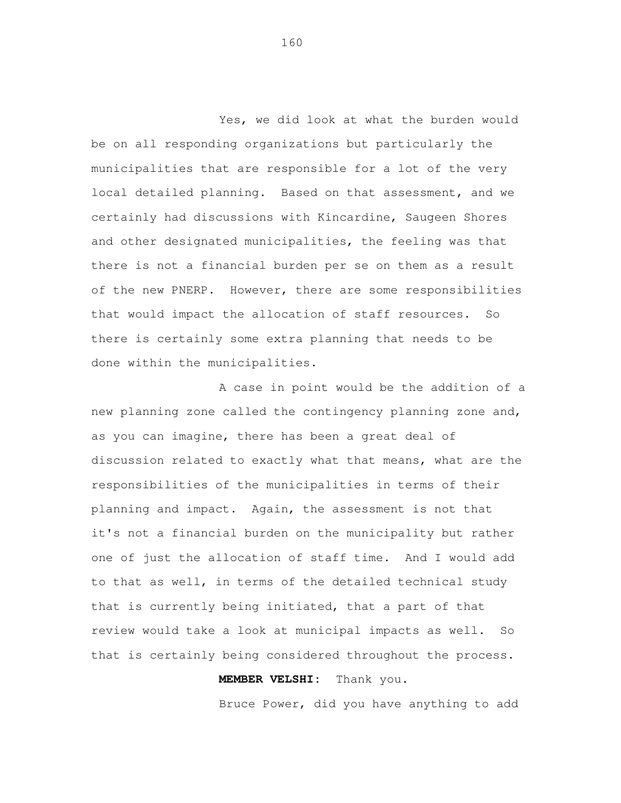Yes, we did look at what the burden would be on all responding organizations but particularly the municipalities that are responsible for a lot of the very local detailed planning. Based on that assessment, and we certainly had discussions with Kincardine, Saugeen Shores and other designated municipalities, the feeling was that there is not a financial burden per se on them as a result of the new PNERP. However, there are some responsibilities that would impact the allocation of staff resources. So there is certainly some extra planning that needs to be done within the municipalities.

 A case in point would be the addition of a new planning zone called the contingency planning zone and, as you can imagine, there has been a great deal of discussion related to exactly what that means, what are the responsibilities of the municipalities in terms of their planning and impact. Again, the assessment is not that it's not a financial burden on the municipality but rather one of just the allocation of staff time. And I would add to that as well, in terms of the detailed technical study that is currently being initiated, that a part of that review would take a look at municipal impacts as well. So that is certainly being considered throughout the process.

# **MEMBER VELSHI:** Thank you.

Bruce Power, did you have anything to add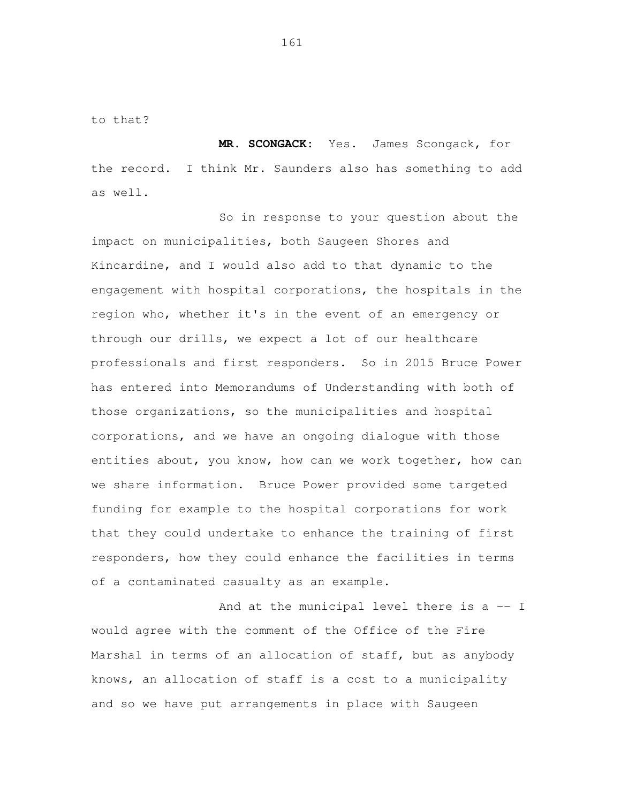to that?

 **MR. SCONGACK:** Yes. James Scongack, for the record. I think Mr. Saunders also has something to add as well.

 So in response to your question about the impact on municipalities, both Saugeen Shores and Kincardine, and I would also add to that dynamic to the engagement with hospital corporations, the hospitals in the region who, whether it's in the event of an emergency or through our drills, we expect a lot of our healthcare professionals and first responders. So in 2015 Bruce Power has entered into Memorandums of Understanding with both of those organizations, so the municipalities and hospital corporations, and we have an ongoing dialogue with those entities about, you know, how can we work together, how can we share information. Bruce Power provided some targeted funding for example to the hospital corporations for work that they could undertake to enhance the training of first responders, how they could enhance the facilities in terms of a contaminated casualty as an example.

And at the municipal level there is a -- I would agree with the comment of the Office of the Fire Marshal in terms of an allocation of staff, but as anybody knows, an allocation of staff is a cost to a municipality and so we have put arrangements in place with Saugeen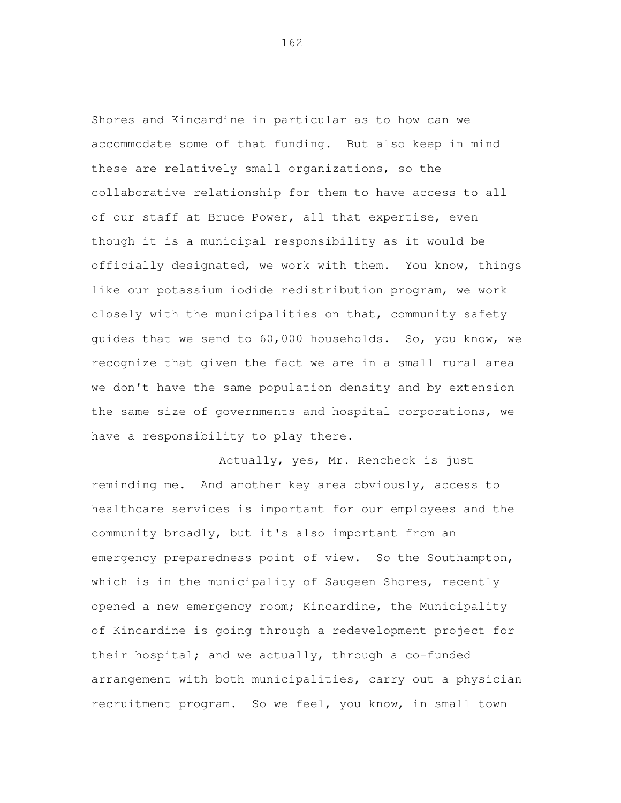Shores and Kincardine in particular as to how can we accommodate some of that funding. But also keep in mind these are relatively small organizations, so the collaborative relationship for them to have access to all of our staff at Bruce Power, all that expertise, even though it is a municipal responsibility as it would be officially designated, we work with them. You know, things like our potassium iodide redistribution program, we work closely with the municipalities on that, community safety guides that we send to 60,000 households. So, you know, we recognize that given the fact we are in a small rural area we don't have the same population density and by extension the same size of governments and hospital corporations, we have a responsibility to play there.

 Actually, yes, Mr. Rencheck is just reminding me. And another key area obviously, access to healthcare services is important for our employees and the community broadly, but it's also important from an emergency preparedness point of view. So the Southampton, which is in the municipality of Saugeen Shores, recently opened a new emergency room; Kincardine, the Municipality of Kincardine is going through a redevelopment project for their hospital; and we actually, through a co-funded arrangement with both municipalities, carry out a physician recruitment program. So we feel, you know, in small town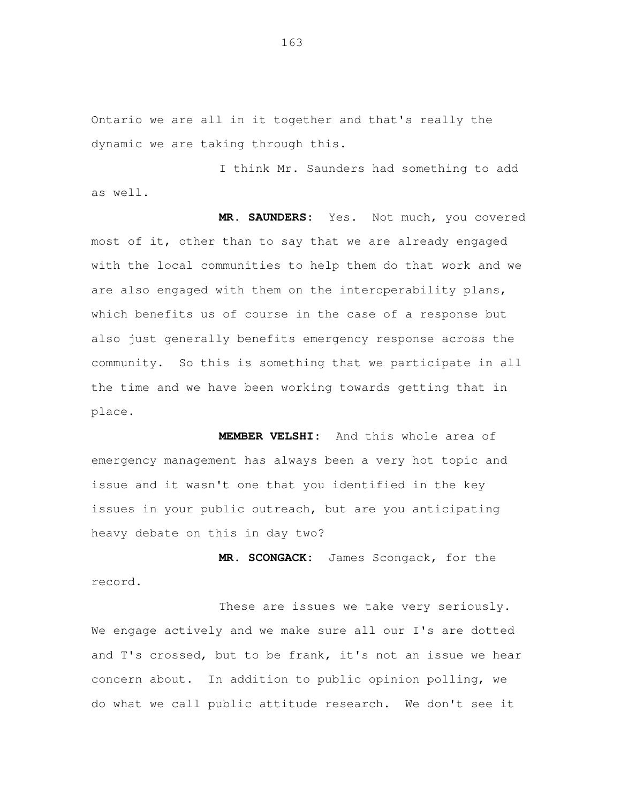Ontario we are all in it together and that's really the dynamic we are taking through this.

 I think Mr. Saunders had something to add as well.

MR. SAUNDERS: most of it, other than to say that we are already engaged with the local communities to help them do that work and we are also engaged with them on the interoperability plans, which benefits us of course in the case of a response but also just generally benefits emergency response across the community. So this is something that we participate in all the time and we have been working towards getting that in Yes. Not much, you covered place.

 **MEMBER VELSHI:** And this whole area of emergency management has always been a very hot topic and issue and it wasn't one that you identified in the key issues in your public outreach, but are you anticipating heavy debate on this in day two?

 **MR. SCONGACK:** James Scongack, for the record.<br>These are issues we take very seriously.

 We engage actively and we make sure all our I's are dotted and T's crossed, but to be frank, it's not an issue we hear concern about. In addition to public opinion polling, we do what we call public attitude research. We don't see it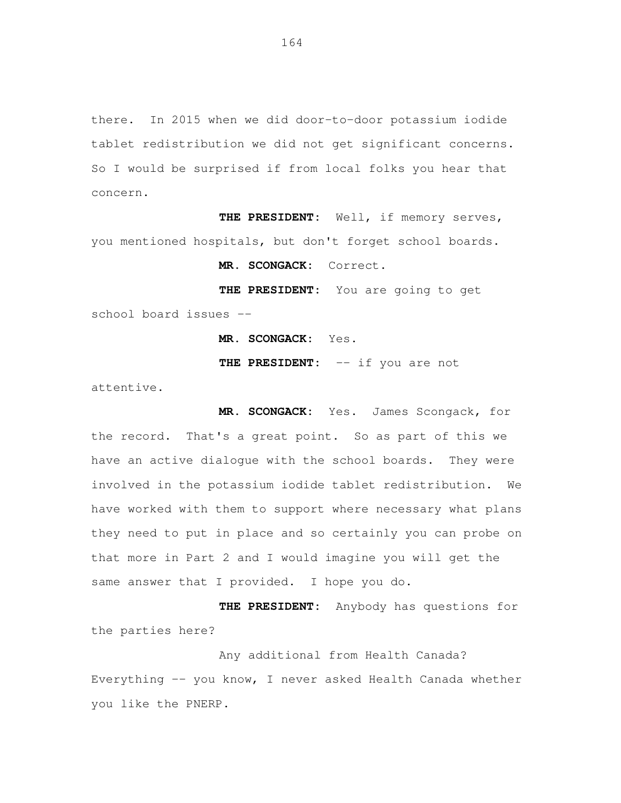there. In 2015 when we did door-to-door potassium iodide tablet redistribution we did not get significant concerns. So I would be surprised if from local folks you hear that concern.

 **THE PRESIDENT:** Well, if memory serves, you mentioned hospitals, but don't forget school boards.

**MR. SCONGACK:** Correct.

 **THE PRESIDENT:** You are going to get school board issues --

**MR. SCONGACK:** Yes.

**THE PRESIDENT:** -- if you are not

attentive.

 **MR. SCONGACK:** Yes. James Scongack, for the record. That's a great point. So as part of this we have an active dialogue with the school boards. They were involved in the potassium iodide tablet redistribution. We have worked with them to support where necessary what plans they need to put in place and so certainly you can probe on that more in Part 2 and I would imagine you will get the same answer that I provided. I hope you do.

 **THE PRESIDENT:** Anybody has questions for the parties here?

 Any additional from Health Canada? Everything -- you know, I never asked Health Canada whether you like the PNERP.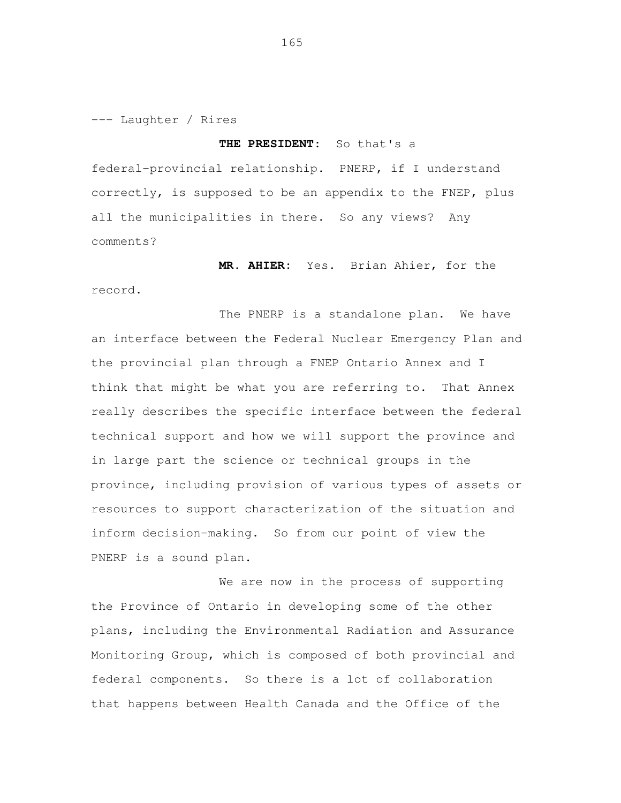--- Laughter / Rires

# **THE PRESIDENT:** So that's a

 federal-provincial relationship. PNERP, if I understand correctly, is supposed to be an appendix to the FNEP, plus all the municipalities in there. So any views? Any comments?

**MR. AHIER:** Yes. Brian Ahier, for the

record.<br>The PNERP is a standalone plan. We have an interface between the Federal Nuclear Emergency Plan and the provincial plan through a FNEP Ontario Annex and I think that might be what you are referring to. That Annex really describes the specific interface between the federal technical support and how we will support the province and in large part the science or technical groups in the province, including provision of various types of assets or resources to support characterization of the situation and inform decision-making. So from our point of view the PNERP is a sound plan.

 We are now in the process of supporting the Province of Ontario in developing some of the other plans, including the Environmental Radiation and Assurance Monitoring Group, which is composed of both provincial and federal components. So there is a lot of collaboration that happens between Health Canada and the Office of the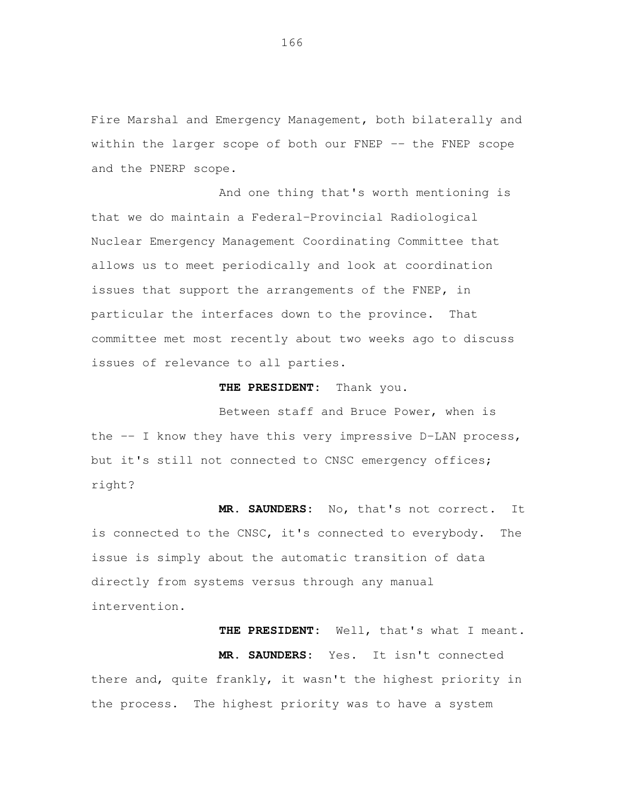Fire Marshal and Emergency Management, both bilaterally and within the larger scope of both our FNEP -- the FNEP scope and the PNERP scope.

 And one thing that's worth mentioning is that we do maintain a Federal-Provincial Radiological Nuclear Emergency Management Coordinating Committee that allows us to meet periodically and look at coordination issues that support the arrangements of the FNEP, in particular the interfaces down to the province. That committee met most recently about two weeks ago to discuss issues of relevance to all parties.

# **THE PRESIDENT:** Thank you.

 Between staff and Bruce Power, when is the -- I know they have this very impressive D-LAN process, but it's still not connected to CNSC emergency offices; right?

 **MR. SAUNDERS:** No, that's not correct. It is connected to the CNSC, it's connected to everybody. The issue is simply about the automatic transition of data directly from systems versus through any manual intervention.

**THE PRESIDENT:** Well, that's what I meant.

 **MR. SAUNDERS:** Yes. It isn't connected there and, quite frankly, it wasn't the highest priority in the process. The highest priority was to have a system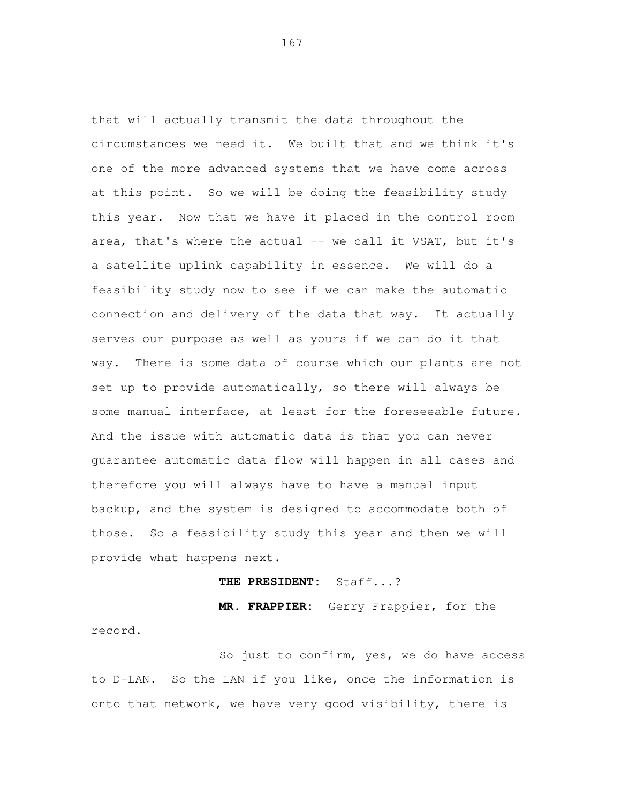that will actually transmit the data throughout the circumstances we need it. We built that and we think it's one of the more advanced systems that we have come across at this point. So we will be doing the feasibility study this year. Now that we have it placed in the control room area, that's where the actual -- we call it VSAT, but it's a satellite uplink capability in essence. We will do a feasibility study now to see if we can make the automatic connection and delivery of the data that way. It actually serves our purpose as well as yours if we can do it that way. There is some data of course which our plants are not set up to provide automatically, so there will always be some manual interface, at least for the foreseeable future. And the issue with automatic data is that you can never guarantee automatic data flow will happen in all cases and therefore you will always have to have a manual input backup, and the system is designed to accommodate both of those. So a feasibility study this year and then we will provide what happens next.

# **THE PRESIDENT:** Staff...?

 **MR. FRAPPIER:** Gerry Frappier, for the record.<br>So just to confirm, yes, we do have access

 to D-LAN. So the LAN if you like, once the information is onto that network, we have very good visibility, there is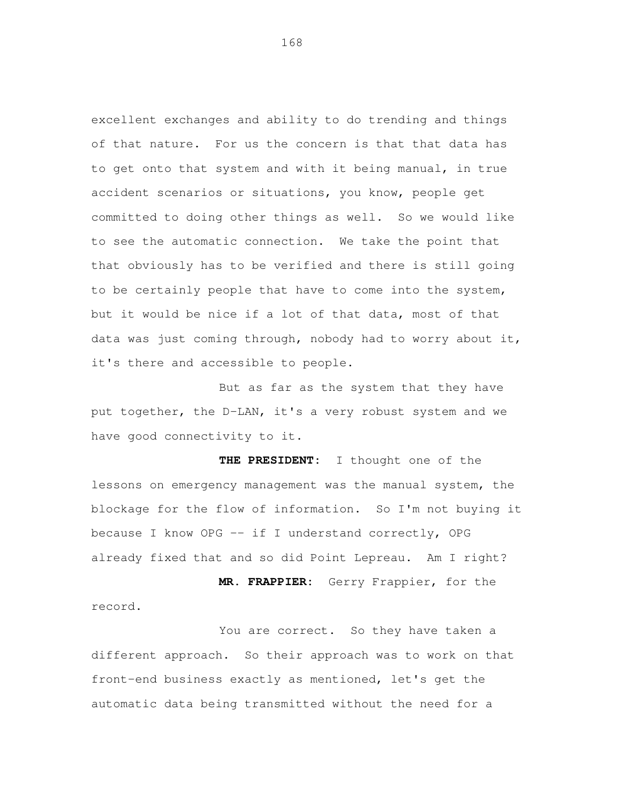excellent exchanges and ability to do trending and things of that nature. For us the concern is that that data has to get onto that system and with it being manual, in true accident scenarios or situations, you know, people get committed to doing other things as well. So we would like to see the automatic connection. We take the point that that obviously has to be verified and there is still going to be certainly people that have to come into the system, but it would be nice if a lot of that data, most of that data was just coming through, nobody had to worry about it, it's there and accessible to people.

 But as far as the system that they have put together, the D-LAN, it's a very robust system and we have good connectivity to it.

 **THE PRESIDENT:** I thought one of the lessons on emergency management was the manual system, the blockage for the flow of information. So I'm not buying it because I know OPG -- if I understand correctly, OPG already fixed that and so did Point Lepreau. Am I right?

 **MR. FRAPPIER:** Gerry Frappier, for the record.<br>You are correct. So they have taken a

 different approach. So their approach was to work on that front-end business exactly as mentioned, let's get the automatic data being transmitted without the need for a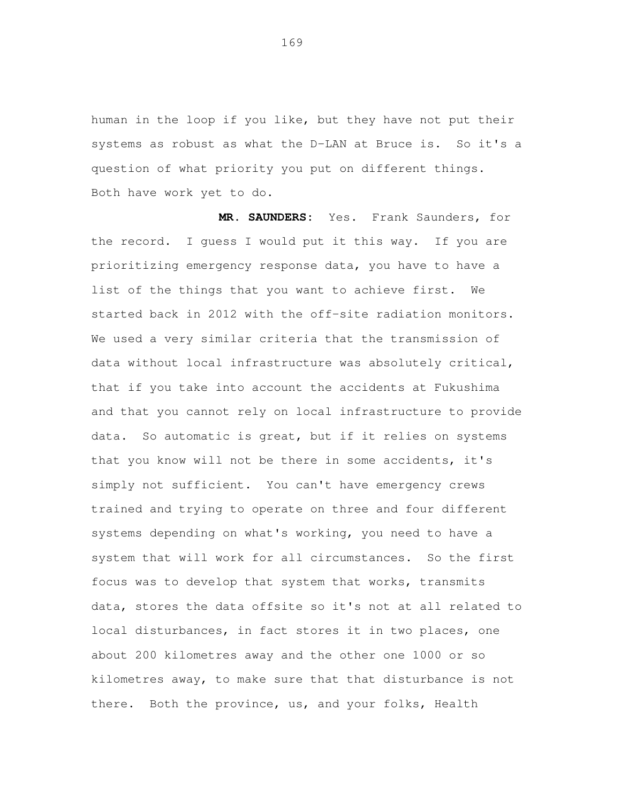human in the loop if you like, but they have not put their systems as robust as what the D-LAN at Bruce is. So it's a question of what priority you put on different things. Both have work yet to do.

 **MR. SAUNDERS:** Yes. Frank Saunders, for the record. I guess I would put it this way. If you are prioritizing emergency response data, you have to have a list of the things that you want to achieve first. We started back in 2012 with the off-site radiation monitors. We used a very similar criteria that the transmission of data without local infrastructure was absolutely critical, that if you take into account the accidents at Fukushima and that you cannot rely on local infrastructure to provide data. So automatic is great, but if it relies on systems that you know will not be there in some accidents, it's simply not sufficient. You can't have emergency crews trained and trying to operate on three and four different systems depending on what's working, you need to have a system that will work for all circumstances. So the first focus was to develop that system that works, transmits data, stores the data offsite so it's not at all related to local disturbances, in fact stores it in two places, one about 200 kilometres away and the other one 1000 or so kilometres away, to make sure that that disturbance is not there. Both the province, us, and your folks, Health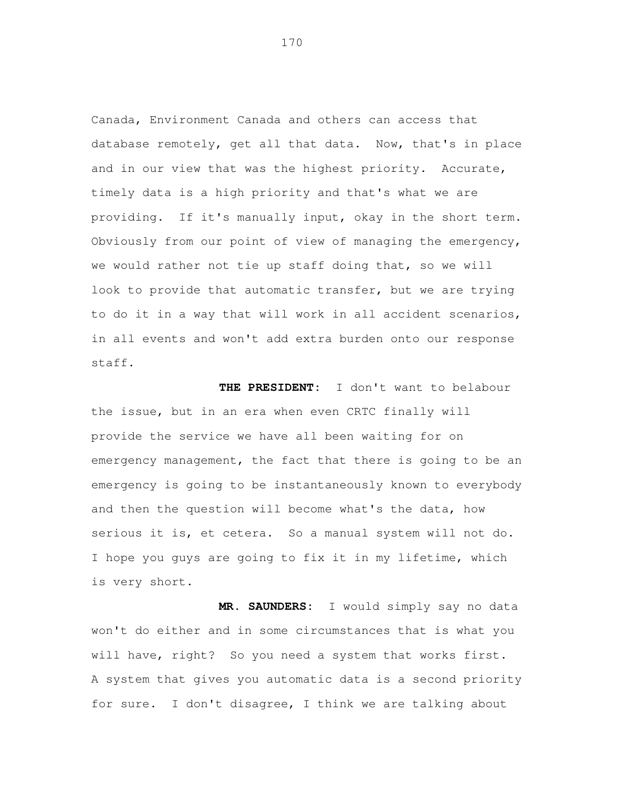Canada, Environment Canada and others can access that database remotely, get all that data. Now, that's in place and in our view that was the highest priority. Accurate, timely data is a high priority and that's what we are providing. If it's manually input, okay in the short term. Obviously from our point of view of managing the emergency, we would rather not tie up staff doing that, so we will look to provide that automatic transfer, but we are trying to do it in a way that will work in all accident scenarios, in all events and won't add extra burden onto our response staff.

THE PRESIDENT: the issue, but in an era when even CRTC finally will provide the service we have all been waiting for on emergency management, the fact that there is going to be an emergency is going to be instantaneously known to everybody and then the question will become what's the data, how serious it is, et cetera. So a manual system will not do. I hope you guys are going to fix it in my lifetime, which is very short. I don't want to belabour

 **MR. SAUNDERS:** I would simply say no data won't do either and in some circumstances that is what you will have, right? So you need a system that works first. A system that gives you automatic data is a second priority for sure. I don't disagree, I think we are talking about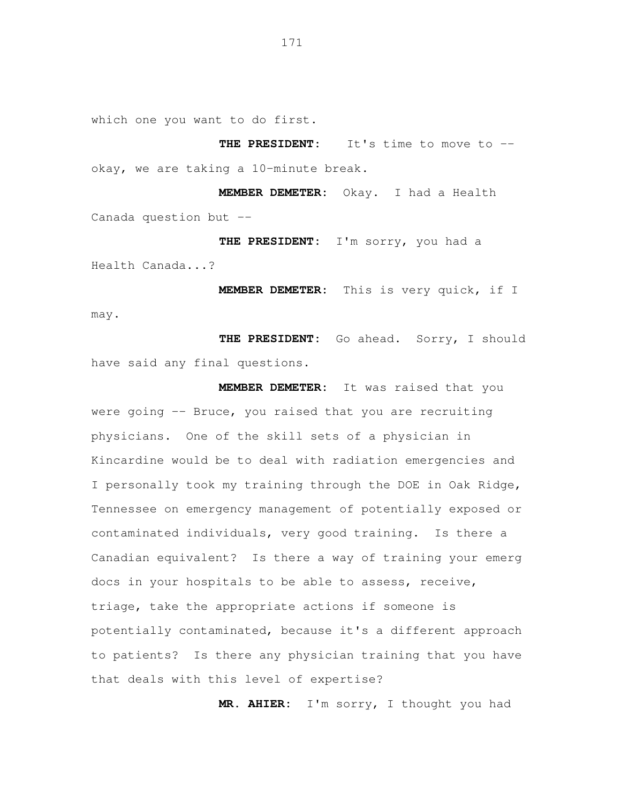which one you want to do first.

 **THE PRESIDENT:** It's time to move to -- okay, we are taking a 10-minute break.

 **MEMBER DEMETER:** Okay. I had a Health Canada question but --

 **THE PRESIDENT:** I'm sorry, you had a Health Canada...?

 **MEMBER DEMETER:** This is very quick, if I may.

 **THE PRESIDENT:** Go ahead. Sorry, I should have said any final questions.

 **MEMBER DEMETER:** It was raised that you were going -- Bruce, you raised that you are recruiting physicians. One of the skill sets of a physician in Kincardine would be to deal with radiation emergencies and I personally took my training through the DOE in Oak Ridge, Tennessee on emergency management of potentially exposed or contaminated individuals, very good training. Is there a Canadian equivalent? Is there a way of training your emerg docs in your hospitals to be able to assess, receive, triage, take the appropriate actions if someone is potentially contaminated, because it's a different approach to patients? Is there any physician training that you have that deals with this level of expertise?

**MR. AHIER:** I'm sorry, I thought you had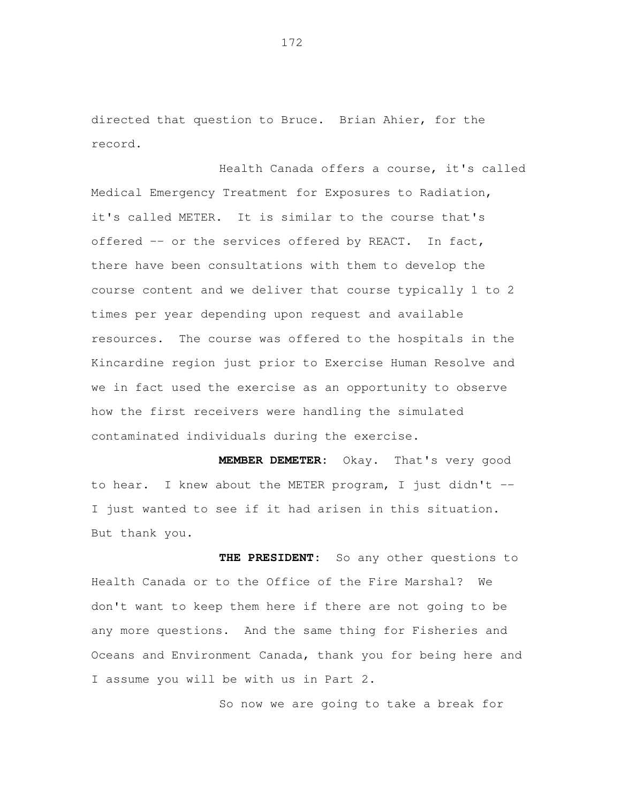directed that question to Bruce. Brian Ahier, for the record.<br>Health Canada offers a course, it's called

 Medical Emergency Treatment for Exposures to Radiation, it's called METER. It is similar to the course that's offered -- or the services offered by REACT. In fact, there have been consultations with them to develop the course content and we deliver that course typically 1 to 2 times per year depending upon request and available resources. The course was offered to the hospitals in the Kincardine region just prior to Exercise Human Resolve and we in fact used the exercise as an opportunity to observe how the first receivers were handling the simulated contaminated individuals during the exercise.

 **MEMBER DEMETER:** Okay. That's very good to hear. I knew about the METER program, I just didn't -- I just wanted to see if it had arisen in this situation. But thank you.

THE PRESIDENT: Health Canada or to the Office of the Fire Marshal? We don't want to keep them here if there are not going to be any more questions. And the same thing for Fisheries and Oceans and Environment Canada, thank you for being here and I assume you will be with us in Part 2. So any other questions to

So now we are going to take a break for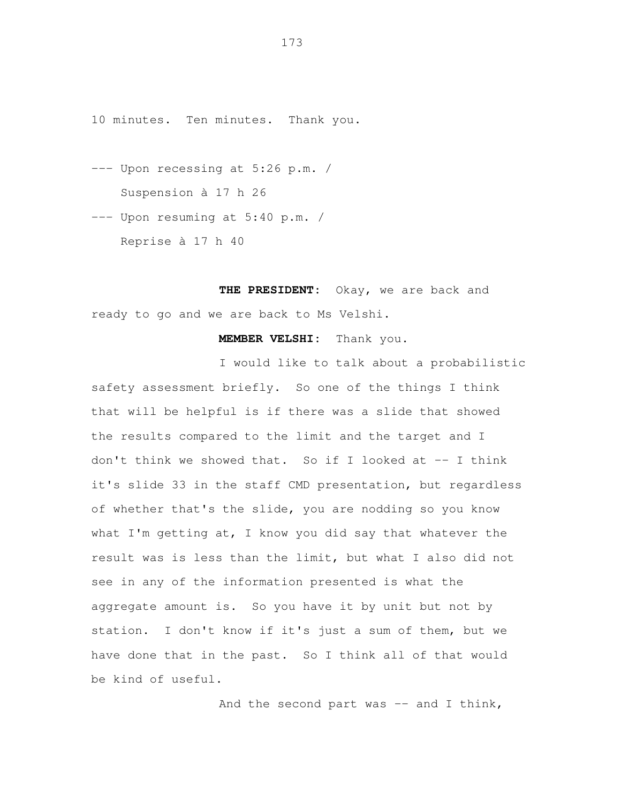10 minutes. Ten minutes. Thank you.

- --- Upon recessing at 5:26 p.m. / Suspension à 17 h 26
- --- Upon resuming at 5:40 p.m. / Reprise à 17 h 40

 **THE PRESIDENT:** Okay, we are back and ready to go and we are back to Ms Velshi.

**MEMBER VELSHI:** Thank you.

 I would like to talk about a probabilistic safety assessment briefly. So one of the things I think that will be helpful is if there was a slide that showed the results compared to the limit and the target and I don't think we showed that. So if I looked at -- I think it's slide 33 in the staff CMD presentation, but regardless of whether that's the slide, you are nodding so you know what I'm getting at, I know you did say that whatever the result was is less than the limit, but what I also did not see in any of the information presented is what the aggregate amount is. So you have it by unit but not by station. I don't know if it's just a sum of them, but we have done that in the past. So I think all of that would be kind of useful.

And the second part was -- and I think,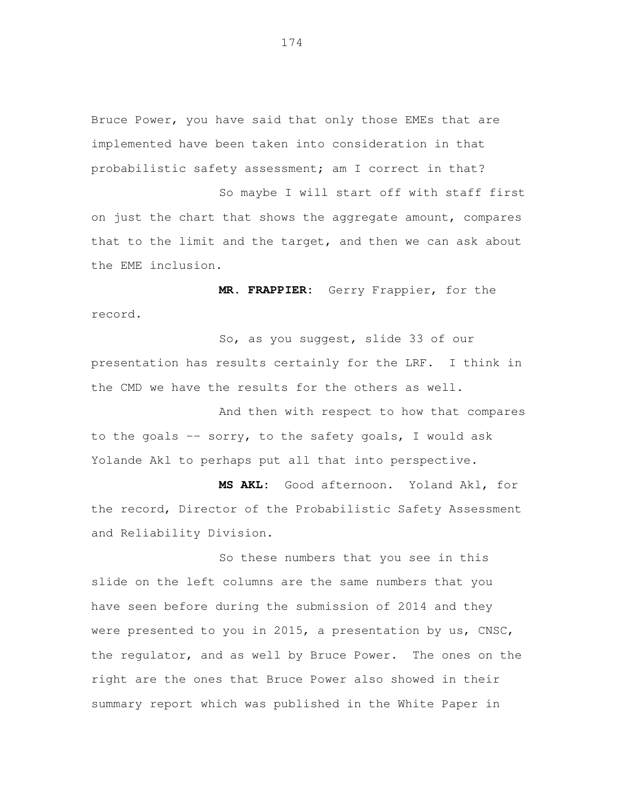Bruce Power, you have said that only those EMEs that are implemented have been taken into consideration in that probabilistic safety assessment; am I correct in that?

 So maybe I will start off with staff first on just the chart that shows the aggregate amount, compares that to the limit and the target, and then we can ask about the EME inclusion.

 **MR. FRAPPIER:** Gerry Frappier, for the record.<br>So, as you suggest, slide 33 of our

 presentation has results certainly for the LRF. I think in the CMD we have the results for the others as well.

 And then with respect to how that compares to the goals -- sorry, to the safety goals, I would ask Yolande Akl to perhaps put all that into perspective.

 **MS AKL:** Good afternoon. Yoland Akl, for the record, Director of the Probabilistic Safety Assessment and Reliability Division.<br>So these numbers that you see in this

 slide on the left columns are the same numbers that you have seen before during the submission of 2014 and they were presented to you in 2015, a presentation by us, CNSC, the regulator, and as well by Bruce Power. The ones on the right are the ones that Bruce Power also showed in their summary report which was published in the White Paper in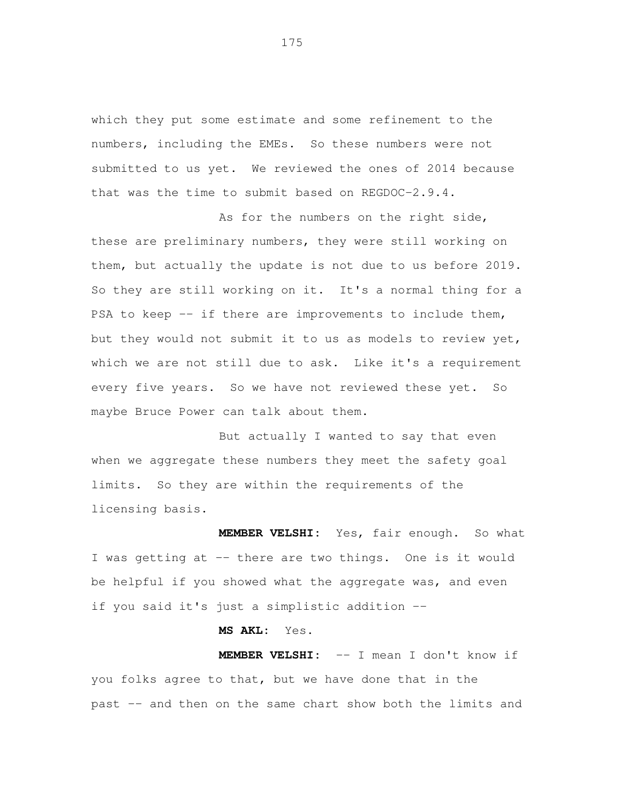which they put some estimate and some refinement to the numbers, including the EMEs. So these numbers were not submitted to us yet. We reviewed the ones of 2014 because that was the time to submit based on REGDOC-2.9.4.

As for the numbers on the right side, these are preliminary numbers, they were still working on them, but actually the update is not due to us before 2019. So they are still working on it. It's a normal thing for a PSA to keep -- if there are improvements to include them, but they would not submit it to us as models to review yet, which we are not still due to ask. Like it's a requirement every five years. So we have not reviewed these yet. So maybe Bruce Power can talk about them.

 But actually I wanted to say that even when we aggregate these numbers they meet the safety goal limits. So they are within the requirements of the licensing basis.

 **MEMBER VELSHI:** Yes, fair enough. So what I was getting at -- there are two things. One is it would be helpful if you showed what the aggregate was, and even if you said it's just a simplistic addition --

# **MS AKL:** Yes.

 **MEMBER VELSHI:** -- I mean I don't know if you folks agree to that, but we have done that in the past -- and then on the same chart show both the limits and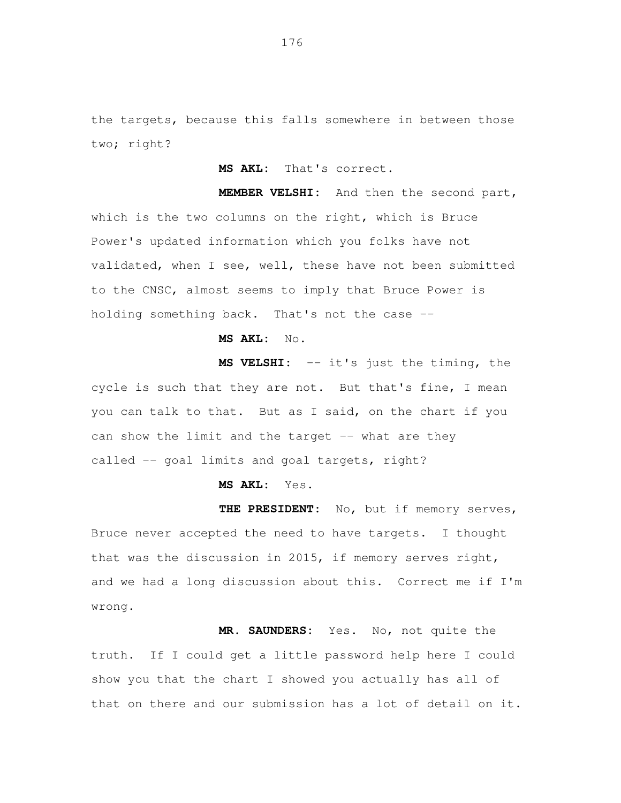the targets, because this falls somewhere in between those two; right?

**MS AKL:** That's correct.

 **MEMBER VELSHI:** And then the second part, which is the two columns on the right, which is Bruce Power's updated information which you folks have not validated, when I see, well, these have not been submitted to the CNSC, almost seems to imply that Bruce Power is holding something back. That's not the case --

# **MS AKL:** No.

 **MS VELSHI:** -- it's just the timing, the cycle is such that they are not. But that's fine, I mean you can talk to that. But as I said, on the chart if you can show the limit and the target -- what are they called -- goal limits and goal targets, right?

**MS AKL:** Yes.

 **THE PRESIDENT:** No, but if memory serves, Bruce never accepted the need to have targets. I thought that was the discussion in 2015, if memory serves right, and we had a long discussion about this. Correct me if I'm wrong.

 **MR. SAUNDERS:** Yes. No, not quite the truth. If I could get a little password help here I could show you that the chart I showed you actually has all of that on there and our submission has a lot of detail on it.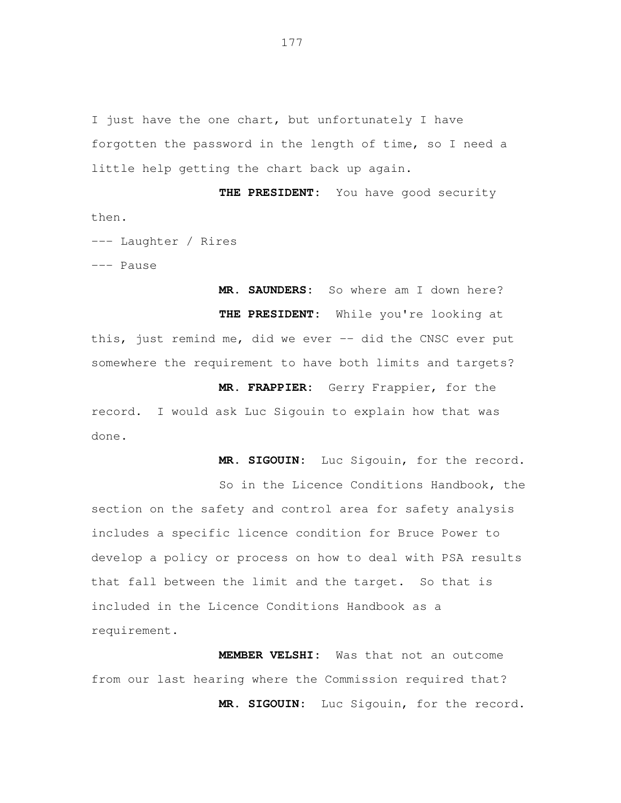I just have the one chart, but unfortunately I have forgotten the password in the length of time, so I need a little help getting the chart back up again.

 **THE PRESIDENT:** You have good security then.

--- Laughter / Rires

--- Pause

 **MR. SAUNDERS:** So where am I down here? **THE PRESIDENT:** While you're looking at this, just remind me, did we ever -- did the CNSC ever put somewhere the requirement to have both limits and targets?

 **MR. FRAPPIER:** Gerry Frappier, for the record. I would ask Luc Sigouin to explain how that was done.

**MR. SIGOUIN:** Luc Sigouin, for the record.

 So in the Licence Conditions Handbook, the section on the safety and control area for safety analysis includes a specific licence condition for Bruce Power to develop a policy or process on how to deal with PSA results that fall between the limit and the target. So that is included in the Licence Conditions Handbook as a requirement.

 **MEMBER VELSHI:** Was that not an outcome from our last hearing where the Commission required that? **MR. SIGOUIN:** Luc Sigouin, for the record.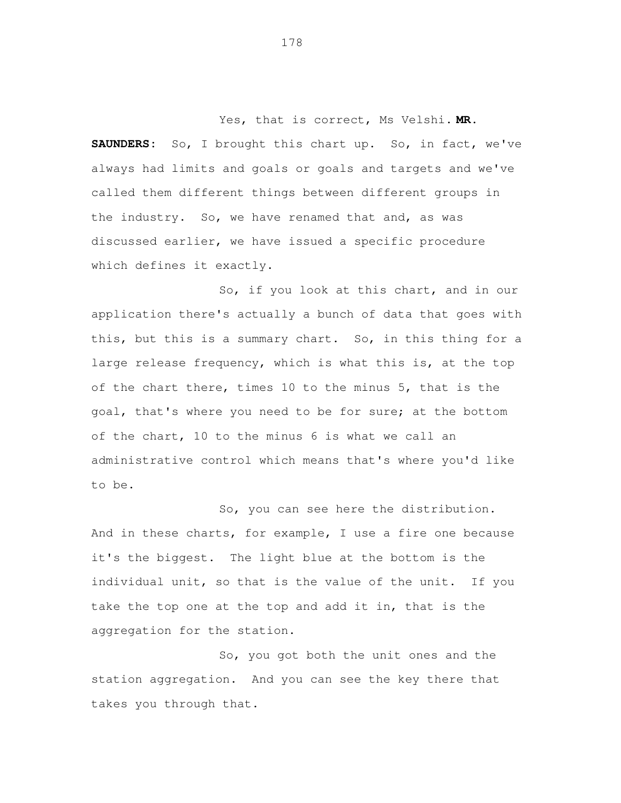Yes, that is correct, Ms Velshi. **MR. SAUNDERS:**  always had limits and goals or goals and targets and we've called them different things between different groups in the industry. So, we have renamed that and, as was discussed earlier, we have issued a specific procedure which defines it exactly. So, I brought this chart up. So, in fact, we've

 So, if you look at this chart, and in our application there's actually a bunch of data that goes with this, but this is a summary chart. So, in this thing for a large release frequency, which is what this is, at the top of the chart there, times 10 to the minus 5, that is the goal, that's where you need to be for sure; at the bottom of the chart, 10 to the minus 6 is what we call an administrative control which means that's where you'd like to be.

 So, you can see here the distribution. And in these charts, for example, I use a fire one because it's the biggest. The light blue at the bottom is the individual unit, so that is the value of the unit. If you take the top one at the top and add it in, that is the aggregation for the station.

 So, you got both the unit ones and the station aggregation. And you can see the key there that takes you through that.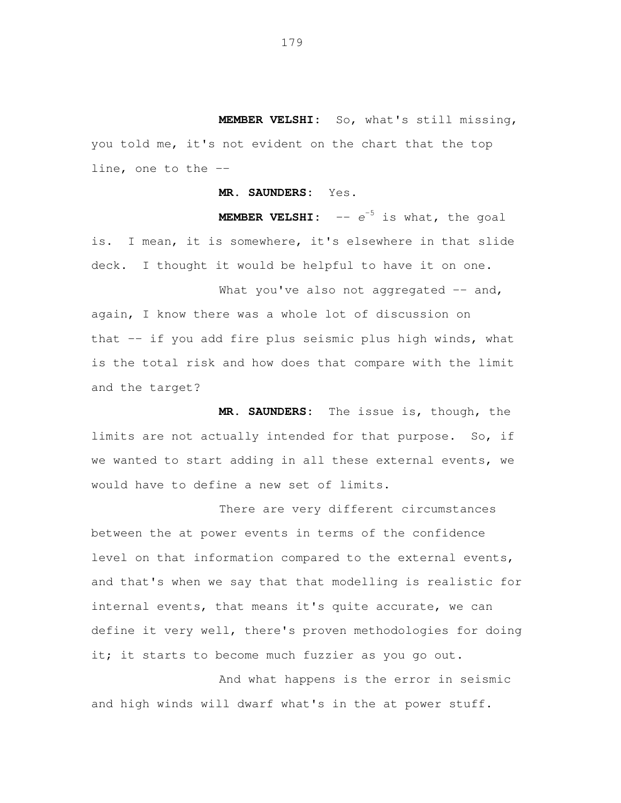**MEMBER VELSHI:** So, what's still missing, you told me, it's not evident on the chart that the top line, one to the --

**MR. SAUNDERS:** Yes.

**MEMBER VELSHI:**  $- - e^{-5}$  is what, the goal is. I mean, it is somewhere, it's elsewhere in that slide deck. I thought it would be helpful to have it on one.

What you've also not aggregated -- and, again, I know there was a whole lot of discussion on that -- if you add fire plus seismic plus high winds, what is the total risk and how does that compare with the limit and the target?

 **MR. SAUNDERS:** The issue is, though, the limits are not actually intended for that purpose. So, if we wanted to start adding in all these external events, we would have to define a new set of limits.

 There are very different circumstances between the at power events in terms of the confidence level on that information compared to the external events, and that's when we say that that modelling is realistic for internal events, that means it's quite accurate, we can define it very well, there's proven methodologies for doing it; it starts to become much fuzzier as you go out.

 And what happens is the error in seismic and high winds will dwarf what's in the at power stuff.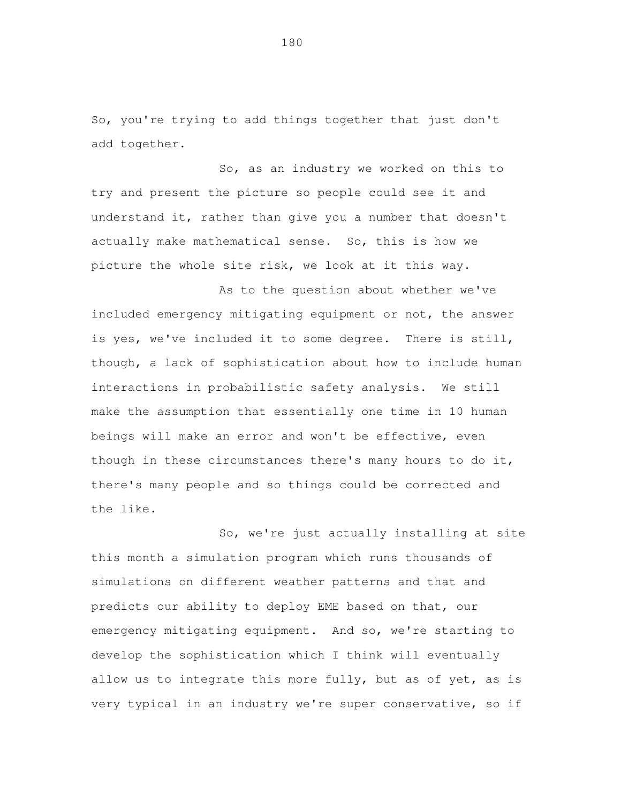So, you're trying to add things together that just don't add together.

 So, as an industry we worked on this to try and present the picture so people could see it and understand it, rather than give you a number that doesn't actually make mathematical sense. So, this is how we picture the whole site risk, we look at it this way.

 As to the question about whether we've included emergency mitigating equipment or not, the answer is yes, we've included it to some degree. There is still, though, a lack of sophistication about how to include human interactions in probabilistic safety analysis. We still make the assumption that essentially one time in 10 human beings will make an error and won't be effective, even though in these circumstances there's many hours to do it, there's many people and so things could be corrected and the like.

 So, we're just actually installing at site this month a simulation program which runs thousands of simulations on different weather patterns and that and predicts our ability to deploy EME based on that, our emergency mitigating equipment. And so, we're starting to develop the sophistication which I think will eventually allow us to integrate this more fully, but as of yet, as is very typical in an industry we're super conservative, so if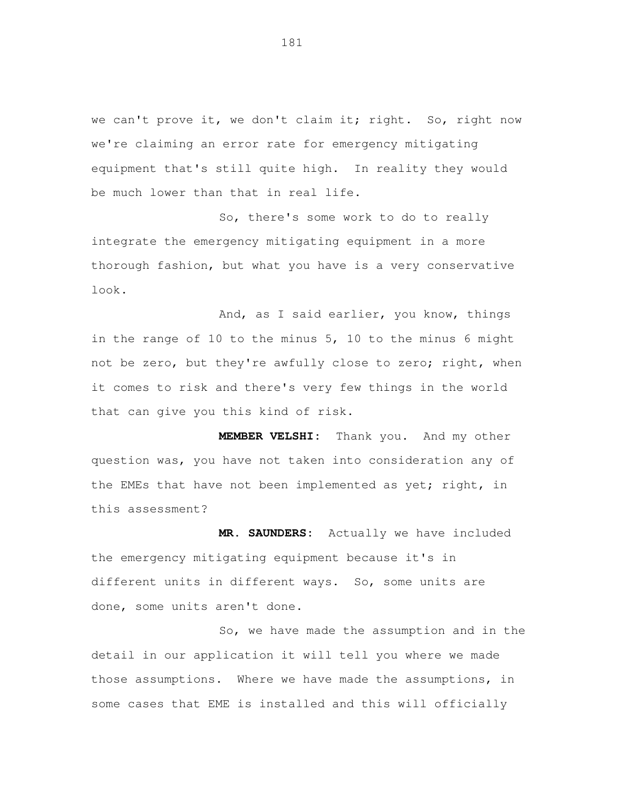we can't prove it, we don't claim it; right. So, right now we're claiming an error rate for emergency mitigating equipment that's still quite high. In reality they would be much lower than that in real life.

 So, there's some work to do to really integrate the emergency mitigating equipment in a more thorough fashion, but what you have is a very conservative look.

 And, as I said earlier, you know, things in the range of 10 to the minus 5, 10 to the minus 6 might not be zero, but they're awfully close to zero; right, when it comes to risk and there's very few things in the world that can give you this kind of risk.

 **MEMBER VELSHI:** Thank you. And my other question was, you have not taken into consideration any of the EMEs that have not been implemented as yet; right, in this assessment?

 **MR. SAUNDERS:** Actually we have included the emergency mitigating equipment because it's in different units in different ways. So, some units are done, some units aren't done.

 So, we have made the assumption and in the detail in our application it will tell you where we made those assumptions. Where we have made the assumptions, in some cases that EME is installed and this will officially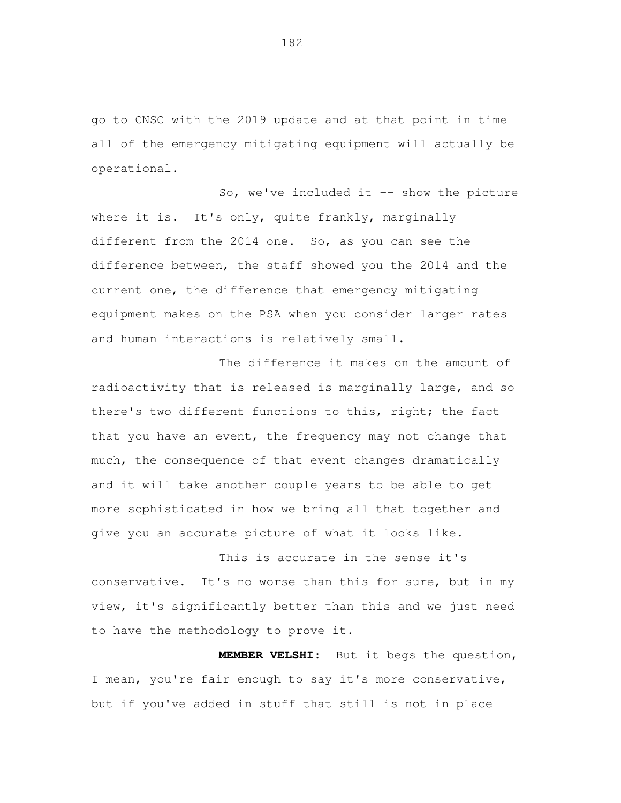go to CNSC with the 2019 update and at that point in time all of the emergency mitigating equipment will actually be operational.

So, we've included it -- show the picture where it is. It's only, quite frankly, marginally different from the 2014 one. So, as you can see the difference between, the staff showed you the 2014 and the current one, the difference that emergency mitigating equipment makes on the PSA when you consider larger rates and human interactions is relatively small.

 The difference it makes on the amount of radioactivity that is released is marginally large, and so there's two different functions to this, right; the fact that you have an event, the frequency may not change that much, the consequence of that event changes dramatically and it will take another couple years to be able to get more sophisticated in how we bring all that together and give you an accurate picture of what it looks like.

 This is accurate in the sense it's conservative. It's no worse than this for sure, but in my view, it's significantly better than this and we just need to have the methodology to prove it.

 **MEMBER VELSHI:** But it begs the question, I mean, you're fair enough to say it's more conservative, but if you've added in stuff that still is not in place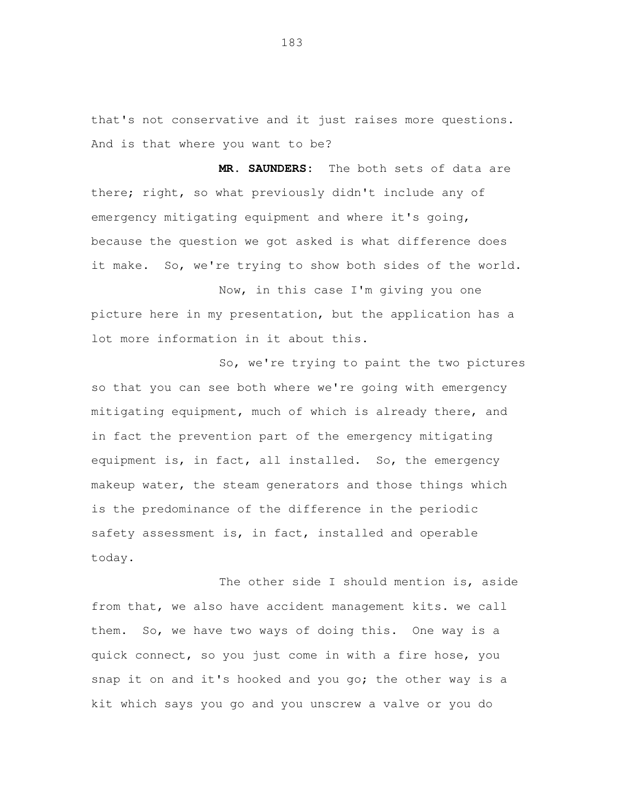that's not conservative and it just raises more questions. And is that where you want to be?

 **MR. SAUNDERS:** The both sets of data are there; right, so what previously didn't include any of emergency mitigating equipment and where it's going, because the question we got asked is what difference does it make. So, we're trying to show both sides of the world.

 Now, in this case I'm giving you one picture here in my presentation, but the application has a lot more information in it about this.

 So, we're trying to paint the two pictures so that you can see both where we're going with emergency mitigating equipment, much of which is already there, and in fact the prevention part of the emergency mitigating equipment is, in fact, all installed. So, the emergency makeup water, the steam generators and those things which is the predominance of the difference in the periodic safety assessment is, in fact, installed and operable today.

 The other side I should mention is, aside from that, we also have accident management kits. we call them. So, we have two ways of doing this. One way is a quick connect, so you just come in with a fire hose, you snap it on and it's hooked and you go; the other way is a kit which says you go and you unscrew a valve or you do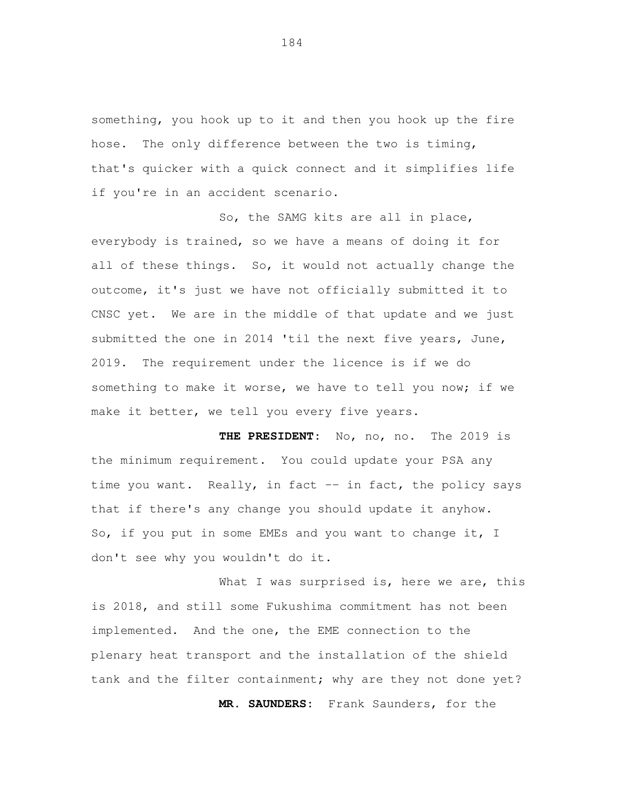something, you hook up to it and then you hook up the fire hose. The only difference between the two is timing, that's quicker with a quick connect and it simplifies life if you're in an accident scenario.

 So, the SAMG kits are all in place, everybody is trained, so we have a means of doing it for all of these things. So, it would not actually change the outcome, it's just we have not officially submitted it to CNSC yet. We are in the middle of that update and we just submitted the one in 2014 'til the next five years, June, 2019. The requirement under the licence is if we do something to make it worse, we have to tell you now; if we make it better, we tell you every five years.

 **THE PRESIDENT:** No, no, no. The 2019 is the minimum requirement. You could update your PSA any time you want. Really, in fact -- in fact, the policy says that if there's any change you should update it anyhow. So, if you put in some EMEs and you want to change it, I don't see why you wouldn't do it.

What I was surprised is, here we are, this is 2018, and still some Fukushima commitment has not been implemented. And the one, the EME connection to the plenary heat transport and the installation of the shield tank and the filter containment; why are they not done yet? **MR. SAUNDERS:** Frank Saunders, for the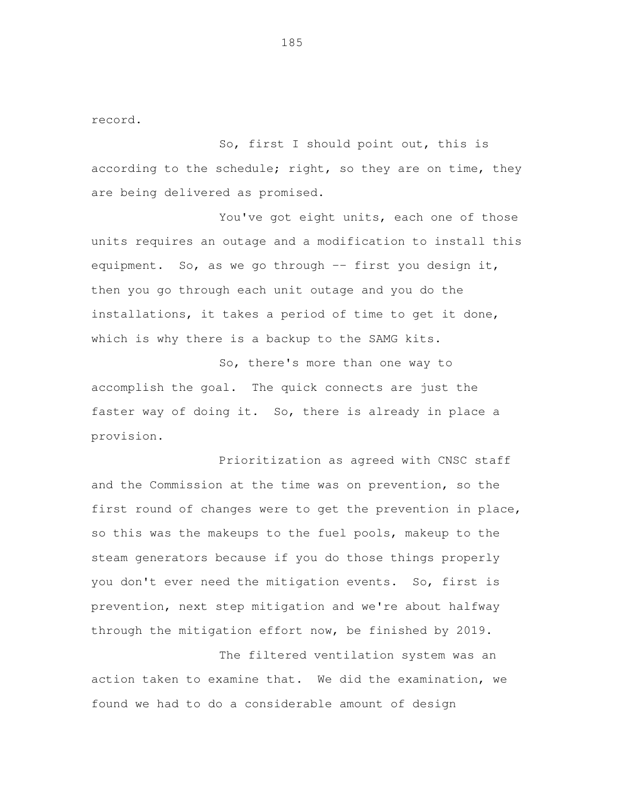record.

 So, first I should point out, this is according to the schedule; right, so they are on time, they are being delivered as promised.

 You've got eight units, each one of those units requires an outage and a modification to install this equipment. So, as we go through -- first you design it, then you go through each unit outage and you do the installations, it takes a period of time to get it done, which is why there is a backup to the SAMG kits.

 So, there's more than one way to accomplish the goal. The quick connects are just the faster way of doing it. So, there is already in place a provision.

 Prioritization as agreed with CNSC staff and the Commission at the time was on prevention, so the first round of changes were to get the prevention in place, so this was the makeups to the fuel pools, makeup to the steam generators because if you do those things properly you don't ever need the mitigation events. So, first is prevention, next step mitigation and we're about halfway through the mitigation effort now, be finished by 2019.

 The filtered ventilation system was an action taken to examine that. We did the examination, we found we had to do a considerable amount of design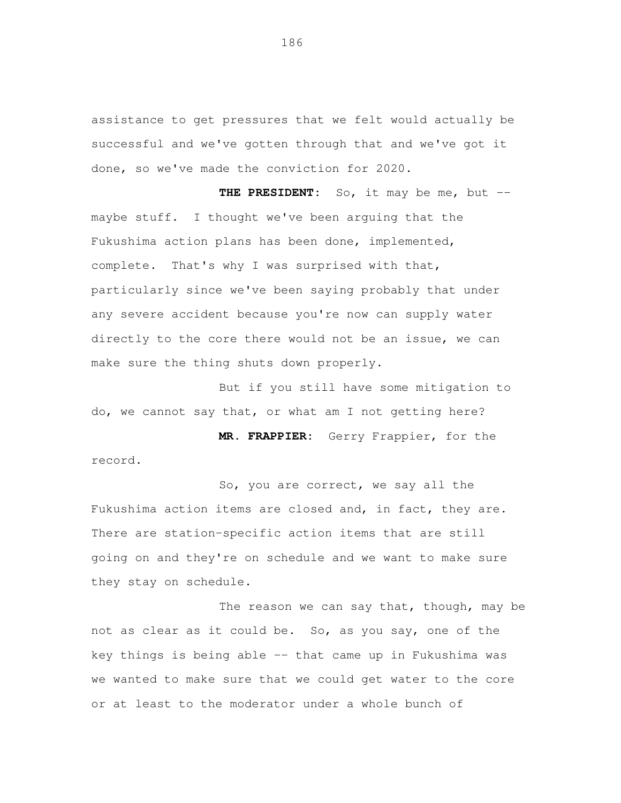assistance to get pressures that we felt would actually be successful and we've gotten through that and we've got it done, so we've made the conviction for 2020.

 **THE PRESIDENT:** So, it may be me, but -- maybe stuff. I thought we've been arguing that the Fukushima action plans has been done, implemented, complete. That's why I was surprised with that, particularly since we've been saying probably that under any severe accident because you're now can supply water directly to the core there would not be an issue, we can make sure the thing shuts down properly.

 But if you still have some mitigation to do, we cannot say that, or what am I not getting here?

 **MR. FRAPPIER:** Gerry Frappier, for the record.

 So, you are correct, we say all the Fukushima action items are closed and, in fact, they are. There are station-specific action items that are still going on and they're on schedule and we want to make sure they stay on schedule.

The reason we can say that, though, may be not as clear as it could be. So, as you say, one of the key things is being able -- that came up in Fukushima was we wanted to make sure that we could get water to the core or at least to the moderator under a whole bunch of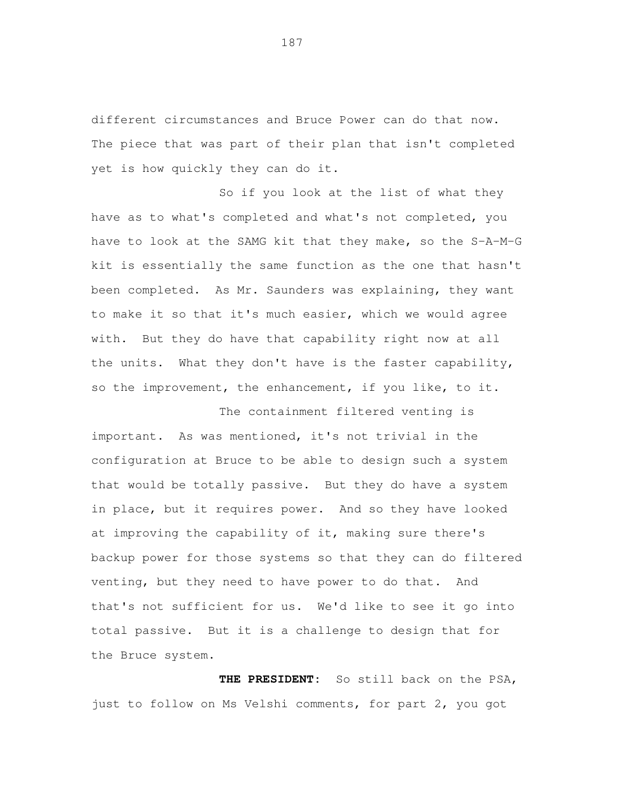different circumstances and Bruce Power can do that now. The piece that was part of their plan that isn't completed yet is how quickly they can do it.

 So if you look at the list of what they have as to what's completed and what's not completed, you have to look at the SAMG kit that they make, so the S-A-M-G kit is essentially the same function as the one that hasn't been completed. As Mr. Saunders was explaining, they want to make it so that it's much easier, which we would agree with. But they do have that capability right now at all the units. What they don't have is the faster capability, so the improvement, the enhancement, if you like, to it.

 The containment filtered venting is important. As was mentioned, it's not trivial in the configuration at Bruce to be able to design such a system that would be totally passive. But they do have a system in place, but it requires power. And so they have looked at improving the capability of it, making sure there's backup power for those systems so that they can do filtered venting, but they need to have power to do that. And that's not sufficient for us. We'd like to see it go into total passive. But it is a challenge to design that for the Bruce system.

 **THE PRESIDENT:** So still back on the PSA, just to follow on Ms Velshi comments, for part 2, you got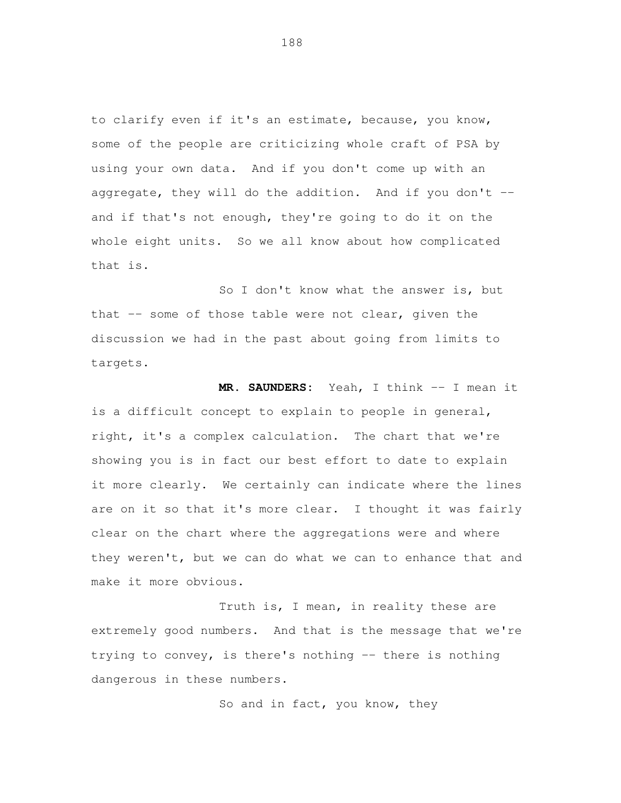to clarify even if it's an estimate, because, you know, some of the people are criticizing whole craft of PSA by using your own data. And if you don't come up with an aggregate, they will do the addition. And if you don't -- and if that's not enough, they're going to do it on the whole eight units. So we all know about how complicated that is.

 So I don't know what the answer is, but that -- some of those table were not clear, given the discussion we had in the past about going from limits to targets.

 **MR. SAUNDERS:** Yeah, I think -- I mean it is a difficult concept to explain to people in general, right, it's a complex calculation. The chart that we're showing you is in fact our best effort to date to explain it more clearly. We certainly can indicate where the lines are on it so that it's more clear. I thought it was fairly clear on the chart where the aggregations were and where they weren't, but we can do what we can to enhance that and make it more obvious.

 Truth is, I mean, in reality these are extremely good numbers. And that is the message that we're trying to convey, is there's nothing -- there is nothing dangerous in these numbers.

So and in fact, you know, they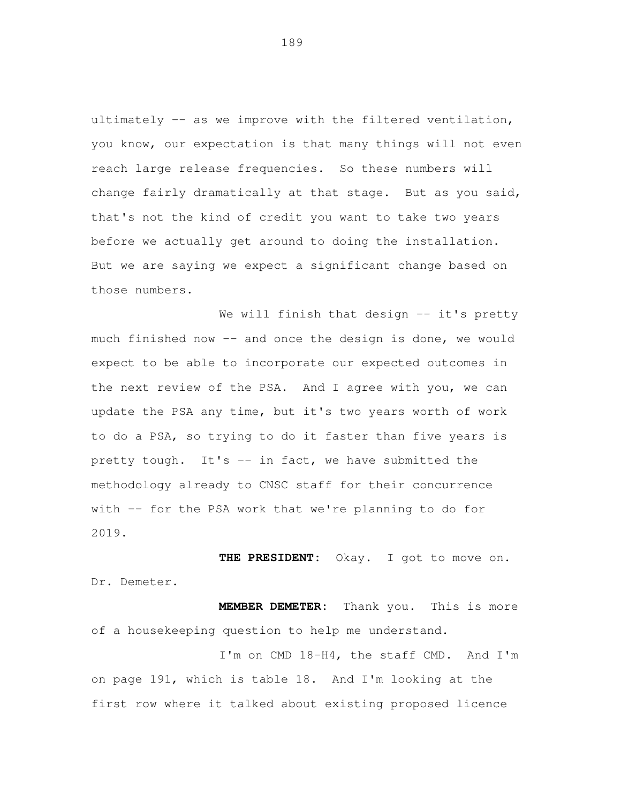ultimately -- as we improve with the filtered ventilation, you know, our expectation is that many things will not even reach large release frequencies. So these numbers will change fairly dramatically at that stage. But as you said, that's not the kind of credit you want to take two years before we actually get around to doing the installation. But we are saying we expect a significant change based on those numbers.

 We will finish that design -- it's pretty much finished now -- and once the design is done, we would expect to be able to incorporate our expected outcomes in the next review of the PSA. And I agree with you, we can update the PSA any time, but it's two years worth of work to do a PSA, so trying to do it faster than five years is pretty tough. It's -- in fact, we have submitted the methodology already to CNSC staff for their concurrence with -- for the PSA work that we're planning to do for 2019.

 **THE PRESIDENT:** Okay. I got to move on. Dr. Demeter.

 **MEMBER DEMETER:** Thank you. This is more of a housekeeping question to help me understand.

 I'm on CMD 18-H4, the staff CMD. And I'm on page 191, which is table 18. And I'm looking at the first row where it talked about existing proposed licence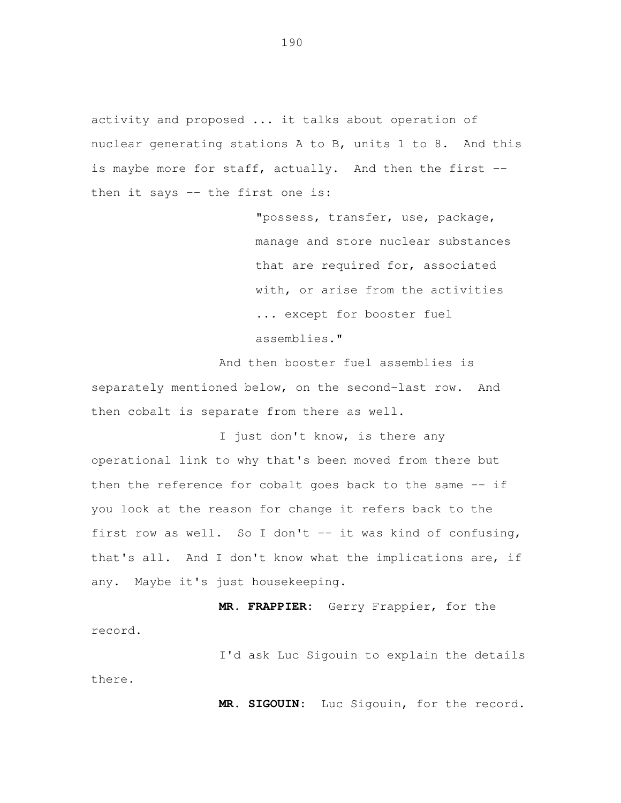activity and proposed ... it talks about operation of nuclear generating stations A to B, units 1 to 8. And this is maybe more for staff, actually. And then the first -then it says -- the first one is:

> "possess, transfer, use, package, manage and store nuclear substances that are required for, associated with, or arise from the activities ... except for booster fuel assemblies."

 And then booster fuel assemblies is separately mentioned below, on the second-last row. And then cobalt is separate from there as well.

 I just don't know, is there any operational link to why that's been moved from there but then the reference for cobalt goes back to the same -- if you look at the reason for change it refers back to the first row as well. So I don't -- it was kind of confusing, that's all. And I don't know what the implications are, if any. Maybe it's just housekeeping.

**MR. FRAPPIER:** Gerry Frappier, for the

record.<br>I'd ask Luc Sigouin to explain the details there.

**MR. SIGOUIN:** Luc Sigouin, for the record.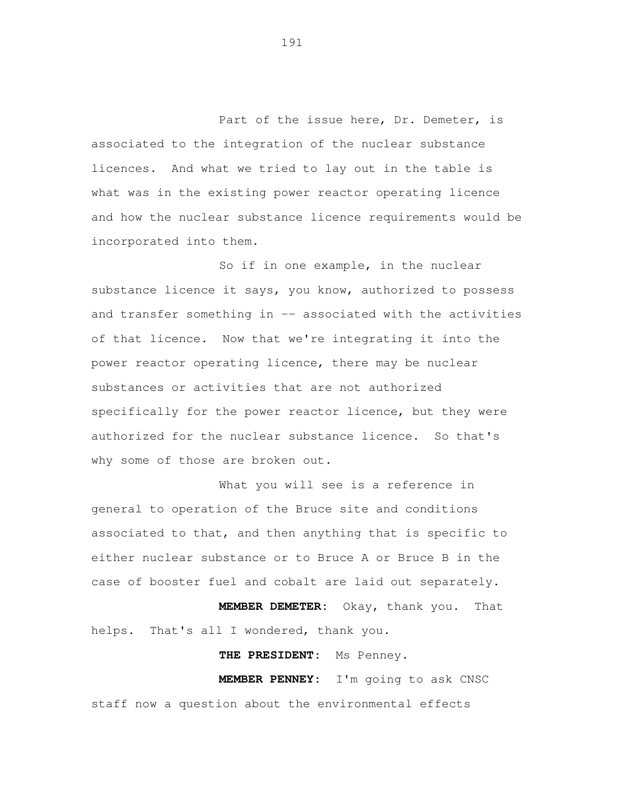Part of the issue here, Dr. Demeter, is associated to the integration of the nuclear substance licences. And what we tried to lay out in the table is what was in the existing power reactor operating licence and how the nuclear substance licence requirements would be incorporated into them.

 So if in one example, in the nuclear substance licence it says, you know, authorized to possess and transfer something in -- associated with the activities of that licence. Now that we're integrating it into the power reactor operating licence, there may be nuclear substances or activities that are not authorized specifically for the power reactor licence, but they were authorized for the nuclear substance licence. So that's why some of those are broken out.

 What you will see is a reference in general to operation of the Bruce site and conditions associated to that, and then anything that is specific to either nuclear substance or to Bruce A or Bruce B in the case of booster fuel and cobalt are laid out separately.

 **MEMBER DEMETER:** Okay, thank you. That helps. That's all I wondered, thank you.

**THE PRESIDENT:** Ms Penney.

 **MEMBER PENNEY:** I'm going to ask CNSC staff now a question about the environmental effects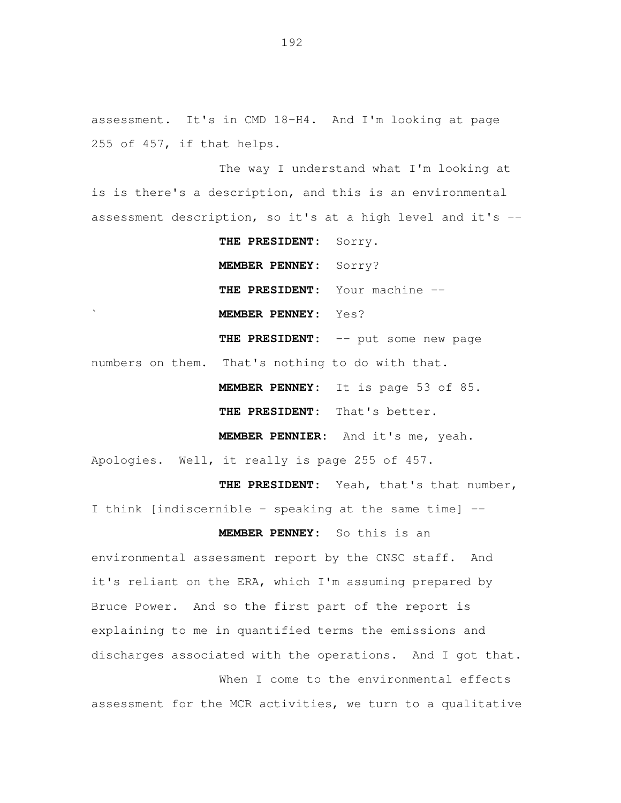assessment. It's in CMD 18-H4. And I'm looking at page 255 of 457, if that helps.

 The way I understand what I'm looking at is is there's a description, and this is an environmental assessment description, so it's at a high level and it's --

 **THE PRESIDENT:** Sorry. **MEMBER PENNEY:** Sorry? **THE PRESIDENT:** Your machine -- ` **MEMBER PENNEY:** Yes? **THE PRESIDENT:** -- put some new page numbers on them. That's nothing to do with that. **MEMBER PENNEY:** It is page 53 of 85. **THE PRESIDENT:** That's better.

**MEMBER PENNIER:** And it's me, yeah.

Apologies. Well, it really is page 255 of 457.

**THE PRESIDENT:** Yeah, that's that number,

I think [indiscernible - speaking at the same time] --

**MEMBER PENNEY:** So this is an

 environmental assessment report by the CNSC staff. And it's reliant on the ERA, which I'm assuming prepared by Bruce Power. And so the first part of the report is explaining to me in quantified terms the emissions and discharges associated with the operations. And I got that.

 When I come to the environmental effects assessment for the MCR activities, we turn to a qualitative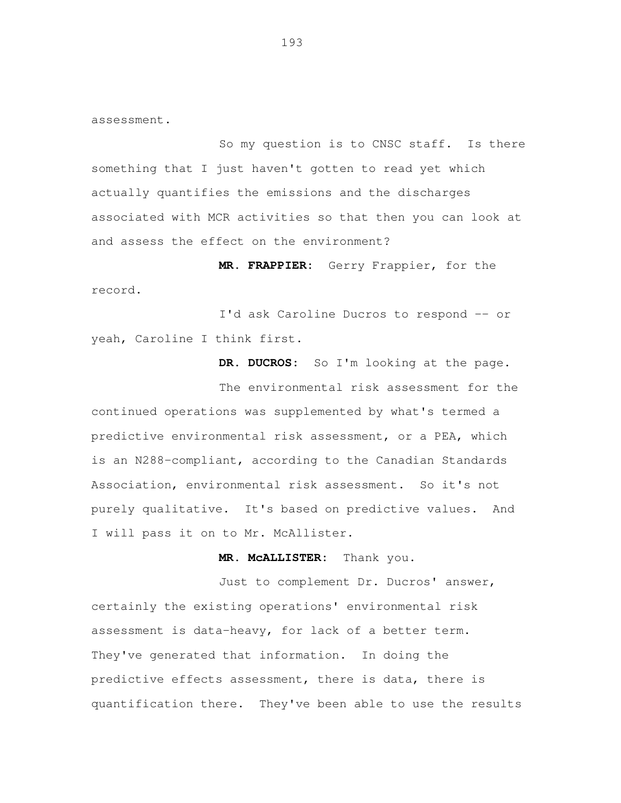assessment.<br>So my question is to CNSC staff. Is there something that I just haven't gotten to read yet which actually quantifies the emissions and the discharges associated with MCR activities so that then you can look at and assess the effect on the environment?

 **MR. FRAPPIER:** Gerry Frappier, for the record.<br>I'd ask Caroline Ducros to respond -- or

yeah, Caroline I think first.

**DR. DUCROS:** So I'm looking at the page.

 The environmental risk assessment for the continued operations was supplemented by what's termed a predictive environmental risk assessment, or a PEA, which is an N288-compliant, according to the Canadian Standards Association, environmental risk assessment. So it's not purely qualitative. It's based on predictive values. And I will pass it on to Mr. McAllister.

## **MR. McALLISTER:** Thank you.

 Just to complement Dr. Ducros' answer, certainly the existing operations' environmental risk assessment is data-heavy, for lack of a better term. They've generated that information. In doing the predictive effects assessment, there is data, there is quantification there. They've been able to use the results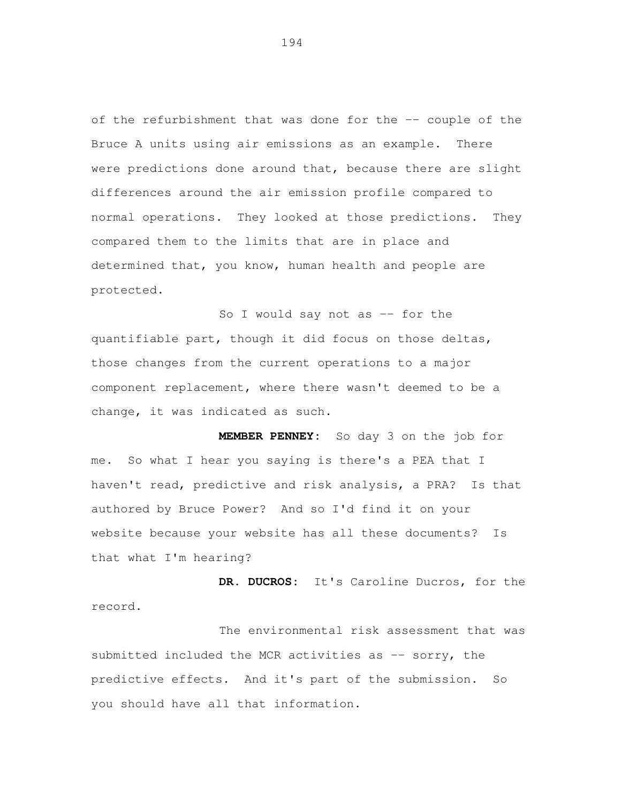of the refurbishment that was done for the -- couple of the Bruce A units using air emissions as an example. There were predictions done around that, because there are slight differences around the air emission profile compared to normal operations. They looked at those predictions. They compared them to the limits that are in place and determined that, you know, human health and people are protected.

So I would say not as -- for the quantifiable part, though it did focus on those deltas, those changes from the current operations to a major component replacement, where there wasn't deemed to be a change, it was indicated as such.

 **MEMBER PENNEY:** So day 3 on the job for me. haven't read, predictive and risk analysis, a PRA? Is that authored by Bruce Power? And so I'd find it on your website because your website has all these documents? Is that what I'm hearing? So what I hear you saying is there's a PEA that I

 **DR. DUCROS:** It's Caroline Ducros, for the record.

 The environmental risk assessment that was submitted included the MCR activities as -- sorry, the predictive effects. And it's part of the submission. So you should have all that information.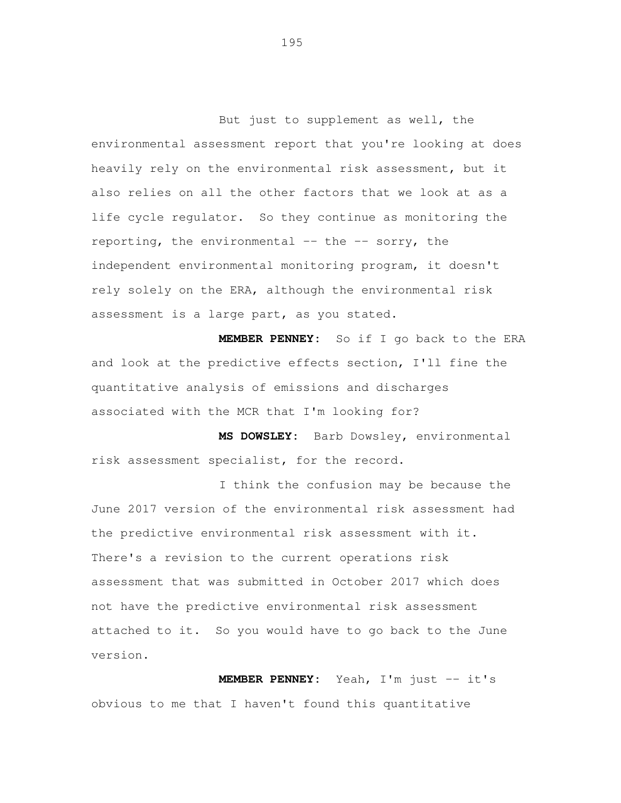But just to supplement as well, the environmental assessment report that you're looking at does heavily rely on the environmental risk assessment, but it also relies on all the other factors that we look at as a life cycle regulator. So they continue as monitoring the reporting, the environmental -- the -- sorry, the independent environmental monitoring program, it doesn't rely solely on the ERA, although the environmental risk assessment is a large part, as you stated.

 **MEMBER PENNEY:** So if I go back to the ERA and look at the predictive effects section, I'll fine the quantitative analysis of emissions and discharges associated with the MCR that I'm looking for?

 **MS DOWSLEY:** Barb Dowsley, environmental risk assessment specialist, for the record.

 I think the confusion may be because the June 2017 version of the environmental risk assessment had the predictive environmental risk assessment with it. There's a revision to the current operations risk assessment that was submitted in October 2017 which does not have the predictive environmental risk assessment attached to it. So you would have to go back to the June version.

 **MEMBER PENNEY:** Yeah, I'm just -- it's obvious to me that I haven't found this quantitative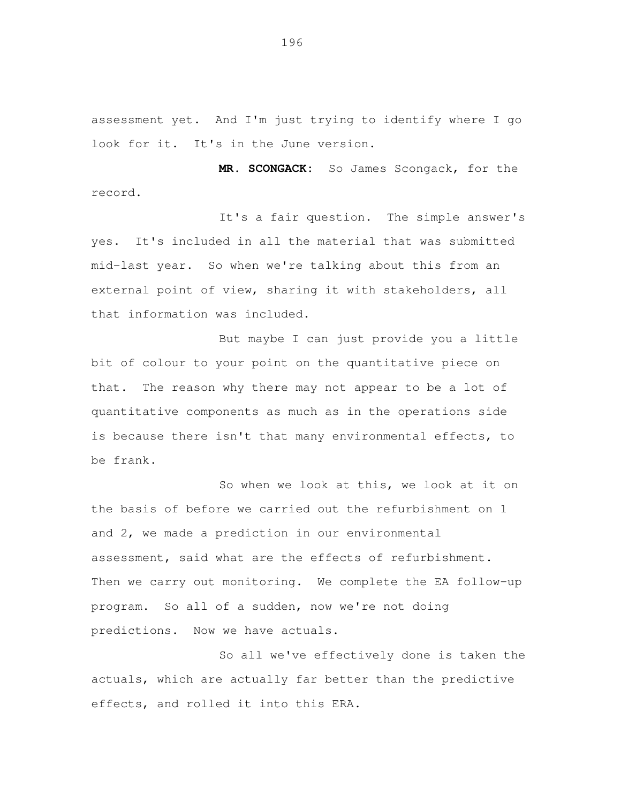assessment yet. And I'm just trying to identify where I go look for it. It's in the June version.

 **MR. SCONGACK:** So James Scongack, for the record.

 It's a fair question. The simple answer's yes. It's included in all the material that was submitted mid-last year. So when we're talking about this from an external point of view, sharing it with stakeholders, all that information was included.

 But maybe I can just provide you a little bit of colour to your point on the quantitative piece on that. The reason why there may not appear to be a lot of quantitative components as much as in the operations side is because there isn't that many environmental effects, to be frank.

 So when we look at this, we look at it on the basis of before we carried out the refurbishment on 1 and 2, we made a prediction in our environmental assessment, said what are the effects of refurbishment. Then we carry out monitoring. We complete the EA follow-up program. So all of a sudden, now we're not doing predictions. Now we have actuals.

 So all we've effectively done is taken the actuals, which are actually far better than the predictive effects, and rolled it into this ERA.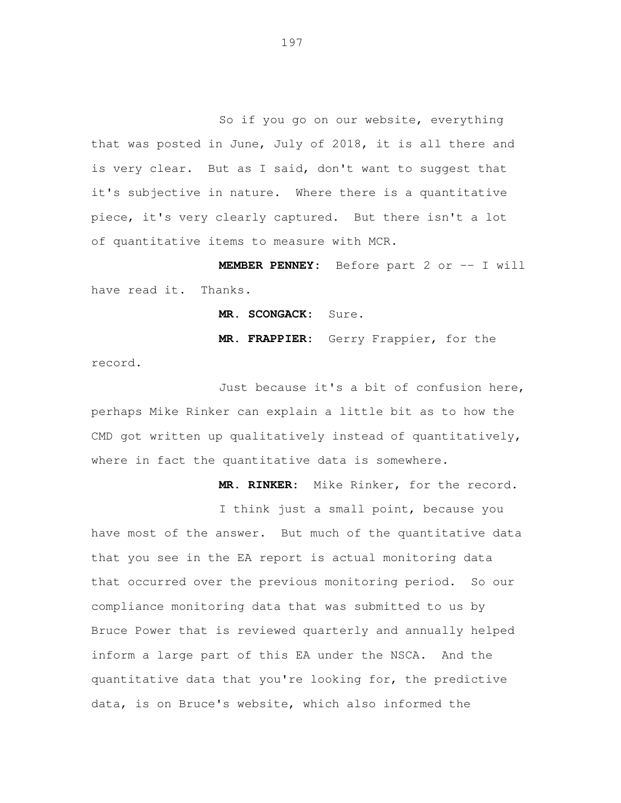So if you go on our website, everything that was posted in June, July of 2018, it is all there and is very clear. But as I said, don't want to suggest that it's subjective in nature. Where there is a quantitative piece, it's very clearly captured. But there isn't a lot of quantitative items to measure with MCR.

 **MEMBER PENNEY:** Before part 2 or -- I will have read it. Thanks.

**MR. SCONGACK:** Sure.

**MR. FRAPPIER:** Gerry Frappier, for the

record.<br>Just because it's a bit of confusion here, perhaps Mike Rinker can explain a little bit as to how the CMD got written up qualitatively instead of quantitatively, where in fact the quantitative data is somewhere.

**MR. RINKER:** Mike Rinker, for the record.

 I think just a small point, because you have most of the answer. But much of the quantitative data that you see in the EA report is actual monitoring data that occurred over the previous monitoring period. So our compliance monitoring data that was submitted to us by Bruce Power that is reviewed quarterly and annually helped inform a large part of this EA under the NSCA. And the quantitative data that you're looking for, the predictive data, is on Bruce's website, which also informed the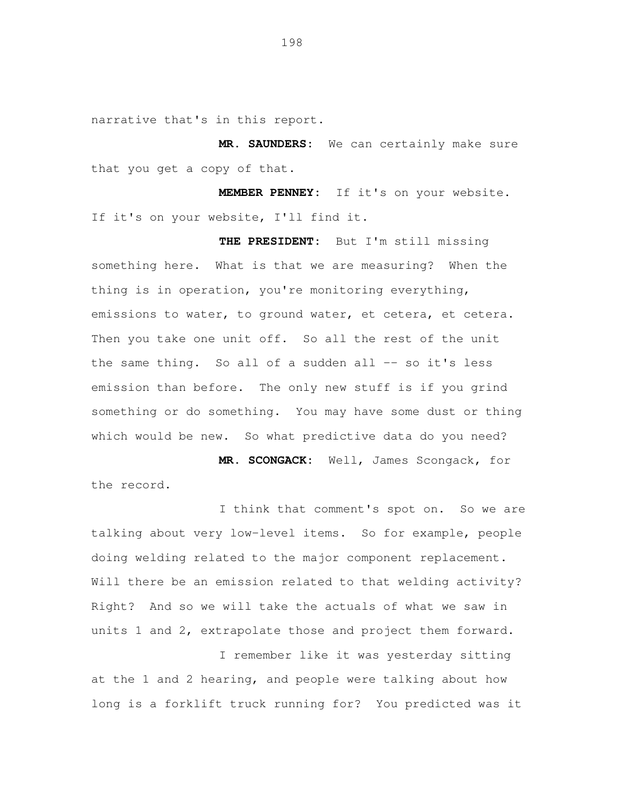narrative that's in this report.

 **MR. SAUNDERS:** We can certainly make sure that you get a copy of that.

MEMBER PENNEY: If it's on your website, I'll find it. If it's on your website.

 **THE PRESIDENT:** But I'm still missing something here. What is that we are measuring? When the thing is in operation, you're monitoring everything, emissions to water, to ground water, et cetera, et cetera. Then you take one unit off. So all the rest of the unit the same thing. So all of a sudden all -- so it's less emission than before. The only new stuff is if you grind something or do something. You may have some dust or thing which would be new. So what predictive data do you need?

 **MR. SCONGACK:** Well, James Scongack, for the record.

 I think that comment's spot on. So we are talking about very low-level items. So for example, people doing welding related to the major component replacement. Will there be an emission related to that welding activity? Right? And so we will take the actuals of what we saw in units 1 and 2, extrapolate those and project them forward.

 I remember like it was yesterday sitting at the 1 and 2 hearing, and people were talking about how long is a forklift truck running for? You predicted was it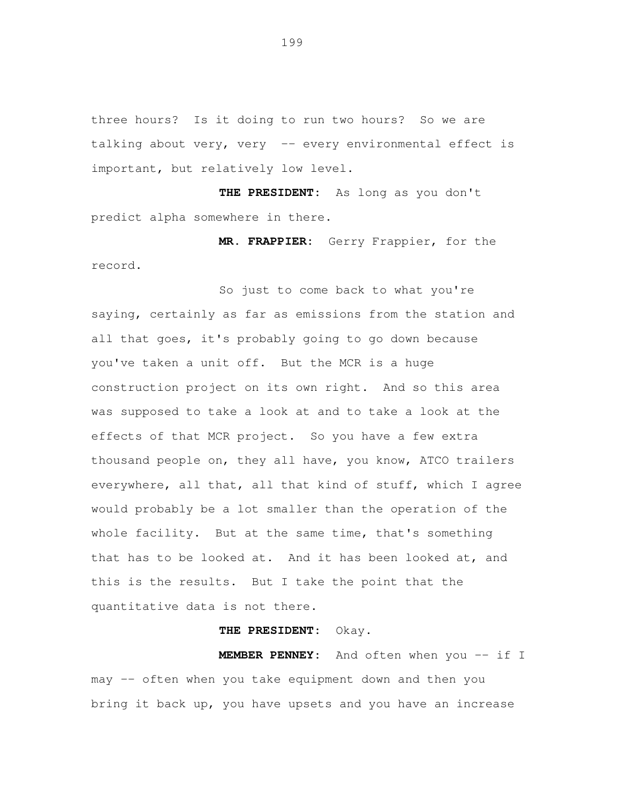three hours? Is it doing to run two hours? So we are talking about very, very -- every environmental effect is important, but relatively low level.

 **THE PRESIDENT:** As long as you don't predict alpha somewhere in there.

 **MR. FRAPPIER:** Gerry Frappier, for the record.<br>So just to come back to what you're

 saying, certainly as far as emissions from the station and all that goes, it's probably going to go down because you've taken a unit off. But the MCR is a huge construction project on its own right. And so this area was supposed to take a look at and to take a look at the effects of that MCR project. So you have a few extra thousand people on, they all have, you know, ATCO trailers everywhere, all that, all that kind of stuff, which I agree would probably be a lot smaller than the operation of the whole facility. But at the same time, that's something that has to be looked at. And it has been looked at, and this is the results. But I take the point that the quantitative data is not there.

## **THE PRESIDENT:** Okay.

MEMBER PENNEY: may -- often when you take equipment down and then you bring it back up, you have upsets and you have an increase And often when you -- if I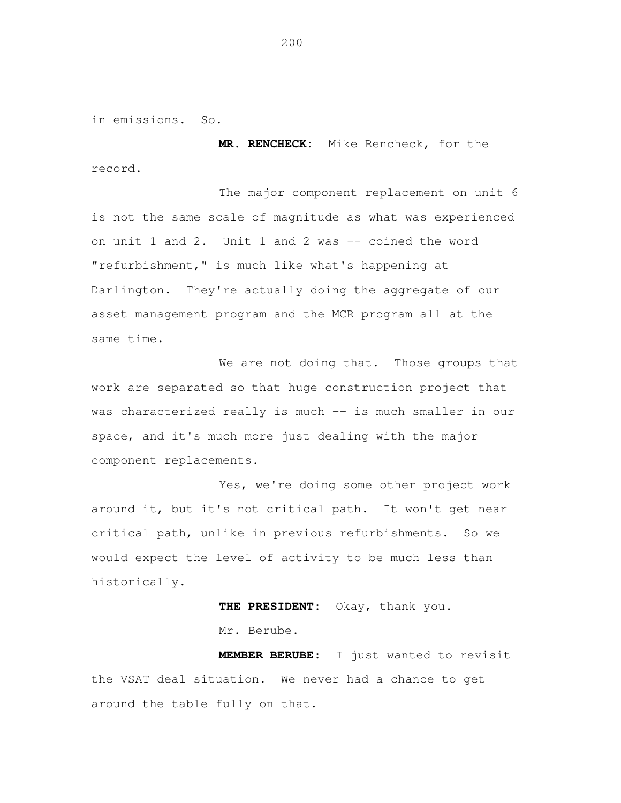in emissions. So.

 **MR. RENCHECK:** Mike Rencheck, for the record.

 The major component replacement on unit 6 is not the same scale of magnitude as what was experienced on unit 1 and 2. Unit 1 and 2 was -- coined the word "refurbishment," is much like what's happening at Darlington. They're actually doing the aggregate of our asset management program and the MCR program all at the same time.

We are not doing that. Those groups that work are separated so that huge construction project that was characterized really is much -- is much smaller in our space, and it's much more just dealing with the major component replacements.<br>Yes, we're doing some other project work

 around it, but it's not critical path. It won't get near critical path, unlike in previous refurbishments. So we would expect the level of activity to be much less than historically.

> THE PRESIDENT: Mr. Berube. Okay, thank you.

MEMBER BERUBE: the VSAT deal situation. We never had a chance to get around the table fully on that. I just wanted to revisit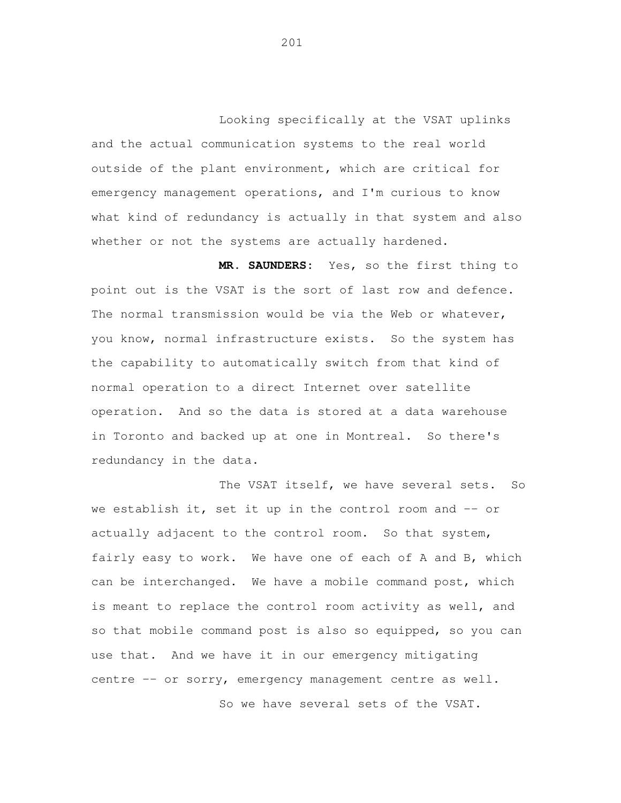Looking specifically at the VSAT uplinks and the actual communication systems to the real world outside of the plant environment, which are critical for emergency management operations, and I'm curious to know what kind of redundancy is actually in that system and also whether or not the systems are actually hardened.

 **MR. SAUNDERS:** Yes, so the first thing to point out is the VSAT is the sort of last row and defence. The normal transmission would be via the Web or whatever, you know, normal infrastructure exists. So the system has the capability to automatically switch from that kind of normal operation to a direct Internet over satellite operation. And so the data is stored at a data warehouse in Toronto and backed up at one in Montreal. So there's redundancy in the data.

 The VSAT itself, we have several sets. So we establish it, set it up in the control room and -- or actually adjacent to the control room. So that system, fairly easy to work. We have one of each of A and B, which can be interchanged. We have a mobile command post, which is meant to replace the control room activity as well, and so that mobile command post is also so equipped, so you can use that. And we have it in our emergency mitigating centre -- or sorry, emergency management centre as well.

So we have several sets of the VSAT.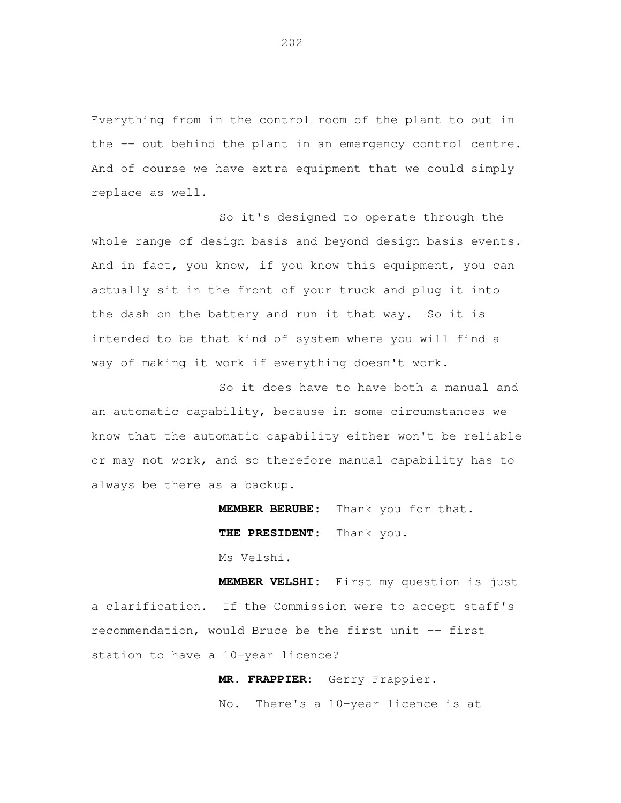Everything from in the control room of the plant to out in the -- out behind the plant in an emergency control centre. And of course we have extra equipment that we could simply replace as well.

 So it's designed to operate through the whole range of design basis and beyond design basis events. And in fact, you know, if you know this equipment, you can actually sit in the front of your truck and plug it into the dash on the battery and run it that way. So it is intended to be that kind of system where you will find a way of making it work if everything doesn't work.

 So it does have to have both a manual and an automatic capability, because in some circumstances we know that the automatic capability either won't be reliable or may not work, and so therefore manual capability has to always be there as a backup.

> MEMBER BERUBE: **THE PRESIDENT:** Thank you. Ms Velshi. Thank you for that.

 **MEMBER VELSHI:** First my question is just a clarification. If the Commission were to accept staff's recommendation, would Bruce be the first unit -- first station to have a 10-year licence?

> **MR. FRAPPIER:** Gerry Frappier. No. There's a 10-year licence is at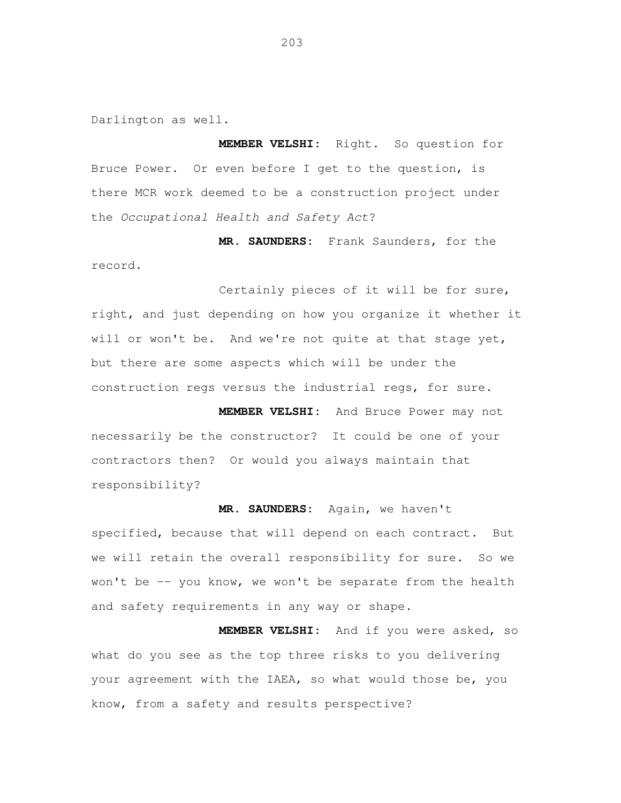Darlington as well.

 **MEMBER VELSHI:** Right. So question for Bruce Power. Or even before I get to the question, is there MCR work deemed to be a construction project under the Occupational Health and Safety Act?

 **MR. SAUNDERS:** Frank Saunders, for the record.

 Certainly pieces of it will be for sure, right, and just depending on how you organize it whether it will or won't be. And we're not quite at that stage yet, but there are some aspects which will be under the construction regs versus the industrial regs, for sure.

 **MEMBER VELSHI:** And Bruce Power may not necessarily be the constructor? It could be one of your contractors then? Or would you always maintain that responsibility?

 **MR. SAUNDERS:** Again, we haven't specified, because that will depend on each contract. But we will retain the overall responsibility for sure. So we won't be -- you know, we won't be separate from the health and safety requirements in any way or shape.

 **MEMBER VELSHI:** And if you were asked, so what do you see as the top three risks to you delivering your agreement with the IAEA, so what would those be, you know, from a safety and results perspective?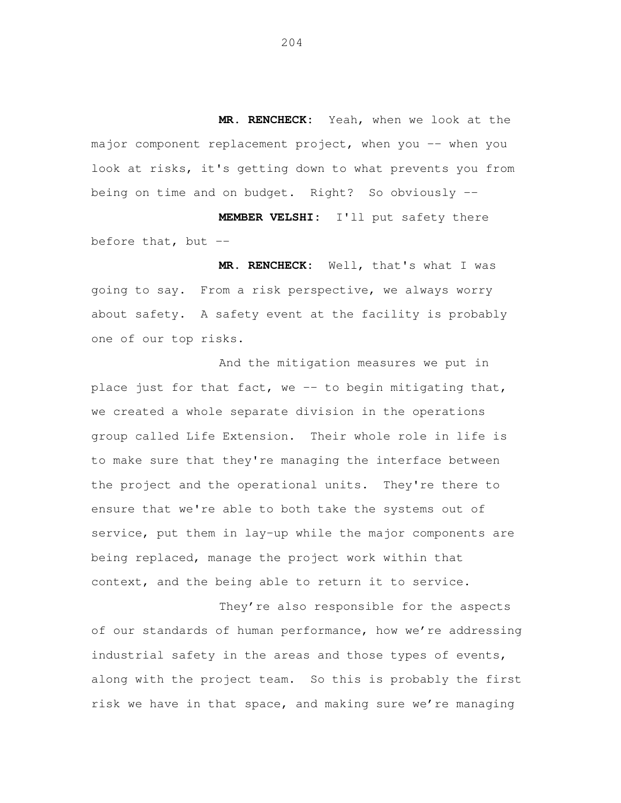**MR. RENCHECK:** Yeah, when we look at the major component replacement project, when you -- when you look at risks, it's getting down to what prevents you from being on time and on budget. Right? So obviously --

 **MEMBER VELSHI:** I'll put safety there before that, but --

 **MR. RENCHECK:** Well, that's what I was going to say. From a risk perspective, we always worry about safety. A safety event at the facility is probably one of our top risks.

 And the mitigation measures we put in place just for that fact, we -- to begin mitigating that, we created a whole separate division in the operations group called Life Extension. Their whole role in life is to make sure that they're managing the interface between the project and the operational units. They're there to ensure that we're able to both take the systems out of service, put them in lay-up while the major components are being replaced, manage the project work within that context, and the being able to return it to service.

 They're also responsible for the aspects of our standards of human performance, how we're addressing industrial safety in the areas and those types of events, along with the project team. So this is probably the first risk we have in that space, and making sure we're managing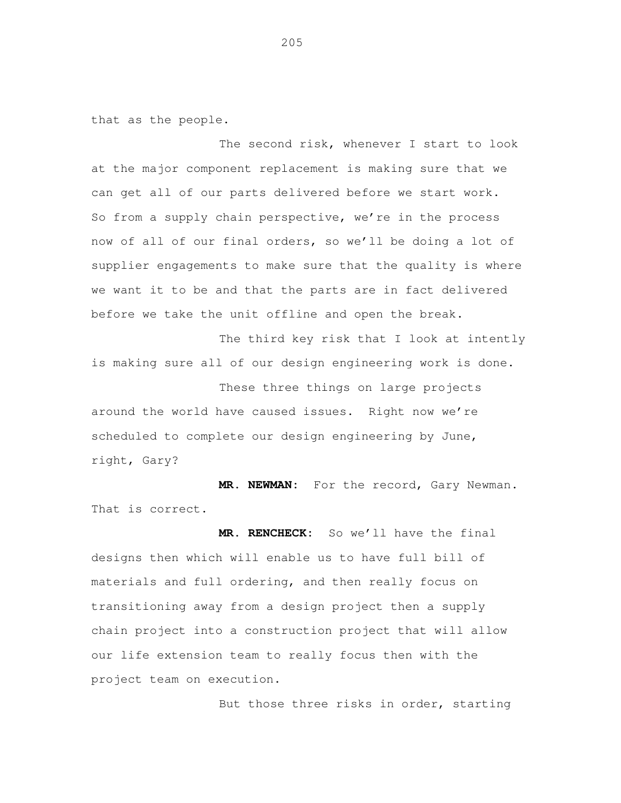that as the people.

 The second risk, whenever I start to look at the major component replacement is making sure that we can get all of our parts delivered before we start work. So from a supply chain perspective, we're in the process now of all of our final orders, so we'll be doing a lot of supplier engagements to make sure that the quality is where we want it to be and that the parts are in fact delivered before we take the unit offline and open the break.

 The third key risk that I look at intently is making sure all of our design engineering work is done.

 These three things on large projects around the world have caused issues. Right now we're scheduled to complete our design engineering by June, right, Gary?

MR. NEWMAN: That is correct. For the record, Gary Newman.

 **MR. RENCHECK:** So we'll have the final designs then which will enable us to have full bill of materials and full ordering, and then really focus on transitioning away from a design project then a supply chain project into a construction project that will allow our life extension team to really focus then with the project team on execution.

But those three risks in order, starting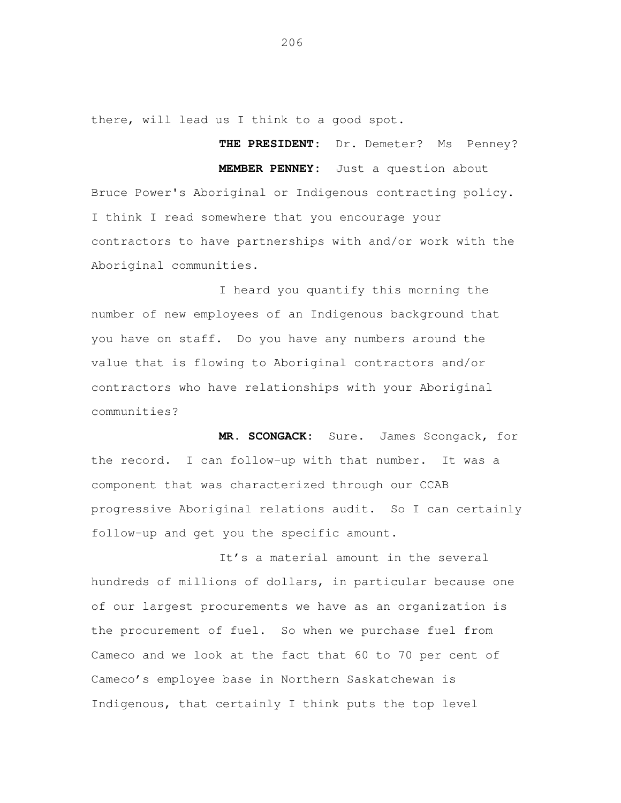there, will lead us I think to a good spot.

**THE PRESIDENT:** Dr. Demeter? Ms Penney?

 **MEMBER PENNEY:** Just a question about Bruce Power's Aboriginal or Indigenous contracting policy. I think I read somewhere that you encourage your contractors to have partnerships with and/or work with the Aboriginal communities.

 I heard you quantify this morning the number of new employees of an Indigenous background that you have on staff. Do you have any numbers around the value that is flowing to Aboriginal contractors and/or contractors who have relationships with your Aboriginal communities?

 **MR. SCONGACK:** Sure. James Scongack, for the record. I can follow-up with that number. It was a component that was characterized through our CCAB progressive Aboriginal relations audit. So I can certainly follow-up and get you the specific amount.

 It's a material amount in the several hundreds of millions of dollars, in particular because one of our largest procurements we have as an organization is the procurement of fuel. So when we purchase fuel from Cameco and we look at the fact that 60 to 70 per cent of Cameco's employee base in Northern Saskatchewan is Indigenous, that certainly I think puts the top level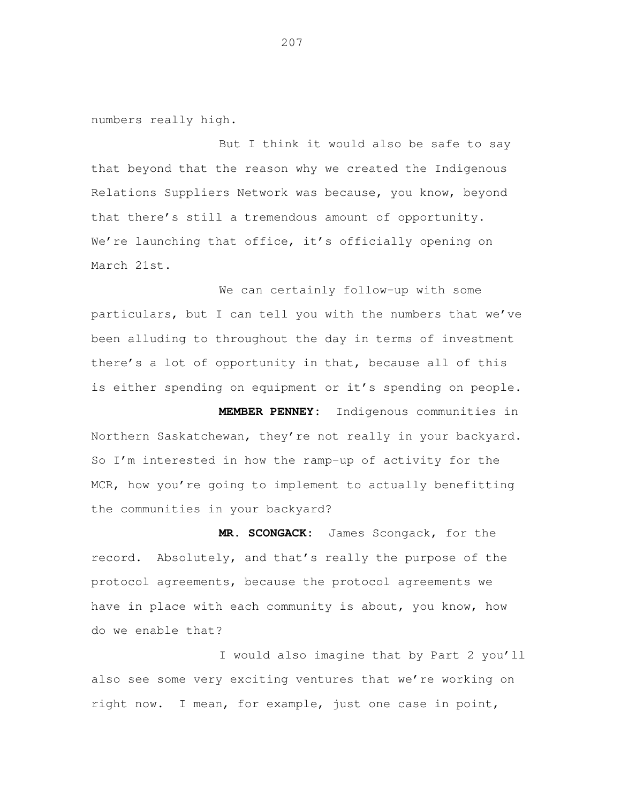numbers really high.

 But I think it would also be safe to say that beyond that the reason why we created the Indigenous Relations Suppliers Network was because, you know, beyond that there's still a tremendous amount of opportunity. We're launching that office, it's officially opening on March 21st.

 We can certainly follow-up with some particulars, but I can tell you with the numbers that we've been alluding to throughout the day in terms of investment there's a lot of opportunity in that, because all of this is either spending on equipment or it's spending on people.

 **MEMBER PENNEY:** Indigenous communities in Northern Saskatchewan, they're not really in your backyard. So I'm interested in how the ramp-up of activity for the MCR, how you're going to implement to actually benefitting the communities in your backyard?

 **MR. SCONGACK:** James Scongack, for the record. Absolutely, and that's really the purpose of the protocol agreements, because the protocol agreements we have in place with each community is about, you know, how do we enable that?

 I would also imagine that by Part 2 you'll also see some very exciting ventures that we're working on right now. I mean, for example, just one case in point,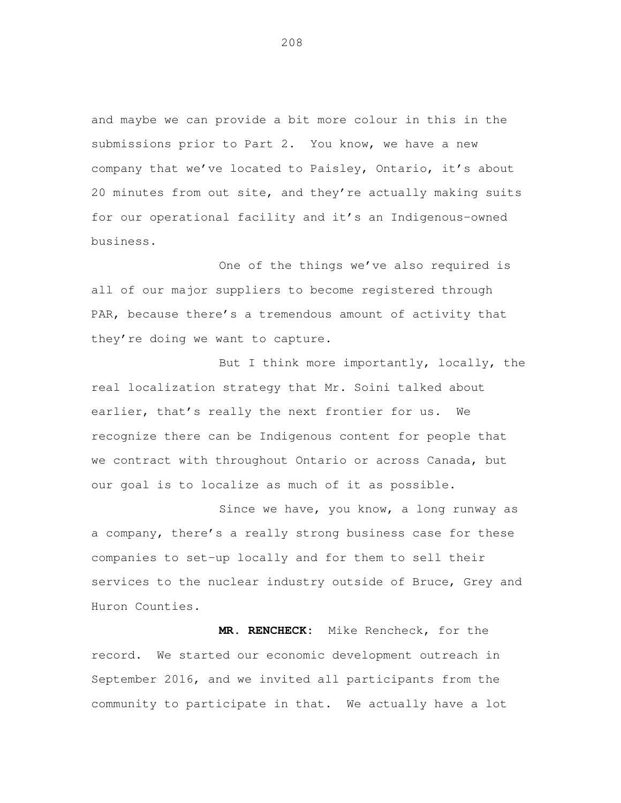and maybe we can provide a bit more colour in this in the submissions prior to Part 2. You know, we have a new company that we've located to Paisley, Ontario, it's about 20 minutes from out site, and they're actually making suits for our operational facility and it's an Indigenous-owned business.

 One of the things we've also required is all of our major suppliers to become registered through PAR, because there's a tremendous amount of activity that they're doing we want to capture.

 But I think more importantly, locally, the real localization strategy that Mr. Soini talked about earlier, that's really the next frontier for us. We recognize there can be Indigenous content for people that we contract with throughout Ontario or across Canada, but our goal is to localize as much of it as possible.

 Since we have, you know, a long runway as a company, there's a really strong business case for these companies to set-up locally and for them to sell their services to the nuclear industry outside of Bruce, Grey and Huron Counties.

 **MR. RENCHECK:** Mike Rencheck, for the record. We started our economic development outreach in September 2016, and we invited all participants from the community to participate in that. We actually have a lot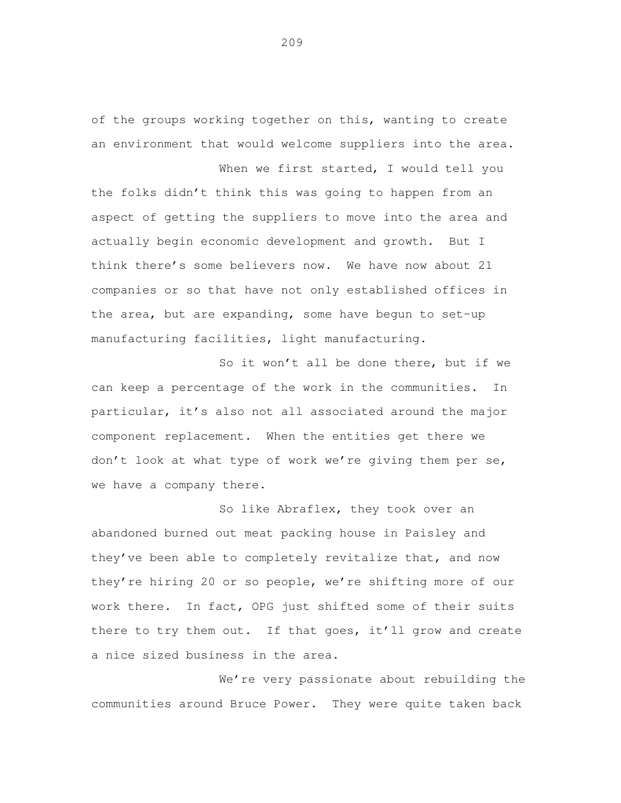of the groups working together on this, wanting to create an environment that would welcome suppliers into the area.

When we first started, I would tell you the folks didn't think this was going to happen from an aspect of getting the suppliers to move into the area and actually begin economic development and growth. But I think there's some believers now. We have now about 21 companies or so that have not only established offices in the area, but are expanding, some have begun to set-up manufacturing facilities, light manufacturing.

 So it won't all be done there, but if we can keep a percentage of the work in the communities. In particular, it's also not all associated around the major component replacement. When the entities get there we don't look at what type of work we're giving them per se, we have a company there.

 So like Abraflex, they took over an abandoned burned out meat packing house in Paisley and they've been able to completely revitalize that, and now they're hiring 20 or so people, we're shifting more of our work there. In fact, OPG just shifted some of their suits there to try them out. If that goes, it'll grow and create a nice sized business in the area.

 We're very passionate about rebuilding the communities around Bruce Power. They were quite taken back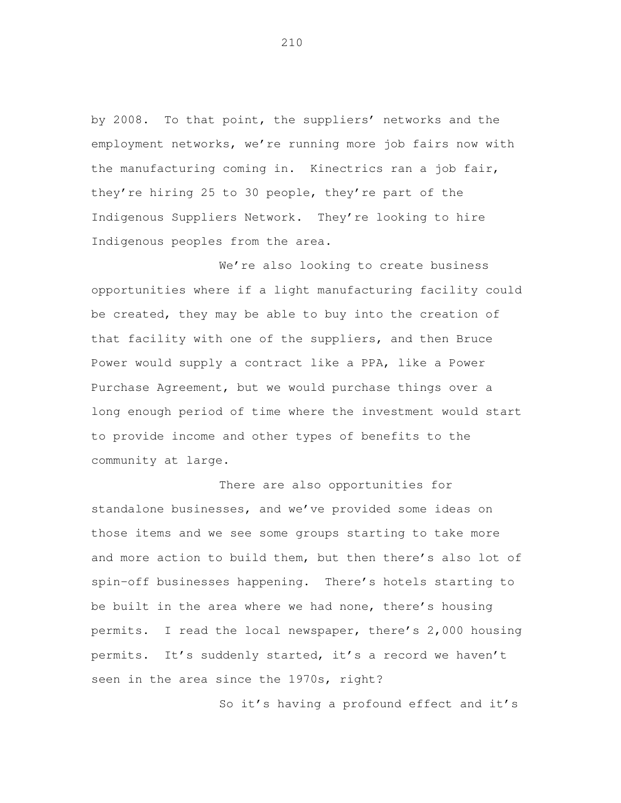by 2008. To that point, the suppliers' networks and the employment networks, we're running more job fairs now with the manufacturing coming in. Kinectrics ran a job fair, they're hiring 25 to 30 people, they're part of the Indigenous Suppliers Network. They're looking to hire Indigenous peoples from the area.

 We're also looking to create business opportunities where if a light manufacturing facility could be created, they may be able to buy into the creation of that facility with one of the suppliers, and then Bruce Power would supply a contract like a PPA, like a Power Purchase Agreement, but we would purchase things over a long enough period of time where the investment would start to provide income and other types of benefits to the community at large.

 There are also opportunities for standalone businesses, and we've provided some ideas on those items and we see some groups starting to take more and more action to build them, but then there's also lot of spin-off businesses happening. There's hotels starting to be built in the area where we had none, there's housing permits. I read the local newspaper, there's 2,000 housing permits. It's suddenly started, it's a record we haven't seen in the area since the 1970s, right?

So it's having a profound effect and it's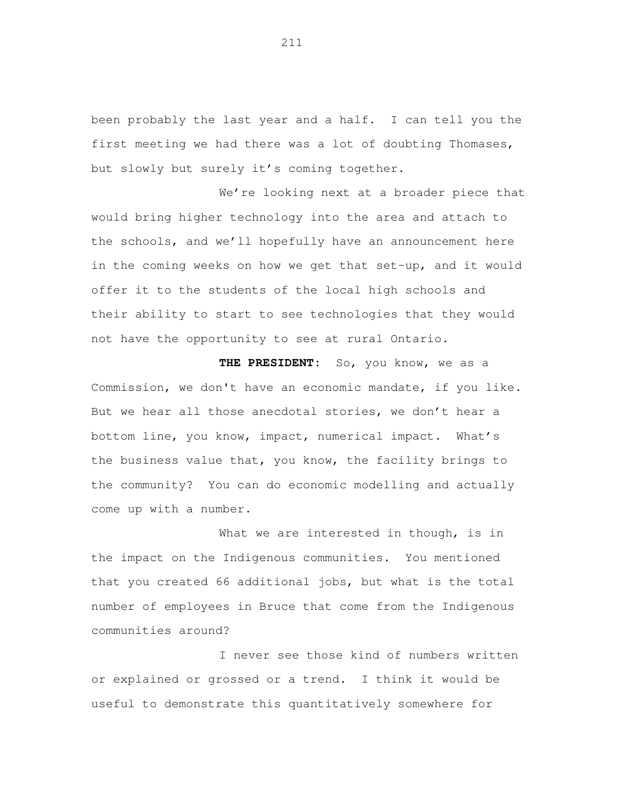been probably the last year and a half. I can tell you the first meeting we had there was a lot of doubting Thomases, but slowly but surely it's coming together.

We're looking next at a broader piece that would bring higher technology into the area and attach to the schools, and we'll hopefully have an announcement here in the coming weeks on how we get that set-up, and it would offer it to the students of the local high schools and their ability to start to see technologies that they would not have the opportunity to see at rural Ontario.

 **THE PRESIDENT:** So, you know, we as a Commission, we don't have an economic mandate, if you like. But we hear all those anecdotal stories, we don't hear a bottom line, you know, impact, numerical impact. What's the business value that, you know, the facility brings to the community? You can do economic modelling and actually come up with a number.

 What we are interested in though, is in the impact on the Indigenous communities. You mentioned that you created 66 additional jobs, but what is the total number of employees in Bruce that come from the Indigenous communities around?

 I never see those kind of numbers written or explained or grossed or a trend. I think it would be useful to demonstrate this quantitatively somewhere for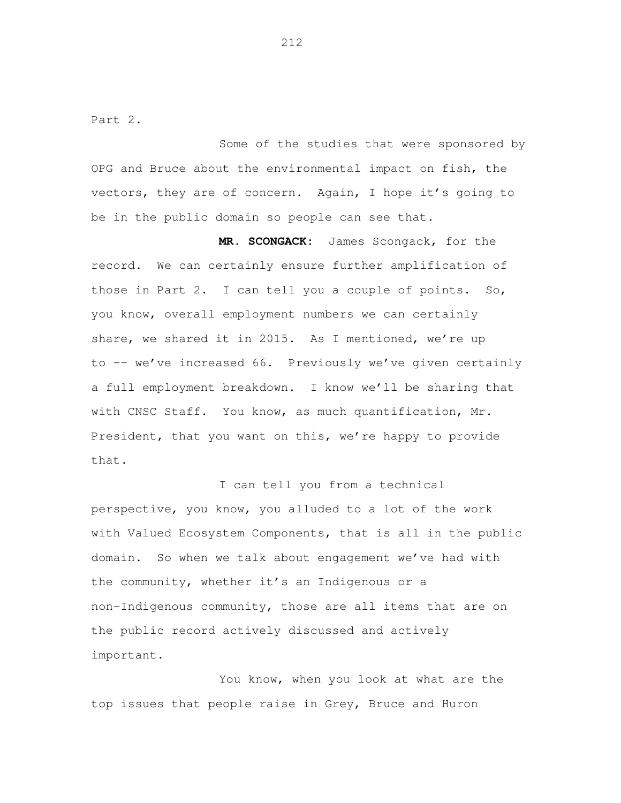Part 2.

 Some of the studies that were sponsored by OPG and Bruce about the environmental impact on fish, the vectors, they are of concern. Again, I hope it's going to be in the public domain so people can see that.

 **MR. SCONGACK:** James Scongack, for the record. We can certainly ensure further amplification of those in Part 2. I can tell you a couple of points. So, you know, overall employment numbers we can certainly share, we shared it in 2015. As I mentioned, we're up to -- we've increased 66. Previously we've given certainly a full employment breakdown. I know we'll be sharing that with CNSC Staff. You know, as much quantification, Mr. President, that you want on this, we're happy to provide that.

 I can tell you from a technical perspective, you know, you alluded to a lot of the work with Valued Ecosystem Components, that is all in the public domain. So when we talk about engagement we've had with the community, whether it's an Indigenous or a non-Indigenous community, those are all items that are on the public record actively discussed and actively important.<br>You know, when you look at what are the

top issues that people raise in Grey, Bruce and Huron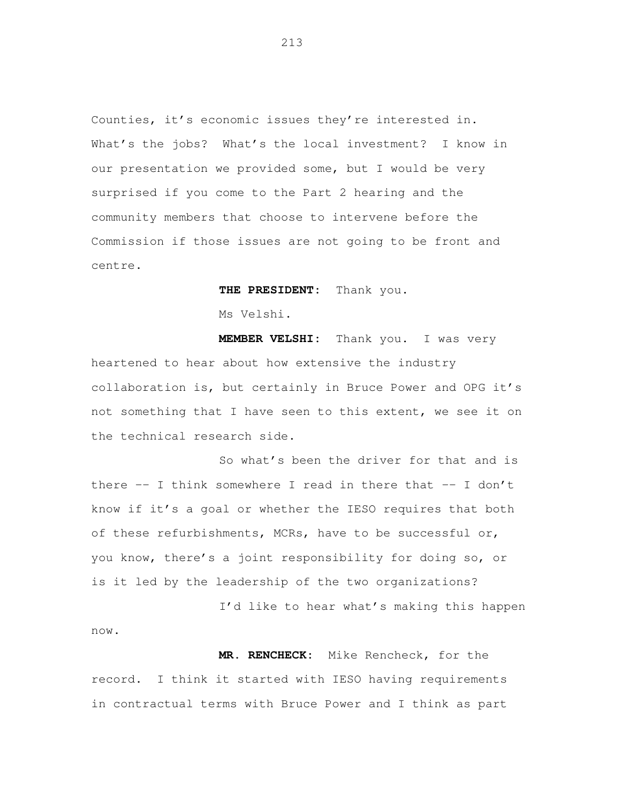Counties, it's economic issues they're interested in. What's the jobs? What's the local investment? I know in our presentation we provided some, but I would be very surprised if you come to the Part 2 hearing and the community members that choose to intervene before the Commission if those issues are not going to be front and centre.

**THE PRESIDENT:** Thank you.

Ms Velshi.

 **MEMBER VELSHI:** Thank you. I was very heartened to hear about how extensive the industry collaboration is, but certainly in Bruce Power and OPG it's not something that I have seen to this extent, we see it on the technical research side.

 So what's been the driver for that and is there -- I think somewhere I read in there that -- I don't know if it's a goal or whether the IESO requires that both of these refurbishments, MCRs, have to be successful or, you know, there's a joint responsibility for doing so, or is it led by the leadership of the two organizations?

I'd like to hear what's making this happen

 **MR. RENCHECK:** Mike Rencheck, for the record. I think it started with IESO having requirements in contractual terms with Bruce Power and I think as part

now.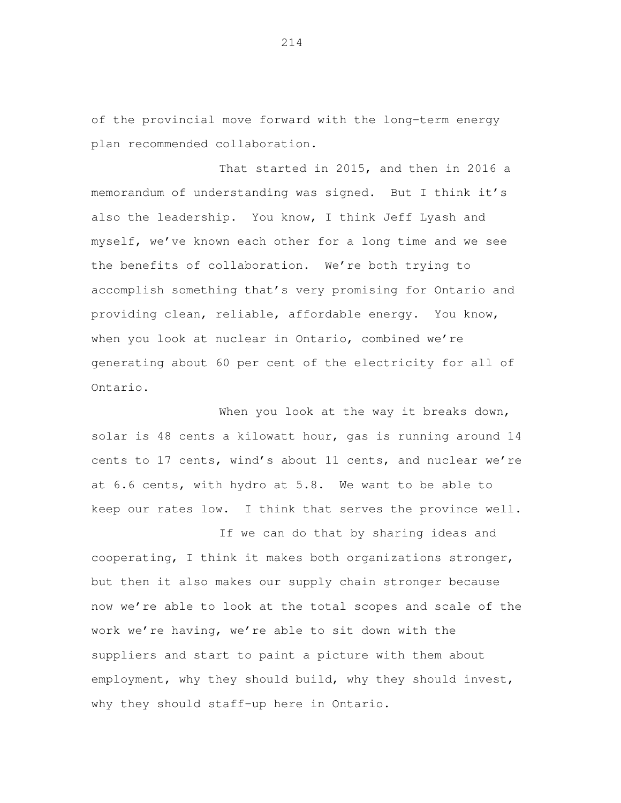of the provincial move forward with the long-term energy plan recommended collaboration. That started in 2015, and then in 2016 a

 memorandum of understanding was signed. But I think it's also the leadership. You know, I think Jeff Lyash and myself, we've known each other for a long time and we see the benefits of collaboration. We're both trying to accomplish something that's very promising for Ontario and providing clean, reliable, affordable energy. You know, when you look at nuclear in Ontario, combined we're generating about 60 per cent of the electricity for all of Ontario.<br>When you look at the way it breaks down,

 solar is 48 cents a kilowatt hour, gas is running around 14 cents to 17 cents, wind's about 11 cents, and nuclear we're at 6.6 cents, with hydro at 5.8. We want to be able to keep our rates low. I think that serves the province well.

 If we can do that by sharing ideas and cooperating, I think it makes both organizations stronger, but then it also makes our supply chain stronger because now we're able to look at the total scopes and scale of the work we're having, we're able to sit down with the suppliers and start to paint a picture with them about employment, why they should build, why they should invest, why they should staff-up here in Ontario.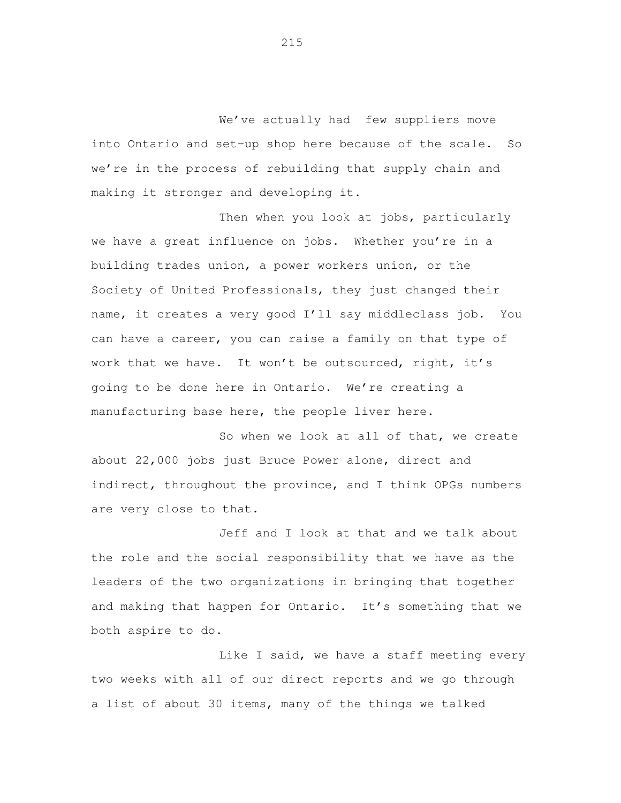We've actually had few suppliers move into Ontario and set-up shop here because of the scale. So we're in the process of rebuilding that supply chain and making it stronger and developing it.

 Then when you look at jobs, particularly we have a great influence on jobs. Whether you're in a building trades union, a power workers union, or the Society of United Professionals, they just changed their name, it creates a very good I'll say middleclass job. You can have a career, you can raise a family on that type of work that we have. It won't be outsourced, right, it's going to be done here in Ontario. We're creating a manufacturing base here, the people liver here.

 So when we look at all of that, we create about 22,000 jobs just Bruce Power alone, direct and indirect, throughout the province, and I think OPGs numbers are very close to that.

 Jeff and I look at that and we talk about the role and the social responsibility that we have as the leaders of the two organizations in bringing that together and making that happen for Ontario. It's something that we both aspire to do.

Like I said, we have a staff meeting every two weeks with all of our direct reports and we go through a list of about 30 items, many of the things we talked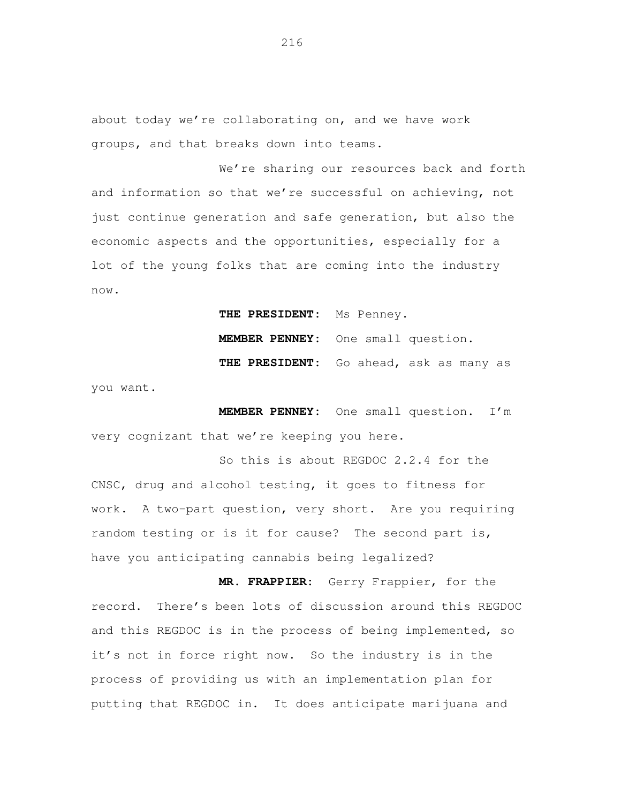about today we're collaborating on, and we have work groups, and that breaks down into teams.

We're sharing our resources back and forth and information so that we're successful on achieving, not just continue generation and safe generation, but also the economic aspects and the opportunities, especially for a lot of the young folks that are coming into the industry now.

**THE PRESIDENT:** Ms Penney.

**MEMBER PENNEY:** One small question.

**THE PRESIDENT:** Go ahead, ask as many as

you want.

 **MEMBER PENNEY:** One small question. I'm very cognizant that we're keeping you here.

 So this is about REGDOC 2.2.4 for the CNSC, drug and alcohol testing, it goes to fitness for work. A two-part question, very short. Are you requiring random testing or is it for cause? The second part is, have you anticipating cannabis being legalized?

 **MR. FRAPPIER:** Gerry Frappier, for the record. There's been lots of discussion around this REGDOC and this REGDOC is in the process of being implemented, so it's not in force right now. So the industry is in the process of providing us with an implementation plan for putting that REGDOC in. It does anticipate marijuana and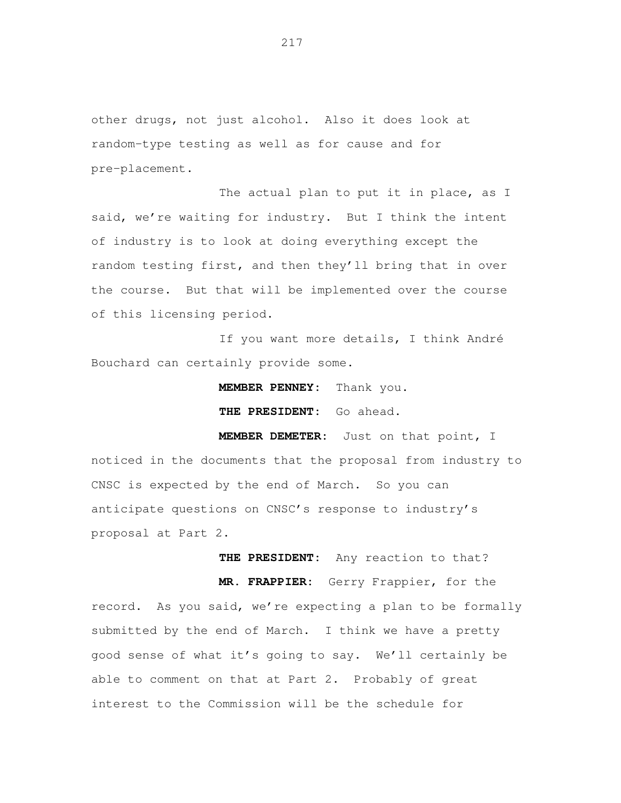other drugs, not just alcohol. Also it does look at random-type testing as well as for cause and for pre-placement.

 The actual plan to put it in place, as I said, we're waiting for industry. But I think the intent of industry is to look at doing everything except the random testing first, and then they'll bring that in over the course. But that will be implemented over the course of this licensing period.

 If you want more details, I think André Bouchard can certainly provide some.

**MEMBER PENNEY:** Thank you.

 **THE PRESIDENT:** Go ahead.

 **MEMBER DEMETER:** Just on that point, I noticed in the documents that the proposal from industry to CNSC is expected by the end of March. So you can anticipate questions on CNSC's response to industry's proposal at Part 2.

**THE PRESIDENT:** Any reaction to that?

 **MR. FRAPPIER:** Gerry Frappier, for the record. As you said, we're expecting a plan to be formally submitted by the end of March. I think we have a pretty good sense of what it's going to say. We'll certainly be able to comment on that at Part 2. Probably of great interest to the Commission will be the schedule for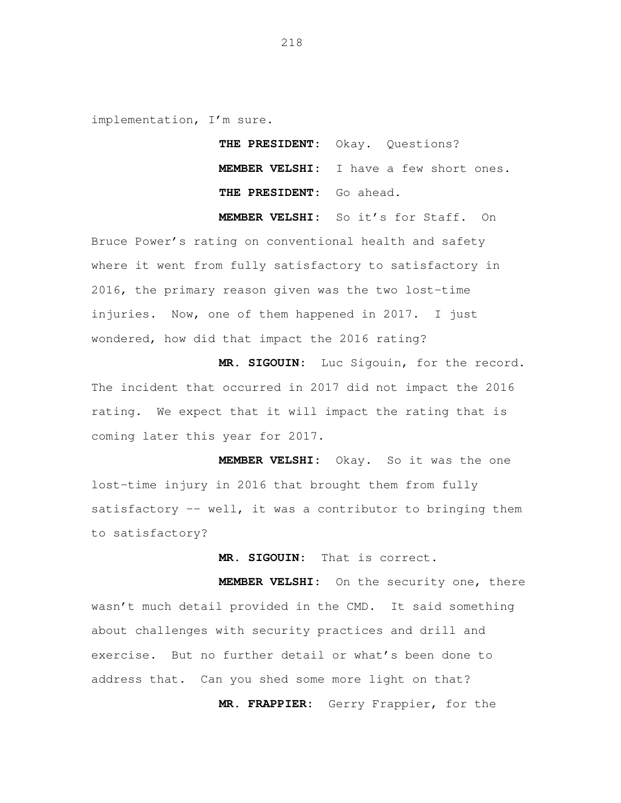implementation, I'm sure.

 **THE PRESIDENT:** Okay. Questions? **MEMBER VELSHI:** I have a few short ones.  **THE PRESIDENT:** Go ahead.

**MEMBER VELSHI:** So it's for Staff. On

 Bruce Power's rating on conventional health and safety where it went from fully satisfactory to satisfactory in 2016, the primary reason given was the two lost-time injuries. Now, one of them happened in 2017. I just wondered, how did that impact the 2016 rating?

 **MR. SIGOUIN:** Luc Sigouin, for the record. The incident that occurred in 2017 did not impact the 2016 rating. We expect that it will impact the rating that is coming later this year for 2017.

 **MEMBER VELSHI:** Okay. So it was the one lost-time injury in 2016 that brought them from fully satisfactory -- well, it was a contributor to bringing them to satisfactory?

**MR. SIGOUIN:** That is correct.

 **MEMBER VELSHI:** On the security one, there wasn't much detail provided in the CMD. It said something about challenges with security practices and drill and exercise. But no further detail or what's been done to address that. Can you shed some more light on that?

**MR. FRAPPIER:** Gerry Frappier, for the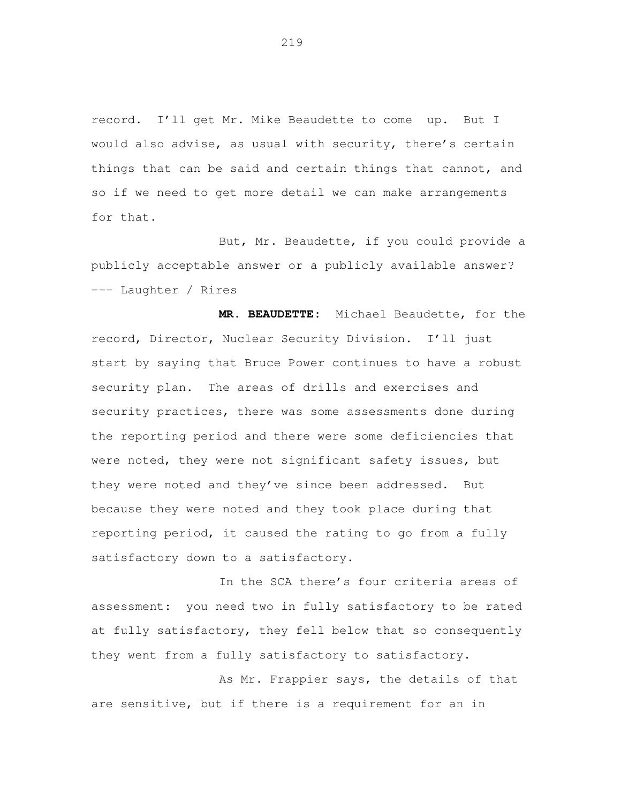record. I'll get Mr. Mike Beaudette to come up. But I would also advise, as usual with security, there's certain things that can be said and certain things that cannot, and so if we need to get more detail we can make arrangements for that.

 But, Mr. Beaudette, if you could provide a publicly acceptable answer or a publicly available answer? --- Laughter / Rires

 **MR. BEAUDETTE:** Michael Beaudette, for the record, Director, Nuclear Security Division. I'll just start by saying that Bruce Power continues to have a robust security plan. The areas of drills and exercises and security practices, there was some assessments done during the reporting period and there were some deficiencies that were noted, they were not significant safety issues, but they were noted and they've since been addressed. But because they were noted and they took place during that reporting period, it caused the rating to go from a fully satisfactory down to a satisfactory.

 In the SCA there's four criteria areas of assessment: you need two in fully satisfactory to be rated at fully satisfactory, they fell below that so consequently they went from a fully satisfactory to satisfactory.

 As Mr. Frappier says, the details of that are sensitive, but if there is a requirement for an in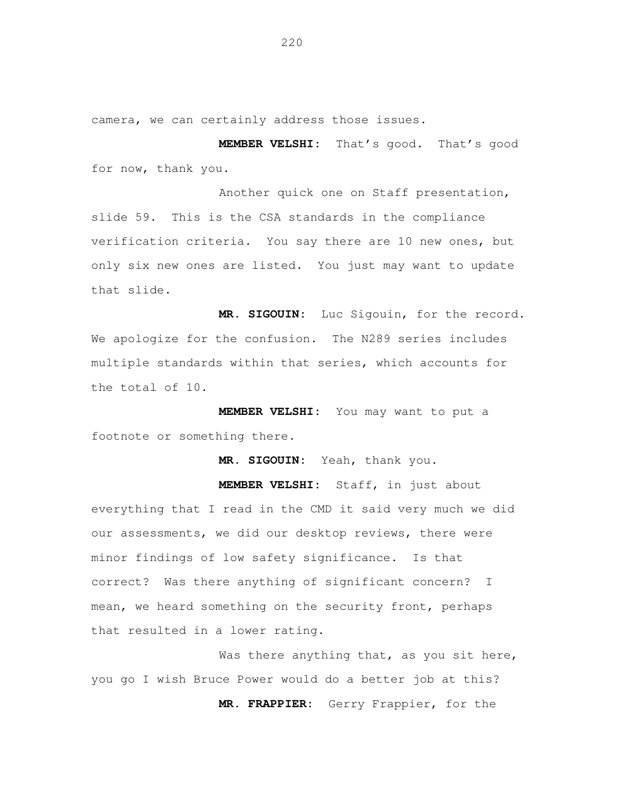camera, we can certainly address those issues.

 **MEMBER VELSHI:** That's good. That's good for now, thank you.

 Another quick one on Staff presentation, slide 59. This is the CSA standards in the compliance verification criteria. You say there are 10 new ones, but only six new ones are listed. You just may want to update that slide.

 **MR. SIGOUIN:** Luc Sigouin, for the record. We apologize for the confusion. The N289 series includes multiple standards within that series, which accounts for the total of 10.

 **MEMBER VELSHI:** You may want to put a footnote or something there.

**MR. SIGOUIN:** Yeah, thank you.

 **MEMBER VELSHI:** Staff, in just about everything that I read in the CMD it said very much we did our assessments, we did our desktop reviews, there were minor findings of low safety significance. Is that correct? Was there anything of significant concern? I mean, we heard something on the security front, perhaps that resulted in a lower rating.

Was there anything that, as you sit here, you go I wish Bruce Power would do a better job at this? **MR. FRAPPIER:** Gerry Frappier, for the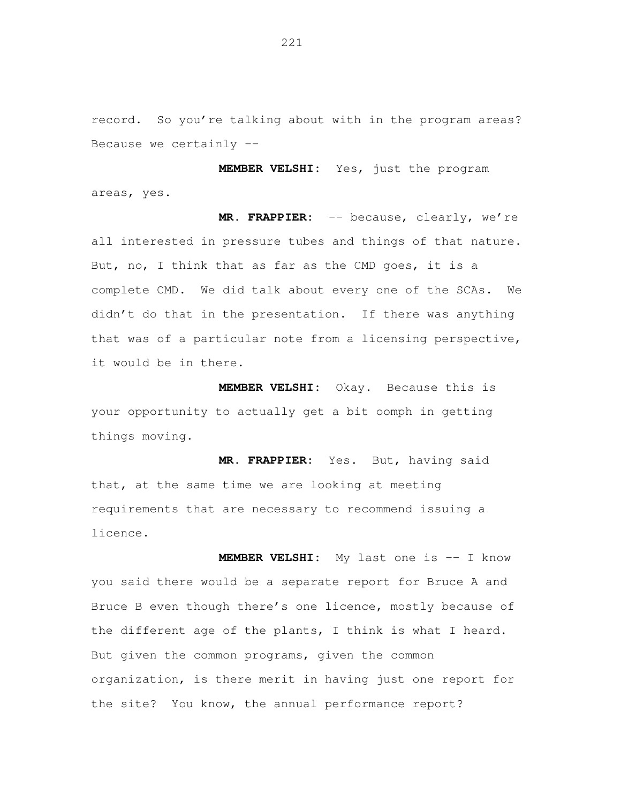record. So you're talking about with in the program areas? Because we certainly --

 **MEMBER VELSHI:** Yes, just the program areas, yes.

 **MR. FRAPPIER:** -- because, clearly, we're all interested in pressure tubes and things of that nature. But, no, I think that as far as the CMD goes, it is a complete CMD. We did talk about every one of the SCAs. We didn't do that in the presentation. If there was anything that was of a particular note from a licensing perspective, it would be in there.

MEMBER VELSHI: your opportunity to actually get a bit oomph in getting things moving. Okay. Because this is

 **MR. FRAPPIER:** Yes. But, having said that, at the same time we are looking at meeting requirements that are necessary to recommend issuing a licence.

 **MEMBER VELSHI:** My last one is -- I know you said there would be a separate report for Bruce A and Bruce B even though there's one licence, mostly because of the different age of the plants, I think is what I heard. But given the common programs, given the common organization, is there merit in having just one report for the site? You know, the annual performance report?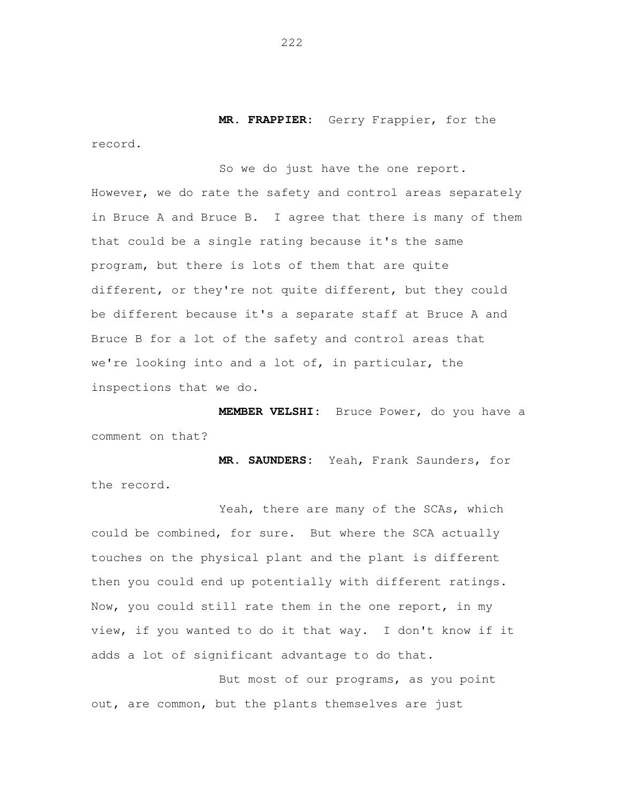**MR. FRAPPIER:** Gerry Frappier, for the

So we do just have the one report.

However, we do rate the safety and control areas separately in Bruce A and Bruce B. I agree that there is many of them that could be a single rating because it's the same program, but there is lots of them that are quite different, or they're not quite different, but they could be different because it's a separate staff at Bruce A and Bruce B for a lot of the safety and control areas that we're looking into and a lot of, in particular, the inspections that we do.

 **MEMBER VELSHI:** Bruce Power, do you have a comment on that?

 **MR. SAUNDERS:** Yeah, Frank Saunders, for the record.

Yeah, there are many of the SCAs, which could be combined, for sure. But where the SCA actually touches on the physical plant and the plant is different then you could end up potentially with different ratings. Now, you could still rate them in the one report, in my view, if you wanted to do it that way. I don't know if it adds a lot of significant advantage to do that.

 But most of our programs, as you point out, are common, but the plants themselves are just

record.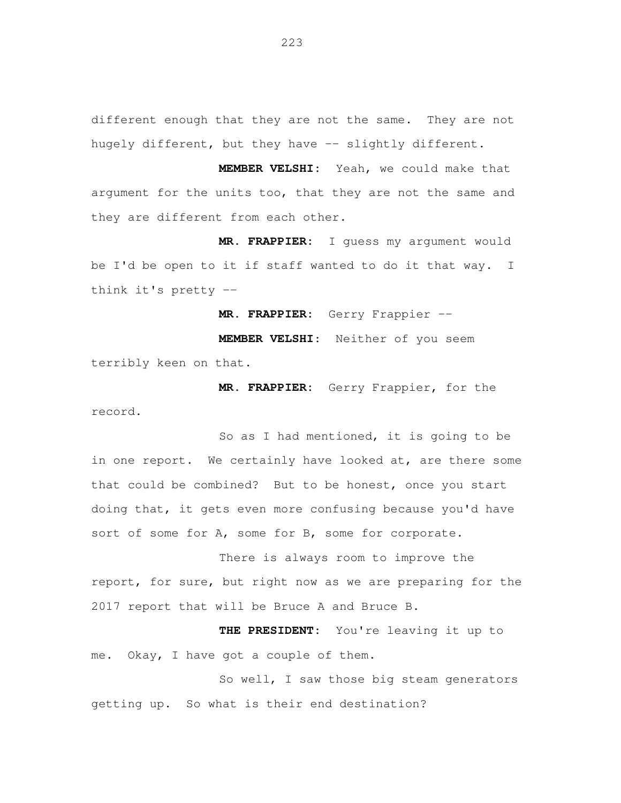different enough that they are not the same. They are not hugely different, but they have -- slightly different.

 **MEMBER VELSHI:** Yeah, we could make that argument for the units too, that they are not the same and they are different from each other.

 **MR. FRAPPIER:** I guess my argument would be I'd be open to it if staff wanted to do it that way. I think it's pretty --

 **MR. FRAPPIER:** Gerry Frappier --

 **MEMBER VELSHI**: Neither of you seem terribly keen on that.

 **MR. FRAPPIER:** Gerry Frappier**,** for the record.

 So as I had mentioned, it is going to be in one report. We certainly have looked at, are there some that could be combined? But to be honest, once you start doing that, it gets even more confusing because you'd have sort of some for A, some for B, some for corporate.

 There is always room to improve the report, for sure, but right now as we are preparing for the 2017 report that will be Bruce A and Bruce B.

 **THE PRESIDENT:** You're leaving it up to me. Okay, I have got a couple of them.

 So well, I saw those big steam generators getting up. So what is their end destination?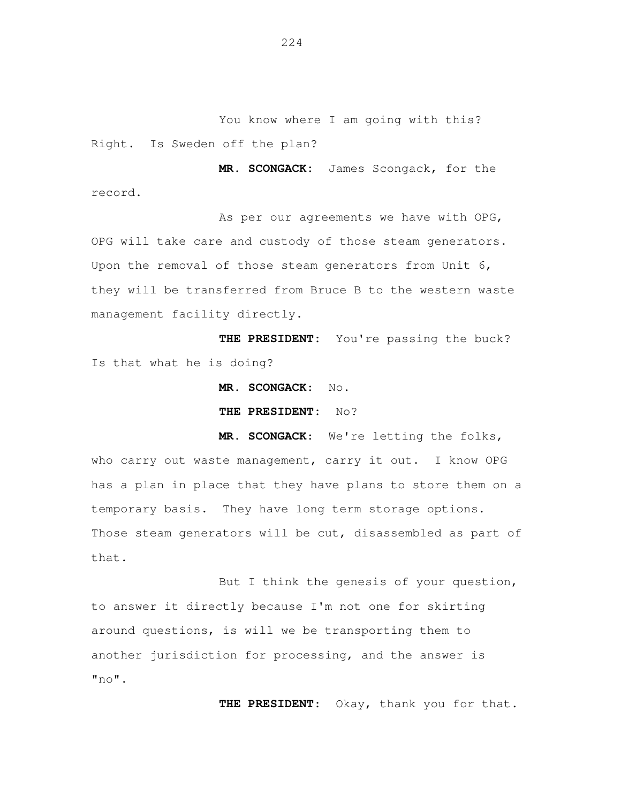You know where I am going with this? Right. Is Sweden off the plan?

 **MR. SCONGACK:** James Scongack, for the record.

As per our agreements we have with OPG, OPG will take care and custody of those steam generators. Upon the removal of those steam generators from Unit 6, they will be transferred from Bruce B to the western waste management facility directly.

 **THE PRESIDENT:** You're passing the buck? Is that what he is doing?

**MR. SCONGACK**: No.

 **THE PRESIDENT:** No?

 **MR. SCONGACK**: We're letting the folks, who carry out waste management, carry it out. I know OPG has a plan in place that they have plans to store them on a temporary basis. They have long term storage options. Those steam generators will be cut, disassembled as part of that.

 But I think the genesis of your question, to answer it directly because I'm not one for skirting around questions, is will we be transporting them to another jurisdiction for processing, and the answer is  $"no"$ .

**THE PRESIDENT**: Okay, thank you for that.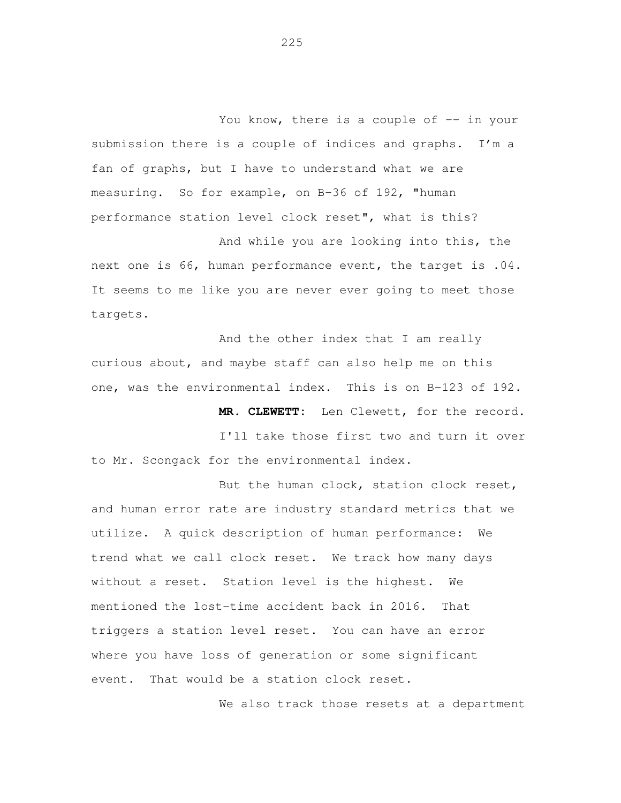You know, there is a couple of -- in your submission there is a couple of indices and graphs. I'm a fan of graphs, but I have to understand what we are measuring. So for example, on B-36 of 192, "human performance station level clock reset", what is this?

 And while you are looking into this, the next one is 66, human performance event, the target is .04. It seems to me like you are never ever going to meet those targets.

 And the other index that I am really curious about, and maybe staff can also help me on this one, was the environmental index. This is on B-123 of 192.

 **MR. CLEWETT:** Len Clewett, for the record.

 I'll take those first two and turn it over to Mr. Scongack for the environmental index.

 But the human clock, station clock reset, and human error rate are industry standard metrics that we utilize. A quick description of human performance: We trend what we call clock reset. We track how many days without a reset. Station level is the highest. We mentioned the lost-time accident back in 2016. That triggers a station level reset. You can have an error where you have loss of generation or some significant event. That would be a station clock reset.

We also track those resets at a department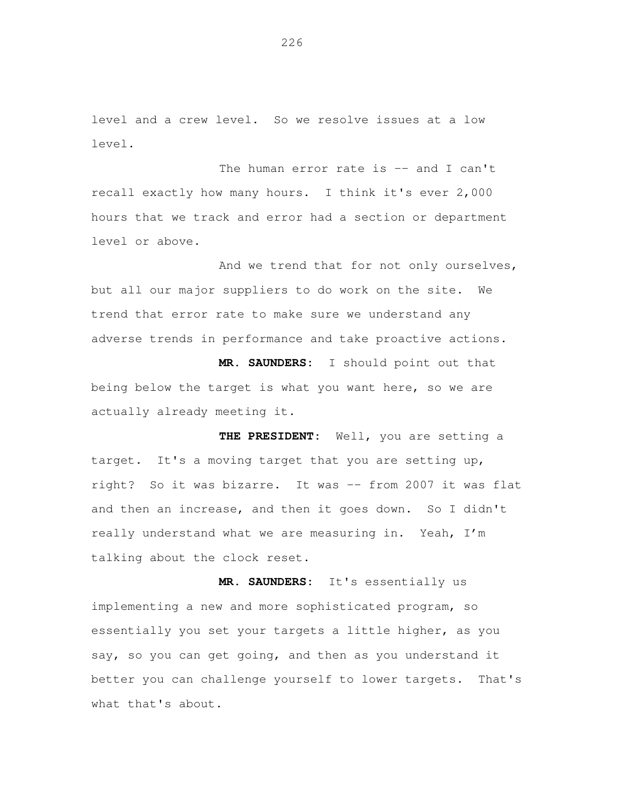level and a crew level. So we resolve issues at a low level.

The human error rate is -- and I can't recall exactly how many hours. I think it's ever 2,000 hours that we track and error had a section or department level or above.

And we trend that for not only ourselves, but all our major suppliers to do work on the site. We trend that error rate to make sure we understand any adverse trends in performance and take proactive actions.

 **MR. SAUNDERS:** I should point out that being below the target is what you want here, so we are actually already meeting it.

 **THE PRESIDENT:** Well, you are setting a target. It's a moving target that you are setting up, right? So it was bizarre. It was -- from 2007 it was flat and then an increase, and then it goes down. So I didn't really understand what we are measuring in. Yeah, I'm talking about the clock reset.

 **MR. SAUNDERS:** It's essentially us implementing a new and more sophisticated program, so essentially you set your targets a little higher, as you say, so you can get going, and then as you understand it better you can challenge yourself to lower targets. That's what that's about.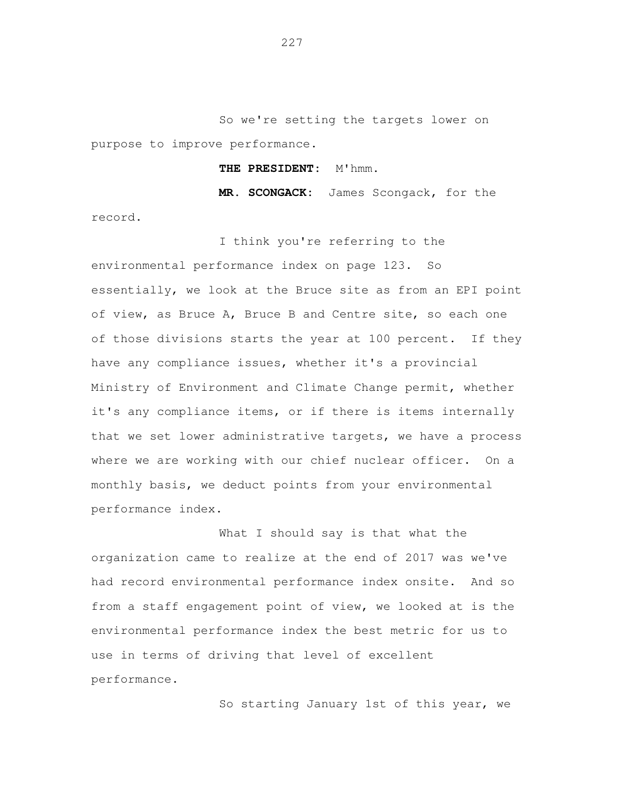So we're setting the targets lower on purpose to improve performance.

## **THE PRESIDENT:** M'hmm.

 **MR. SCONGACK:** James Scongack, for the

record.

 I think you're referring to the environmental performance index on page 123. So essentially, we look at the Bruce site as from an EPI point of view, as Bruce A, Bruce B and Centre site, so each one of those divisions starts the year at 100 percent. If they have any compliance issues, whether it's a provincial Ministry of Environment and Climate Change permit, whether it's any compliance items, or if there is items internally that we set lower administrative targets, we have a process where we are working with our chief nuclear officer. On a monthly basis, we deduct points from your environmental performance index.

 What I should say is that what the organization came to realize at the end of 2017 was we've had record environmental performance index onsite. And so from a staff engagement point of view, we looked at is the environmental performance index the best metric for us to use in terms of driving that level of excellent performance.

So starting January 1st of this year, we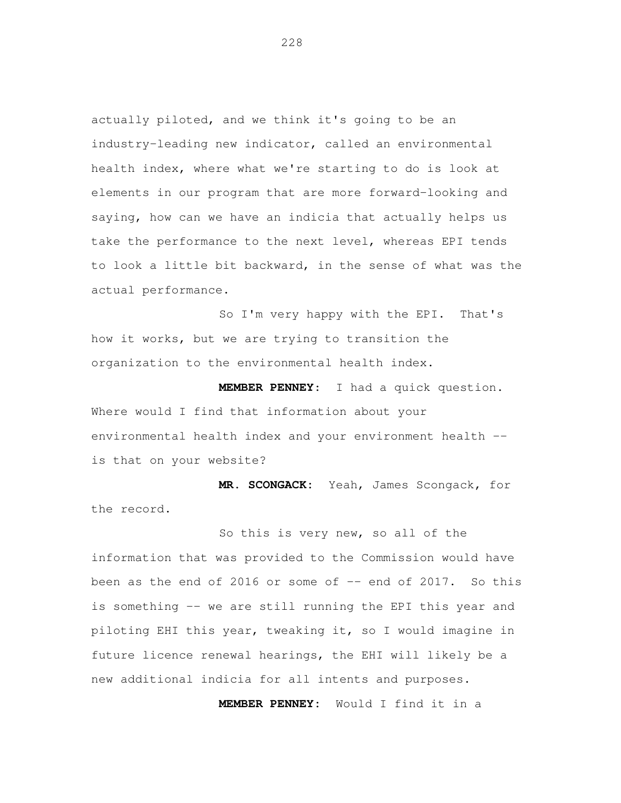actually piloted, and we think it's going to be an industry-leading new indicator, called an environmental health index, where what we're starting to do is look at elements in our program that are more forward-looking and saying, how can we have an indicia that actually helps us take the performance to the next level, whereas EPI tends to look a little bit backward, in the sense of what was the actual performance.

 So I'm very happy with the EPI. That's how it works, but we are trying to transition the organization to the environmental health index.

 **MEMBER PENNEY**: I had a quick question. Where would I find that information about your environmental health index and your environment health --is that on your website?

 **MR. SCONGACK:** Yeah, James Scongack, for the record.

 So this is very new, so all of the information that was provided to the Commission would have been as the end of 2016 or some of -- end of 2017. So this is something -- we are still running the EPI this year and piloting EHI this year, tweaking it, so I would imagine in future licence renewal hearings, the EHI will likely be a new additional indicia for all intents and purposes.

 **MEMBER PENNEY:** Would I find it in a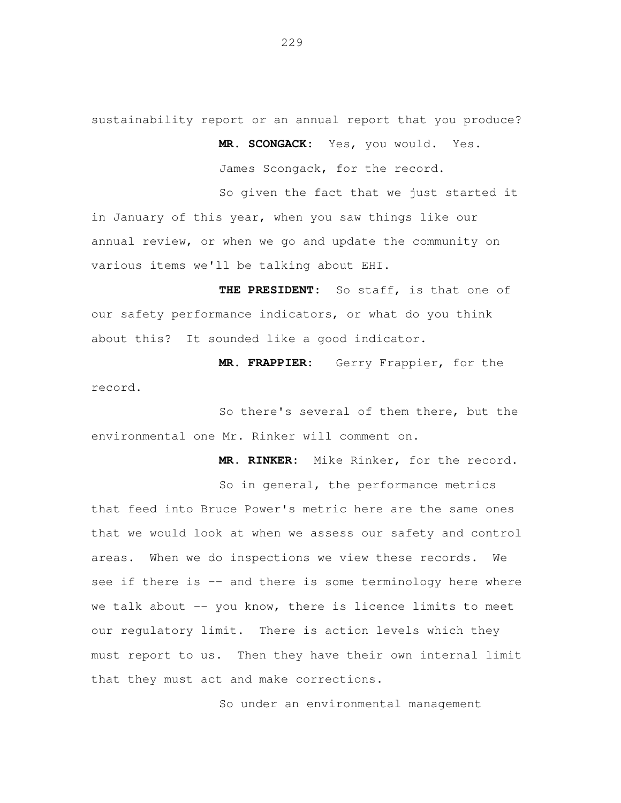sustainability report or an annual report that you produce?

 **MR. SCONGACK:** Yes, you would. Yes.

James Scongack, for the record.

 So given the fact that we just started it in January of this year, when you saw things like our annual review, or when we go and update the community on various items we'll be talking about EHI.

 **THE PRESIDENT:** So staff, is that one of our safety performance indicators, or what do you think about this? It sounded like a good indicator.

 **MR. FRAPPIER:** Gerry Frappier, for the record.

 So there's several of them there, but the environmental one Mr. Rinker will comment on.

 **MR. RINKER:** Mike Rinker, for the record. So in general, the performance metrics that feed into Bruce Power's metric here are the same ones that we would look at when we assess our safety and control areas. When we do inspections we view these records. We see if there is -- and there is some terminology here where we talk about -- you know, there is licence limits to meet our regulatory limit. There is action levels which they must report to us. Then they have their own internal limit that they must act and make corrections.

So under an environmental management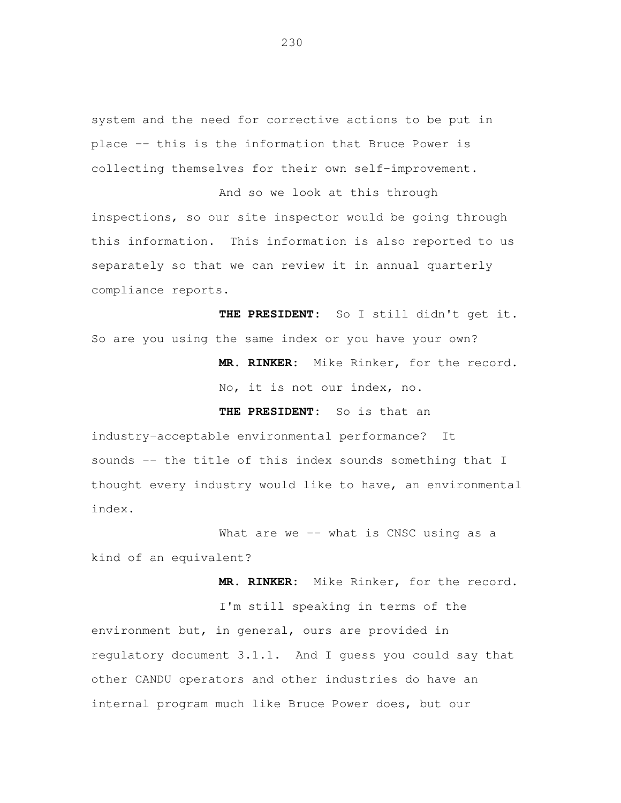system and the need for corrective actions to be put in place -- this is the information that Bruce Power is collecting themselves for their own self-improvement.

 And so we look at this through inspections, so our site inspector would be going through this information. This information is also reported to us separately so that we can review it in annual quarterly compliance reports.

 **THE PRESIDENT:** So I still didn't get it. So are you using the same index or you have your own?

> **MR. RINKER:** Mike Rinker, for the record. No, it is not our index, no.

 **THE PRESIDENT:** So is that an

 industry-acceptable environmental performance? It sounds -- the title of this index sounds something that I thought every industry would like to have, an environmental index.

 What are we -- what is CNSC using as a kind of an equivalent?

 **MR. RINKER:** Mike Rinker, for the record. I'm still speaking in terms of the environment but, in general, ours are provided in regulatory document 3.1.1. And I guess you could say that other CANDU operators and other industries do have an internal program much like Bruce Power does, but our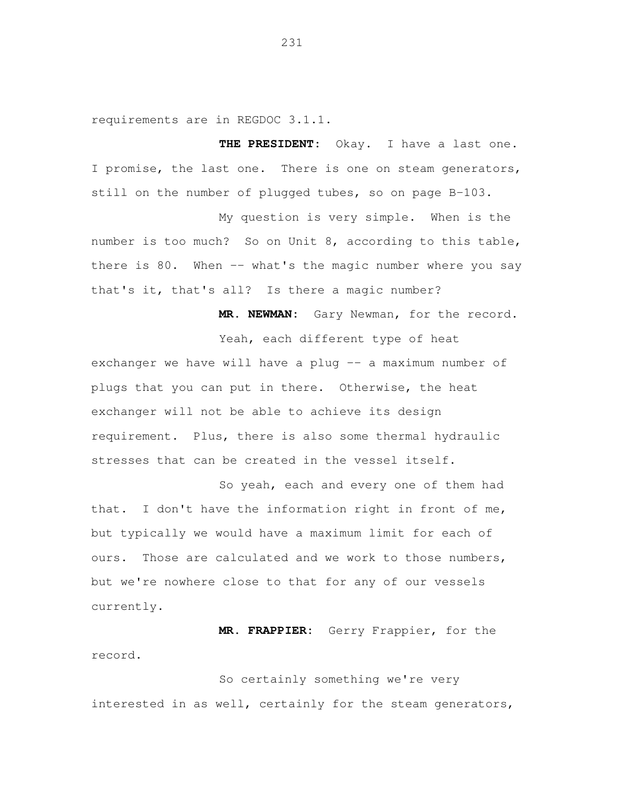requirements are in REGDOC 3.1.1.

 **THE PRESIDENT:** Okay. I have a last one. I promise, the last one. There is one on steam generators, still on the number of plugged tubes, so on page B-103.

 My question is very simple. When is the number is too much? So on Unit 8, according to this table, there is 80. When -- what's the magic number where you say that's it, that's all? Is there a magic number?

 **MR. NEWMAN:** Gary Newman, for the record.

 Yeah, each different type of heat exchanger we have will have a plug -- a maximum number of plugs that you can put in there. Otherwise, the heat exchanger will not be able to achieve its design requirement. Plus, there is also some thermal hydraulic stresses that can be created in the vessel itself.

 So yeah, each and every one of them had that. I don't have the information right in front of me, but typically we would have a maximum limit for each of ours. Those are calculated and we work to those numbers, but we're nowhere close to that for any of our vessels currently.

 **MR. FRAPPIER:** Gerry Frappier, for the record.

 So certainly something we're very interested in as well, certainly for the steam generators,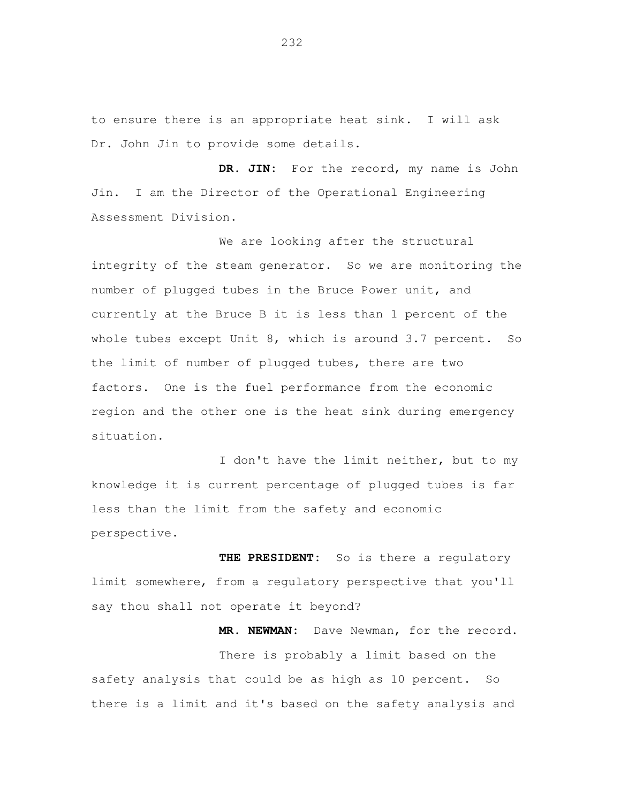to ensure there is an appropriate heat sink. I will ask Dr. John Jin to provide some details.

 **DR. JIN:** For the record, my name is John Jin. I am the Director of the Operational Engineering Assessment Division.

 We are looking after the structural integrity of the steam generator. So we are monitoring the number of plugged tubes in the Bruce Power unit, and currently at the Bruce B it is less than 1 percent of the whole tubes except Unit 8, which is around 3.7 percent. So the limit of number of plugged tubes, there are two factors. One is the fuel performance from the economic region and the other one is the heat sink during emergency situation.

 I don't have the limit neither, but to my knowledge it is current percentage of plugged tubes is far less than the limit from the safety and economic perspective.

THE PRESIDENT: limit somewhere, from a regulatory perspective that you'll say thou shall not operate it beyond? So is there a regulatory

 **MR. NEWMAN:** Dave Newman, for the record. There is probably a limit based on the safety analysis that could be as high as 10 percent. So there is a limit and it's based on the safety analysis and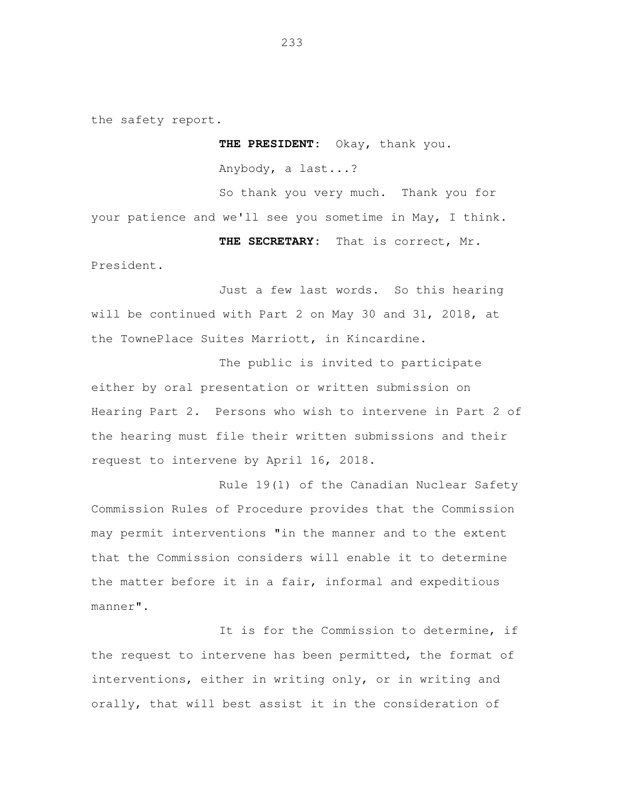the safety report.

 **THE PRESIDENT:** Okay, thank you.

Anybody, a last...?

 So thank you very much. Thank you for your patience and we'll see you sometime in May, I think.

 **THE SECRETARY:** That is correct, Mr.

President.

 Just a few last words. So this hearing will be continued with Part 2 on May 30 and 31, 2018, at the TownePlace Suites Marriott, in Kincardine.

 The public is invited to participate either by oral presentation or written submission on Hearing Part 2. Persons who wish to intervene in Part 2 of the hearing must file their written submissions and their request to intervene by April 16, 2018.

 Rule 19(1) of the Canadian Nuclear Safety Commission Rules of Procedure provides that the Commission may permit interventions "in the manner and to the extent that the Commission considers will enable it to determine the matter before it in a fair, informal and expeditious manner".

 It is for the Commission to determine, if the request to intervene has been permitted, the format of interventions, either in writing only, or in writing and orally, that will best assist it in the consideration of